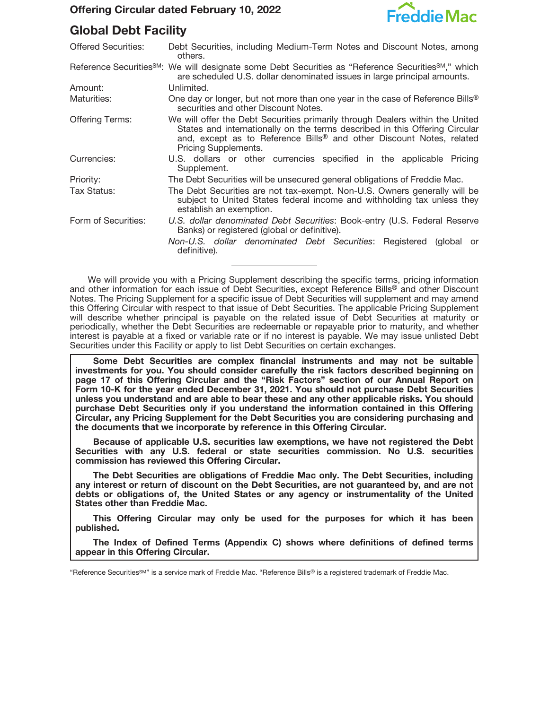

# **Global Debt Facility**

| <b>Offered Securities:</b> | Debt Securities, including Medium-Term Notes and Discount Notes, among<br>others.                                                                                                                                                                                        |  |
|----------------------------|--------------------------------------------------------------------------------------------------------------------------------------------------------------------------------------------------------------------------------------------------------------------------|--|
|                            | Reference Securities <sup>SM</sup> : We will designate some Debt Securities as "Reference Securities <sup>SM</sup> ," which<br>are scheduled U.S. dollar denominated issues in large principal amounts.                                                                  |  |
| Amount:                    | Unlimited.                                                                                                                                                                                                                                                               |  |
| Maturities:                | One day or longer, but not more than one year in the case of Reference Bills <sup>®</sup><br>securities and other Discount Notes.                                                                                                                                        |  |
| <b>Offering Terms:</b>     | We will offer the Debt Securities primarily through Dealers within the United<br>States and internationally on the terms described in this Offering Circular<br>and, except as to Reference Bills <sup>®</sup> and other Discount Notes, related<br>Pricing Supplements. |  |
| Currencies:                | U.S. dollars or other currencies specified in the applicable Pricing<br>Supplement.                                                                                                                                                                                      |  |
| Priority:                  | The Debt Securities will be unsecured general obligations of Freddie Mac.                                                                                                                                                                                                |  |
| Tax Status:                | The Debt Securities are not tax-exempt. Non-U.S. Owners generally will be<br>subject to United States federal income and withholding tax unless they<br>establish an exemption.                                                                                          |  |
| Form of Securities:        | U.S. dollar denominated Debt Securities: Book-entry (U.S. Federal Reserve<br>Banks) or registered (global or definitive).                                                                                                                                                |  |
|                            | Non-U.S. dollar denominated Debt Securities: Registered (global<br>or<br>definitive).                                                                                                                                                                                    |  |
|                            |                                                                                                                                                                                                                                                                          |  |

We will provide you with a Pricing Supplement describing the specific terms, pricing information and other information for each issue of Debt Securities, except Reference Bills® and other Discount Notes. The Pricing Supplement for a specific issue of Debt Securities will supplement and may amend this Offering Circular with respect to that issue of Debt Securities. The applicable Pricing Supplement will describe whether principal is payable on the related issue of Debt Securities at maturity or periodically, whether the Debt Securities are redeemable or repayable prior to maturity, and whether interest is payable at a fixed or variable rate or if no interest is payable. We may issue unlisted Debt Securities under this Facility or apply to list Debt Securities on certain exchanges.

**Some Debt Securities are complex financial instruments and may not be suitable investments for you. You should consider carefully the risk factors described beginning on page 17 of this Offering Circular and the "Risk Factors" section of our Annual Report on Form 10-K for the year ended December 31, 2021. You should not purchase Debt Securities unless you understand and are able to bear these and any other applicable risks. You should purchase Debt Securities only if you understand the information contained in this Offering Circular, any Pricing Supplement for the Debt Securities you are considering purchasing and the documents that we incorporate by reference in this Offering Circular.**

**Because of applicable U.S. securities law exemptions, we have not registered the Debt Securities with any U.S. federal or state securities commission. No U.S. securities commission has reviewed this Offering Circular.**

**The Debt Securities are obligations of Freddie Mac only. The Debt Securities, including any interest or return of discount on the Debt Securities, are not guaranteed by, and are not debts or obligations of, the United States or any agency or instrumentality of the United States other than Freddie Mac.**

**This Offering Circular may only be used for the purposes for which it has been published.**

**The Index of Defined Terms (Appendix C) shows where definitions of defined terms appear in this Offering Circular.**

<sup>&</sup>quot;Reference Securities<sup>SM"</sup> is a service mark of Freddie Mac. "Reference Bills® is a registered trademark of Freddie Mac.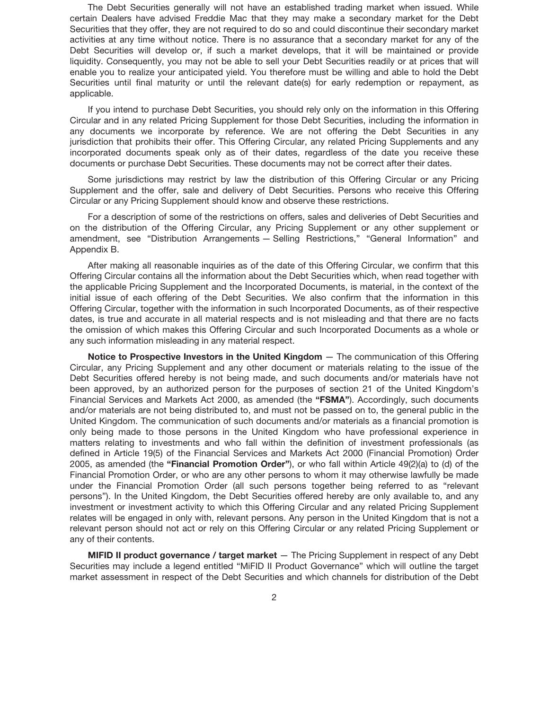The Debt Securities generally will not have an established trading market when issued. While certain Dealers have advised Freddie Mac that they may make a secondary market for the Debt Securities that they offer, they are not required to do so and could discontinue their secondary market activities at any time without notice. There is no assurance that a secondary market for any of the Debt Securities will develop or, if such a market develops, that it will be maintained or provide liquidity. Consequently, you may not be able to sell your Debt Securities readily or at prices that will enable you to realize your anticipated yield. You therefore must be willing and able to hold the Debt Securities until final maturity or until the relevant date(s) for early redemption or repayment, as applicable.

If you intend to purchase Debt Securities, you should rely only on the information in this Offering Circular and in any related Pricing Supplement for those Debt Securities, including the information in any documents we incorporate by reference. We are not offering the Debt Securities in any jurisdiction that prohibits their offer. This Offering Circular, any related Pricing Supplements and any incorporated documents speak only as of their dates, regardless of the date you receive these documents or purchase Debt Securities. These documents may not be correct after their dates.

Some jurisdictions may restrict by law the distribution of this Offering Circular or any Pricing Supplement and the offer, sale and delivery of Debt Securities. Persons who receive this Offering Circular or any Pricing Supplement should know and observe these restrictions.

For a description of some of the restrictions on offers, sales and deliveries of Debt Securities and on the distribution of the Offering Circular, any Pricing Supplement or any other supplement or amendment, see "Distribution Arrangements — Selling Restrictions," "General Information" and Appendix B.

After making all reasonable inquiries as of the date of this Offering Circular, we confirm that this Offering Circular contains all the information about the Debt Securities which, when read together with the applicable Pricing Supplement and the Incorporated Documents, is material, in the context of the initial issue of each offering of the Debt Securities. We also confirm that the information in this Offering Circular, together with the information in such Incorporated Documents, as of their respective dates, is true and accurate in all material respects and is not misleading and that there are no facts the omission of which makes this Offering Circular and such Incorporated Documents as a whole or any such information misleading in any material respect.

**Notice to Prospective Investors in the United Kingdom** — The communication of this Offering Circular, any Pricing Supplement and any other document or materials relating to the issue of the Debt Securities offered hereby is not being made, and such documents and/or materials have not been approved, by an authorized person for the purposes of section 21 of the United Kingdom's Financial Services and Markets Act 2000, as amended (the **"FSMA"**). Accordingly, such documents and/or materials are not being distributed to, and must not be passed on to, the general public in the United Kingdom. The communication of such documents and/or materials as a financial promotion is only being made to those persons in the United Kingdom who have professional experience in matters relating to investments and who fall within the definition of investment professionals (as defined in Article 19(5) of the Financial Services and Markets Act 2000 (Financial Promotion) Order 2005, as amended (the **"Financial Promotion Order"**), or who fall within Article 49(2)(a) to (d) of the Financial Promotion Order, or who are any other persons to whom it may otherwise lawfully be made under the Financial Promotion Order (all such persons together being referred to as "relevant persons"). In the United Kingdom, the Debt Securities offered hereby are only available to, and any investment or investment activity to which this Offering Circular and any related Pricing Supplement relates will be engaged in only with, relevant persons. Any person in the United Kingdom that is not a relevant person should not act or rely on this Offering Circular or any related Pricing Supplement or any of their contents.

**MIFID II product governance / target market** — The Pricing Supplement in respect of any Debt Securities may include a legend entitled "MiFID II Product Governance" which will outline the target market assessment in respect of the Debt Securities and which channels for distribution of the Debt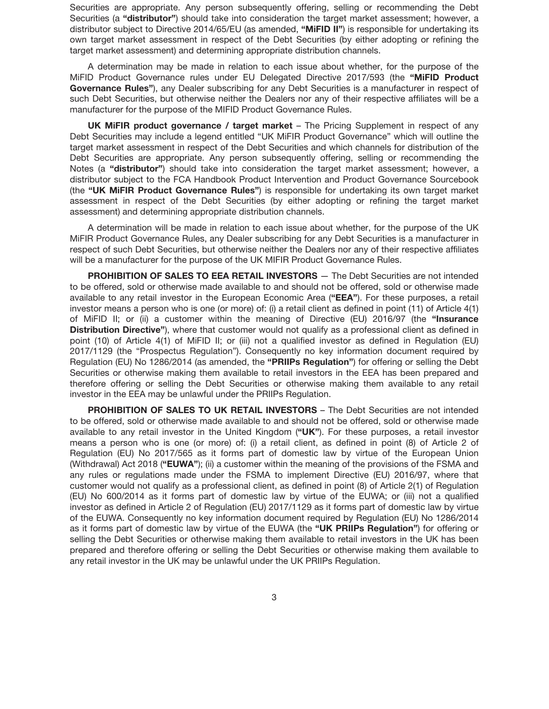Securities are appropriate. Any person subsequently offering, selling or recommending the Debt Securities (a **"distributor"**) should take into consideration the target market assessment; however, a distributor subject to Directive 2014/65/EU (as amended, **"MiFID II"**) is responsible for undertaking its own target market assessment in respect of the Debt Securities (by either adopting or refining the target market assessment) and determining appropriate distribution channels.

A determination may be made in relation to each issue about whether, for the purpose of the MiFID Product Governance rules under EU Delegated Directive 2017/593 (the **"MiFID Product Governance Rules"**), any Dealer subscribing for any Debt Securities is a manufacturer in respect of such Debt Securities, but otherwise neither the Dealers nor any of their respective affiliates will be a manufacturer for the purpose of the MIFID Product Governance Rules.

**UK MiFIR product governance / target market** – The Pricing Supplement in respect of any Debt Securities may include a legend entitled "UK MiFIR Product Governance" which will outline the target market assessment in respect of the Debt Securities and which channels for distribution of the Debt Securities are appropriate. Any person subsequently offering, selling or recommending the Notes (a **"distributor"**) should take into consideration the target market assessment; however, a distributor subject to the FCA Handbook Product Intervention and Product Governance Sourcebook (the **"UK MiFIR Product Governance Rules"**) is responsible for undertaking its own target market assessment in respect of the Debt Securities (by either adopting or refining the target market assessment) and determining appropriate distribution channels.

A determination will be made in relation to each issue about whether, for the purpose of the UK MiFIR Product Governance Rules, any Dealer subscribing for any Debt Securities is a manufacturer in respect of such Debt Securities, but otherwise neither the Dealers nor any of their respective affiliates will be a manufacturer for the purpose of the UK MIFIR Product Governance Rules.

**PROHIBITION OF SALES TO EEA RETAIL INVESTORS** — The Debt Securities are not intended to be offered, sold or otherwise made available to and should not be offered, sold or otherwise made available to any retail investor in the European Economic Area (**"EEA"**). For these purposes, a retail investor means a person who is one (or more) of: (i) a retail client as defined in point (11) of Article 4(1) of MiFID II; or (ii) a customer within the meaning of Directive (EU) 2016/97 (the **"Insurance Distribution Directive"**), where that customer would not qualify as a professional client as defined in point (10) of Article 4(1) of MiFID II; or (iii) not a qualified investor as defined in Regulation (EU) 2017/1129 (the "Prospectus Regulation"). Consequently no key information document required by Regulation (EU) No 1286/2014 (as amended, the **"PRIIPs Regulation"**) for offering or selling the Debt Securities or otherwise making them available to retail investors in the EEA has been prepared and therefore offering or selling the Debt Securities or otherwise making them available to any retail investor in the EEA may be unlawful under the PRIIPs Regulation.

**PROHIBITION OF SALES TO UK RETAIL INVESTORS** – The Debt Securities are not intended to be offered, sold or otherwise made available to and should not be offered, sold or otherwise made available to any retail investor in the United Kingdom (**"UK"**). For these purposes, a retail investor means a person who is one (or more) of: (i) a retail client, as defined in point (8) of Article 2 of Regulation (EU) No 2017/565 as it forms part of domestic law by virtue of the European Union (Withdrawal) Act 2018 (**"EUWA"**); (ii) a customer within the meaning of the provisions of the FSMA and any rules or regulations made under the FSMA to implement Directive (EU) 2016/97, where that customer would not qualify as a professional client, as defined in point (8) of Article 2(1) of Regulation (EU) No 600/2014 as it forms part of domestic law by virtue of the EUWA; or (iii) not a qualified investor as defined in Article 2 of Regulation (EU) 2017/1129 as it forms part of domestic law by virtue of the EUWA. Consequently no key information document required by Regulation (EU) No 1286/2014 as it forms part of domestic law by virtue of the EUWA (the **"UK PRIIPs Regulation"**) for offering or selling the Debt Securities or otherwise making them available to retail investors in the UK has been prepared and therefore offering or selling the Debt Securities or otherwise making them available to any retail investor in the UK may be unlawful under the UK PRIIPs Regulation.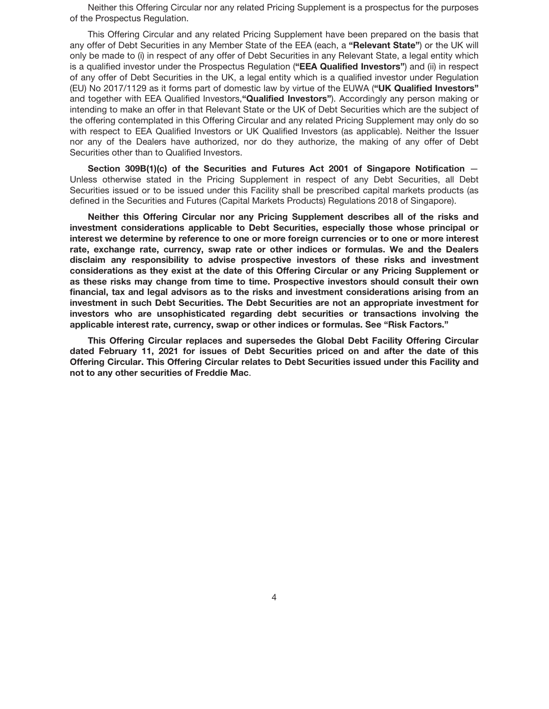Neither this Offering Circular nor any related Pricing Supplement is a prospectus for the purposes of the Prospectus Regulation.

This Offering Circular and any related Pricing Supplement have been prepared on the basis that any offer of Debt Securities in any Member State of the EEA (each, a **"Relevant State"**) or the UK will only be made to (i) in respect of any offer of Debt Securities in any Relevant State, a legal entity which is a qualified investor under the Prospectus Regulation (**"EEA Qualified Investors"**) and (ii) in respect of any offer of Debt Securities in the UK, a legal entity which is a qualified investor under Regulation (EU) No 2017/1129 as it forms part of domestic law by virtue of the EUWA (**"UK Qualified Investors"** and together with EEA Qualified Investors,**"Qualified Investors"**). Accordingly any person making or intending to make an offer in that Relevant State or the UK of Debt Securities which are the subject of the offering contemplated in this Offering Circular and any related Pricing Supplement may only do so with respect to EEA Qualified Investors or UK Qualified Investors (as applicable). Neither the Issuer nor any of the Dealers have authorized, nor do they authorize, the making of any offer of Debt Securities other than to Qualified Investors.

**Section 309B(1)(c) of the Securities and Futures Act 2001 of Singapore Notification** — Unless otherwise stated in the Pricing Supplement in respect of any Debt Securities, all Debt Securities issued or to be issued under this Facility shall be prescribed capital markets products (as defined in the Securities and Futures (Capital Markets Products) Regulations 2018 of Singapore).

**Neither this Offering Circular nor any Pricing Supplement describes all of the risks and investment considerations applicable to Debt Securities, especially those whose principal or interest we determine by reference to one or more foreign currencies or to one or more interest rate, exchange rate, currency, swap rate or other indices or formulas. We and the Dealers disclaim any responsibility to advise prospective investors of these risks and investment considerations as they exist at the date of this Offering Circular or any Pricing Supplement or as these risks may change from time to time. Prospective investors should consult their own financial, tax and legal advisors as to the risks and investment considerations arising from an investment in such Debt Securities. The Debt Securities are not an appropriate investment for investors who are unsophisticated regarding debt securities or transactions involving the applicable interest rate, currency, swap or other indices or formulas. See "Risk Factors."**

**This Offering Circular replaces and supersedes the Global Debt Facility Offering Circular dated February 11, 2021 for issues of Debt Securities priced on and after the date of this Offering Circular. This Offering Circular relates to Debt Securities issued under this Facility and not to any other securities of Freddie Mac**.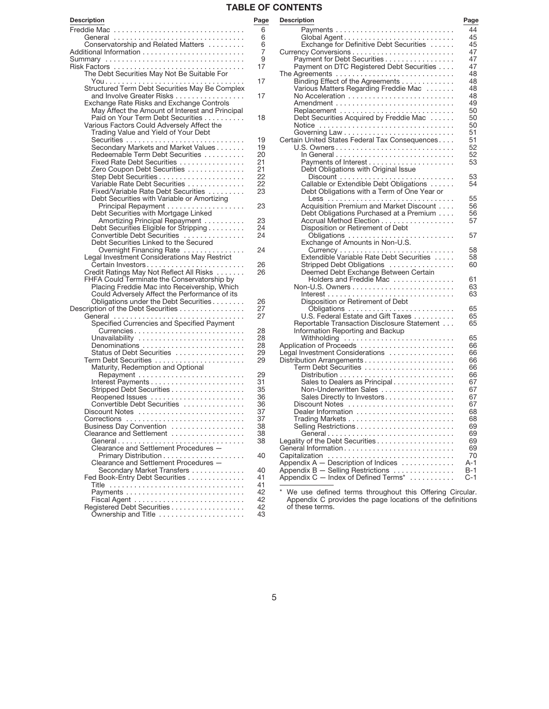# **TABLE OF CONTENTS**

| <b>Description</b>                                                                      | Page     |
|-----------------------------------------------------------------------------------------|----------|
|                                                                                         | 6        |
| General                                                                                 | 6        |
| Conservatorship and Related Matters                                                     | 6<br>7   |
| Summary                                                                                 | 9        |
|                                                                                         | 17       |
| The Debt Securities May Not Be Suitable For                                             |          |
| Structured Term Debt Securities May Be Complex                                          | 17<br>17 |
| and Involve Greater Risks<br>Exchange Rate Risks and Exchange Controls                  |          |
| May Affect the Amount of Interest and Principal                                         |          |
| Paid on Your Term Debt Securities<br>Various Factors Could Adversely Affect the         | 18       |
| Trading Value and Yield of Your Debt                                                    |          |
|                                                                                         | 19       |
| Secondary Markets and Market Values                                                     | 19       |
| Redeemable Term Debt Securities                                                         | 20<br>21 |
| Fixed Rate Debt Securities<br>Zero Coupon Debt Securities                               | 21       |
|                                                                                         | 22       |
| Variable Rate Debt Securities                                                           | 22       |
| Fixed/Variable Rate Debt Securities                                                     | 23       |
| Debt Securities with Variable or Amortizing                                             | 23       |
| Debt Securities with Mortgage Linked                                                    |          |
| Amortizing Principal Repayment                                                          | 23       |
| Debt Securities Eligible for Stripping                                                  | 24       |
| Convertible Debt Securities<br>Debt Securities Linked to the Secured                    | 24       |
| Overnight Financing Rate                                                                | 24       |
| Legal Investment Considerations May Restrict                                            |          |
| Certain Investors                                                                       | 26       |
| Credit Ratings May Not Reflect All Risks<br>FHFA Could Terminate the Conservatorship by | 26       |
| Placing Freddie Mac into Receivership, Which                                            |          |
| Could Adversely Affect the Performance of its                                           |          |
| Obligations under the Debt Securities                                                   | 26       |
| Description of the Debt Securities<br>General                                           | 27<br>27 |
| Specified Currencies and Specified Payment                                              |          |
| Currencies                                                                              | 28       |
| Unavailability                                                                          | 28       |
| Denominations<br>Status of Debt Securities                                              | 28<br>29 |
|                                                                                         | 29       |
| Maturity, Redemption and Optional                                                       |          |
|                                                                                         | 29<br>31 |
| Stripped Debt Securities                                                                | 35       |
| Reopened Issues                                                                         | 36       |
| Convertible Debt Securities                                                             | 36       |
|                                                                                         | 37<br>37 |
| Business Day Convention                                                                 | 38       |
| Clearance and Settlement                                                                | 38       |
|                                                                                         | 38       |
| Clearance and Settlement Procedures -                                                   | 40       |
| Clearance and Settlement Procedures -                                                   |          |
| Secondary Market Transfers                                                              | 40       |
| Fed Book-Entry Debt Securities                                                          | 41       |
| Title                                                                                   | 41<br>42 |
|                                                                                         | 42       |
| Registered Debt Securities                                                              | 42       |
| Ownership and Title                                                                     | 43       |
|                                                                                         |          |

|                | .                                                                  |       |
|----------------|--------------------------------------------------------------------|-------|
| gе             | <b>Description</b>                                                 | Page  |
|                |                                                                    | 44    |
| วิ<br>วิว<br>7 | Global Agent                                                       | 45    |
|                | Exchange for Definitive Debt Securities                            | 45    |
|                |                                                                    | 47    |
|                | Payment for Debt Securities                                        | 47    |
|                | Payment on DTC Registered Debt Securities                          | 47    |
|                |                                                                    | 48    |
|                | Binding Effect of the Agreements                                   | 48    |
|                | Various Matters Regarding Freddie Mac                              | 48    |
|                | No Acceleration                                                    | 48    |
|                |                                                                    | 49    |
|                |                                                                    | 50    |
|                | Debt Securities Acquired by Freddie Mac                            | 50    |
|                | Notice                                                             | 50    |
|                |                                                                    | 51    |
|                | Certain United States Federal Tax Consequences                     | 51    |
|                |                                                                    | 52    |
|                |                                                                    | 52    |
|                |                                                                    | 53    |
|                | Debt Obligations with Original Issue                               |       |
|                |                                                                    | 53    |
|                | Callable or Extendible Debt Obligations                            | 54    |
|                |                                                                    |       |
|                | Debt Obligations with a Term of One Year or                        | 55    |
|                | Acquisition Premium and Market Discount                            | 56    |
|                |                                                                    | 56    |
|                | Debt Obligations Purchased at a Premium<br>Accrual Method Election | 57    |
|                |                                                                    |       |
|                | Disposition or Retirement of Debt                                  |       |
|                | Obligations                                                        | 57    |
|                | Exchange of Amounts in Non-U.S.                                    | 58    |
|                | Extendible Variable Rate Debt Securities                           | 58    |
|                |                                                                    |       |
|                | Stripped Debt Obligations                                          | 60    |
|                | Deemed Debt Exchange Between Certain<br>Holders and Freddie Mac    |       |
|                |                                                                    | 61    |
|                |                                                                    | 63    |
|                |                                                                    | 63    |
|                | Disposition or Retirement of Debt                                  |       |
|                |                                                                    | 65    |
|                | U.S. Federal Estate and Gift Taxes                                 | 65    |
|                | Reportable Transaction Disclosure Statement                        | 65    |
|                | Information Reporting and Backup                                   |       |
|                | Withholding                                                        | 65    |
|                |                                                                    | 66    |
| 9<br>J         | Legal Investment Considerations                                    | 66    |
|                |                                                                    | 66    |
|                |                                                                    | 66    |
|                |                                                                    | 66    |
|                | Sales to Dealers as Principal                                      | 67    |
|                | Non-Underwritten Sales                                             | 67    |
|                | Sales Directly to Investors                                        | 67    |
|                | Discount Notes                                                     | 67    |
|                | Dealer Information                                                 | 68    |
|                |                                                                    | 68    |
| 3<br>3<br>3    | Selling Restrictions                                               | 69    |
|                | General                                                            | 69    |
|                |                                                                    | 69    |
|                |                                                                    | 69    |
| J              | Capitalization                                                     | 70    |
|                | Appendix A - Description of Indices                                | A-1   |
| J              | Appendix B - Selling Restrictions                                  | $B-1$ |
| ĺ              | Appendix C - Index of Defined Terms*                               | $C-1$ |
| 1              |                                                                    |       |

\* We use defined terms throughout this Offering Circular. Appendix C provides the page locations of the definitions of these terms.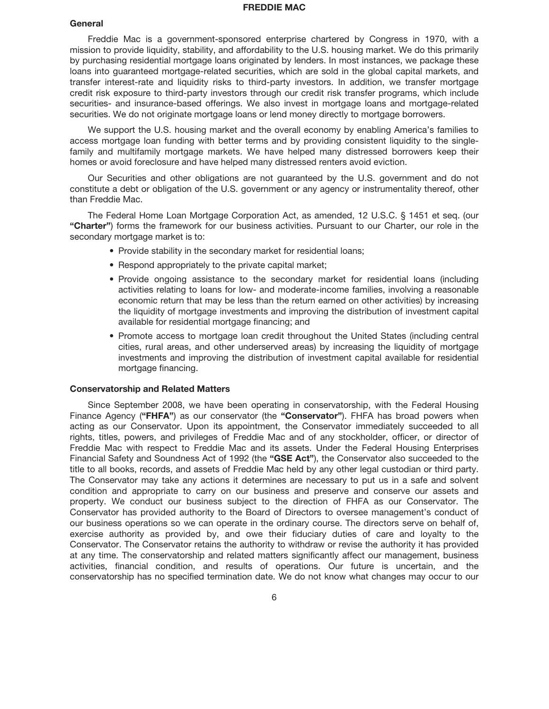### **FREDDIE MAC**

### **General**

Freddie Mac is a government-sponsored enterprise chartered by Congress in 1970, with a mission to provide liquidity, stability, and affordability to the U.S. housing market. We do this primarily by purchasing residential mortgage loans originated by lenders. In most instances, we package these loans into guaranteed mortgage-related securities, which are sold in the global capital markets, and transfer interest-rate and liquidity risks to third-party investors. In addition, we transfer mortgage credit risk exposure to third-party investors through our credit risk transfer programs, which include securities- and insurance-based offerings. We also invest in mortgage loans and mortgage-related securities. We do not originate mortgage loans or lend money directly to mortgage borrowers.

We support the U.S. housing market and the overall economy by enabling America's families to access mortgage loan funding with better terms and by providing consistent liquidity to the singlefamily and multifamily mortgage markets. We have helped many distressed borrowers keep their homes or avoid foreclosure and have helped many distressed renters avoid eviction.

Our Securities and other obligations are not guaranteed by the U.S. government and do not constitute a debt or obligation of the U.S. government or any agency or instrumentality thereof, other than Freddie Mac.

The Federal Home Loan Mortgage Corporation Act, as amended, 12 U.S.C. § 1451 et seq. (our **"Charter"**) forms the framework for our business activities. Pursuant to our Charter, our role in the secondary mortgage market is to:

- Provide stability in the secondary market for residential loans;
- Respond appropriately to the private capital market;
- Provide ongoing assistance to the secondary market for residential loans (including activities relating to loans for low- and moderate-income families, involving a reasonable economic return that may be less than the return earned on other activities) by increasing the liquidity of mortgage investments and improving the distribution of investment capital available for residential mortgage financing; and
- Promote access to mortgage loan credit throughout the United States (including central cities, rural areas, and other underserved areas) by increasing the liquidity of mortgage investments and improving the distribution of investment capital available for residential mortgage financing.

# **Conservatorship and Related Matters**

Since September 2008, we have been operating in conservatorship, with the Federal Housing Finance Agency (**"FHFA"**) as our conservator (the **"Conservator"**). FHFA has broad powers when acting as our Conservator. Upon its appointment, the Conservator immediately succeeded to all rights, titles, powers, and privileges of Freddie Mac and of any stockholder, officer, or director of Freddie Mac with respect to Freddie Mac and its assets. Under the Federal Housing Enterprises Financial Safety and Soundness Act of 1992 (the **"GSE Act"**), the Conservator also succeeded to the title to all books, records, and assets of Freddie Mac held by any other legal custodian or third party. The Conservator may take any actions it determines are necessary to put us in a safe and solvent condition and appropriate to carry on our business and preserve and conserve our assets and property. We conduct our business subject to the direction of FHFA as our Conservator. The Conservator has provided authority to the Board of Directors to oversee management's conduct of our business operations so we can operate in the ordinary course. The directors serve on behalf of, exercise authority as provided by, and owe their fiduciary duties of care and loyalty to the Conservator. The Conservator retains the authority to withdraw or revise the authority it has provided at any time. The conservatorship and related matters significantly affect our management, business activities, financial condition, and results of operations. Our future is uncertain, and the conservatorship has no specified termination date. We do not know what changes may occur to our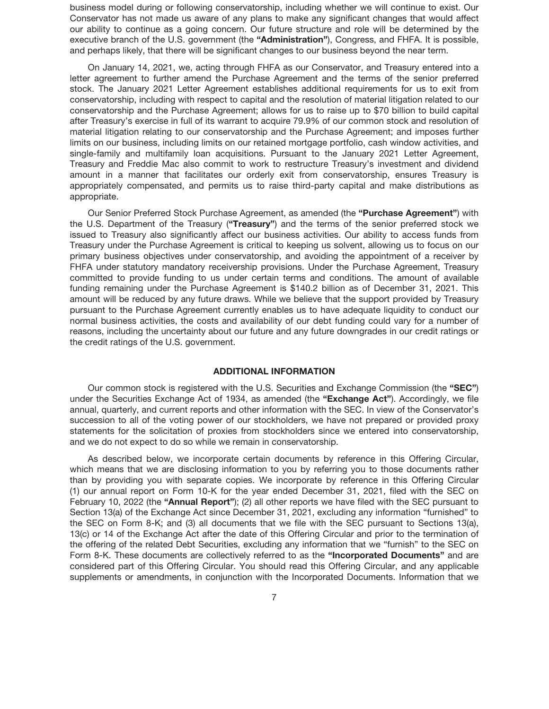business model during or following conservatorship, including whether we will continue to exist. Our Conservator has not made us aware of any plans to make any significant changes that would affect our ability to continue as a going concern. Our future structure and role will be determined by the executive branch of the U.S. government (the **"Administration"**), Congress, and FHFA. It is possible, and perhaps likely, that there will be significant changes to our business beyond the near term.

On January 14, 2021, we, acting through FHFA as our Conservator, and Treasury entered into a letter agreement to further amend the Purchase Agreement and the terms of the senior preferred stock. The January 2021 Letter Agreement establishes additional requirements for us to exit from conservatorship, including with respect to capital and the resolution of material litigation related to our conservatorship and the Purchase Agreement; allows for us to raise up to \$70 billion to build capital after Treasury's exercise in full of its warrant to acquire 79.9% of our common stock and resolution of material litigation relating to our conservatorship and the Purchase Agreement; and imposes further limits on our business, including limits on our retained mortgage portfolio, cash window activities, and single-family and multifamily loan acquisitions. Pursuant to the January 2021 Letter Agreement, Treasury and Freddie Mac also commit to work to restructure Treasury's investment and dividend amount in a manner that facilitates our orderly exit from conservatorship, ensures Treasury is appropriately compensated, and permits us to raise third-party capital and make distributions as appropriate.

Our Senior Preferred Stock Purchase Agreement, as amended (the **"Purchase Agreement"**) with the U.S. Department of the Treasury (**"Treasury"**) and the terms of the senior preferred stock we issued to Treasury also significantly affect our business activities. Our ability to access funds from Treasury under the Purchase Agreement is critical to keeping us solvent, allowing us to focus on our primary business objectives under conservatorship, and avoiding the appointment of a receiver by FHFA under statutory mandatory receivership provisions. Under the Purchase Agreement, Treasury committed to provide funding to us under certain terms and conditions. The amount of available funding remaining under the Purchase Agreement is \$140.2 billion as of December 31, 2021. This amount will be reduced by any future draws. While we believe that the support provided by Treasury pursuant to the Purchase Agreement currently enables us to have adequate liquidity to conduct our normal business activities, the costs and availability of our debt funding could vary for a number of reasons, including the uncertainty about our future and any future downgrades in our credit ratings or the credit ratings of the U.S. government.

# **ADDITIONAL INFORMATION**

Our common stock is registered with the U.S. Securities and Exchange Commission (the **"SEC"**) under the Securities Exchange Act of 1934, as amended (the **"Exchange Act"**). Accordingly, we file annual, quarterly, and current reports and other information with the SEC. In view of the Conservator's succession to all of the voting power of our stockholders, we have not prepared or provided proxy statements for the solicitation of proxies from stockholders since we entered into conservatorship, and we do not expect to do so while we remain in conservatorship.

As described below, we incorporate certain documents by reference in this Offering Circular, which means that we are disclosing information to you by referring you to those documents rather than by providing you with separate copies. We incorporate by reference in this Offering Circular (1) our annual report on Form 10-K for the year ended December 31, 2021, filed with the SEC on February 10, 2022 (the **"Annual Report"**); (2) all other reports we have filed with the SEC pursuant to Section 13(a) of the Exchange Act since December 31, 2021, excluding any information "furnished" to the SEC on Form 8-K; and (3) all documents that we file with the SEC pursuant to Sections 13(a), 13(c) or 14 of the Exchange Act after the date of this Offering Circular and prior to the termination of the offering of the related Debt Securities, excluding any information that we "furnish" to the SEC on Form 8-K. These documents are collectively referred to as the **"Incorporated Documents"** and are considered part of this Offering Circular. You should read this Offering Circular, and any applicable supplements or amendments, in conjunction with the Incorporated Documents. Information that we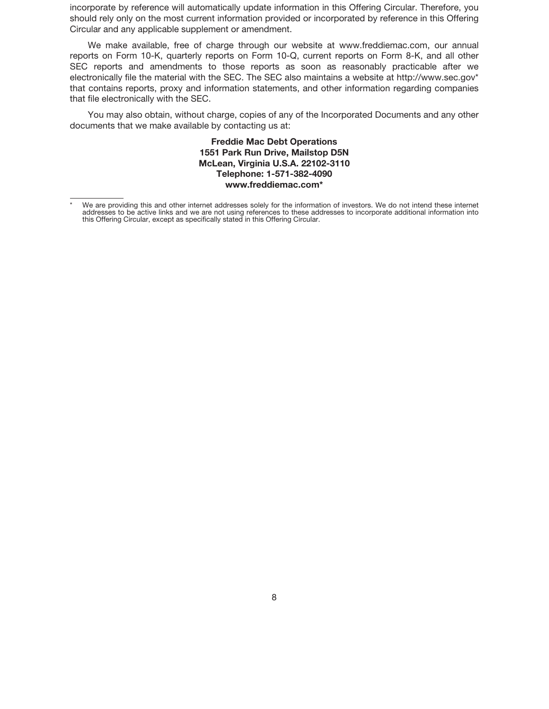incorporate by reference will automatically update information in this Offering Circular. Therefore, you should rely only on the most current information provided or incorporated by reference in this Offering Circular and any applicable supplement or amendment.

We make available, free of charge through our website at www.freddiemac.com, our annual reports on Form 10-K, quarterly reports on Form 10-Q, current reports on Form 8-K, and all other SEC reports and amendments to those reports as soon as reasonably practicable after we electronically file the material with the SEC. The SEC also maintains a website at http://www.sec.gov\* that contains reports, proxy and information statements, and other information regarding companies that file electronically with the SEC.

You may also obtain, without charge, copies of any of the Incorporated Documents and any other documents that we make available by contacting us at:

> **Freddie Mac Debt Operations 1551 Park Run Drive, Mailstop D5N McLean, Virginia U.S.A. 22102-3110 Telephone: 1-571-382-4090 www.freddiemac.com\***

We are providing this and other internet addresses solely for the information of investors. We do not intend these internet addresses to be active links and we are not using references to these addresses to incorporate additional information into this Offering Circular, except as specifically stated in this Offering Circular.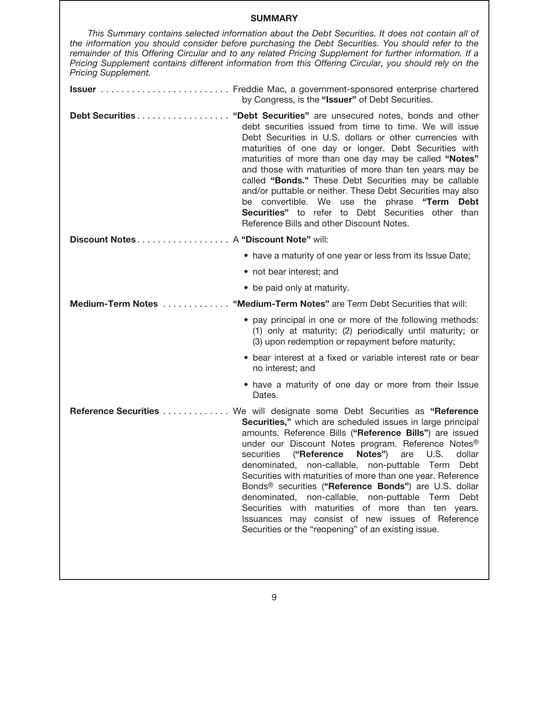# **SUMMARY**

| This Summary contains selected information about the Debt Securities. It does not contain all of<br>the information you should consider before purchasing the Debt Securities. You should refer to the<br>remainder of this Offering Circular and to any related Pricing Supplement for further information. If a<br>Pricing Supplement contains different information from this Offering Circular, you should rely on the<br><b>Pricing Supplement.</b> |                                                                                                                                                                                                                                                                                                                                                                                                                                                                                                                                                                                                                                                                |
|----------------------------------------------------------------------------------------------------------------------------------------------------------------------------------------------------------------------------------------------------------------------------------------------------------------------------------------------------------------------------------------------------------------------------------------------------------|----------------------------------------------------------------------------------------------------------------------------------------------------------------------------------------------------------------------------------------------------------------------------------------------------------------------------------------------------------------------------------------------------------------------------------------------------------------------------------------------------------------------------------------------------------------------------------------------------------------------------------------------------------------|
|                                                                                                                                                                                                                                                                                                                                                                                                                                                          | by Congress, is the "Issuer" of Debt Securities.                                                                                                                                                                                                                                                                                                                                                                                                                                                                                                                                                                                                               |
|                                                                                                                                                                                                                                                                                                                                                                                                                                                          | Debt Securities "Debt Securities" are unsecured notes, bonds and other<br>debt securities issued from time to time. We will issue<br>Debt Securities in U.S. dollars or other currencies with<br>maturities of one day or longer. Debt Securities with<br>maturities of more than one day may be called "Notes"<br>and those with maturities of more than ten years may be<br>called "Bonds." These Debt Securities may be callable<br>and/or puttable or neither. These Debt Securities may also<br>be convertible. We use the phrase "Term<br><b>Debt</b><br>Securities" to refer to Debt Securities other than<br>Reference Bills and other Discount Notes. |
| Discount Notes A "Discount Note" will:                                                                                                                                                                                                                                                                                                                                                                                                                   |                                                                                                                                                                                                                                                                                                                                                                                                                                                                                                                                                                                                                                                                |
|                                                                                                                                                                                                                                                                                                                                                                                                                                                          | • have a maturity of one year or less from its Issue Date;                                                                                                                                                                                                                                                                                                                                                                                                                                                                                                                                                                                                     |
|                                                                                                                                                                                                                                                                                                                                                                                                                                                          | • not bear interest; and                                                                                                                                                                                                                                                                                                                                                                                                                                                                                                                                                                                                                                       |
|                                                                                                                                                                                                                                                                                                                                                                                                                                                          | • be paid only at maturity.                                                                                                                                                                                                                                                                                                                                                                                                                                                                                                                                                                                                                                    |
| Medium-Term Notes                                                                                                                                                                                                                                                                                                                                                                                                                                        | "Medium-Term Notes" are Term Debt Securities that will:                                                                                                                                                                                                                                                                                                                                                                                                                                                                                                                                                                                                        |
|                                                                                                                                                                                                                                                                                                                                                                                                                                                          | • pay principal in one or more of the following methods:<br>(1) only at maturity; (2) periodically until maturity; or<br>(3) upon redemption or repayment before maturity;                                                                                                                                                                                                                                                                                                                                                                                                                                                                                     |
|                                                                                                                                                                                                                                                                                                                                                                                                                                                          | • bear interest at a fixed or variable interest rate or bear<br>no interest; and                                                                                                                                                                                                                                                                                                                                                                                                                                                                                                                                                                               |
|                                                                                                                                                                                                                                                                                                                                                                                                                                                          |                                                                                                                                                                                                                                                                                                                                                                                                                                                                                                                                                                                                                                                                |
|                                                                                                                                                                                                                                                                                                                                                                                                                                                          | • have a maturity of one day or more from their Issue<br>Dates.                                                                                                                                                                                                                                                                                                                                                                                                                                                                                                                                                                                                |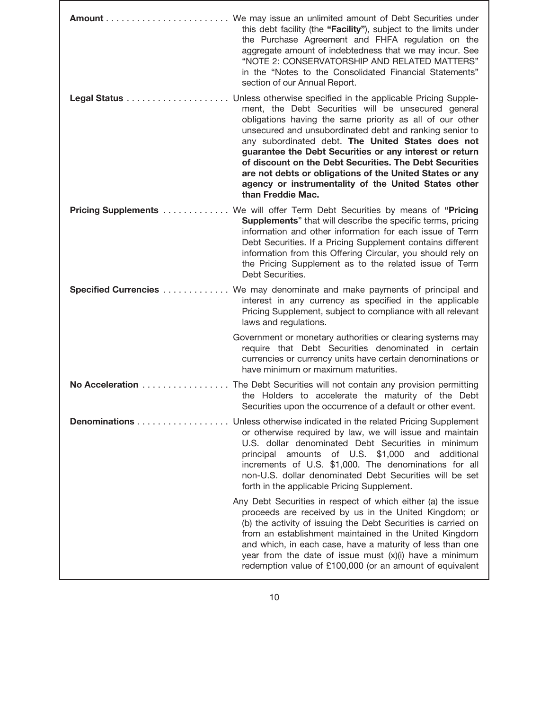|                      | this debt facility (the "Facility"), subject to the limits under<br>the Purchase Agreement and FHFA regulation on the<br>aggregate amount of indebtedness that we may incur. See<br>"NOTE 2: CONSERVATORSHIP AND RELATED MATTERS"<br>in the "Notes to the Consolidated Financial Statements"<br>section of our Annual Report.                                                                                                                                                                                                                                  |
|----------------------|----------------------------------------------------------------------------------------------------------------------------------------------------------------------------------------------------------------------------------------------------------------------------------------------------------------------------------------------------------------------------------------------------------------------------------------------------------------------------------------------------------------------------------------------------------------|
|                      | Unless otherwise specified in the applicable Pricing Supple-<br>ment, the Debt Securities will be unsecured general<br>obligations having the same priority as all of our other<br>unsecured and unsubordinated debt and ranking senior to<br>any subordinated debt. The United States does not<br>guarantee the Debt Securities or any interest or return<br>of discount on the Debt Securities. The Debt Securities<br>are not debts or obligations of the United States or any<br>agency or instrumentality of the United States other<br>than Freddie Mac. |
| Pricing Supplements  | We will offer Term Debt Securities by means of "Pricing<br><b>Supplements</b> " that will describe the specific terms, pricing<br>information and other information for each issue of Term<br>Debt Securities. If a Pricing Supplement contains different<br>information from this Offering Circular, you should rely on<br>the Pricing Supplement as to the related issue of Term<br>Debt Securities.                                                                                                                                                         |
| Specified Currencies | We may denominate and make payments of principal and<br>interest in any currency as specified in the applicable<br>Pricing Supplement, subject to compliance with all relevant<br>laws and regulations.                                                                                                                                                                                                                                                                                                                                                        |
|                      | Government or monetary authorities or clearing systems may<br>require that Debt Securities denominated in certain<br>currencies or currency units have certain denominations or<br>have minimum or maximum maturities.                                                                                                                                                                                                                                                                                                                                         |
| No Acceleration      | The Debt Securities will not contain any provision permitting<br>the Holders to accelerate the maturity of the Debt<br>Securities upon the occurrence of a default or other event.                                                                                                                                                                                                                                                                                                                                                                             |
|                      | <b>Denominations</b> Unless otherwise indicated in the related Pricing Supplement<br>or otherwise required by law, we will issue and maintain<br>U.S. dollar denominated Debt Securities in minimum<br>principal amounts of U.S. \$1,000 and additional<br>increments of U.S. \$1,000. The denominations for all<br>non-U.S. dollar denominated Debt Securities will be set<br>forth in the applicable Pricing Supplement.                                                                                                                                     |
|                      | Any Debt Securities in respect of which either (a) the issue<br>proceeds are received by us in the United Kingdom; or<br>(b) the activity of issuing the Debt Securities is carried on<br>from an establishment maintained in the United Kingdom<br>and which, in each case, have a maturity of less than one<br>year from the date of issue must (x)(i) have a minimum<br>redemption value of £100,000 (or an amount of equivalent                                                                                                                            |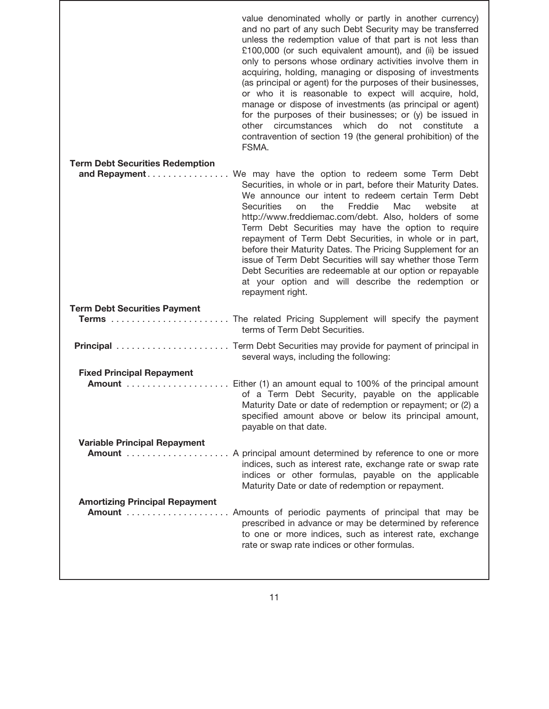| value denominated wholly or partly in another currency)<br>and no part of any such Debt Security may be transferred<br>unless the redemption value of that part is not less than<br>£100,000 (or such equivalent amount), and (ii) be issued<br>only to persons whose ordinary activities involve them in<br>acquiring, holding, managing or disposing of investments<br>(as principal or agent) for the purposes of their businesses,<br>or who it is reasonable to expect will acquire, hold,<br>manage or dispose of investments (as principal or agent)<br>for the purposes of their businesses; or (y) be issued in<br>circumstances which do not constitute a<br>other<br>contravention of section 19 (the general prohibition) of the<br>FSMA. |
|-------------------------------------------------------------------------------------------------------------------------------------------------------------------------------------------------------------------------------------------------------------------------------------------------------------------------------------------------------------------------------------------------------------------------------------------------------------------------------------------------------------------------------------------------------------------------------------------------------------------------------------------------------------------------------------------------------------------------------------------------------|
|                                                                                                                                                                                                                                                                                                                                                                                                                                                                                                                                                                                                                                                                                                                                                       |
| We may have the option to redeem some Term Debt<br>Securities, in whole or in part, before their Maturity Dates.<br>We announce our intent to redeem certain Term Debt<br><b>Securities</b><br>the<br>Freddie<br>Mac<br>website<br>on<br>at<br>http://www.freddiemac.com/debt. Also, holders of some<br>Term Debt Securities may have the option to require<br>repayment of Term Debt Securities, in whole or in part,<br>before their Maturity Dates. The Pricing Supplement for an<br>issue of Term Debt Securities will say whether those Term<br>Debt Securities are redeemable at our option or repayable<br>at your option and will describe the redemption or<br>repayment right.                                                              |
|                                                                                                                                                                                                                                                                                                                                                                                                                                                                                                                                                                                                                                                                                                                                                       |
| terms of Term Debt Securities.                                                                                                                                                                                                                                                                                                                                                                                                                                                                                                                                                                                                                                                                                                                        |
| several ways, including the following:                                                                                                                                                                                                                                                                                                                                                                                                                                                                                                                                                                                                                                                                                                                |
|                                                                                                                                                                                                                                                                                                                                                                                                                                                                                                                                                                                                                                                                                                                                                       |
| of a Term Debt Security, payable on the applicable<br>Maturity Date or date of redemption or repayment; or (2) a<br>specified amount above or below its principal amount,<br>payable on that date.                                                                                                                                                                                                                                                                                                                                                                                                                                                                                                                                                    |
|                                                                                                                                                                                                                                                                                                                                                                                                                                                                                                                                                                                                                                                                                                                                                       |
| <b>Amount</b> A principal amount determined by reference to one or more<br>indices, such as interest rate, exchange rate or swap rate<br>indices or other formulas, payable on the applicable<br>Maturity Date or date of redemption or repayment.                                                                                                                                                                                                                                                                                                                                                                                                                                                                                                    |
|                                                                                                                                                                                                                                                                                                                                                                                                                                                                                                                                                                                                                                                                                                                                                       |
| Amounts of periodic payments of principal that may be<br>prescribed in advance or may be determined by reference<br>to one or more indices, such as interest rate, exchange                                                                                                                                                                                                                                                                                                                                                                                                                                                                                                                                                                           |
|                                                                                                                                                                                                                                                                                                                                                                                                                                                                                                                                                                                                                                                                                                                                                       |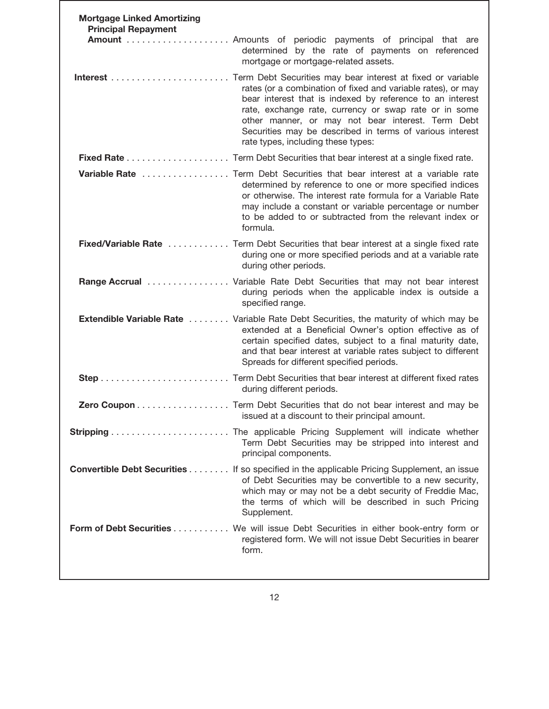| <b>Mortgage Linked Amortizing</b><br><b>Principal Repayment</b> |                                                                                                                                                                                                                                                                                                                                           |
|-----------------------------------------------------------------|-------------------------------------------------------------------------------------------------------------------------------------------------------------------------------------------------------------------------------------------------------------------------------------------------------------------------------------------|
|                                                                 | Amount  Amounts of periodic payments of principal that are<br>determined by the rate of payments on referenced<br>mortgage or mortgage-related assets.                                                                                                                                                                                    |
|                                                                 | rates (or a combination of fixed and variable rates), or may<br>bear interest that is indexed by reference to an interest<br>rate, exchange rate, currency or swap rate or in some<br>other manner, or may not bear interest. Term Debt<br>Securities may be described in terms of various interest<br>rate types, including these types: |
|                                                                 |                                                                                                                                                                                                                                                                                                                                           |
|                                                                 | Variable Rate  Term Debt Securities that bear interest at a variable rate<br>determined by reference to one or more specified indices<br>or otherwise. The interest rate formula for a Variable Rate<br>may include a constant or variable percentage or number<br>to be added to or subtracted from the relevant index or<br>formula.    |
|                                                                 | Fixed/Variable Rate  Term Debt Securities that bear interest at a single fixed rate<br>during one or more specified periods and at a variable rate<br>during other periods.                                                                                                                                                               |
|                                                                 | <b>Range Accrual</b> Variable Rate Debt Securities that may not bear interest<br>during periods when the applicable index is outside a<br>specified range.                                                                                                                                                                                |
|                                                                 | <b>Extendible Variable Rate</b> Variable Rate Debt Securities, the maturity of which may be<br>extended at a Beneficial Owner's option effective as of<br>certain specified dates, subject to a final maturity date,<br>and that bear interest at variable rates subject to different<br>Spreads for different specified periods.         |
|                                                                 | during different periods.                                                                                                                                                                                                                                                                                                                 |
|                                                                 | Zero Coupon Term Debt Securities that do not bear interest and may be<br>issued at a discount to their principal amount.                                                                                                                                                                                                                  |
|                                                                 | Term Debt Securities may be stripped into interest and<br>principal components.                                                                                                                                                                                                                                                           |
|                                                                 | <b>Convertible Debt Securities If so specified in the applicable Pricing Supplement, an issue</b><br>of Debt Securities may be convertible to a new security,<br>which may or may not be a debt security of Freddie Mac,<br>the terms of which will be described in such Pricing<br>Supplement.                                           |
|                                                                 | Form of Debt Securities We will issue Debt Securities in either book-entry form or<br>registered form. We will not issue Debt Securities in bearer<br>form.                                                                                                                                                                               |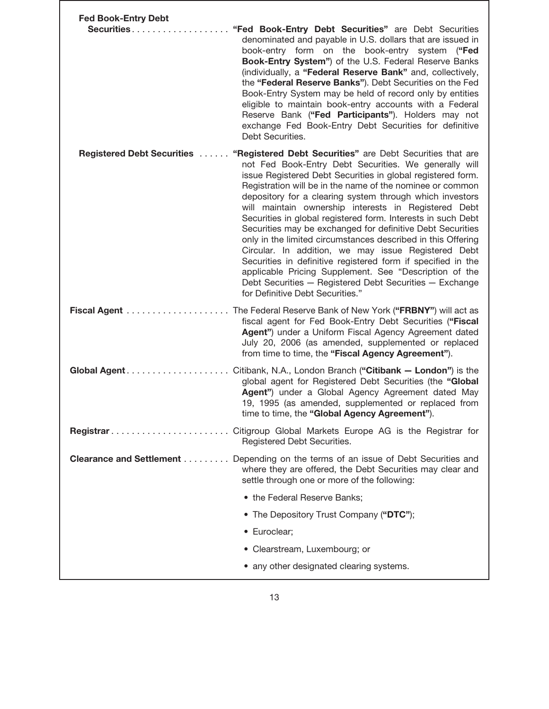| <b>Fed Book-Entry Debt</b><br>Securities | "Fed Book-Entry Debt Securities" are Debt Securities<br>denominated and payable in U.S. dollars that are issued in<br>book-entry form on the book-entry system ("Fed<br>Book-Entry System") of the U.S. Federal Reserve Banks<br>(individually, a "Federal Reserve Bank" and, collectively,<br>the "Federal Reserve Banks"). Debt Securities on the Fed<br>Book-Entry System may be held of record only by entities<br>eligible to maintain book-entry accounts with a Federal<br>Reserve Bank ("Fed Participants"). Holders may not<br>exchange Fed Book-Entry Debt Securities for definitive<br>Debt Securities.                                                                                                                                                                                                                                                                  |
|------------------------------------------|-------------------------------------------------------------------------------------------------------------------------------------------------------------------------------------------------------------------------------------------------------------------------------------------------------------------------------------------------------------------------------------------------------------------------------------------------------------------------------------------------------------------------------------------------------------------------------------------------------------------------------------------------------------------------------------------------------------------------------------------------------------------------------------------------------------------------------------------------------------------------------------|
|                                          | <b>Registered Debt Securities  "Registered Debt Securities"</b> are Debt Securities that are<br>not Fed Book-Entry Debt Securities. We generally will<br>issue Registered Debt Securities in global registered form.<br>Registration will be in the name of the nominee or common<br>depository for a clearing system through which investors<br>will maintain ownership interests in Registered Debt<br>Securities in global registered form. Interests in such Debt<br>Securities may be exchanged for definitive Debt Securities<br>only in the limited circumstances described in this Offering<br>Circular. In addition, we may issue Registered Debt<br>Securities in definitive registered form if specified in the<br>applicable Pricing Supplement. See "Description of the<br>Debt Securities - Registered Debt Securities - Exchange<br>for Definitive Debt Securities." |
|                                          | The Federal Reserve Bank of New York ("FRBNY") will act as<br>fiscal agent for Fed Book-Entry Debt Securities ("Fiscal<br>Agent") under a Uniform Fiscal Agency Agreement dated<br>July 20, 2006 (as amended, supplemented or replaced<br>from time to time, the "Fiscal Agency Agreement").                                                                                                                                                                                                                                                                                                                                                                                                                                                                                                                                                                                        |
|                                          | global agent for Registered Debt Securities (the "Global<br>Agent") under a Global Agency Agreement dated May<br>19, 1995 (as amended, supplemented or replaced from<br>time to time, the "Global Agency Agreement").                                                                                                                                                                                                                                                                                                                                                                                                                                                                                                                                                                                                                                                               |
|                                          | Registered Debt Securities.                                                                                                                                                                                                                                                                                                                                                                                                                                                                                                                                                                                                                                                                                                                                                                                                                                                         |
|                                          | <b>Clearance and Settlement</b> Depending on the terms of an issue of Debt Securities and<br>where they are offered, the Debt Securities may clear and<br>settle through one or more of the following:                                                                                                                                                                                                                                                                                                                                                                                                                                                                                                                                                                                                                                                                              |
|                                          | • the Federal Reserve Banks;<br>• The Depository Trust Company ("DTC");                                                                                                                                                                                                                                                                                                                                                                                                                                                                                                                                                                                                                                                                                                                                                                                                             |
|                                          | · Euroclear;                                                                                                                                                                                                                                                                                                                                                                                                                                                                                                                                                                                                                                                                                                                                                                                                                                                                        |
|                                          | • Clearstream, Luxembourg; or                                                                                                                                                                                                                                                                                                                                                                                                                                                                                                                                                                                                                                                                                                                                                                                                                                                       |
|                                          | • any other designated clearing systems.                                                                                                                                                                                                                                                                                                                                                                                                                                                                                                                                                                                                                                                                                                                                                                                                                                            |
|                                          |                                                                                                                                                                                                                                                                                                                                                                                                                                                                                                                                                                                                                                                                                                                                                                                                                                                                                     |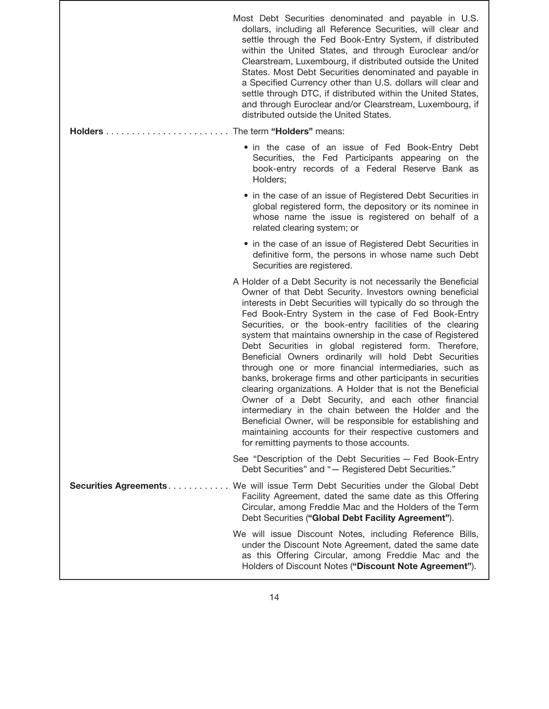|                              | Most Debt Securities denominated and payable in U.S.<br>dollars, including all Reference Securities, will clear and<br>settle through the Fed Book-Entry System, if distributed<br>within the United States, and through Euroclear and/or<br>Clearstream, Luxembourg, if distributed outside the United<br>States. Most Debt Securities denominated and payable in<br>a Specified Currency other than U.S. dollars will clear and<br>settle through DTC, if distributed within the United States,<br>and through Euroclear and/or Clearstream, Luxembourg, if<br>distributed outside the United States.                                                                                                                                                                                                                                                                                                                                                                  |
|------------------------------|--------------------------------------------------------------------------------------------------------------------------------------------------------------------------------------------------------------------------------------------------------------------------------------------------------------------------------------------------------------------------------------------------------------------------------------------------------------------------------------------------------------------------------------------------------------------------------------------------------------------------------------------------------------------------------------------------------------------------------------------------------------------------------------------------------------------------------------------------------------------------------------------------------------------------------------------------------------------------|
|                              |                                                                                                                                                                                                                                                                                                                                                                                                                                                                                                                                                                                                                                                                                                                                                                                                                                                                                                                                                                          |
|                              | • in the case of an issue of Fed Book-Entry Debt<br>Securities, the Fed Participants appearing on the<br>book-entry records of a Federal Reserve Bank as<br>Holders;                                                                                                                                                                                                                                                                                                                                                                                                                                                                                                                                                                                                                                                                                                                                                                                                     |
|                              | • in the case of an issue of Registered Debt Securities in<br>global registered form, the depository or its nominee in<br>whose name the issue is registered on behalf of a<br>related clearing system; or                                                                                                                                                                                                                                                                                                                                                                                                                                                                                                                                                                                                                                                                                                                                                               |
|                              | • in the case of an issue of Registered Debt Securities in<br>definitive form, the persons in whose name such Debt<br>Securities are registered.                                                                                                                                                                                                                                                                                                                                                                                                                                                                                                                                                                                                                                                                                                                                                                                                                         |
|                              | A Holder of a Debt Security is not necessarily the Beneficial<br>Owner of that Debt Security. Investors owning beneficial<br>interests in Debt Securities will typically do so through the<br>Fed Book-Entry System in the case of Fed Book-Entry<br>Securities, or the book-entry facilities of the clearing<br>system that maintains ownership in the case of Registered<br>Debt Securities in global registered form. Therefore,<br>Beneficial Owners ordinarily will hold Debt Securities<br>through one or more financial intermediaries, such as<br>banks, brokerage firms and other participants in securities<br>clearing organizations. A Holder that is not the Beneficial<br>Owner of a Debt Security, and each other financial<br>intermediary in the chain between the Holder and the<br>Beneficial Owner, will be responsible for establishing and<br>maintaining accounts for their respective customers and<br>for remitting payments to those accounts. |
|                              | See "Description of the Debt Securities - Fed Book-Entry<br>Debt Securities" and "- Registered Debt Securities."                                                                                                                                                                                                                                                                                                                                                                                                                                                                                                                                                                                                                                                                                                                                                                                                                                                         |
| <b>Securities Agreements</b> | We will issue Term Debt Securities under the Global Debt<br>Facility Agreement, dated the same date as this Offering<br>Circular, among Freddie Mac and the Holders of the Term<br>Debt Securities ("Global Debt Facility Agreement").                                                                                                                                                                                                                                                                                                                                                                                                                                                                                                                                                                                                                                                                                                                                   |
|                              | We will issue Discount Notes, including Reference Bills,<br>under the Discount Note Agreement, dated the same date<br>as this Offering Circular, among Freddie Mac and the<br>Holders of Discount Notes ("Discount Note Agreement").                                                                                                                                                                                                                                                                                                                                                                                                                                                                                                                                                                                                                                                                                                                                     |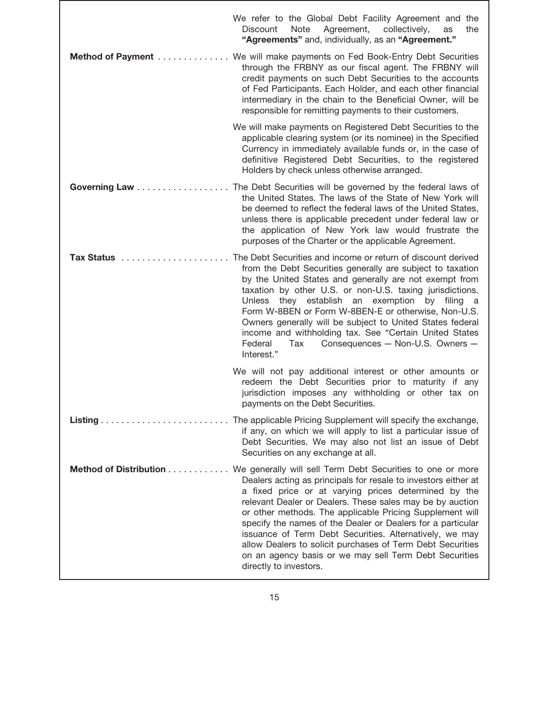|                   | We refer to the Global Debt Facility Agreement and the<br>Agreement,<br><b>Discount</b><br>Note<br>collectively,<br>the<br>as<br>"Agreements" and, individually, as an "Agreement."                                                                                                                                                                                                                                                                                                                                                                                                                              |
|-------------------|------------------------------------------------------------------------------------------------------------------------------------------------------------------------------------------------------------------------------------------------------------------------------------------------------------------------------------------------------------------------------------------------------------------------------------------------------------------------------------------------------------------------------------------------------------------------------------------------------------------|
| Method of Payment | We will make payments on Fed Book-Entry Debt Securities<br>through the FRBNY as our fiscal agent. The FRBNY will<br>credit payments on such Debt Securities to the accounts<br>of Fed Participants. Each Holder, and each other financial<br>intermediary in the chain to the Beneficial Owner, will be<br>responsible for remitting payments to their customers.                                                                                                                                                                                                                                                |
|                   | We will make payments on Registered Debt Securities to the<br>applicable clearing system (or its nominee) in the Specified<br>Currency in immediately available funds or, in the case of<br>definitive Registered Debt Securities, to the registered<br>Holders by check unless otherwise arranged.                                                                                                                                                                                                                                                                                                              |
| Governing Law     | The Debt Securities will be governed by the federal laws of<br>the United States. The laws of the State of New York will<br>be deemed to reflect the federal laws of the United States,<br>unless there is applicable precedent under federal law or<br>the application of New York law would frustrate the<br>purposes of the Charter or the applicable Agreement.                                                                                                                                                                                                                                              |
| Tax Status        | The Debt Securities and income or return of discount derived<br>from the Debt Securities generally are subject to taxation<br>by the United States and generally are not exempt from<br>taxation by other U.S. or non-U.S. taxing jurisdictions.<br>Unless they establish an exemption by filing a<br>Form W-8BEN or Form W-8BEN-E or otherwise, Non-U.S.<br>Owners generally will be subject to United States federal<br>income and withholding tax. See "Certain United States<br>Consequences - Non-U.S. Owners -<br>Federal<br>Tax<br>Interest."                                                             |
|                   | We will not pay additional interest or other amounts or<br>redeem the Debt Securities prior to maturity if any<br>jurisdiction imposes any withholding or other tax on<br>payments on the Debt Securities.                                                                                                                                                                                                                                                                                                                                                                                                       |
|                   | if any, on which we will apply to list a particular issue of<br>Debt Securities. We may also not list an issue of Debt<br>Securities on any exchange at all.                                                                                                                                                                                                                                                                                                                                                                                                                                                     |
|                   | Method of Distribution We generally will sell Term Debt Securities to one or more<br>Dealers acting as principals for resale to investors either at<br>a fixed price or at varying prices determined by the<br>relevant Dealer or Dealers. These sales may be by auction<br>or other methods. The applicable Pricing Supplement will<br>specify the names of the Dealer or Dealers for a particular<br>issuance of Term Debt Securities. Alternatively, we may<br>allow Dealers to solicit purchases of Term Debt Securities<br>on an agency basis or we may sell Term Debt Securities<br>directly to investors. |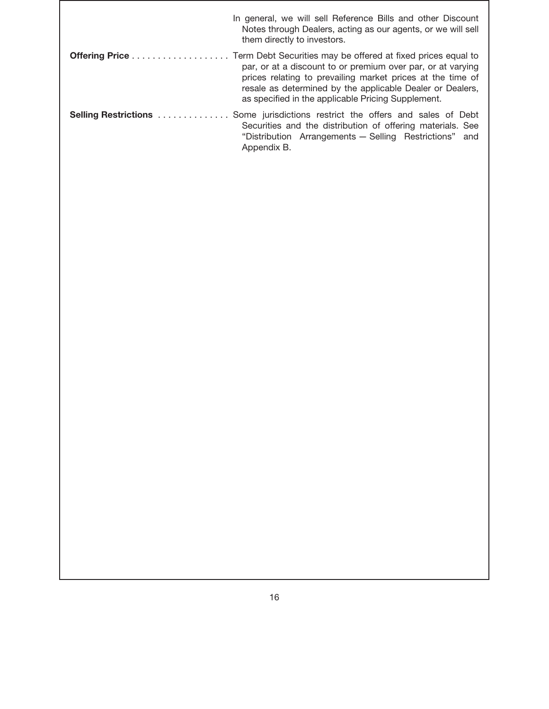| In general, we will sell Reference Bills and other Discount<br>Notes through Dealers, acting as our agents, or we will sell<br>them directly to investors.                                                                                   |
|----------------------------------------------------------------------------------------------------------------------------------------------------------------------------------------------------------------------------------------------|
| par, or at a discount to or premium over par, or at varying<br>prices relating to prevailing market prices at the time of<br>resale as determined by the applicable Dealer or Dealers,<br>as specified in the applicable Pricing Supplement. |
| <b>Selling Restrictions</b> Some jurisdictions restrict the offers and sales of Debt<br>Securities and the distribution of offering materials. See<br>"Distribution Arrangements - Selling Restrictions" and<br>Appendix B.                  |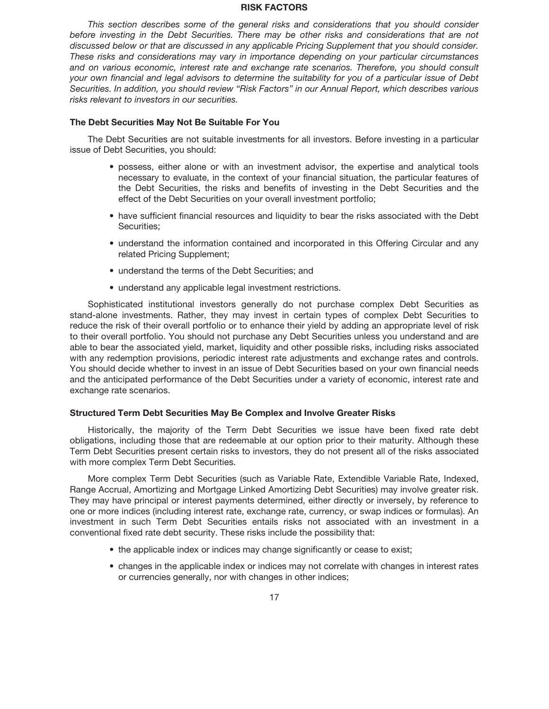### **RISK FACTORS**

*This section describes some of the general risks and considerations that you should consider before investing in the Debt Securities. There may be other risks and considerations that are not discussed below or that are discussed in any applicable Pricing Supplement that you should consider. These risks and considerations may vary in importance depending on your particular circumstances and on various economic, interest rate and exchange rate scenarios. Therefore, you should consult your own financial and legal advisors to determine the suitability for you of a particular issue of Debt Securities. In addition, you should review "Risk Factors" in our Annual Report, which describes various risks relevant to investors in our securities.*

# **The Debt Securities May Not Be Suitable For You**

The Debt Securities are not suitable investments for all investors. Before investing in a particular issue of Debt Securities, you should:

- possess, either alone or with an investment advisor, the expertise and analytical tools necessary to evaluate, in the context of your financial situation, the particular features of the Debt Securities, the risks and benefits of investing in the Debt Securities and the effect of the Debt Securities on your overall investment portfolio;
- have sufficient financial resources and liquidity to bear the risks associated with the Debt Securities;
- understand the information contained and incorporated in this Offering Circular and any related Pricing Supplement;
- understand the terms of the Debt Securities; and
- understand any applicable legal investment restrictions.

Sophisticated institutional investors generally do not purchase complex Debt Securities as stand-alone investments. Rather, they may invest in certain types of complex Debt Securities to reduce the risk of their overall portfolio or to enhance their yield by adding an appropriate level of risk to their overall portfolio. You should not purchase any Debt Securities unless you understand and are able to bear the associated yield, market, liquidity and other possible risks, including risks associated with any redemption provisions, periodic interest rate adjustments and exchange rates and controls. You should decide whether to invest in an issue of Debt Securities based on your own financial needs and the anticipated performance of the Debt Securities under a variety of economic, interest rate and exchange rate scenarios.

### **Structured Term Debt Securities May Be Complex and Involve Greater Risks**

Historically, the majority of the Term Debt Securities we issue have been fixed rate debt obligations, including those that are redeemable at our option prior to their maturity. Although these Term Debt Securities present certain risks to investors, they do not present all of the risks associated with more complex Term Debt Securities.

More complex Term Debt Securities (such as Variable Rate, Extendible Variable Rate, Indexed, Range Accrual, Amortizing and Mortgage Linked Amortizing Debt Securities) may involve greater risk. They may have principal or interest payments determined, either directly or inversely, by reference to one or more indices (including interest rate, exchange rate, currency, or swap indices or formulas). An investment in such Term Debt Securities entails risks not associated with an investment in a conventional fixed rate debt security. These risks include the possibility that:

- the applicable index or indices may change significantly or cease to exist;
- changes in the applicable index or indices may not correlate with changes in interest rates or currencies generally, nor with changes in other indices;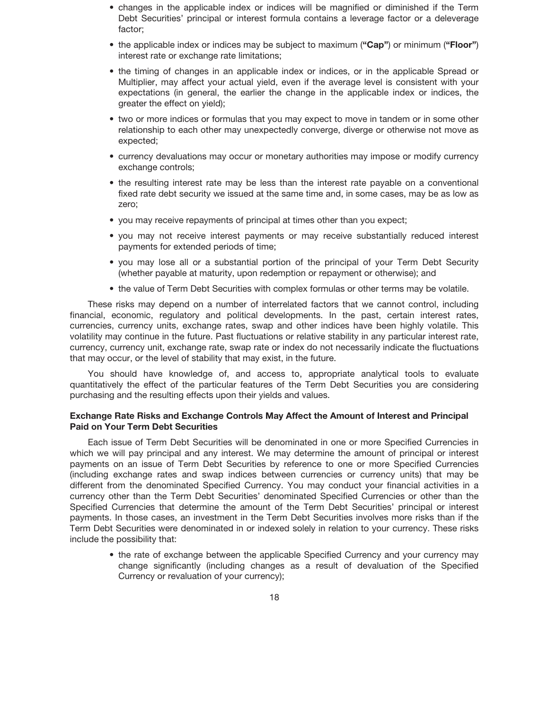- changes in the applicable index or indices will be magnified or diminished if the Term Debt Securities' principal or interest formula contains a leverage factor or a deleverage factor;
- the applicable index or indices may be subject to maximum (**"Cap"**) or minimum (**"Floor"**) interest rate or exchange rate limitations;
- the timing of changes in an applicable index or indices, or in the applicable Spread or Multiplier, may affect your actual yield, even if the average level is consistent with your expectations (in general, the earlier the change in the applicable index or indices, the greater the effect on yield);
- two or more indices or formulas that you may expect to move in tandem or in some other relationship to each other may unexpectedly converge, diverge or otherwise not move as expected;
- currency devaluations may occur or monetary authorities may impose or modify currency exchange controls;
- the resulting interest rate may be less than the interest rate payable on a conventional fixed rate debt security we issued at the same time and, in some cases, may be as low as zero;
- you may receive repayments of principal at times other than you expect;
- you may not receive interest payments or may receive substantially reduced interest payments for extended periods of time;
- you may lose all or a substantial portion of the principal of your Term Debt Security (whether payable at maturity, upon redemption or repayment or otherwise); and
- the value of Term Debt Securities with complex formulas or other terms may be volatile.

These risks may depend on a number of interrelated factors that we cannot control, including financial, economic, regulatory and political developments. In the past, certain interest rates, currencies, currency units, exchange rates, swap and other indices have been highly volatile. This volatility may continue in the future. Past fluctuations or relative stability in any particular interest rate, currency, currency unit, exchange rate, swap rate or index do not necessarily indicate the fluctuations that may occur, or the level of stability that may exist, in the future.

You should have knowledge of, and access to, appropriate analytical tools to evaluate quantitatively the effect of the particular features of the Term Debt Securities you are considering purchasing and the resulting effects upon their yields and values.

# **Exchange Rate Risks and Exchange Controls May Affect the Amount of Interest and Principal Paid on Your Term Debt Securities**

Each issue of Term Debt Securities will be denominated in one or more Specified Currencies in which we will pay principal and any interest. We may determine the amount of principal or interest payments on an issue of Term Debt Securities by reference to one or more Specified Currencies (including exchange rates and swap indices between currencies or currency units) that may be different from the denominated Specified Currency. You may conduct your financial activities in a currency other than the Term Debt Securities' denominated Specified Currencies or other than the Specified Currencies that determine the amount of the Term Debt Securities' principal or interest payments. In those cases, an investment in the Term Debt Securities involves more risks than if the Term Debt Securities were denominated in or indexed solely in relation to your currency. These risks include the possibility that:

• the rate of exchange between the applicable Specified Currency and your currency may change significantly (including changes as a result of devaluation of the Specified Currency or revaluation of your currency);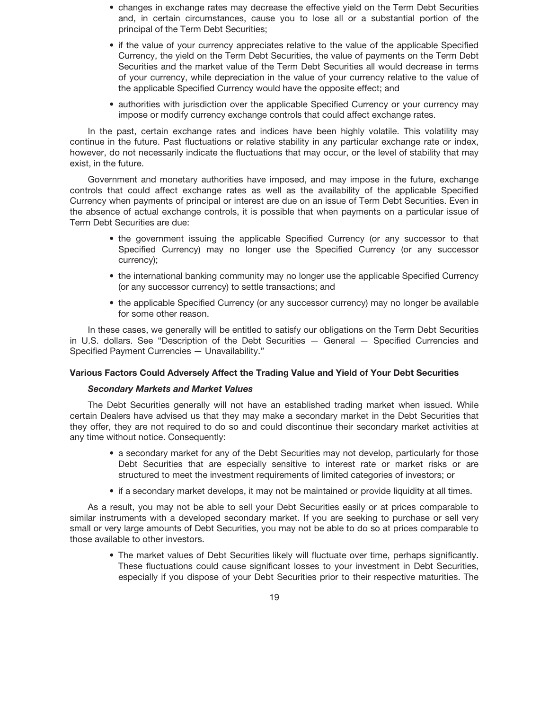- changes in exchange rates may decrease the effective yield on the Term Debt Securities and, in certain circumstances, cause you to lose all or a substantial portion of the principal of the Term Debt Securities;
- if the value of your currency appreciates relative to the value of the applicable Specified Currency, the yield on the Term Debt Securities, the value of payments on the Term Debt Securities and the market value of the Term Debt Securities all would decrease in terms of your currency, while depreciation in the value of your currency relative to the value of the applicable Specified Currency would have the opposite effect; and
- authorities with jurisdiction over the applicable Specified Currency or your currency may impose or modify currency exchange controls that could affect exchange rates.

In the past, certain exchange rates and indices have been highly volatile. This volatility may continue in the future. Past fluctuations or relative stability in any particular exchange rate or index, however, do not necessarily indicate the fluctuations that may occur, or the level of stability that may exist, in the future.

Government and monetary authorities have imposed, and may impose in the future, exchange controls that could affect exchange rates as well as the availability of the applicable Specified Currency when payments of principal or interest are due on an issue of Term Debt Securities. Even in the absence of actual exchange controls, it is possible that when payments on a particular issue of Term Debt Securities are due:

- the government issuing the applicable Specified Currency (or any successor to that Specified Currency) may no longer use the Specified Currency (or any successor currency);
- the international banking community may no longer use the applicable Specified Currency (or any successor currency) to settle transactions; and
- the applicable Specified Currency (or any successor currency) may no longer be available for some other reason.

In these cases, we generally will be entitled to satisfy our obligations on the Term Debt Securities in U.S. dollars. See "Description of the Debt Securities — General — Specified Currencies and Specified Payment Currencies — Unavailability."

# **Various Factors Could Adversely Affect the Trading Value and Yield of Your Debt Securities**

# *Secondary Markets and Market Values*

The Debt Securities generally will not have an established trading market when issued. While certain Dealers have advised us that they may make a secondary market in the Debt Securities that they offer, they are not required to do so and could discontinue their secondary market activities at any time without notice. Consequently:

- a secondary market for any of the Debt Securities may not develop, particularly for those Debt Securities that are especially sensitive to interest rate or market risks or are structured to meet the investment requirements of limited categories of investors; or
- if a secondary market develops, it may not be maintained or provide liquidity at all times.

As a result, you may not be able to sell your Debt Securities easily or at prices comparable to similar instruments with a developed secondary market. If you are seeking to purchase or sell very small or very large amounts of Debt Securities, you may not be able to do so at prices comparable to those available to other investors.

• The market values of Debt Securities likely will fluctuate over time, perhaps significantly. These fluctuations could cause significant losses to your investment in Debt Securities, especially if you dispose of your Debt Securities prior to their respective maturities. The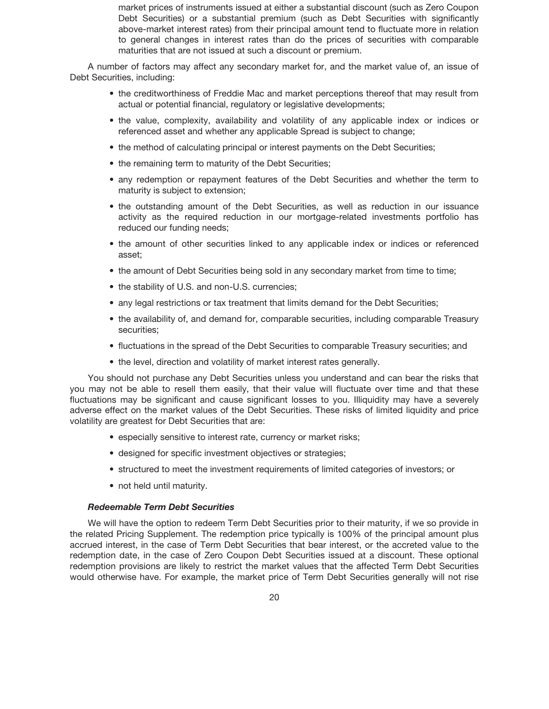market prices of instruments issued at either a substantial discount (such as Zero Coupon Debt Securities) or a substantial premium (such as Debt Securities with significantly above-market interest rates) from their principal amount tend to fluctuate more in relation to general changes in interest rates than do the prices of securities with comparable maturities that are not issued at such a discount or premium.

A number of factors may affect any secondary market for, and the market value of, an issue of Debt Securities, including:

- the creditworthiness of Freddie Mac and market perceptions thereof that may result from actual or potential financial, regulatory or legislative developments;
- the value, complexity, availability and volatility of any applicable index or indices or referenced asset and whether any applicable Spread is subject to change;
- the method of calculating principal or interest payments on the Debt Securities;
- the remaining term to maturity of the Debt Securities;
- any redemption or repayment features of the Debt Securities and whether the term to maturity is subject to extension;
- the outstanding amount of the Debt Securities, as well as reduction in our issuance activity as the required reduction in our mortgage-related investments portfolio has reduced our funding needs;
- the amount of other securities linked to any applicable index or indices or referenced asset;
- the amount of Debt Securities being sold in any secondary market from time to time;
- the stability of U.S. and non-U.S. currencies;
- any legal restrictions or tax treatment that limits demand for the Debt Securities;
- the availability of, and demand for, comparable securities, including comparable Treasury securities;
- fluctuations in the spread of the Debt Securities to comparable Treasury securities; and
- the level, direction and volatility of market interest rates generally.

You should not purchase any Debt Securities unless you understand and can bear the risks that you may not be able to resell them easily, that their value will fluctuate over time and that these fluctuations may be significant and cause significant losses to you. Illiquidity may have a severely adverse effect on the market values of the Debt Securities. These risks of limited liquidity and price volatility are greatest for Debt Securities that are:

- especially sensitive to interest rate, currency or market risks;
- designed for specific investment objectives or strategies;
- structured to meet the investment requirements of limited categories of investors; or
- not held until maturity.

# *Redeemable Term Debt Securities*

We will have the option to redeem Term Debt Securities prior to their maturity, if we so provide in the related Pricing Supplement. The redemption price typically is 100% of the principal amount plus accrued interest, in the case of Term Debt Securities that bear interest, or the accreted value to the redemption date, in the case of Zero Coupon Debt Securities issued at a discount. These optional redemption provisions are likely to restrict the market values that the affected Term Debt Securities would otherwise have. For example, the market price of Term Debt Securities generally will not rise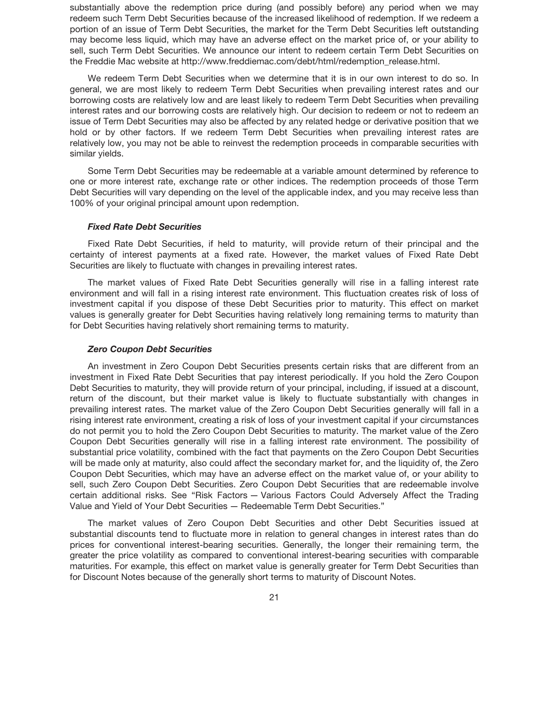substantially above the redemption price during (and possibly before) any period when we may redeem such Term Debt Securities because of the increased likelihood of redemption. If we redeem a portion of an issue of Term Debt Securities, the market for the Term Debt Securities left outstanding may become less liquid, which may have an adverse effect on the market price of, or your ability to sell, such Term Debt Securities. We announce our intent to redeem certain Term Debt Securities on the Freddie Mac website at http://www.freddiemac.com/debt/html/redemption\_release.html.

We redeem Term Debt Securities when we determine that it is in our own interest to do so. In general, we are most likely to redeem Term Debt Securities when prevailing interest rates and our borrowing costs are relatively low and are least likely to redeem Term Debt Securities when prevailing interest rates and our borrowing costs are relatively high. Our decision to redeem or not to redeem an issue of Term Debt Securities may also be affected by any related hedge or derivative position that we hold or by other factors. If we redeem Term Debt Securities when prevailing interest rates are relatively low, you may not be able to reinvest the redemption proceeds in comparable securities with similar yields.

Some Term Debt Securities may be redeemable at a variable amount determined by reference to one or more interest rate, exchange rate or other indices. The redemption proceeds of those Term Debt Securities will vary depending on the level of the applicable index, and you may receive less than 100% of your original principal amount upon redemption.

# *Fixed Rate Debt Securities*

Fixed Rate Debt Securities, if held to maturity, will provide return of their principal and the certainty of interest payments at a fixed rate. However, the market values of Fixed Rate Debt Securities are likely to fluctuate with changes in prevailing interest rates.

The market values of Fixed Rate Debt Securities generally will rise in a falling interest rate environment and will fall in a rising interest rate environment. This fluctuation creates risk of loss of investment capital if you dispose of these Debt Securities prior to maturity. This effect on market values is generally greater for Debt Securities having relatively long remaining terms to maturity than for Debt Securities having relatively short remaining terms to maturity.

### *Zero Coupon Debt Securities*

An investment in Zero Coupon Debt Securities presents certain risks that are different from an investment in Fixed Rate Debt Securities that pay interest periodically. If you hold the Zero Coupon Debt Securities to maturity, they will provide return of your principal, including, if issued at a discount, return of the discount, but their market value is likely to fluctuate substantially with changes in prevailing interest rates. The market value of the Zero Coupon Debt Securities generally will fall in a rising interest rate environment, creating a risk of loss of your investment capital if your circumstances do not permit you to hold the Zero Coupon Debt Securities to maturity. The market value of the Zero Coupon Debt Securities generally will rise in a falling interest rate environment. The possibility of substantial price volatility, combined with the fact that payments on the Zero Coupon Debt Securities will be made only at maturity, also could affect the secondary market for, and the liquidity of, the Zero Coupon Debt Securities, which may have an adverse effect on the market value of, or your ability to sell, such Zero Coupon Debt Securities. Zero Coupon Debt Securities that are redeemable involve certain additional risks. See "Risk Factors — Various Factors Could Adversely Affect the Trading Value and Yield of Your Debt Securities — Redeemable Term Debt Securities."

The market values of Zero Coupon Debt Securities and other Debt Securities issued at substantial discounts tend to fluctuate more in relation to general changes in interest rates than do prices for conventional interest-bearing securities. Generally, the longer their remaining term, the greater the price volatility as compared to conventional interest-bearing securities with comparable maturities. For example, this effect on market value is generally greater for Term Debt Securities than for Discount Notes because of the generally short terms to maturity of Discount Notes.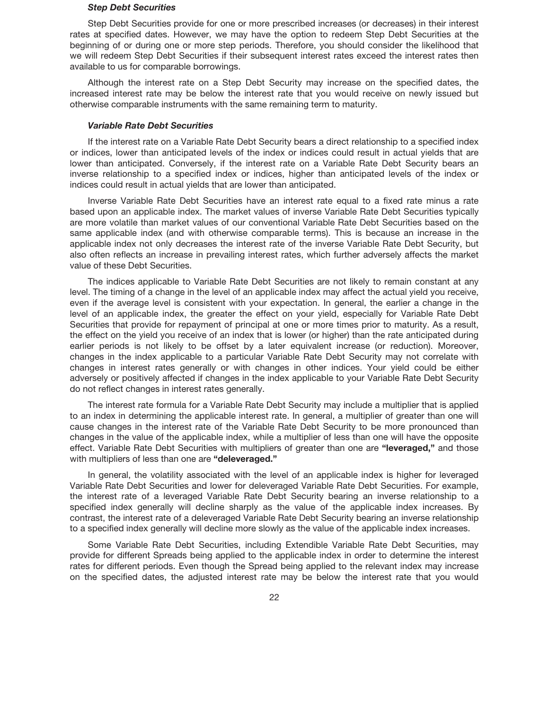### *Step Debt Securities*

Step Debt Securities provide for one or more prescribed increases (or decreases) in their interest rates at specified dates. However, we may have the option to redeem Step Debt Securities at the beginning of or during one or more step periods. Therefore, you should consider the likelihood that we will redeem Step Debt Securities if their subsequent interest rates exceed the interest rates then available to us for comparable borrowings.

Although the interest rate on a Step Debt Security may increase on the specified dates, the increased interest rate may be below the interest rate that you would receive on newly issued but otherwise comparable instruments with the same remaining term to maturity.

### *Variable Rate Debt Securities*

If the interest rate on a Variable Rate Debt Security bears a direct relationship to a specified index or indices, lower than anticipated levels of the index or indices could result in actual yields that are lower than anticipated. Conversely, if the interest rate on a Variable Rate Debt Security bears an inverse relationship to a specified index or indices, higher than anticipated levels of the index or indices could result in actual yields that are lower than anticipated.

Inverse Variable Rate Debt Securities have an interest rate equal to a fixed rate minus a rate based upon an applicable index. The market values of inverse Variable Rate Debt Securities typically are more volatile than market values of our conventional Variable Rate Debt Securities based on the same applicable index (and with otherwise comparable terms). This is because an increase in the applicable index not only decreases the interest rate of the inverse Variable Rate Debt Security, but also often reflects an increase in prevailing interest rates, which further adversely affects the market value of these Debt Securities.

The indices applicable to Variable Rate Debt Securities are not likely to remain constant at any level. The timing of a change in the level of an applicable index may affect the actual yield you receive, even if the average level is consistent with your expectation. In general, the earlier a change in the level of an applicable index, the greater the effect on your yield, especially for Variable Rate Debt Securities that provide for repayment of principal at one or more times prior to maturity. As a result, the effect on the yield you receive of an index that is lower (or higher) than the rate anticipated during earlier periods is not likely to be offset by a later equivalent increase (or reduction). Moreover, changes in the index applicable to a particular Variable Rate Debt Security may not correlate with changes in interest rates generally or with changes in other indices. Your yield could be either adversely or positively affected if changes in the index applicable to your Variable Rate Debt Security do not reflect changes in interest rates generally.

The interest rate formula for a Variable Rate Debt Security may include a multiplier that is applied to an index in determining the applicable interest rate. In general, a multiplier of greater than one will cause changes in the interest rate of the Variable Rate Debt Security to be more pronounced than changes in the value of the applicable index, while a multiplier of less than one will have the opposite effect. Variable Rate Debt Securities with multipliers of greater than one are **"leveraged,"** and those with multipliers of less than one are **"deleveraged."**

In general, the volatility associated with the level of an applicable index is higher for leveraged Variable Rate Debt Securities and lower for deleveraged Variable Rate Debt Securities. For example, the interest rate of a leveraged Variable Rate Debt Security bearing an inverse relationship to a specified index generally will decline sharply as the value of the applicable index increases. By contrast, the interest rate of a deleveraged Variable Rate Debt Security bearing an inverse relationship to a specified index generally will decline more slowly as the value of the applicable index increases.

Some Variable Rate Debt Securities, including Extendible Variable Rate Debt Securities, may provide for different Spreads being applied to the applicable index in order to determine the interest rates for different periods. Even though the Spread being applied to the relevant index may increase on the specified dates, the adjusted interest rate may be below the interest rate that you would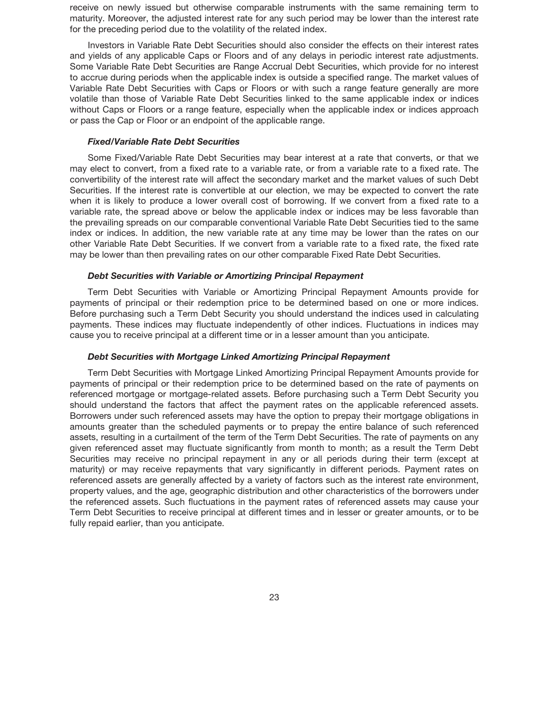receive on newly issued but otherwise comparable instruments with the same remaining term to maturity. Moreover, the adjusted interest rate for any such period may be lower than the interest rate for the preceding period due to the volatility of the related index.

Investors in Variable Rate Debt Securities should also consider the effects on their interest rates and yields of any applicable Caps or Floors and of any delays in periodic interest rate adjustments. Some Variable Rate Debt Securities are Range Accrual Debt Securities, which provide for no interest to accrue during periods when the applicable index is outside a specified range. The market values of Variable Rate Debt Securities with Caps or Floors or with such a range feature generally are more volatile than those of Variable Rate Debt Securities linked to the same applicable index or indices without Caps or Floors or a range feature, especially when the applicable index or indices approach or pass the Cap or Floor or an endpoint of the applicable range.

# *Fixed/Variable Rate Debt Securities*

Some Fixed/Variable Rate Debt Securities may bear interest at a rate that converts, or that we may elect to convert, from a fixed rate to a variable rate, or from a variable rate to a fixed rate. The convertibility of the interest rate will affect the secondary market and the market values of such Debt Securities. If the interest rate is convertible at our election, we may be expected to convert the rate when it is likely to produce a lower overall cost of borrowing. If we convert from a fixed rate to a variable rate, the spread above or below the applicable index or indices may be less favorable than the prevailing spreads on our comparable conventional Variable Rate Debt Securities tied to the same index or indices. In addition, the new variable rate at any time may be lower than the rates on our other Variable Rate Debt Securities. If we convert from a variable rate to a fixed rate, the fixed rate may be lower than then prevailing rates on our other comparable Fixed Rate Debt Securities.

## *Debt Securities with Variable or Amortizing Principal Repayment*

Term Debt Securities with Variable or Amortizing Principal Repayment Amounts provide for payments of principal or their redemption price to be determined based on one or more indices. Before purchasing such a Term Debt Security you should understand the indices used in calculating payments. These indices may fluctuate independently of other indices. Fluctuations in indices may cause you to receive principal at a different time or in a lesser amount than you anticipate.

# *Debt Securities with Mortgage Linked Amortizing Principal Repayment*

Term Debt Securities with Mortgage Linked Amortizing Principal Repayment Amounts provide for payments of principal or their redemption price to be determined based on the rate of payments on referenced mortgage or mortgage-related assets. Before purchasing such a Term Debt Security you should understand the factors that affect the payment rates on the applicable referenced assets. Borrowers under such referenced assets may have the option to prepay their mortgage obligations in amounts greater than the scheduled payments or to prepay the entire balance of such referenced assets, resulting in a curtailment of the term of the Term Debt Securities. The rate of payments on any given referenced asset may fluctuate significantly from month to month; as a result the Term Debt Securities may receive no principal repayment in any or all periods during their term (except at maturity) or may receive repayments that vary significantly in different periods. Payment rates on referenced assets are generally affected by a variety of factors such as the interest rate environment, property values, and the age, geographic distribution and other characteristics of the borrowers under the referenced assets. Such fluctuations in the payment rates of referenced assets may cause your Term Debt Securities to receive principal at different times and in lesser or greater amounts, or to be fully repaid earlier, than you anticipate.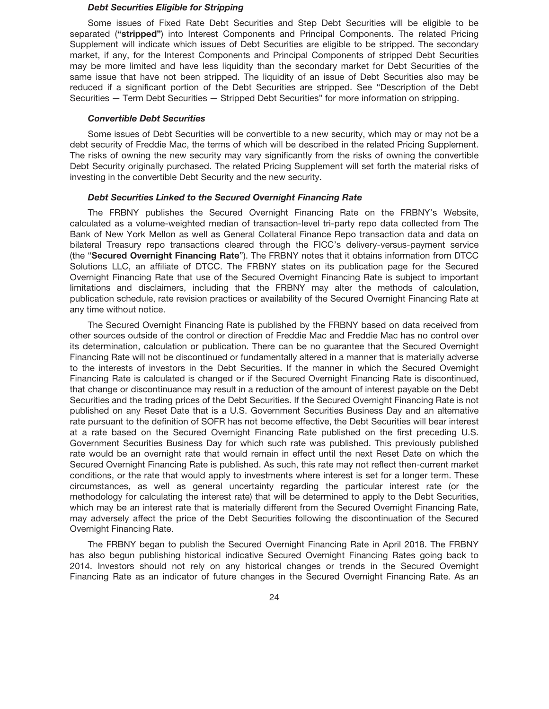### *Debt Securities Eligible for Stripping*

Some issues of Fixed Rate Debt Securities and Step Debt Securities will be eligible to be separated (**"stripped"**) into Interest Components and Principal Components. The related Pricing Supplement will indicate which issues of Debt Securities are eligible to be stripped. The secondary market, if any, for the Interest Components and Principal Components of stripped Debt Securities may be more limited and have less liquidity than the secondary market for Debt Securities of the same issue that have not been stripped. The liquidity of an issue of Debt Securities also may be reduced if a significant portion of the Debt Securities are stripped. See "Description of the Debt Securities — Term Debt Securities — Stripped Debt Securities" for more information on stripping.

### *Convertible Debt Securities*

Some issues of Debt Securities will be convertible to a new security, which may or may not be a debt security of Freddie Mac, the terms of which will be described in the related Pricing Supplement. The risks of owning the new security may vary significantly from the risks of owning the convertible Debt Security originally purchased. The related Pricing Supplement will set forth the material risks of investing in the convertible Debt Security and the new security.

### *Debt Securities Linked to the Secured Overnight Financing Rate*

The FRBNY publishes the Secured Overnight Financing Rate on the FRBNY's Website, calculated as a volume-weighted median of transaction-level tri-party repo data collected from The Bank of New York Mellon as well as General Collateral Finance Repo transaction data and data on bilateral Treasury repo transactions cleared through the FICC's delivery-versus-payment service (the "**Secured Overnight Financing Rate**"). The FRBNY notes that it obtains information from DTCC Solutions LLC, an affiliate of DTCC. The FRBNY states on its publication page for the Secured Overnight Financing Rate that use of the Secured Overnight Financing Rate is subject to important limitations and disclaimers, including that the FRBNY may alter the methods of calculation, publication schedule, rate revision practices or availability of the Secured Overnight Financing Rate at any time without notice.

The Secured Overnight Financing Rate is published by the FRBNY based on data received from other sources outside of the control or direction of Freddie Mac and Freddie Mac has no control over its determination, calculation or publication. There can be no guarantee that the Secured Overnight Financing Rate will not be discontinued or fundamentally altered in a manner that is materially adverse to the interests of investors in the Debt Securities. If the manner in which the Secured Overnight Financing Rate is calculated is changed or if the Secured Overnight Financing Rate is discontinued, that change or discontinuance may result in a reduction of the amount of interest payable on the Debt Securities and the trading prices of the Debt Securities. If the Secured Overnight Financing Rate is not published on any Reset Date that is a U.S. Government Securities Business Day and an alternative rate pursuant to the definition of SOFR has not become effective, the Debt Securities will bear interest at a rate based on the Secured Overnight Financing Rate published on the first preceding U.S. Government Securities Business Day for which such rate was published. This previously published rate would be an overnight rate that would remain in effect until the next Reset Date on which the Secured Overnight Financing Rate is published. As such, this rate may not reflect then-current market conditions, or the rate that would apply to investments where interest is set for a longer term. These circumstances, as well as general uncertainty regarding the particular interest rate (or the methodology for calculating the interest rate) that will be determined to apply to the Debt Securities, which may be an interest rate that is materially different from the Secured Overnight Financing Rate, may adversely affect the price of the Debt Securities following the discontinuation of the Secured Overnight Financing Rate.

The FRBNY began to publish the Secured Overnight Financing Rate in April 2018. The FRBNY has also begun publishing historical indicative Secured Overnight Financing Rates going back to 2014. Investors should not rely on any historical changes or trends in the Secured Overnight Financing Rate as an indicator of future changes in the Secured Overnight Financing Rate. As an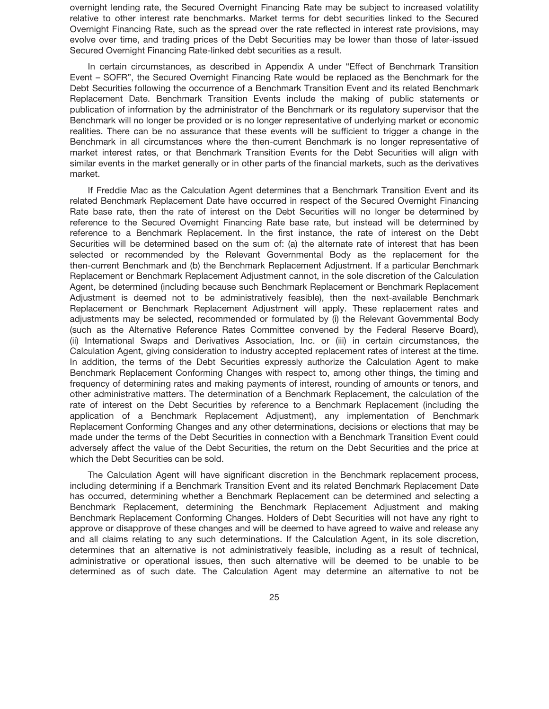overnight lending rate, the Secured Overnight Financing Rate may be subject to increased volatility relative to other interest rate benchmarks. Market terms for debt securities linked to the Secured Overnight Financing Rate, such as the spread over the rate reflected in interest rate provisions, may evolve over time, and trading prices of the Debt Securities may be lower than those of later-issued Secured Overnight Financing Rate-linked debt securities as a result.

In certain circumstances, as described in Appendix A under "Effect of Benchmark Transition Event – SOFR", the Secured Overnight Financing Rate would be replaced as the Benchmark for the Debt Securities following the occurrence of a Benchmark Transition Event and its related Benchmark Replacement Date. Benchmark Transition Events include the making of public statements or publication of information by the administrator of the Benchmark or its regulatory supervisor that the Benchmark will no longer be provided or is no longer representative of underlying market or economic realities. There can be no assurance that these events will be sufficient to trigger a change in the Benchmark in all circumstances where the then-current Benchmark is no longer representative of market interest rates, or that Benchmark Transition Events for the Debt Securities will align with similar events in the market generally or in other parts of the financial markets, such as the derivatives market.

If Freddie Mac as the Calculation Agent determines that a Benchmark Transition Event and its related Benchmark Replacement Date have occurred in respect of the Secured Overnight Financing Rate base rate, then the rate of interest on the Debt Securities will no longer be determined by reference to the Secured Overnight Financing Rate base rate, but instead will be determined by reference to a Benchmark Replacement. In the first instance, the rate of interest on the Debt Securities will be determined based on the sum of: (a) the alternate rate of interest that has been selected or recommended by the Relevant Governmental Body as the replacement for the then-current Benchmark and (b) the Benchmark Replacement Adjustment. If a particular Benchmark Replacement or Benchmark Replacement Adjustment cannot, in the sole discretion of the Calculation Agent, be determined (including because such Benchmark Replacement or Benchmark Replacement Adjustment is deemed not to be administratively feasible), then the next-available Benchmark Replacement or Benchmark Replacement Adjustment will apply. These replacement rates and adjustments may be selected, recommended or formulated by (i) the Relevant Governmental Body (such as the Alternative Reference Rates Committee convened by the Federal Reserve Board), (ii) International Swaps and Derivatives Association, Inc. or (iii) in certain circumstances, the Calculation Agent, giving consideration to industry accepted replacement rates of interest at the time. In addition, the terms of the Debt Securities expressly authorize the Calculation Agent to make Benchmark Replacement Conforming Changes with respect to, among other things, the timing and frequency of determining rates and making payments of interest, rounding of amounts or tenors, and other administrative matters. The determination of a Benchmark Replacement, the calculation of the rate of interest on the Debt Securities by reference to a Benchmark Replacement (including the application of a Benchmark Replacement Adjustment), any implementation of Benchmark Replacement Conforming Changes and any other determinations, decisions or elections that may be made under the terms of the Debt Securities in connection with a Benchmark Transition Event could adversely affect the value of the Debt Securities, the return on the Debt Securities and the price at which the Debt Securities can be sold.

The Calculation Agent will have significant discretion in the Benchmark replacement process, including determining if a Benchmark Transition Event and its related Benchmark Replacement Date has occurred, determining whether a Benchmark Replacement can be determined and selecting a Benchmark Replacement, determining the Benchmark Replacement Adjustment and making Benchmark Replacement Conforming Changes. Holders of Debt Securities will not have any right to approve or disapprove of these changes and will be deemed to have agreed to waive and release any and all claims relating to any such determinations. If the Calculation Agent, in its sole discretion, determines that an alternative is not administratively feasible, including as a result of technical, administrative or operational issues, then such alternative will be deemed to be unable to be determined as of such date. The Calculation Agent may determine an alternative to not be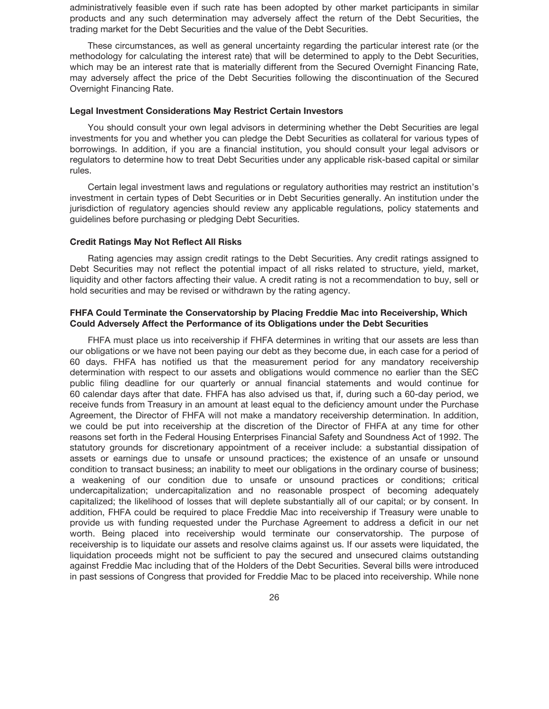administratively feasible even if such rate has been adopted by other market participants in similar products and any such determination may adversely affect the return of the Debt Securities, the trading market for the Debt Securities and the value of the Debt Securities.

These circumstances, as well as general uncertainty regarding the particular interest rate (or the methodology for calculating the interest rate) that will be determined to apply to the Debt Securities, which may be an interest rate that is materially different from the Secured Overnight Financing Rate, may adversely affect the price of the Debt Securities following the discontinuation of the Secured Overnight Financing Rate.

### **Legal Investment Considerations May Restrict Certain Investors**

You should consult your own legal advisors in determining whether the Debt Securities are legal investments for you and whether you can pledge the Debt Securities as collateral for various types of borrowings. In addition, if you are a financial institution, you should consult your legal advisors or regulators to determine how to treat Debt Securities under any applicable risk-based capital or similar rules.

Certain legal investment laws and regulations or regulatory authorities may restrict an institution's investment in certain types of Debt Securities or in Debt Securities generally. An institution under the jurisdiction of regulatory agencies should review any applicable regulations, policy statements and guidelines before purchasing or pledging Debt Securities.

# **Credit Ratings May Not Reflect All Risks**

Rating agencies may assign credit ratings to the Debt Securities. Any credit ratings assigned to Debt Securities may not reflect the potential impact of all risks related to structure, yield, market, liquidity and other factors affecting their value. A credit rating is not a recommendation to buy, sell or hold securities and may be revised or withdrawn by the rating agency.

# **FHFA Could Terminate the Conservatorship by Placing Freddie Mac into Receivership, Which Could Adversely Affect the Performance of its Obligations under the Debt Securities**

FHFA must place us into receivership if FHFA determines in writing that our assets are less than our obligations or we have not been paying our debt as they become due, in each case for a period of 60 days. FHFA has notified us that the measurement period for any mandatory receivership determination with respect to our assets and obligations would commence no earlier than the SEC public filing deadline for our quarterly or annual financial statements and would continue for 60 calendar days after that date. FHFA has also advised us that, if, during such a 60-day period, we receive funds from Treasury in an amount at least equal to the deficiency amount under the Purchase Agreement, the Director of FHFA will not make a mandatory receivership determination. In addition, we could be put into receivership at the discretion of the Director of FHFA at any time for other reasons set forth in the Federal Housing Enterprises Financial Safety and Soundness Act of 1992. The statutory grounds for discretionary appointment of a receiver include: a substantial dissipation of assets or earnings due to unsafe or unsound practices; the existence of an unsafe or unsound condition to transact business; an inability to meet our obligations in the ordinary course of business; a weakening of our condition due to unsafe or unsound practices or conditions; critical undercapitalization; undercapitalization and no reasonable prospect of becoming adequately capitalized; the likelihood of losses that will deplete substantially all of our capital; or by consent. In addition, FHFA could be required to place Freddie Mac into receivership if Treasury were unable to provide us with funding requested under the Purchase Agreement to address a deficit in our net worth. Being placed into receivership would terminate our conservatorship. The purpose of receivership is to liquidate our assets and resolve claims against us. If our assets were liquidated, the liquidation proceeds might not be sufficient to pay the secured and unsecured claims outstanding against Freddie Mac including that of the Holders of the Debt Securities. Several bills were introduced in past sessions of Congress that provided for Freddie Mac to be placed into receivership. While none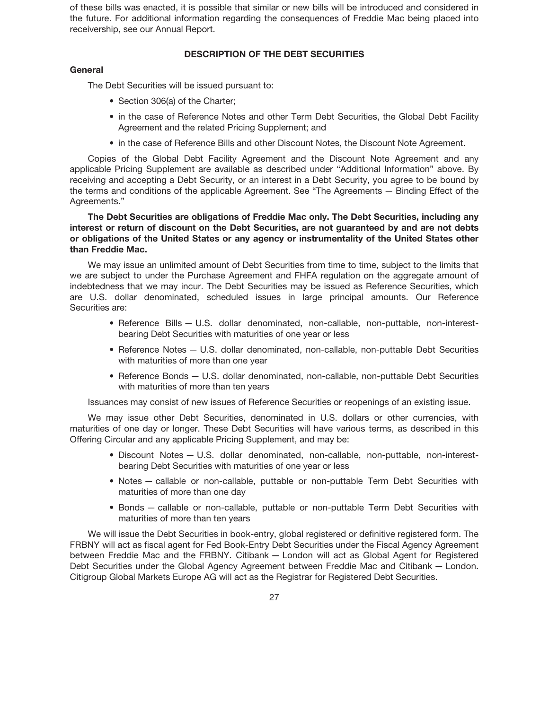of these bills was enacted, it is possible that similar or new bills will be introduced and considered in the future. For additional information regarding the consequences of Freddie Mac being placed into receivership, see our Annual Report.

# **DESCRIPTION OF THE DEBT SECURITIES**

# **General**

The Debt Securities will be issued pursuant to:

- Section 306(a) of the Charter;
- in the case of Reference Notes and other Term Debt Securities, the Global Debt Facility Agreement and the related Pricing Supplement; and
- in the case of Reference Bills and other Discount Notes, the Discount Note Agreement.

Copies of the Global Debt Facility Agreement and the Discount Note Agreement and any applicable Pricing Supplement are available as described under "Additional Information" above. By receiving and accepting a Debt Security, or an interest in a Debt Security, you agree to be bound by the terms and conditions of the applicable Agreement. See "The Agreements — Binding Effect of the Agreements."

**The Debt Securities are obligations of Freddie Mac only. The Debt Securities, including any interest or return of discount on the Debt Securities, are not guaranteed by and are not debts or obligations of the United States or any agency or instrumentality of the United States other than Freddie Mac.**

We may issue an unlimited amount of Debt Securities from time to time, subject to the limits that we are subject to under the Purchase Agreement and FHFA regulation on the aggregate amount of indebtedness that we may incur. The Debt Securities may be issued as Reference Securities, which are U.S. dollar denominated, scheduled issues in large principal amounts. Our Reference Securities are:

- Reference Bills U.S. dollar denominated, non-callable, non-puttable, non-interestbearing Debt Securities with maturities of one year or less
- Reference Notes U.S. dollar denominated, non-callable, non-puttable Debt Securities with maturities of more than one year
- Reference Bonds U.S. dollar denominated, non-callable, non-puttable Debt Securities with maturities of more than ten years

Issuances may consist of new issues of Reference Securities or reopenings of an existing issue.

We may issue other Debt Securities, denominated in U.S. dollars or other currencies, with maturities of one day or longer. These Debt Securities will have various terms, as described in this Offering Circular and any applicable Pricing Supplement, and may be:

- Discount Notes U.S. dollar denominated, non-callable, non-puttable, non-interestbearing Debt Securities with maturities of one year or less
- Notes callable or non-callable, puttable or non-puttable Term Debt Securities with maturities of more than one day
- Bonds callable or non-callable, puttable or non-puttable Term Debt Securities with maturities of more than ten years

We will issue the Debt Securities in book-entry, global registered or definitive registered form. The FRBNY will act as fiscal agent for Fed Book-Entry Debt Securities under the Fiscal Agency Agreement between Freddie Mac and the FRBNY. Citibank — London will act as Global Agent for Registered Debt Securities under the Global Agency Agreement between Freddie Mac and Citibank — London. Citigroup Global Markets Europe AG will act as the Registrar for Registered Debt Securities.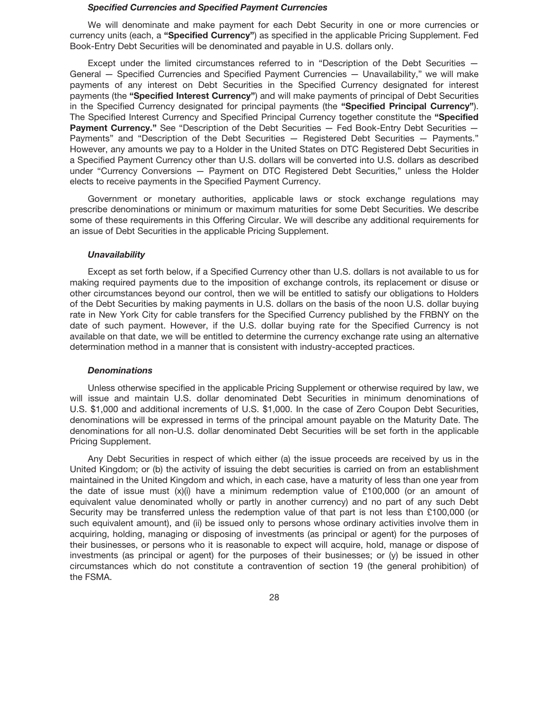### *Specified Currencies and Specified Payment Currencies*

We will denominate and make payment for each Debt Security in one or more currencies or currency units (each, a **"Specified Currency"**) as specified in the applicable Pricing Supplement. Fed Book-Entry Debt Securities will be denominated and payable in U.S. dollars only.

Except under the limited circumstances referred to in "Description of the Debt Securities — General — Specified Currencies and Specified Payment Currencies — Unavailability," we will make payments of any interest on Debt Securities in the Specified Currency designated for interest payments (the **"Specified Interest Currency"**) and will make payments of principal of Debt Securities in the Specified Currency designated for principal payments (the **"Specified Principal Currency"**). The Specified Interest Currency and Specified Principal Currency together constitute the **"Specified** Payment Currency." See "Description of the Debt Securities - Fed Book-Entry Debt Securities -Payments" and "Description of the Debt Securities — Registered Debt Securities — Payments." However, any amounts we pay to a Holder in the United States on DTC Registered Debt Securities in a Specified Payment Currency other than U.S. dollars will be converted into U.S. dollars as described under "Currency Conversions — Payment on DTC Registered Debt Securities," unless the Holder elects to receive payments in the Specified Payment Currency.

Government or monetary authorities, applicable laws or stock exchange regulations may prescribe denominations or minimum or maximum maturities for some Debt Securities. We describe some of these requirements in this Offering Circular. We will describe any additional requirements for an issue of Debt Securities in the applicable Pricing Supplement.

### *Unavailability*

Except as set forth below, if a Specified Currency other than U.S. dollars is not available to us for making required payments due to the imposition of exchange controls, its replacement or disuse or other circumstances beyond our control, then we will be entitled to satisfy our obligations to Holders of the Debt Securities by making payments in U.S. dollars on the basis of the noon U.S. dollar buying rate in New York City for cable transfers for the Specified Currency published by the FRBNY on the date of such payment. However, if the U.S. dollar buying rate for the Specified Currency is not available on that date, we will be entitled to determine the currency exchange rate using an alternative determination method in a manner that is consistent with industry-accepted practices.

### *Denominations*

Unless otherwise specified in the applicable Pricing Supplement or otherwise required by law, we will issue and maintain U.S. dollar denominated Debt Securities in minimum denominations of U.S. \$1,000 and additional increments of U.S. \$1,000. In the case of Zero Coupon Debt Securities, denominations will be expressed in terms of the principal amount payable on the Maturity Date. The denominations for all non-U.S. dollar denominated Debt Securities will be set forth in the applicable Pricing Supplement.

Any Debt Securities in respect of which either (a) the issue proceeds are received by us in the United Kingdom; or (b) the activity of issuing the debt securities is carried on from an establishment maintained in the United Kingdom and which, in each case, have a maturity of less than one year from the date of issue must  $(x)(i)$  have a minimum redemption value of £100,000 (or an amount of equivalent value denominated wholly or partly in another currency) and no part of any such Debt Security may be transferred unless the redemption value of that part is not less than £100,000 (or such equivalent amount), and (ii) be issued only to persons whose ordinary activities involve them in acquiring, holding, managing or disposing of investments (as principal or agent) for the purposes of their businesses, or persons who it is reasonable to expect will acquire, hold, manage or dispose of investments (as principal or agent) for the purposes of their businesses; or (y) be issued in other circumstances which do not constitute a contravention of section 19 (the general prohibition) of the FSMA.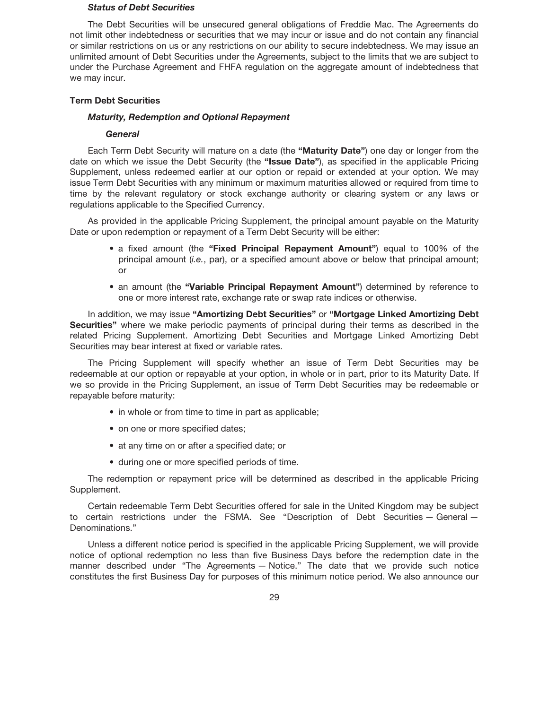## *Status of Debt Securities*

The Debt Securities will be unsecured general obligations of Freddie Mac. The Agreements do not limit other indebtedness or securities that we may incur or issue and do not contain any financial or similar restrictions on us or any restrictions on our ability to secure indebtedness. We may issue an unlimited amount of Debt Securities under the Agreements, subject to the limits that we are subject to under the Purchase Agreement and FHFA regulation on the aggregate amount of indebtedness that we may incur.

# **Term Debt Securities**

# *Maturity, Redemption and Optional Repayment*

### *General*

Each Term Debt Security will mature on a date (the **"Maturity Date"**) one day or longer from the date on which we issue the Debt Security (the **"Issue Date"**), as specified in the applicable Pricing Supplement, unless redeemed earlier at our option or repaid or extended at your option. We may issue Term Debt Securities with any minimum or maximum maturities allowed or required from time to time by the relevant regulatory or stock exchange authority or clearing system or any laws or regulations applicable to the Specified Currency.

As provided in the applicable Pricing Supplement, the principal amount payable on the Maturity Date or upon redemption or repayment of a Term Debt Security will be either:

- a fixed amount (the **"Fixed Principal Repayment Amount"**) equal to 100% of the principal amount (*i.e.*, par), or a specified amount above or below that principal amount; or
- an amount (the **"Variable Principal Repayment Amount"**) determined by reference to one or more interest rate, exchange rate or swap rate indices or otherwise.

In addition, we may issue **"Amortizing Debt Securities"** or **"Mortgage Linked Amortizing Debt Securities"** where we make periodic payments of principal during their terms as described in the related Pricing Supplement. Amortizing Debt Securities and Mortgage Linked Amortizing Debt Securities may bear interest at fixed or variable rates.

The Pricing Supplement will specify whether an issue of Term Debt Securities may be redeemable at our option or repayable at your option, in whole or in part, prior to its Maturity Date. If we so provide in the Pricing Supplement, an issue of Term Debt Securities may be redeemable or repayable before maturity:

- in whole or from time to time in part as applicable;
- on one or more specified dates;
- at any time on or after a specified date; or
- during one or more specified periods of time.

The redemption or repayment price will be determined as described in the applicable Pricing Supplement.

Certain redeemable Term Debt Securities offered for sale in the United Kingdom may be subject to certain restrictions under the FSMA. See "Description of Debt Securities — General — Denominations."

Unless a different notice period is specified in the applicable Pricing Supplement, we will provide notice of optional redemption no less than five Business Days before the redemption date in the manner described under "The Agreements — Notice." The date that we provide such notice constitutes the first Business Day for purposes of this minimum notice period. We also announce our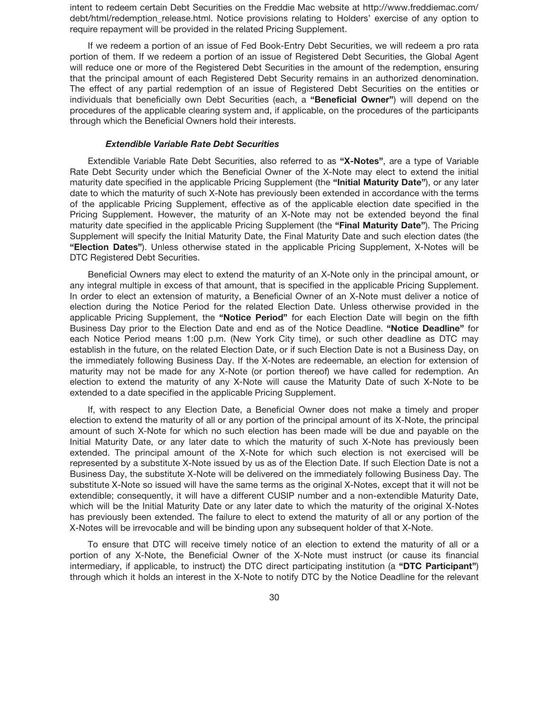intent to redeem certain Debt Securities on the Freddie Mac website at http://www.freddiemac.com/ debt/html/redemption release.html. Notice provisions relating to Holders' exercise of any option to require repayment will be provided in the related Pricing Supplement.

If we redeem a portion of an issue of Fed Book-Entry Debt Securities, we will redeem a pro rata portion of them. If we redeem a portion of an issue of Registered Debt Securities, the Global Agent will reduce one or more of the Registered Debt Securities in the amount of the redemption, ensuring that the principal amount of each Registered Debt Security remains in an authorized denomination. The effect of any partial redemption of an issue of Registered Debt Securities on the entities or individuals that beneficially own Debt Securities (each, a **"Beneficial Owner"**) will depend on the procedures of the applicable clearing system and, if applicable, on the procedures of the participants through which the Beneficial Owners hold their interests.

### *Extendible Variable Rate Debt Securities*

Extendible Variable Rate Debt Securities, also referred to as **"X-Notes"**, are a type of Variable Rate Debt Security under which the Beneficial Owner of the X-Note may elect to extend the initial maturity date specified in the applicable Pricing Supplement (the **"Initial Maturity Date"**), or any later date to which the maturity of such X-Note has previously been extended in accordance with the terms of the applicable Pricing Supplement, effective as of the applicable election date specified in the Pricing Supplement. However, the maturity of an X-Note may not be extended beyond the final maturity date specified in the applicable Pricing Supplement (the **"Final Maturity Date"**). The Pricing Supplement will specify the Initial Maturity Date, the Final Maturity Date and such election dates (the **"Election Dates"**). Unless otherwise stated in the applicable Pricing Supplement, X-Notes will be DTC Registered Debt Securities.

Beneficial Owners may elect to extend the maturity of an X-Note only in the principal amount, or any integral multiple in excess of that amount, that is specified in the applicable Pricing Supplement. In order to elect an extension of maturity, a Beneficial Owner of an X-Note must deliver a notice of election during the Notice Period for the related Election Date. Unless otherwise provided in the applicable Pricing Supplement, the **"Notice Period"** for each Election Date will begin on the fifth Business Day prior to the Election Date and end as of the Notice Deadline. **"Notice Deadline"** for each Notice Period means 1:00 p.m. (New York City time), or such other deadline as DTC may establish in the future, on the related Election Date, or if such Election Date is not a Business Day, on the immediately following Business Day. If the X-Notes are redeemable, an election for extension of maturity may not be made for any X-Note (or portion thereof) we have called for redemption. An election to extend the maturity of any X-Note will cause the Maturity Date of such X-Note to be extended to a date specified in the applicable Pricing Supplement.

If, with respect to any Election Date, a Beneficial Owner does not make a timely and proper election to extend the maturity of all or any portion of the principal amount of its X-Note, the principal amount of such X-Note for which no such election has been made will be due and payable on the Initial Maturity Date, or any later date to which the maturity of such X-Note has previously been extended. The principal amount of the X-Note for which such election is not exercised will be represented by a substitute X-Note issued by us as of the Election Date. If such Election Date is not a Business Day, the substitute X-Note will be delivered on the immediately following Business Day. The substitute X-Note so issued will have the same terms as the original X-Notes, except that it will not be extendible; consequently, it will have a different CUSIP number and a non-extendible Maturity Date, which will be the Initial Maturity Date or any later date to which the maturity of the original X-Notes has previously been extended. The failure to elect to extend the maturity of all or any portion of the X-Notes will be irrevocable and will be binding upon any subsequent holder of that X-Note.

To ensure that DTC will receive timely notice of an election to extend the maturity of all or a portion of any X-Note, the Beneficial Owner of the X-Note must instruct (or cause its financial intermediary, if applicable, to instruct) the DTC direct participating institution (a **"DTC Participant"**) through which it holds an interest in the X-Note to notify DTC by the Notice Deadline for the relevant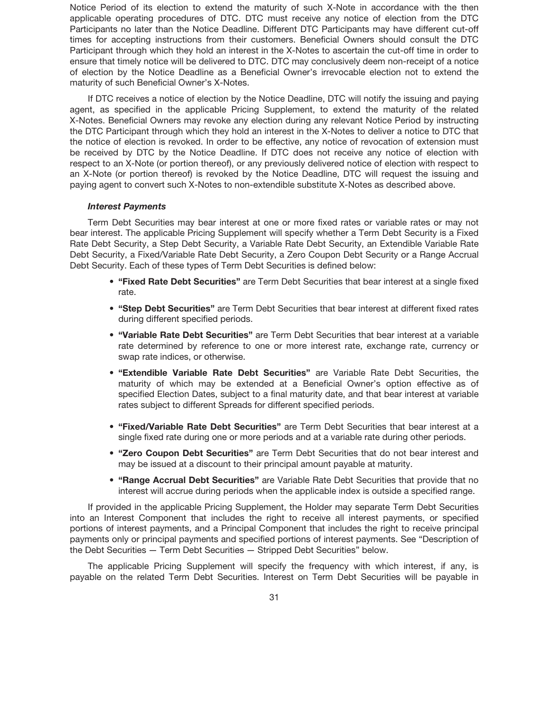Notice Period of its election to extend the maturity of such X-Note in accordance with the then applicable operating procedures of DTC. DTC must receive any notice of election from the DTC Participants no later than the Notice Deadline. Different DTC Participants may have different cut-off times for accepting instructions from their customers. Beneficial Owners should consult the DTC Participant through which they hold an interest in the X-Notes to ascertain the cut-off time in order to ensure that timely notice will be delivered to DTC. DTC may conclusively deem non-receipt of a notice of election by the Notice Deadline as a Beneficial Owner's irrevocable election not to extend the maturity of such Beneficial Owner's X-Notes.

If DTC receives a notice of election by the Notice Deadline, DTC will notify the issuing and paying agent, as specified in the applicable Pricing Supplement, to extend the maturity of the related X-Notes. Beneficial Owners may revoke any election during any relevant Notice Period by instructing the DTC Participant through which they hold an interest in the X-Notes to deliver a notice to DTC that the notice of election is revoked. In order to be effective, any notice of revocation of extension must be received by DTC by the Notice Deadline. If DTC does not receive any notice of election with respect to an X-Note (or portion thereof), or any previously delivered notice of election with respect to an X-Note (or portion thereof) is revoked by the Notice Deadline, DTC will request the issuing and paying agent to convert such X-Notes to non-extendible substitute X-Notes as described above.

### *Interest Payments*

Term Debt Securities may bear interest at one or more fixed rates or variable rates or may not bear interest. The applicable Pricing Supplement will specify whether a Term Debt Security is a Fixed Rate Debt Security, a Step Debt Security, a Variable Rate Debt Security, an Extendible Variable Rate Debt Security, a Fixed/Variable Rate Debt Security, a Zero Coupon Debt Security or a Range Accrual Debt Security. Each of these types of Term Debt Securities is defined below:

- **"Fixed Rate Debt Securities"** are Term Debt Securities that bear interest at a single fixed rate.
- **"Step Debt Securities"** are Term Debt Securities that bear interest at different fixed rates during different specified periods.
- **"Variable Rate Debt Securities"** are Term Debt Securities that bear interest at a variable rate determined by reference to one or more interest rate, exchange rate, currency or swap rate indices, or otherwise.
- **"Extendible Variable Rate Debt Securities"** are Variable Rate Debt Securities, the maturity of which may be extended at a Beneficial Owner's option effective as of specified Election Dates, subject to a final maturity date, and that bear interest at variable rates subject to different Spreads for different specified periods.
- **"Fixed/Variable Rate Debt Securities"** are Term Debt Securities that bear interest at a single fixed rate during one or more periods and at a variable rate during other periods.
- **"Zero Coupon Debt Securities"** are Term Debt Securities that do not bear interest and may be issued at a discount to their principal amount payable at maturity.
- **"Range Accrual Debt Securities"** are Variable Rate Debt Securities that provide that no interest will accrue during periods when the applicable index is outside a specified range.

If provided in the applicable Pricing Supplement, the Holder may separate Term Debt Securities into an Interest Component that includes the right to receive all interest payments, or specified portions of interest payments, and a Principal Component that includes the right to receive principal payments only or principal payments and specified portions of interest payments. See "Description of the Debt Securities — Term Debt Securities — Stripped Debt Securities" below.

The applicable Pricing Supplement will specify the frequency with which interest, if any, is payable on the related Term Debt Securities. Interest on Term Debt Securities will be payable in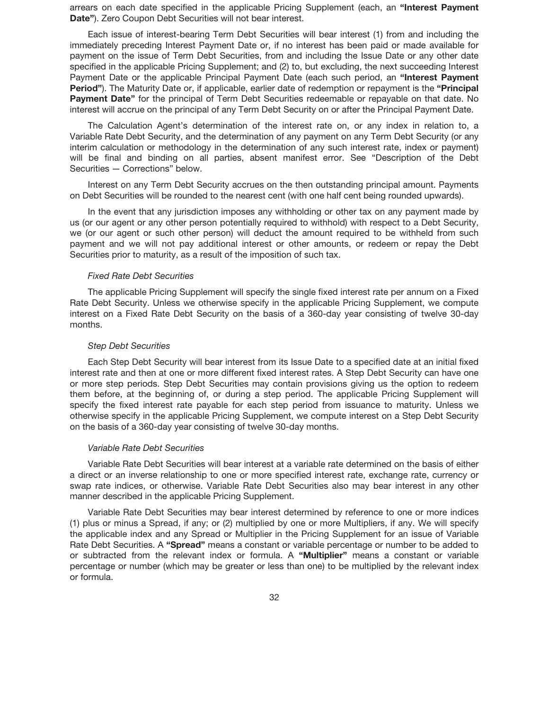arrears on each date specified in the applicable Pricing Supplement (each, an **"Interest Payment Date"**). Zero Coupon Debt Securities will not bear interest.

Each issue of interest-bearing Term Debt Securities will bear interest (1) from and including the immediately preceding Interest Payment Date or, if no interest has been paid or made available for payment on the issue of Term Debt Securities, from and including the Issue Date or any other date specified in the applicable Pricing Supplement; and (2) to, but excluding, the next succeeding Interest Payment Date or the applicable Principal Payment Date (each such period, an **"Interest Payment Period"**). The Maturity Date or, if applicable, earlier date of redemption or repayment is the **"Principal Payment Date"** for the principal of Term Debt Securities redeemable or repayable on that date. No interest will accrue on the principal of any Term Debt Security on or after the Principal Payment Date.

The Calculation Agent's determination of the interest rate on, or any index in relation to, a Variable Rate Debt Security, and the determination of any payment on any Term Debt Security (or any interim calculation or methodology in the determination of any such interest rate, index or payment) will be final and binding on all parties, absent manifest error. See "Description of the Debt Securities — Corrections" below.

Interest on any Term Debt Security accrues on the then outstanding principal amount. Payments on Debt Securities will be rounded to the nearest cent (with one half cent being rounded upwards).

In the event that any jurisdiction imposes any withholding or other tax on any payment made by us (or our agent or any other person potentially required to withhold) with respect to a Debt Security, we (or our agent or such other person) will deduct the amount required to be withheld from such payment and we will not pay additional interest or other amounts, or redeem or repay the Debt Securities prior to maturity, as a result of the imposition of such tax.

## *Fixed Rate Debt Securities*

The applicable Pricing Supplement will specify the single fixed interest rate per annum on a Fixed Rate Debt Security. Unless we otherwise specify in the applicable Pricing Supplement, we compute interest on a Fixed Rate Debt Security on the basis of a 360-day year consisting of twelve 30-day months.

### *Step Debt Securities*

Each Step Debt Security will bear interest from its Issue Date to a specified date at an initial fixed interest rate and then at one or more different fixed interest rates. A Step Debt Security can have one or more step periods. Step Debt Securities may contain provisions giving us the option to redeem them before, at the beginning of, or during a step period. The applicable Pricing Supplement will specify the fixed interest rate payable for each step period from issuance to maturity. Unless we otherwise specify in the applicable Pricing Supplement, we compute interest on a Step Debt Security on the basis of a 360-day year consisting of twelve 30-day months.

### *Variable Rate Debt Securities*

Variable Rate Debt Securities will bear interest at a variable rate determined on the basis of either a direct or an inverse relationship to one or more specified interest rate, exchange rate, currency or swap rate indices, or otherwise. Variable Rate Debt Securities also may bear interest in any other manner described in the applicable Pricing Supplement.

Variable Rate Debt Securities may bear interest determined by reference to one or more indices (1) plus or minus a Spread, if any; or (2) multiplied by one or more Multipliers, if any. We will specify the applicable index and any Spread or Multiplier in the Pricing Supplement for an issue of Variable Rate Debt Securities. A **"Spread"** means a constant or variable percentage or number to be added to or subtracted from the relevant index or formula. A **"Multiplier"** means a constant or variable percentage or number (which may be greater or less than one) to be multiplied by the relevant index or formula.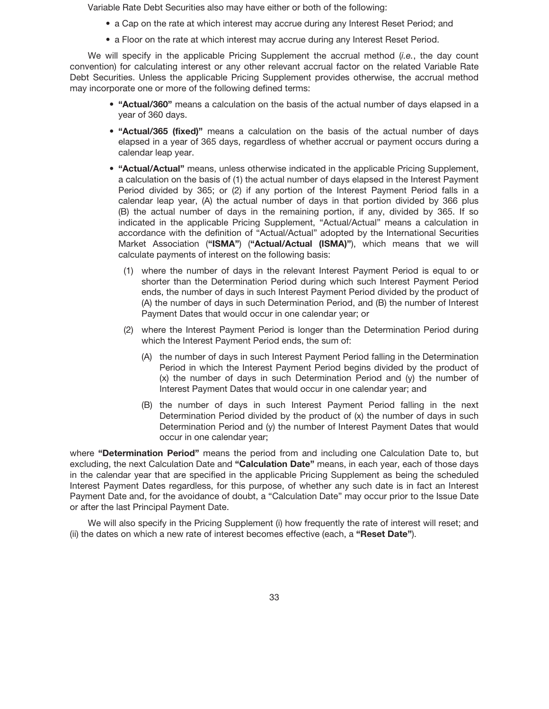Variable Rate Debt Securities also may have either or both of the following:

- a Cap on the rate at which interest may accrue during any Interest Reset Period; and
- a Floor on the rate at which interest may accrue during any Interest Reset Period.

We will specify in the applicable Pricing Supplement the accrual method (*i.e.*, the day count convention) for calculating interest or any other relevant accrual factor on the related Variable Rate Debt Securities. Unless the applicable Pricing Supplement provides otherwise, the accrual method may incorporate one or more of the following defined terms:

- **"Actual/360"** means a calculation on the basis of the actual number of days elapsed in a year of 360 days.
- **"Actual/365 (fixed)"** means a calculation on the basis of the actual number of days elapsed in a year of 365 days, regardless of whether accrual or payment occurs during a calendar leap year.
- **"Actual/Actual"** means, unless otherwise indicated in the applicable Pricing Supplement, a calculation on the basis of (1) the actual number of days elapsed in the Interest Payment Period divided by 365; or (2) if any portion of the Interest Payment Period falls in a calendar leap year, (A) the actual number of days in that portion divided by 366 plus (B) the actual number of days in the remaining portion, if any, divided by 365. If so indicated in the applicable Pricing Supplement, "Actual/Actual" means a calculation in accordance with the definition of "Actual/Actual" adopted by the International Securities Market Association (**"ISMA"**) (**"Actual/Actual (ISMA)"**), which means that we will calculate payments of interest on the following basis:
	- (1) where the number of days in the relevant Interest Payment Period is equal to or shorter than the Determination Period during which such Interest Payment Period ends, the number of days in such Interest Payment Period divided by the product of (A) the number of days in such Determination Period, and (B) the number of Interest Payment Dates that would occur in one calendar year; or
	- (2) where the Interest Payment Period is longer than the Determination Period during which the Interest Payment Period ends, the sum of:
		- (A) the number of days in such Interest Payment Period falling in the Determination Period in which the Interest Payment Period begins divided by the product of (x) the number of days in such Determination Period and (y) the number of Interest Payment Dates that would occur in one calendar year; and
		- (B) the number of days in such Interest Payment Period falling in the next Determination Period divided by the product of (x) the number of days in such Determination Period and (y) the number of Interest Payment Dates that would occur in one calendar year;

where **"Determination Period"** means the period from and including one Calculation Date to, but excluding, the next Calculation Date and **"Calculation Date"** means, in each year, each of those days in the calendar year that are specified in the applicable Pricing Supplement as being the scheduled Interest Payment Dates regardless, for this purpose, of whether any such date is in fact an Interest Payment Date and, for the avoidance of doubt, a "Calculation Date" may occur prior to the Issue Date or after the last Principal Payment Date.

We will also specify in the Pricing Supplement (i) how frequently the rate of interest will reset; and (ii) the dates on which a new rate of interest becomes effective (each, a **"Reset Date"**).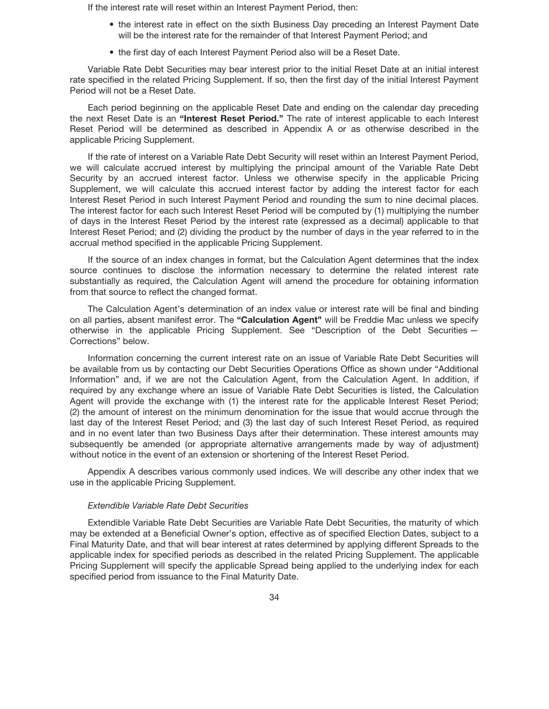If the interest rate will reset within an Interest Payment Period, then:

- the interest rate in effect on the sixth Business Day preceding an Interest Payment Date will be the interest rate for the remainder of that Interest Payment Period; and
- the first day of each Interest Payment Period also will be a Reset Date.

Variable Rate Debt Securities may bear interest prior to the initial Reset Date at an initial interest rate specified in the related Pricing Supplement. If so, then the first day of the initial Interest Payment Period will not be a Reset Date.

Each period beginning on the applicable Reset Date and ending on the calendar day preceding the next Reset Date is an **"Interest Reset Period."** The rate of interest applicable to each Interest Reset Period will be determined as described in Appendix A or as otherwise described in the applicable Pricing Supplement.

If the rate of interest on a Variable Rate Debt Security will reset within an Interest Payment Period, we will calculate accrued interest by multiplying the principal amount of the Variable Rate Debt Security by an accrued interest factor. Unless we otherwise specify in the applicable Pricing Supplement, we will calculate this accrued interest factor by adding the interest factor for each Interest Reset Period in such Interest Payment Period and rounding the sum to nine decimal places. The interest factor for each such Interest Reset Period will be computed by (1) multiplying the number of days in the Interest Reset Period by the interest rate (expressed as a decimal) applicable to that Interest Reset Period; and (2) dividing the product by the number of days in the year referred to in the accrual method specified in the applicable Pricing Supplement.

If the source of an index changes in format, but the Calculation Agent determines that the index source continues to disclose the information necessary to determine the related interest rate substantially as required, the Calculation Agent will amend the procedure for obtaining information from that source to reflect the changed format.

The Calculation Agent's determination of an index value or interest rate will be final and binding on all parties, absent manifest error. The **"Calculation Agent"** will be Freddie Mac unless we specify otherwise in the applicable Pricing Supplement. See "Description of the Debt Securities — Corrections" below.

Information concerning the current interest rate on an issue of Variable Rate Debt Securities will be available from us by contacting our Debt Securities Operations Office as shown under "Additional Information" and, if we are not the Calculation Agent, from the Calculation Agent. In addition, if required by any exchange where an issue of Variable Rate Debt Securities is listed, the Calculation Agent will provide the exchange with (1) the interest rate for the applicable Interest Reset Period; (2) the amount of interest on the minimum denomination for the issue that would accrue through the last day of the Interest Reset Period; and (3) the last day of such Interest Reset Period, as required and in no event later than two Business Days after their determination. These interest amounts may subsequently be amended (or appropriate alternative arrangements made by way of adjustment) without notice in the event of an extension or shortening of the Interest Reset Period.

Appendix A describes various commonly used indices. We will describe any other index that we use in the applicable Pricing Supplement.

### *Extendible Variable Rate Debt Securities*

Extendible Variable Rate Debt Securities are Variable Rate Debt Securities, the maturity of which may be extended at a Beneficial Owner's option, effective as of specified Election Dates, subject to a Final Maturity Date, and that will bear interest at rates determined by applying different Spreads to the applicable index for specified periods as described in the related Pricing Supplement. The applicable Pricing Supplement will specify the applicable Spread being applied to the underlying index for each specified period from issuance to the Final Maturity Date.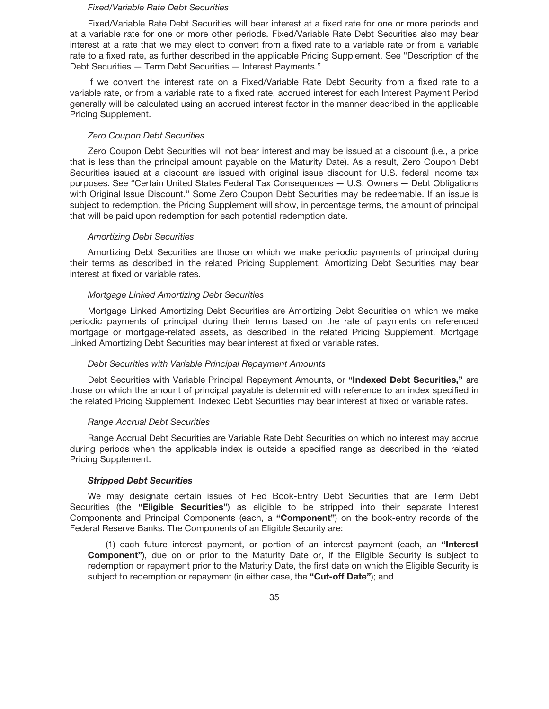### *Fixed/Variable Rate Debt Securities*

Fixed/Variable Rate Debt Securities will bear interest at a fixed rate for one or more periods and at a variable rate for one or more other periods. Fixed/Variable Rate Debt Securities also may bear interest at a rate that we may elect to convert from a fixed rate to a variable rate or from a variable rate to a fixed rate, as further described in the applicable Pricing Supplement. See "Description of the Debt Securities — Term Debt Securities — Interest Payments."

If we convert the interest rate on a Fixed/Variable Rate Debt Security from a fixed rate to a variable rate, or from a variable rate to a fixed rate, accrued interest for each Interest Payment Period generally will be calculated using an accrued interest factor in the manner described in the applicable Pricing Supplement.

# *Zero Coupon Debt Securities*

Zero Coupon Debt Securities will not bear interest and may be issued at a discount (i.e., a price that is less than the principal amount payable on the Maturity Date). As a result, Zero Coupon Debt Securities issued at a discount are issued with original issue discount for U.S. federal income tax purposes. See "Certain United States Federal Tax Consequences — U.S. Owners — Debt Obligations with Original Issue Discount." Some Zero Coupon Debt Securities may be redeemable. If an issue is subject to redemption, the Pricing Supplement will show, in percentage terms, the amount of principal that will be paid upon redemption for each potential redemption date.

# *Amortizing Debt Securities*

Amortizing Debt Securities are those on which we make periodic payments of principal during their terms as described in the related Pricing Supplement. Amortizing Debt Securities may bear interest at fixed or variable rates.

# *Mortgage Linked Amortizing Debt Securities*

Mortgage Linked Amortizing Debt Securities are Amortizing Debt Securities on which we make periodic payments of principal during their terms based on the rate of payments on referenced mortgage or mortgage-related assets, as described in the related Pricing Supplement. Mortgage Linked Amortizing Debt Securities may bear interest at fixed or variable rates.

### *Debt Securities with Variable Principal Repayment Amounts*

Debt Securities with Variable Principal Repayment Amounts, or **"Indexed Debt Securities,"** are those on which the amount of principal payable is determined with reference to an index specified in the related Pricing Supplement. Indexed Debt Securities may bear interest at fixed or variable rates.

#### *Range Accrual Debt Securities*

Range Accrual Debt Securities are Variable Rate Debt Securities on which no interest may accrue during periods when the applicable index is outside a specified range as described in the related Pricing Supplement.

### *Stripped Debt Securities*

We may designate certain issues of Fed Book-Entry Debt Securities that are Term Debt Securities (the **"Eligible Securities"**) as eligible to be stripped into their separate Interest Components and Principal Components (each, a **"Component"**) on the book-entry records of the Federal Reserve Banks. The Components of an Eligible Security are:

(1) each future interest payment, or portion of an interest payment (each, an **"Interest Component"**), due on or prior to the Maturity Date or, if the Eligible Security is subject to redemption or repayment prior to the Maturity Date, the first date on which the Eligible Security is subject to redemption or repayment (in either case, the **"Cut-off Date"**); and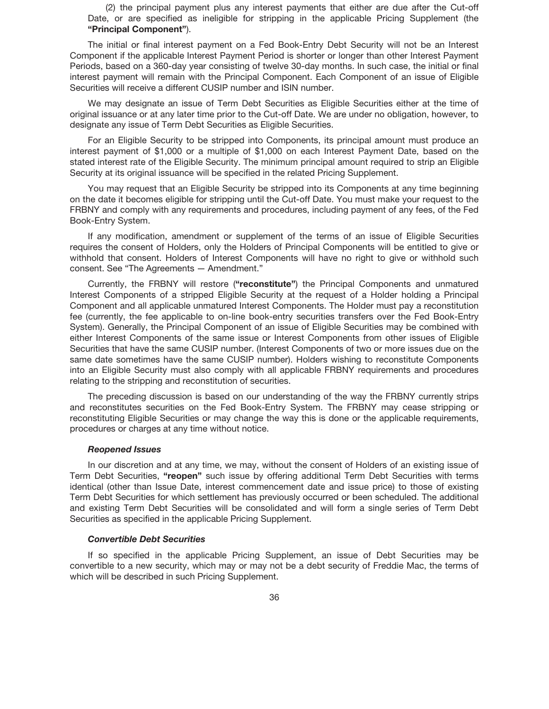(2) the principal payment plus any interest payments that either are due after the Cut-off Date, or are specified as ineligible for stripping in the applicable Pricing Supplement (the **"Principal Component"**).

The initial or final interest payment on a Fed Book-Entry Debt Security will not be an Interest Component if the applicable Interest Payment Period is shorter or longer than other Interest Payment Periods, based on a 360-day year consisting of twelve 30-day months. In such case, the initial or final interest payment will remain with the Principal Component. Each Component of an issue of Eligible Securities will receive a different CUSIP number and ISIN number.

We may designate an issue of Term Debt Securities as Eligible Securities either at the time of original issuance or at any later time prior to the Cut-off Date. We are under no obligation, however, to designate any issue of Term Debt Securities as Eligible Securities.

For an Eligible Security to be stripped into Components, its principal amount must produce an interest payment of \$1,000 or a multiple of \$1,000 on each Interest Payment Date, based on the stated interest rate of the Eligible Security. The minimum principal amount required to strip an Eligible Security at its original issuance will be specified in the related Pricing Supplement.

You may request that an Eligible Security be stripped into its Components at any time beginning on the date it becomes eligible for stripping until the Cut-off Date. You must make your request to the FRBNY and comply with any requirements and procedures, including payment of any fees, of the Fed Book-Entry System.

If any modification, amendment or supplement of the terms of an issue of Eligible Securities requires the consent of Holders, only the Holders of Principal Components will be entitled to give or withhold that consent. Holders of Interest Components will have no right to give or withhold such consent. See "The Agreements — Amendment."

Currently, the FRBNY will restore (**"reconstitute"**) the Principal Components and unmatured Interest Components of a stripped Eligible Security at the request of a Holder holding a Principal Component and all applicable unmatured Interest Components. The Holder must pay a reconstitution fee (currently, the fee applicable to on-line book-entry securities transfers over the Fed Book-Entry System). Generally, the Principal Component of an issue of Eligible Securities may be combined with either Interest Components of the same issue or Interest Components from other issues of Eligible Securities that have the same CUSIP number. (Interest Components of two or more issues due on the same date sometimes have the same CUSIP number). Holders wishing to reconstitute Components into an Eligible Security must also comply with all applicable FRBNY requirements and procedures relating to the stripping and reconstitution of securities.

The preceding discussion is based on our understanding of the way the FRBNY currently strips and reconstitutes securities on the Fed Book-Entry System. The FRBNY may cease stripping or reconstituting Eligible Securities or may change the way this is done or the applicable requirements, procedures or charges at any time without notice.

### *Reopened Issues*

In our discretion and at any time, we may, without the consent of Holders of an existing issue of Term Debt Securities, **"reopen"** such issue by offering additional Term Debt Securities with terms identical (other than Issue Date, interest commencement date and issue price) to those of existing Term Debt Securities for which settlement has previously occurred or been scheduled. The additional and existing Term Debt Securities will be consolidated and will form a single series of Term Debt Securities as specified in the applicable Pricing Supplement.

### *Convertible Debt Securities*

If so specified in the applicable Pricing Supplement, an issue of Debt Securities may be convertible to a new security, which may or may not be a debt security of Freddie Mac, the terms of which will be described in such Pricing Supplement.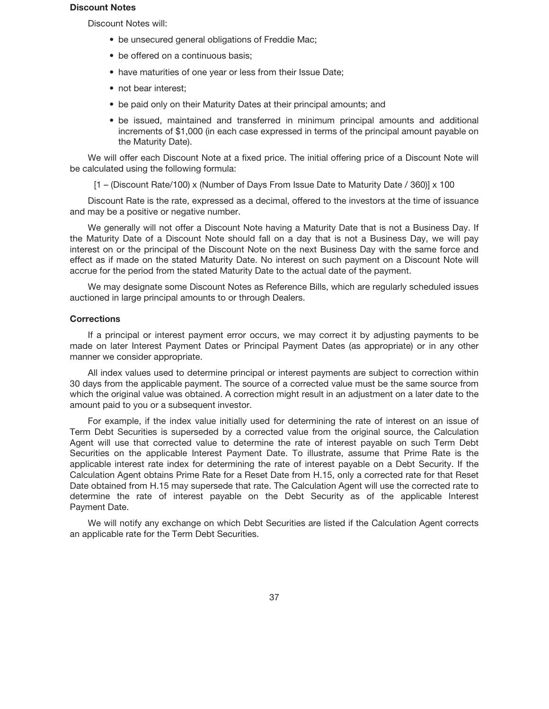#### **Discount Notes**

Discount Notes will:

- be unsecured general obligations of Freddie Mac;
- be offered on a continuous basis;
- have maturities of one year or less from their Issue Date;
- not bear interest;
- be paid only on their Maturity Dates at their principal amounts; and
- be issued, maintained and transferred in minimum principal amounts and additional increments of \$1,000 (in each case expressed in terms of the principal amount payable on the Maturity Date).

We will offer each Discount Note at a fixed price. The initial offering price of a Discount Note will be calculated using the following formula:

 $[1 - (Discount Rate/100) \times (Number of Days From Issue Date to Maturity Date / 360)] \times 100$ 

Discount Rate is the rate, expressed as a decimal, offered to the investors at the time of issuance and may be a positive or negative number.

We generally will not offer a Discount Note having a Maturity Date that is not a Business Day. If the Maturity Date of a Discount Note should fall on a day that is not a Business Day, we will pay interest on or the principal of the Discount Note on the next Business Day with the same force and effect as if made on the stated Maturity Date. No interest on such payment on a Discount Note will accrue for the period from the stated Maturity Date to the actual date of the payment.

We may designate some Discount Notes as Reference Bills, which are regularly scheduled issues auctioned in large principal amounts to or through Dealers.

## **Corrections**

If a principal or interest payment error occurs, we may correct it by adjusting payments to be made on later Interest Payment Dates or Principal Payment Dates (as appropriate) or in any other manner we consider appropriate.

All index values used to determine principal or interest payments are subject to correction within 30 days from the applicable payment. The source of a corrected value must be the same source from which the original value was obtained. A correction might result in an adjustment on a later date to the amount paid to you or a subsequent investor.

For example, if the index value initially used for determining the rate of interest on an issue of Term Debt Securities is superseded by a corrected value from the original source, the Calculation Agent will use that corrected value to determine the rate of interest payable on such Term Debt Securities on the applicable Interest Payment Date. To illustrate, assume that Prime Rate is the applicable interest rate index for determining the rate of interest payable on a Debt Security. If the Calculation Agent obtains Prime Rate for a Reset Date from H.15, only a corrected rate for that Reset Date obtained from H.15 may supersede that rate. The Calculation Agent will use the corrected rate to determine the rate of interest payable on the Debt Security as of the applicable Interest Payment Date.

We will notify any exchange on which Debt Securities are listed if the Calculation Agent corrects an applicable rate for the Term Debt Securities.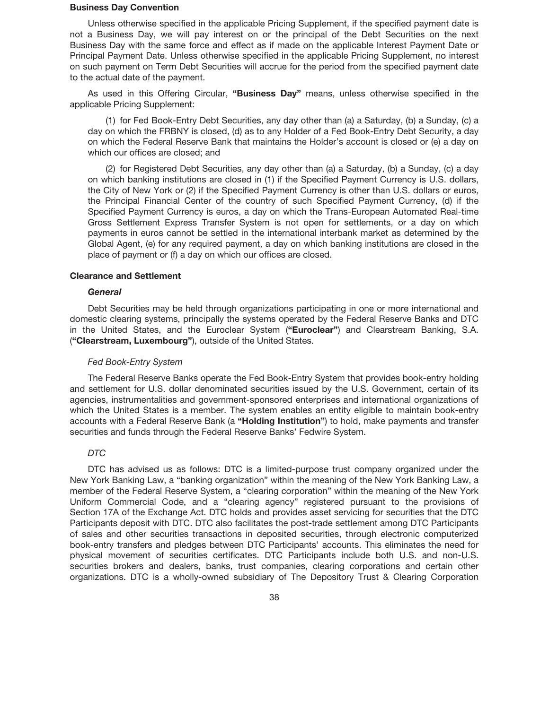### **Business Day Convention**

Unless otherwise specified in the applicable Pricing Supplement, if the specified payment date is not a Business Day, we will pay interest on or the principal of the Debt Securities on the next Business Day with the same force and effect as if made on the applicable Interest Payment Date or Principal Payment Date. Unless otherwise specified in the applicable Pricing Supplement, no interest on such payment on Term Debt Securities will accrue for the period from the specified payment date to the actual date of the payment.

As used in this Offering Circular, **"Business Day"** means, unless otherwise specified in the applicable Pricing Supplement:

(1) for Fed Book-Entry Debt Securities, any day other than (a) a Saturday, (b) a Sunday, (c) a day on which the FRBNY is closed, (d) as to any Holder of a Fed Book-Entry Debt Security, a day on which the Federal Reserve Bank that maintains the Holder's account is closed or (e) a day on which our offices are closed; and

(2) for Registered Debt Securities, any day other than (a) a Saturday, (b) a Sunday, (c) a day on which banking institutions are closed in (1) if the Specified Payment Currency is U.S. dollars, the City of New York or (2) if the Specified Payment Currency is other than U.S. dollars or euros, the Principal Financial Center of the country of such Specified Payment Currency, (d) if the Specified Payment Currency is euros, a day on which the Trans-European Automated Real-time Gross Settlement Express Transfer System is not open for settlements, or a day on which payments in euros cannot be settled in the international interbank market as determined by the Global Agent, (e) for any required payment, a day on which banking institutions are closed in the place of payment or (f) a day on which our offices are closed.

## **Clearance and Settlement**

## *General*

Debt Securities may be held through organizations participating in one or more international and domestic clearing systems, principally the systems operated by the Federal Reserve Banks and DTC in the United States, and the Euroclear System (**"Euroclear"**) and Clearstream Banking, S.A. (**"Clearstream, Luxembourg"**), outside of the United States.

## *Fed Book-Entry System*

The Federal Reserve Banks operate the Fed Book-Entry System that provides book-entry holding and settlement for U.S. dollar denominated securities issued by the U.S. Government, certain of its agencies, instrumentalities and government-sponsored enterprises and international organizations of which the United States is a member. The system enables an entity eligible to maintain book-entry accounts with a Federal Reserve Bank (a **"Holding Institution"**) to hold, make payments and transfer securities and funds through the Federal Reserve Banks' Fedwire System.

## *DTC*

DTC has advised us as follows: DTC is a limited-purpose trust company organized under the New York Banking Law, a "banking organization" within the meaning of the New York Banking Law, a member of the Federal Reserve System, a "clearing corporation" within the meaning of the New York Uniform Commercial Code, and a "clearing agency" registered pursuant to the provisions of Section 17A of the Exchange Act. DTC holds and provides asset servicing for securities that the DTC Participants deposit with DTC. DTC also facilitates the post-trade settlement among DTC Participants of sales and other securities transactions in deposited securities, through electronic computerized book-entry transfers and pledges between DTC Participants' accounts. This eliminates the need for physical movement of securities certificates. DTC Participants include both U.S. and non-U.S. securities brokers and dealers, banks, trust companies, clearing corporations and certain other organizations. DTC is a wholly-owned subsidiary of The Depository Trust & Clearing Corporation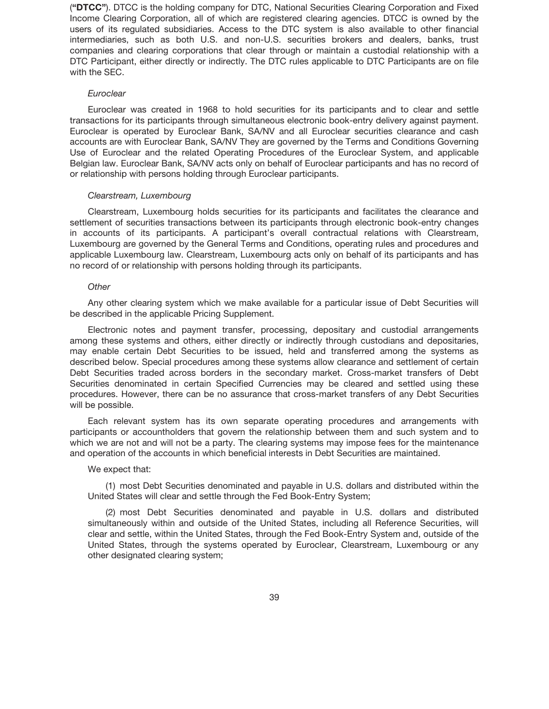(**"DTCC"**). DTCC is the holding company for DTC, National Securities Clearing Corporation and Fixed Income Clearing Corporation, all of which are registered clearing agencies. DTCC is owned by the users of its regulated subsidiaries. Access to the DTC system is also available to other financial intermediaries, such as both U.S. and non-U.S. securities brokers and dealers, banks, trust companies and clearing corporations that clear through or maintain a custodial relationship with a DTC Participant, either directly or indirectly. The DTC rules applicable to DTC Participants are on file with the SEC.

## *Euroclear*

Euroclear was created in 1968 to hold securities for its participants and to clear and settle transactions for its participants through simultaneous electronic book-entry delivery against payment. Euroclear is operated by Euroclear Bank, SA/NV and all Euroclear securities clearance and cash accounts are with Euroclear Bank, SA/NV They are governed by the Terms and Conditions Governing Use of Euroclear and the related Operating Procedures of the Euroclear System, and applicable Belgian law. Euroclear Bank, SA/NV acts only on behalf of Euroclear participants and has no record of or relationship with persons holding through Euroclear participants.

## *Clearstream, Luxembourg*

Clearstream, Luxembourg holds securities for its participants and facilitates the clearance and settlement of securities transactions between its participants through electronic book-entry changes in accounts of its participants. A participant's overall contractual relations with Clearstream, Luxembourg are governed by the General Terms and Conditions, operating rules and procedures and applicable Luxembourg law. Clearstream, Luxembourg acts only on behalf of its participants and has no record of or relationship with persons holding through its participants.

## *Other*

Any other clearing system which we make available for a particular issue of Debt Securities will be described in the applicable Pricing Supplement.

Electronic notes and payment transfer, processing, depositary and custodial arrangements among these systems and others, either directly or indirectly through custodians and depositaries, may enable certain Debt Securities to be issued, held and transferred among the systems as described below. Special procedures among these systems allow clearance and settlement of certain Debt Securities traded across borders in the secondary market. Cross-market transfers of Debt Securities denominated in certain Specified Currencies may be cleared and settled using these procedures. However, there can be no assurance that cross-market transfers of any Debt Securities will be possible.

Each relevant system has its own separate operating procedures and arrangements with participants or accountholders that govern the relationship between them and such system and to which we are not and will not be a party. The clearing systems may impose fees for the maintenance and operation of the accounts in which beneficial interests in Debt Securities are maintained.

#### We expect that:

(1) most Debt Securities denominated and payable in U.S. dollars and distributed within the United States will clear and settle through the Fed Book-Entry System;

(2) most Debt Securities denominated and payable in U.S. dollars and distributed simultaneously within and outside of the United States, including all Reference Securities, will clear and settle, within the United States, through the Fed Book-Entry System and, outside of the United States, through the systems operated by Euroclear, Clearstream, Luxembourg or any other designated clearing system;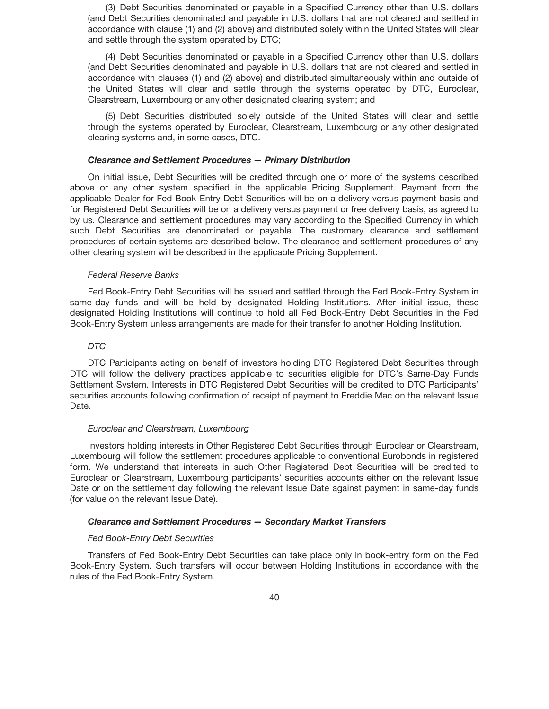(3) Debt Securities denominated or payable in a Specified Currency other than U.S. dollars (and Debt Securities denominated and payable in U.S. dollars that are not cleared and settled in accordance with clause (1) and (2) above) and distributed solely within the United States will clear and settle through the system operated by DTC;

(4) Debt Securities denominated or payable in a Specified Currency other than U.S. dollars (and Debt Securities denominated and payable in U.S. dollars that are not cleared and settled in accordance with clauses (1) and (2) above) and distributed simultaneously within and outside of the United States will clear and settle through the systems operated by DTC, Euroclear, Clearstream, Luxembourg or any other designated clearing system; and

(5) Debt Securities distributed solely outside of the United States will clear and settle through the systems operated by Euroclear, Clearstream, Luxembourg or any other designated clearing systems and, in some cases, DTC.

#### *Clearance and Settlement Procedures — Primary Distribution*

On initial issue, Debt Securities will be credited through one or more of the systems described above or any other system specified in the applicable Pricing Supplement. Payment from the applicable Dealer for Fed Book-Entry Debt Securities will be on a delivery versus payment basis and for Registered Debt Securities will be on a delivery versus payment or free delivery basis, as agreed to by us. Clearance and settlement procedures may vary according to the Specified Currency in which such Debt Securities are denominated or payable. The customary clearance and settlement procedures of certain systems are described below. The clearance and settlement procedures of any other clearing system will be described in the applicable Pricing Supplement.

## *Federal Reserve Banks*

Fed Book-Entry Debt Securities will be issued and settled through the Fed Book-Entry System in same-day funds and will be held by designated Holding Institutions. After initial issue, these designated Holding Institutions will continue to hold all Fed Book-Entry Debt Securities in the Fed Book-Entry System unless arrangements are made for their transfer to another Holding Institution.

## *DTC*

DTC Participants acting on behalf of investors holding DTC Registered Debt Securities through DTC will follow the delivery practices applicable to securities eligible for DTC's Same-Day Funds Settlement System. Interests in DTC Registered Debt Securities will be credited to DTC Participants' securities accounts following confirmation of receipt of payment to Freddie Mac on the relevant Issue Date.

## *Euroclear and Clearstream, Luxembourg*

Investors holding interests in Other Registered Debt Securities through Euroclear or Clearstream, Luxembourg will follow the settlement procedures applicable to conventional Eurobonds in registered form. We understand that interests in such Other Registered Debt Securities will be credited to Euroclear or Clearstream, Luxembourg participants' securities accounts either on the relevant Issue Date or on the settlement day following the relevant Issue Date against payment in same-day funds (for value on the relevant Issue Date).

## *Clearance and Settlement Procedures — Secondary Market Transfers*

## *Fed Book-Entry Debt Securities*

Transfers of Fed Book-Entry Debt Securities can take place only in book-entry form on the Fed Book-Entry System. Such transfers will occur between Holding Institutions in accordance with the rules of the Fed Book-Entry System.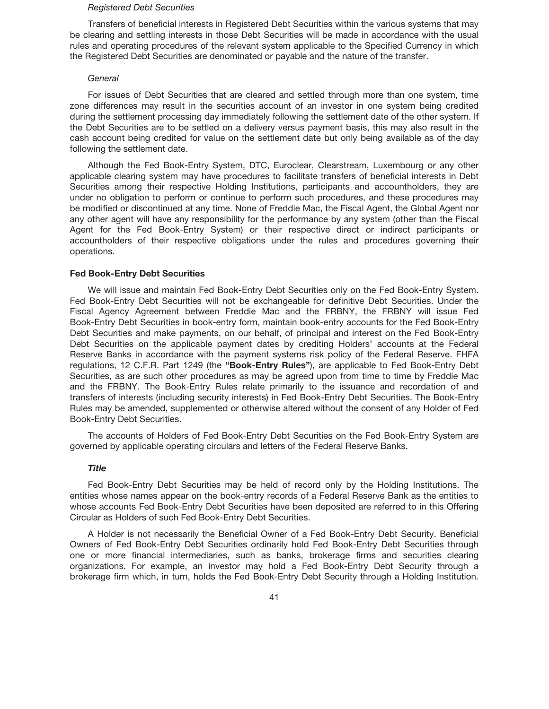#### *Registered Debt Securities*

Transfers of beneficial interests in Registered Debt Securities within the various systems that may be clearing and settling interests in those Debt Securities will be made in accordance with the usual rules and operating procedures of the relevant system applicable to the Specified Currency in which the Registered Debt Securities are denominated or payable and the nature of the transfer.

#### *General*

For issues of Debt Securities that are cleared and settled through more than one system, time zone differences may result in the securities account of an investor in one system being credited during the settlement processing day immediately following the settlement date of the other system. If the Debt Securities are to be settled on a delivery versus payment basis, this may also result in the cash account being credited for value on the settlement date but only being available as of the day following the settlement date.

Although the Fed Book-Entry System, DTC, Euroclear, Clearstream, Luxembourg or any other applicable clearing system may have procedures to facilitate transfers of beneficial interests in Debt Securities among their respective Holding Institutions, participants and accountholders, they are under no obligation to perform or continue to perform such procedures, and these procedures may be modified or discontinued at any time. None of Freddie Mac, the Fiscal Agent, the Global Agent nor any other agent will have any responsibility for the performance by any system (other than the Fiscal Agent for the Fed Book-Entry System) or their respective direct or indirect participants or accountholders of their respective obligations under the rules and procedures governing their operations.

## **Fed Book-Entry Debt Securities**

We will issue and maintain Fed Book-Entry Debt Securities only on the Fed Book-Entry System. Fed Book-Entry Debt Securities will not be exchangeable for definitive Debt Securities. Under the Fiscal Agency Agreement between Freddie Mac and the FRBNY, the FRBNY will issue Fed Book-Entry Debt Securities in book-entry form, maintain book-entry accounts for the Fed Book-Entry Debt Securities and make payments, on our behalf, of principal and interest on the Fed Book-Entry Debt Securities on the applicable payment dates by crediting Holders' accounts at the Federal Reserve Banks in accordance with the payment systems risk policy of the Federal Reserve. FHFA regulations, 12 C.F.R. Part 1249 (the **"Book-Entry Rules"**), are applicable to Fed Book-Entry Debt Securities, as are such other procedures as may be agreed upon from time to time by Freddie Mac and the FRBNY. The Book-Entry Rules relate primarily to the issuance and recordation of and transfers of interests (including security interests) in Fed Book-Entry Debt Securities. The Book-Entry Rules may be amended, supplemented or otherwise altered without the consent of any Holder of Fed Book-Entry Debt Securities.

The accounts of Holders of Fed Book-Entry Debt Securities on the Fed Book-Entry System are governed by applicable operating circulars and letters of the Federal Reserve Banks.

## *Title*

Fed Book-Entry Debt Securities may be held of record only by the Holding Institutions. The entities whose names appear on the book-entry records of a Federal Reserve Bank as the entities to whose accounts Fed Book-Entry Debt Securities have been deposited are referred to in this Offering Circular as Holders of such Fed Book-Entry Debt Securities.

A Holder is not necessarily the Beneficial Owner of a Fed Book-Entry Debt Security. Beneficial Owners of Fed Book-Entry Debt Securities ordinarily hold Fed Book-Entry Debt Securities through one or more financial intermediaries, such as banks, brokerage firms and securities clearing organizations. For example, an investor may hold a Fed Book-Entry Debt Security through a brokerage firm which, in turn, holds the Fed Book-Entry Debt Security through a Holding Institution.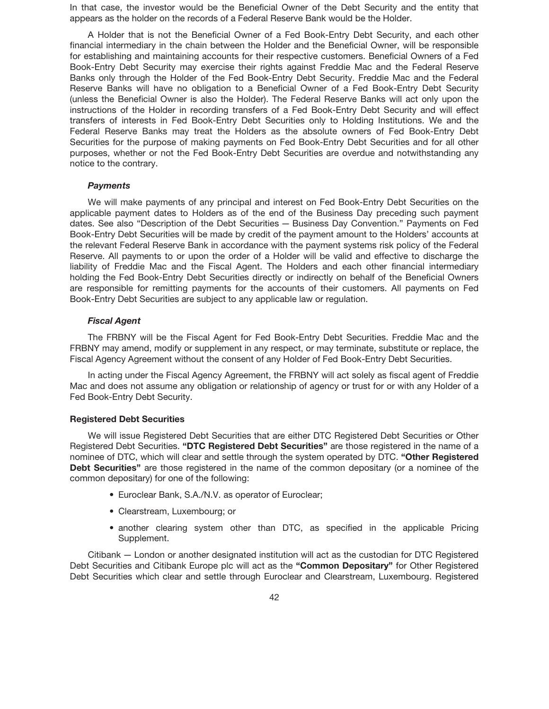In that case, the investor would be the Beneficial Owner of the Debt Security and the entity that appears as the holder on the records of a Federal Reserve Bank would be the Holder.

A Holder that is not the Beneficial Owner of a Fed Book-Entry Debt Security, and each other financial intermediary in the chain between the Holder and the Beneficial Owner, will be responsible for establishing and maintaining accounts for their respective customers. Beneficial Owners of a Fed Book-Entry Debt Security may exercise their rights against Freddie Mac and the Federal Reserve Banks only through the Holder of the Fed Book-Entry Debt Security. Freddie Mac and the Federal Reserve Banks will have no obligation to a Beneficial Owner of a Fed Book-Entry Debt Security (unless the Beneficial Owner is also the Holder). The Federal Reserve Banks will act only upon the instructions of the Holder in recording transfers of a Fed Book-Entry Debt Security and will effect transfers of interests in Fed Book-Entry Debt Securities only to Holding Institutions. We and the Federal Reserve Banks may treat the Holders as the absolute owners of Fed Book-Entry Debt Securities for the purpose of making payments on Fed Book-Entry Debt Securities and for all other purposes, whether or not the Fed Book-Entry Debt Securities are overdue and notwithstanding any notice to the contrary.

### *Payments*

We will make payments of any principal and interest on Fed Book-Entry Debt Securities on the applicable payment dates to Holders as of the end of the Business Day preceding such payment dates. See also "Description of the Debt Securities — Business Day Convention." Payments on Fed Book-Entry Debt Securities will be made by credit of the payment amount to the Holders' accounts at the relevant Federal Reserve Bank in accordance with the payment systems risk policy of the Federal Reserve. All payments to or upon the order of a Holder will be valid and effective to discharge the liability of Freddie Mac and the Fiscal Agent. The Holders and each other financial intermediary holding the Fed Book-Entry Debt Securities directly or indirectly on behalf of the Beneficial Owners are responsible for remitting payments for the accounts of their customers. All payments on Fed Book-Entry Debt Securities are subject to any applicable law or regulation.

## *Fiscal Agent*

The FRBNY will be the Fiscal Agent for Fed Book-Entry Debt Securities. Freddie Mac and the FRBNY may amend, modify or supplement in any respect, or may terminate, substitute or replace, the Fiscal Agency Agreement without the consent of any Holder of Fed Book-Entry Debt Securities.

In acting under the Fiscal Agency Agreement, the FRBNY will act solely as fiscal agent of Freddie Mac and does not assume any obligation or relationship of agency or trust for or with any Holder of a Fed Book-Entry Debt Security.

#### **Registered Debt Securities**

We will issue Registered Debt Securities that are either DTC Registered Debt Securities or Other Registered Debt Securities. **"DTC Registered Debt Securities"** are those registered in the name of a nominee of DTC, which will clear and settle through the system operated by DTC. **"Other Registered Debt Securities"** are those registered in the name of the common depositary (or a nominee of the common depositary) for one of the following:

- Euroclear Bank, S.A./N.V. as operator of Euroclear;
- Clearstream, Luxembourg; or
- another clearing system other than DTC, as specified in the applicable Pricing Supplement.

Citibank — London or another designated institution will act as the custodian for DTC Registered Debt Securities and Citibank Europe plc will act as the **"Common Depositary"** for Other Registered Debt Securities which clear and settle through Euroclear and Clearstream, Luxembourg. Registered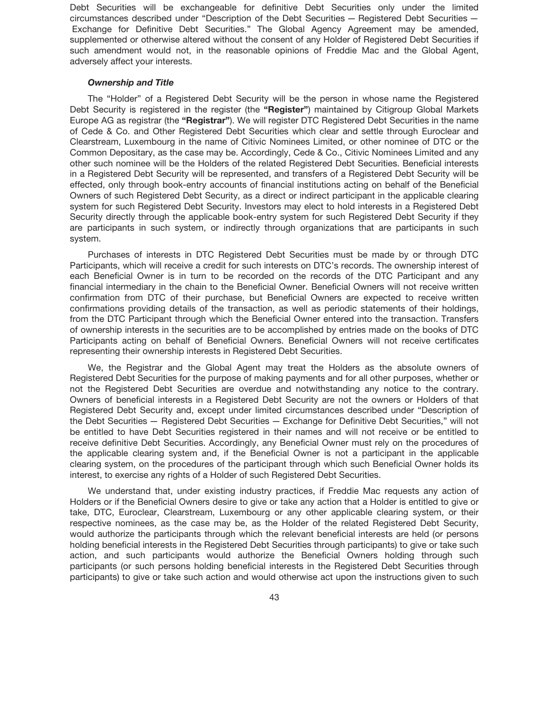Debt Securities will be exchangeable for definitive Debt Securities only under the limited circumstances described under "Description of the Debt Securities — Registered Debt Securities — Exchange for Definitive Debt Securities." The Global Agency Agreement may be amended, supplemented or otherwise altered without the consent of any Holder of Registered Debt Securities if such amendment would not, in the reasonable opinions of Freddie Mac and the Global Agent, adversely affect your interests.

## *Ownership and Title*

The "Holder" of a Registered Debt Security will be the person in whose name the Registered Debt Security is registered in the register (the **"Register"**) maintained by Citigroup Global Markets Europe AG as registrar (the **"Registrar"**). We will register DTC Registered Debt Securities in the name of Cede & Co. and Other Registered Debt Securities which clear and settle through Euroclear and Clearstream, Luxembourg in the name of Citivic Nominees Limited, or other nominee of DTC or the Common Depositary, as the case may be. Accordingly, Cede & Co., Citivic Nominees Limited and any other such nominee will be the Holders of the related Registered Debt Securities. Beneficial interests in a Registered Debt Security will be represented, and transfers of a Registered Debt Security will be effected, only through book-entry accounts of financial institutions acting on behalf of the Beneficial Owners of such Registered Debt Security, as a direct or indirect participant in the applicable clearing system for such Registered Debt Security. Investors may elect to hold interests in a Registered Debt Security directly through the applicable book-entry system for such Registered Debt Security if they are participants in such system, or indirectly through organizations that are participants in such system.

Purchases of interests in DTC Registered Debt Securities must be made by or through DTC Participants, which will receive a credit for such interests on DTC's records. The ownership interest of each Beneficial Owner is in turn to be recorded on the records of the DTC Participant and any financial intermediary in the chain to the Beneficial Owner. Beneficial Owners will not receive written confirmation from DTC of their purchase, but Beneficial Owners are expected to receive written confirmations providing details of the transaction, as well as periodic statements of their holdings, from the DTC Participant through which the Beneficial Owner entered into the transaction. Transfers of ownership interests in the securities are to be accomplished by entries made on the books of DTC Participants acting on behalf of Beneficial Owners. Beneficial Owners will not receive certificates representing their ownership interests in Registered Debt Securities.

We, the Registrar and the Global Agent may treat the Holders as the absolute owners of Registered Debt Securities for the purpose of making payments and for all other purposes, whether or not the Registered Debt Securities are overdue and notwithstanding any notice to the contrary. Owners of beneficial interests in a Registered Debt Security are not the owners or Holders of that Registered Debt Security and, except under limited circumstances described under "Description of the Debt Securities — Registered Debt Securities — Exchange for Definitive Debt Securities," will not be entitled to have Debt Securities registered in their names and will not receive or be entitled to receive definitive Debt Securities. Accordingly, any Beneficial Owner must rely on the procedures of the applicable clearing system and, if the Beneficial Owner is not a participant in the applicable clearing system, on the procedures of the participant through which such Beneficial Owner holds its interest, to exercise any rights of a Holder of such Registered Debt Securities.

We understand that, under existing industry practices, if Freddie Mac requests any action of Holders or if the Beneficial Owners desire to give or take any action that a Holder is entitled to give or take, DTC, Euroclear, Clearstream, Luxembourg or any other applicable clearing system, or their respective nominees, as the case may be, as the Holder of the related Registered Debt Security, would authorize the participants through which the relevant beneficial interests are held (or persons holding beneficial interests in the Registered Debt Securities through participants) to give or take such action, and such participants would authorize the Beneficial Owners holding through such participants (or such persons holding beneficial interests in the Registered Debt Securities through participants) to give or take such action and would otherwise act upon the instructions given to such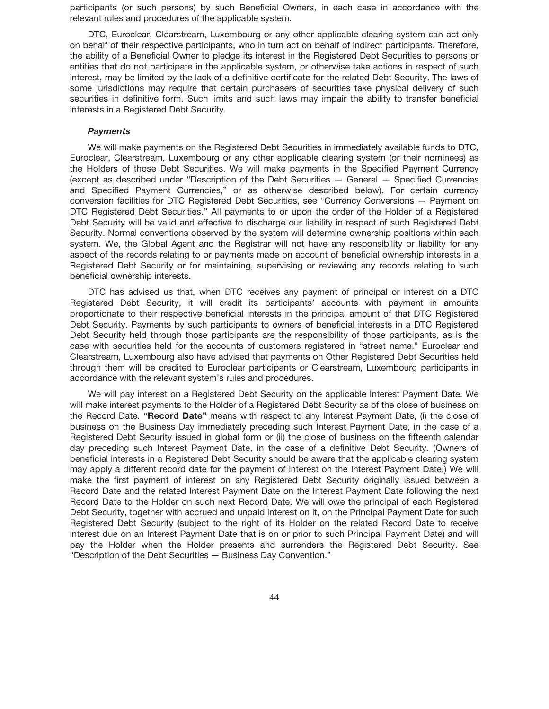participants (or such persons) by such Beneficial Owners, in each case in accordance with the relevant rules and procedures of the applicable system.

DTC, Euroclear, Clearstream, Luxembourg or any other applicable clearing system can act only on behalf of their respective participants, who in turn act on behalf of indirect participants. Therefore, the ability of a Beneficial Owner to pledge its interest in the Registered Debt Securities to persons or entities that do not participate in the applicable system, or otherwise take actions in respect of such interest, may be limited by the lack of a definitive certificate for the related Debt Security. The laws of some jurisdictions may require that certain purchasers of securities take physical delivery of such securities in definitive form. Such limits and such laws may impair the ability to transfer beneficial interests in a Registered Debt Security.

## *Payments*

We will make payments on the Registered Debt Securities in immediately available funds to DTC, Euroclear, Clearstream, Luxembourg or any other applicable clearing system (or their nominees) as the Holders of those Debt Securities. We will make payments in the Specified Payment Currency (except as described under "Description of the Debt Securities — General — Specified Currencies and Specified Payment Currencies," or as otherwise described below). For certain currency conversion facilities for DTC Registered Debt Securities, see "Currency Conversions — Payment on DTC Registered Debt Securities." All payments to or upon the order of the Holder of a Registered Debt Security will be valid and effective to discharge our liability in respect of such Registered Debt Security. Normal conventions observed by the system will determine ownership positions within each system. We, the Global Agent and the Registrar will not have any responsibility or liability for any aspect of the records relating to or payments made on account of beneficial ownership interests in a Registered Debt Security or for maintaining, supervising or reviewing any records relating to such beneficial ownership interests.

DTC has advised us that, when DTC receives any payment of principal or interest on a DTC Registered Debt Security, it will credit its participants' accounts with payment in amounts proportionate to their respective beneficial interests in the principal amount of that DTC Registered Debt Security. Payments by such participants to owners of beneficial interests in a DTC Registered Debt Security held through those participants are the responsibility of those participants, as is the case with securities held for the accounts of customers registered in "street name." Euroclear and Clearstream, Luxembourg also have advised that payments on Other Registered Debt Securities held through them will be credited to Euroclear participants or Clearstream, Luxembourg participants in accordance with the relevant system's rules and procedures.

We will pay interest on a Registered Debt Security on the applicable Interest Payment Date. We will make interest payments to the Holder of a Registered Debt Security as of the close of business on the Record Date. **"Record Date"** means with respect to any Interest Payment Date, (i) the close of business on the Business Day immediately preceding such Interest Payment Date, in the case of a Registered Debt Security issued in global form or (ii) the close of business on the fifteenth calendar day preceding such Interest Payment Date, in the case of a definitive Debt Security. (Owners of beneficial interests in a Registered Debt Security should be aware that the applicable clearing system may apply a different record date for the payment of interest on the Interest Payment Date.) We will make the first payment of interest on any Registered Debt Security originally issued between a Record Date and the related Interest Payment Date on the Interest Payment Date following the next Record Date to the Holder on such next Record Date. We will owe the principal of each Registered Debt Security, together with accrued and unpaid interest on it, on the Principal Payment Date for such Registered Debt Security (subject to the right of its Holder on the related Record Date to receive interest due on an Interest Payment Date that is on or prior to such Principal Payment Date) and will pay the Holder when the Holder presents and surrenders the Registered Debt Security. See "Description of the Debt Securities — Business Day Convention."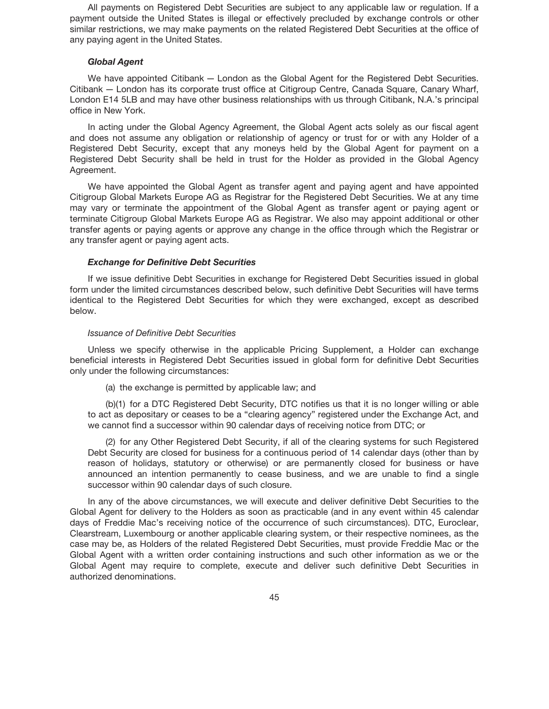All payments on Registered Debt Securities are subject to any applicable law or regulation. If a payment outside the United States is illegal or effectively precluded by exchange controls or other similar restrictions, we may make payments on the related Registered Debt Securities at the office of any paying agent in the United States.

## *Global Agent*

We have appointed Citibank — London as the Global Agent for the Registered Debt Securities. Citibank — London has its corporate trust office at Citigroup Centre, Canada Square, Canary Wharf, London E14 5LB and may have other business relationships with us through Citibank, N.A.'s principal office in New York.

In acting under the Global Agency Agreement, the Global Agent acts solely as our fiscal agent and does not assume any obligation or relationship of agency or trust for or with any Holder of a Registered Debt Security, except that any moneys held by the Global Agent for payment on a Registered Debt Security shall be held in trust for the Holder as provided in the Global Agency Agreement.

We have appointed the Global Agent as transfer agent and paying agent and have appointed Citigroup Global Markets Europe AG as Registrar for the Registered Debt Securities. We at any time may vary or terminate the appointment of the Global Agent as transfer agent or paying agent or terminate Citigroup Global Markets Europe AG as Registrar. We also may appoint additional or other transfer agents or paying agents or approve any change in the office through which the Registrar or any transfer agent or paying agent acts.

## *Exchange for Definitive Debt Securities*

If we issue definitive Debt Securities in exchange for Registered Debt Securities issued in global form under the limited circumstances described below, such definitive Debt Securities will have terms identical to the Registered Debt Securities for which they were exchanged, except as described below.

#### *Issuance of Definitive Debt Securities*

Unless we specify otherwise in the applicable Pricing Supplement, a Holder can exchange beneficial interests in Registered Debt Securities issued in global form for definitive Debt Securities only under the following circumstances:

(a) the exchange is permitted by applicable law; and

(b)(1) for a DTC Registered Debt Security, DTC notifies us that it is no longer willing or able to act as depositary or ceases to be a "clearing agency" registered under the Exchange Act, and we cannot find a successor within 90 calendar days of receiving notice from DTC; or

(2) for any Other Registered Debt Security, if all of the clearing systems for such Registered Debt Security are closed for business for a continuous period of 14 calendar days (other than by reason of holidays, statutory or otherwise) or are permanently closed for business or have announced an intention permanently to cease business, and we are unable to find a single successor within 90 calendar days of such closure.

In any of the above circumstances, we will execute and deliver definitive Debt Securities to the Global Agent for delivery to the Holders as soon as practicable (and in any event within 45 calendar days of Freddie Mac's receiving notice of the occurrence of such circumstances). DTC, Euroclear, Clearstream, Luxembourg or another applicable clearing system, or their respective nominees, as the case may be, as Holders of the related Registered Debt Securities, must provide Freddie Mac or the Global Agent with a written order containing instructions and such other information as we or the Global Agent may require to complete, execute and deliver such definitive Debt Securities in authorized denominations.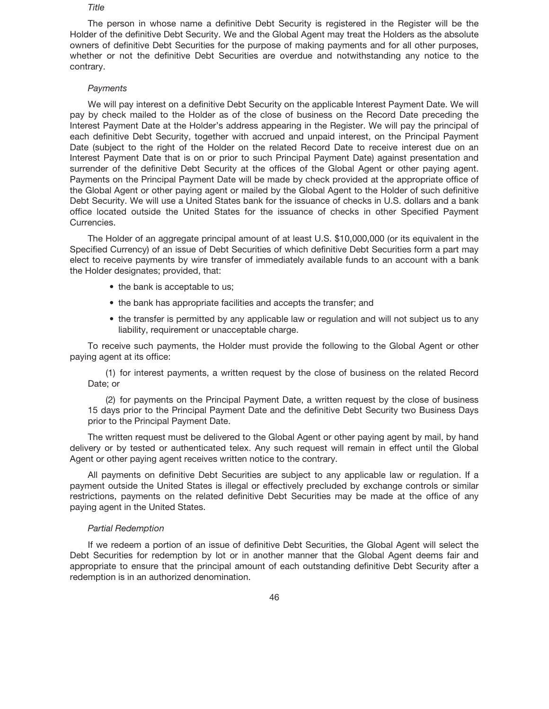#### *Title*

The person in whose name a definitive Debt Security is registered in the Register will be the Holder of the definitive Debt Security. We and the Global Agent may treat the Holders as the absolute owners of definitive Debt Securities for the purpose of making payments and for all other purposes, whether or not the definitive Debt Securities are overdue and notwithstanding any notice to the contrary.

## *Payments*

We will pay interest on a definitive Debt Security on the applicable Interest Payment Date. We will pay by check mailed to the Holder as of the close of business on the Record Date preceding the Interest Payment Date at the Holder's address appearing in the Register. We will pay the principal of each definitive Debt Security, together with accrued and unpaid interest, on the Principal Payment Date (subject to the right of the Holder on the related Record Date to receive interest due on an Interest Payment Date that is on or prior to such Principal Payment Date) against presentation and surrender of the definitive Debt Security at the offices of the Global Agent or other paying agent. Payments on the Principal Payment Date will be made by check provided at the appropriate office of the Global Agent or other paying agent or mailed by the Global Agent to the Holder of such definitive Debt Security. We will use a United States bank for the issuance of checks in U.S. dollars and a bank office located outside the United States for the issuance of checks in other Specified Payment Currencies.

The Holder of an aggregate principal amount of at least U.S. \$10,000,000 (or its equivalent in the Specified Currency) of an issue of Debt Securities of which definitive Debt Securities form a part may elect to receive payments by wire transfer of immediately available funds to an account with a bank the Holder designates; provided, that:

- the bank is acceptable to us;
- the bank has appropriate facilities and accepts the transfer; and
- the transfer is permitted by any applicable law or regulation and will not subject us to any liability, requirement or unacceptable charge.

To receive such payments, the Holder must provide the following to the Global Agent or other paying agent at its office:

(1) for interest payments, a written request by the close of business on the related Record Date; or

(2) for payments on the Principal Payment Date, a written request by the close of business 15 days prior to the Principal Payment Date and the definitive Debt Security two Business Days prior to the Principal Payment Date.

The written request must be delivered to the Global Agent or other paying agent by mail, by hand delivery or by tested or authenticated telex. Any such request will remain in effect until the Global Agent or other paying agent receives written notice to the contrary.

All payments on definitive Debt Securities are subject to any applicable law or regulation. If a payment outside the United States is illegal or effectively precluded by exchange controls or similar restrictions, payments on the related definitive Debt Securities may be made at the office of any paying agent in the United States.

#### *Partial Redemption*

If we redeem a portion of an issue of definitive Debt Securities, the Global Agent will select the Debt Securities for redemption by lot or in another manner that the Global Agent deems fair and appropriate to ensure that the principal amount of each outstanding definitive Debt Security after a redemption is in an authorized denomination.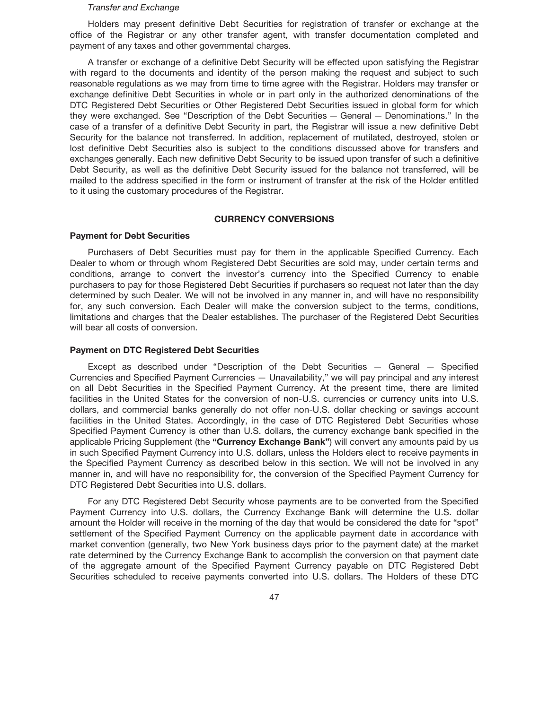#### *Transfer and Exchange*

Holders may present definitive Debt Securities for registration of transfer or exchange at the office of the Registrar or any other transfer agent, with transfer documentation completed and payment of any taxes and other governmental charges.

A transfer or exchange of a definitive Debt Security will be effected upon satisfying the Registrar with regard to the documents and identity of the person making the request and subject to such reasonable regulations as we may from time to time agree with the Registrar. Holders may transfer or exchange definitive Debt Securities in whole or in part only in the authorized denominations of the DTC Registered Debt Securities or Other Registered Debt Securities issued in global form for which they were exchanged. See "Description of the Debt Securities — General — Denominations." In the case of a transfer of a definitive Debt Security in part, the Registrar will issue a new definitive Debt Security for the balance not transferred. In addition, replacement of mutilated, destroyed, stolen or lost definitive Debt Securities also is subject to the conditions discussed above for transfers and exchanges generally. Each new definitive Debt Security to be issued upon transfer of such a definitive Debt Security, as well as the definitive Debt Security issued for the balance not transferred, will be mailed to the address specified in the form or instrument of transfer at the risk of the Holder entitled to it using the customary procedures of the Registrar.

## **CURRENCY CONVERSIONS**

## **Payment for Debt Securities**

Purchasers of Debt Securities must pay for them in the applicable Specified Currency. Each Dealer to whom or through whom Registered Debt Securities are sold may, under certain terms and conditions, arrange to convert the investor's currency into the Specified Currency to enable purchasers to pay for those Registered Debt Securities if purchasers so request not later than the day determined by such Dealer. We will not be involved in any manner in, and will have no responsibility for, any such conversion. Each Dealer will make the conversion subject to the terms, conditions, limitations and charges that the Dealer establishes. The purchaser of the Registered Debt Securities will bear all costs of conversion.

#### **Payment on DTC Registered Debt Securities**

Except as described under "Description of the Debt Securities — General — Specified Currencies and Specified Payment Currencies — Unavailability," we will pay principal and any interest on all Debt Securities in the Specified Payment Currency. At the present time, there are limited facilities in the United States for the conversion of non-U.S. currencies or currency units into U.S. dollars, and commercial banks generally do not offer non-U.S. dollar checking or savings account facilities in the United States. Accordingly, in the case of DTC Registered Debt Securities whose Specified Payment Currency is other than U.S. dollars, the currency exchange bank specified in the applicable Pricing Supplement (the **"Currency Exchange Bank"**) will convert any amounts paid by us in such Specified Payment Currency into U.S. dollars, unless the Holders elect to receive payments in the Specified Payment Currency as described below in this section. We will not be involved in any manner in, and will have no responsibility for, the conversion of the Specified Payment Currency for DTC Registered Debt Securities into U.S. dollars.

For any DTC Registered Debt Security whose payments are to be converted from the Specified Payment Currency into U.S. dollars, the Currency Exchange Bank will determine the U.S. dollar amount the Holder will receive in the morning of the day that would be considered the date for "spot" settlement of the Specified Payment Currency on the applicable payment date in accordance with market convention (generally, two New York business days prior to the payment date) at the market rate determined by the Currency Exchange Bank to accomplish the conversion on that payment date of the aggregate amount of the Specified Payment Currency payable on DTC Registered Debt Securities scheduled to receive payments converted into U.S. dollars. The Holders of these DTC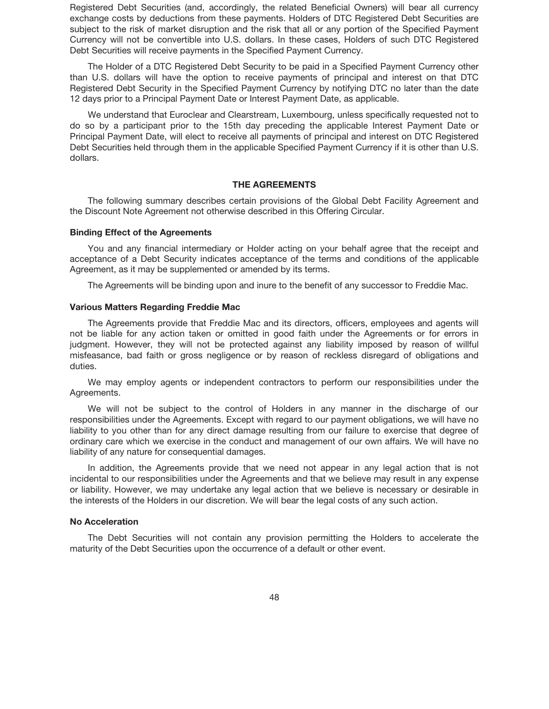Registered Debt Securities (and, accordingly, the related Beneficial Owners) will bear all currency exchange costs by deductions from these payments. Holders of DTC Registered Debt Securities are subject to the risk of market disruption and the risk that all or any portion of the Specified Payment Currency will not be convertible into U.S. dollars. In these cases, Holders of such DTC Registered Debt Securities will receive payments in the Specified Payment Currency.

The Holder of a DTC Registered Debt Security to be paid in a Specified Payment Currency other than U.S. dollars will have the option to receive payments of principal and interest on that DTC Registered Debt Security in the Specified Payment Currency by notifying DTC no later than the date 12 days prior to a Principal Payment Date or Interest Payment Date, as applicable.

We understand that Euroclear and Clearstream, Luxembourg, unless specifically requested not to do so by a participant prior to the 15th day preceding the applicable Interest Payment Date or Principal Payment Date, will elect to receive all payments of principal and interest on DTC Registered Debt Securities held through them in the applicable Specified Payment Currency if it is other than U.S. dollars.

### **THE AGREEMENTS**

The following summary describes certain provisions of the Global Debt Facility Agreement and the Discount Note Agreement not otherwise described in this Offering Circular.

### **Binding Effect of the Agreements**

You and any financial intermediary or Holder acting on your behalf agree that the receipt and acceptance of a Debt Security indicates acceptance of the terms and conditions of the applicable Agreement, as it may be supplemented or amended by its terms.

The Agreements will be binding upon and inure to the benefit of any successor to Freddie Mac.

## **Various Matters Regarding Freddie Mac**

The Agreements provide that Freddie Mac and its directors, officers, employees and agents will not be liable for any action taken or omitted in good faith under the Agreements or for errors in judgment. However, they will not be protected against any liability imposed by reason of willful misfeasance, bad faith or gross negligence or by reason of reckless disregard of obligations and duties.

We may employ agents or independent contractors to perform our responsibilities under the Agreements.

We will not be subject to the control of Holders in any manner in the discharge of our responsibilities under the Agreements. Except with regard to our payment obligations, we will have no liability to you other than for any direct damage resulting from our failure to exercise that degree of ordinary care which we exercise in the conduct and management of our own affairs. We will have no liability of any nature for consequential damages.

In addition, the Agreements provide that we need not appear in any legal action that is not incidental to our responsibilities under the Agreements and that we believe may result in any expense or liability. However, we may undertake any legal action that we believe is necessary or desirable in the interests of the Holders in our discretion. We will bear the legal costs of any such action.

## **No Acceleration**

The Debt Securities will not contain any provision permitting the Holders to accelerate the maturity of the Debt Securities upon the occurrence of a default or other event.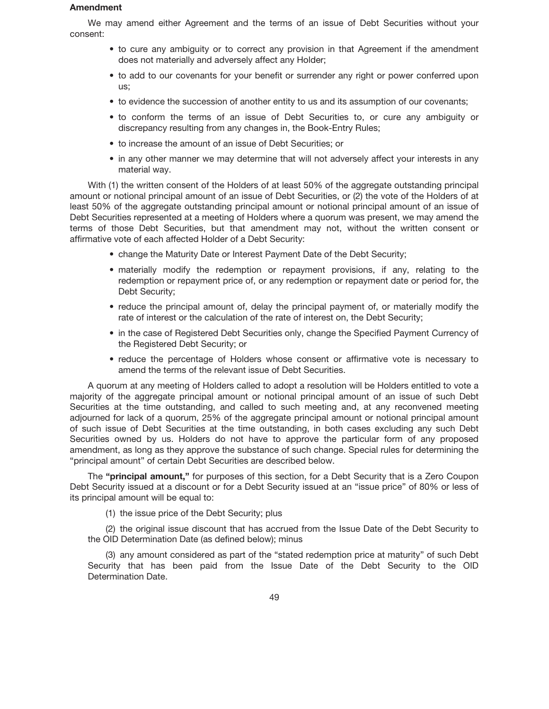## **Amendment**

We may amend either Agreement and the terms of an issue of Debt Securities without your consent:

- to cure any ambiguity or to correct any provision in that Agreement if the amendment does not materially and adversely affect any Holder;
- to add to our covenants for your benefit or surrender any right or power conferred upon us;
- to evidence the succession of another entity to us and its assumption of our covenants;
- to conform the terms of an issue of Debt Securities to, or cure any ambiguity or discrepancy resulting from any changes in, the Book-Entry Rules;
- to increase the amount of an issue of Debt Securities; or
- in any other manner we may determine that will not adversely affect your interests in any material way.

With (1) the written consent of the Holders of at least 50% of the aggregate outstanding principal amount or notional principal amount of an issue of Debt Securities, or (2) the vote of the Holders of at least 50% of the aggregate outstanding principal amount or notional principal amount of an issue of Debt Securities represented at a meeting of Holders where a quorum was present, we may amend the terms of those Debt Securities, but that amendment may not, without the written consent or affirmative vote of each affected Holder of a Debt Security:

- change the Maturity Date or Interest Payment Date of the Debt Security;
- materially modify the redemption or repayment provisions, if any, relating to the redemption or repayment price of, or any redemption or repayment date or period for, the Debt Security;
- reduce the principal amount of, delay the principal payment of, or materially modify the rate of interest or the calculation of the rate of interest on, the Debt Security;
- in the case of Registered Debt Securities only, change the Specified Payment Currency of the Registered Debt Security; or
- reduce the percentage of Holders whose consent or affirmative vote is necessary to amend the terms of the relevant issue of Debt Securities.

A quorum at any meeting of Holders called to adopt a resolution will be Holders entitled to vote a majority of the aggregate principal amount or notional principal amount of an issue of such Debt Securities at the time outstanding, and called to such meeting and, at any reconvened meeting adjourned for lack of a quorum, 25% of the aggregate principal amount or notional principal amount of such issue of Debt Securities at the time outstanding, in both cases excluding any such Debt Securities owned by us. Holders do not have to approve the particular form of any proposed amendment, as long as they approve the substance of such change. Special rules for determining the "principal amount" of certain Debt Securities are described below.

The **"principal amount,"** for purposes of this section, for a Debt Security that is a Zero Coupon Debt Security issued at a discount or for a Debt Security issued at an "issue price" of 80% or less of its principal amount will be equal to:

(1) the issue price of the Debt Security; plus

(2) the original issue discount that has accrued from the Issue Date of the Debt Security to the OID Determination Date (as defined below); minus

(3) any amount considered as part of the "stated redemption price at maturity" of such Debt Security that has been paid from the Issue Date of the Debt Security to the OID Determination Date.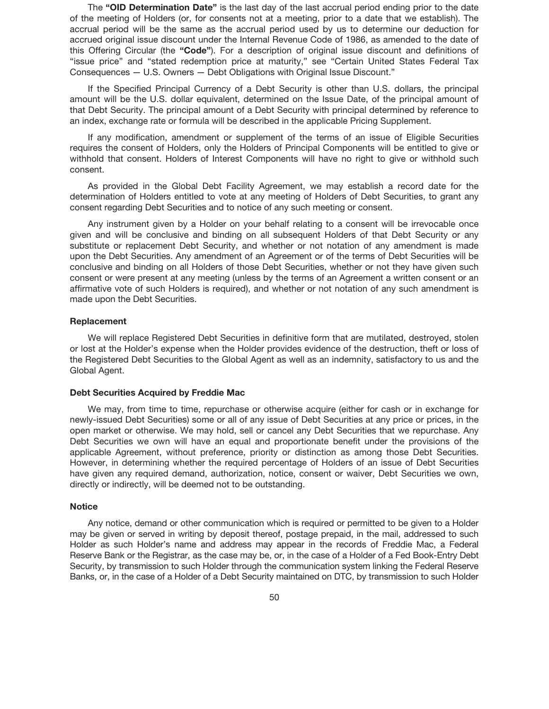The **"OID Determination Date"** is the last day of the last accrual period ending prior to the date of the meeting of Holders (or, for consents not at a meeting, prior to a date that we establish). The accrual period will be the same as the accrual period used by us to determine our deduction for accrued original issue discount under the Internal Revenue Code of 1986, as amended to the date of this Offering Circular (the **"Code"**). For a description of original issue discount and definitions of "issue price" and "stated redemption price at maturity," see "Certain United States Federal Tax Consequences — U.S. Owners — Debt Obligations with Original Issue Discount."

If the Specified Principal Currency of a Debt Security is other than U.S. dollars, the principal amount will be the U.S. dollar equivalent, determined on the Issue Date, of the principal amount of that Debt Security. The principal amount of a Debt Security with principal determined by reference to an index, exchange rate or formula will be described in the applicable Pricing Supplement.

If any modification, amendment or supplement of the terms of an issue of Eligible Securities requires the consent of Holders, only the Holders of Principal Components will be entitled to give or withhold that consent. Holders of Interest Components will have no right to give or withhold such consent.

As provided in the Global Debt Facility Agreement, we may establish a record date for the determination of Holders entitled to vote at any meeting of Holders of Debt Securities, to grant any consent regarding Debt Securities and to notice of any such meeting or consent.

Any instrument given by a Holder on your behalf relating to a consent will be irrevocable once given and will be conclusive and binding on all subsequent Holders of that Debt Security or any substitute or replacement Debt Security, and whether or not notation of any amendment is made upon the Debt Securities. Any amendment of an Agreement or of the terms of Debt Securities will be conclusive and binding on all Holders of those Debt Securities, whether or not they have given such consent or were present at any meeting (unless by the terms of an Agreement a written consent or an affirmative vote of such Holders is required), and whether or not notation of any such amendment is made upon the Debt Securities.

## **Replacement**

We will replace Registered Debt Securities in definitive form that are mutilated, destroyed, stolen or lost at the Holder's expense when the Holder provides evidence of the destruction, theft or loss of the Registered Debt Securities to the Global Agent as well as an indemnity, satisfactory to us and the Global Agent.

## **Debt Securities Acquired by Freddie Mac**

We may, from time to time, repurchase or otherwise acquire (either for cash or in exchange for newly-issued Debt Securities) some or all of any issue of Debt Securities at any price or prices, in the open market or otherwise. We may hold, sell or cancel any Debt Securities that we repurchase. Any Debt Securities we own will have an equal and proportionate benefit under the provisions of the applicable Agreement, without preference, priority or distinction as among those Debt Securities. However, in determining whether the required percentage of Holders of an issue of Debt Securities have given any required demand, authorization, notice, consent or waiver, Debt Securities we own, directly or indirectly, will be deemed not to be outstanding.

## **Notice**

Any notice, demand or other communication which is required or permitted to be given to a Holder may be given or served in writing by deposit thereof, postage prepaid, in the mail, addressed to such Holder as such Holder's name and address may appear in the records of Freddie Mac, a Federal Reserve Bank or the Registrar, as the case may be, or, in the case of a Holder of a Fed Book-Entry Debt Security, by transmission to such Holder through the communication system linking the Federal Reserve Banks, or, in the case of a Holder of a Debt Security maintained on DTC, by transmission to such Holder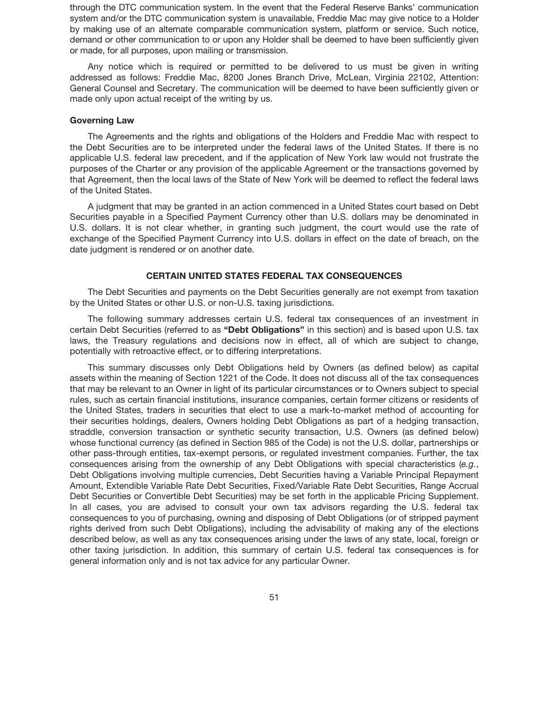through the DTC communication system. In the event that the Federal Reserve Banks' communication system and/or the DTC communication system is unavailable, Freddie Mac may give notice to a Holder by making use of an alternate comparable communication system, platform or service. Such notice, demand or other communication to or upon any Holder shall be deemed to have been sufficiently given or made, for all purposes, upon mailing or transmission.

Any notice which is required or permitted to be delivered to us must be given in writing addressed as follows: Freddie Mac, 8200 Jones Branch Drive, McLean, Virginia 22102, Attention: General Counsel and Secretary. The communication will be deemed to have been sufficiently given or made only upon actual receipt of the writing by us.

### **Governing Law**

The Agreements and the rights and obligations of the Holders and Freddie Mac with respect to the Debt Securities are to be interpreted under the federal laws of the United States. If there is no applicable U.S. federal law precedent, and if the application of New York law would not frustrate the purposes of the Charter or any provision of the applicable Agreement or the transactions governed by that Agreement, then the local laws of the State of New York will be deemed to reflect the federal laws of the United States.

A judgment that may be granted in an action commenced in a United States court based on Debt Securities payable in a Specified Payment Currency other than U.S. dollars may be denominated in U.S. dollars. It is not clear whether, in granting such judgment, the court would use the rate of exchange of the Specified Payment Currency into U.S. dollars in effect on the date of breach, on the date judgment is rendered or on another date.

## **CERTAIN UNITED STATES FEDERAL TAX CONSEQUENCES**

The Debt Securities and payments on the Debt Securities generally are not exempt from taxation by the United States or other U.S. or non-U.S. taxing jurisdictions.

The following summary addresses certain U.S. federal tax consequences of an investment in certain Debt Securities (referred to as **"Debt Obligations"** in this section) and is based upon U.S. tax laws, the Treasury regulations and decisions now in effect, all of which are subject to change, potentially with retroactive effect, or to differing interpretations.

This summary discusses only Debt Obligations held by Owners (as defined below) as capital assets within the meaning of Section 1221 of the Code. It does not discuss all of the tax consequences that may be relevant to an Owner in light of its particular circumstances or to Owners subject to special rules, such as certain financial institutions, insurance companies, certain former citizens or residents of the United States, traders in securities that elect to use a mark-to-market method of accounting for their securities holdings, dealers, Owners holding Debt Obligations as part of a hedging transaction, straddle, conversion transaction or synthetic security transaction, U.S. Owners (as defined below) whose functional currency (as defined in Section 985 of the Code) is not the U.S. dollar, partnerships or other pass-through entities, tax-exempt persons, or regulated investment companies. Further, the tax consequences arising from the ownership of any Debt Obligations with special characteristics (*e.g.*, Debt Obligations involving multiple currencies, Debt Securities having a Variable Principal Repayment Amount, Extendible Variable Rate Debt Securities, Fixed/Variable Rate Debt Securities, Range Accrual Debt Securities or Convertible Debt Securities) may be set forth in the applicable Pricing Supplement. In all cases, you are advised to consult your own tax advisors regarding the U.S. federal tax consequences to you of purchasing, owning and disposing of Debt Obligations (or of stripped payment rights derived from such Debt Obligations), including the advisability of making any of the elections described below, as well as any tax consequences arising under the laws of any state, local, foreign or other taxing jurisdiction. In addition, this summary of certain U.S. federal tax consequences is for general information only and is not tax advice for any particular Owner.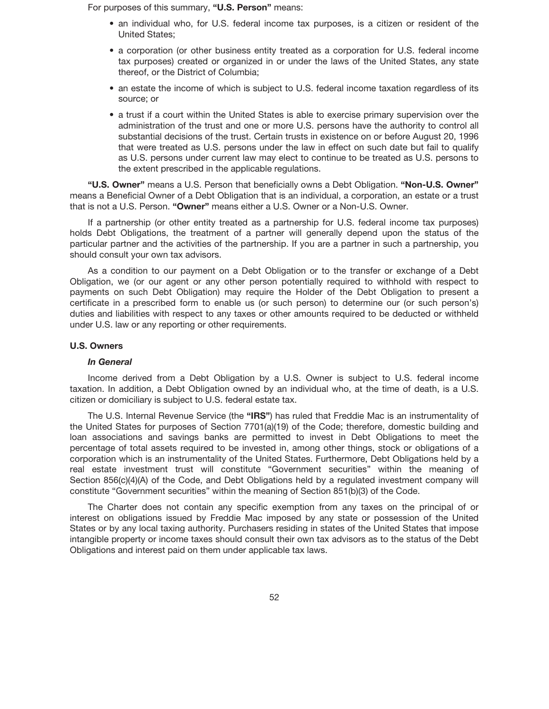For purposes of this summary, **"U.S. Person"** means:

- an individual who, for U.S. federal income tax purposes, is a citizen or resident of the United States;
- a corporation (or other business entity treated as a corporation for U.S. federal income tax purposes) created or organized in or under the laws of the United States, any state thereof, or the District of Columbia;
- an estate the income of which is subject to U.S. federal income taxation regardless of its source; or
- a trust if a court within the United States is able to exercise primary supervision over the administration of the trust and one or more U.S. persons have the authority to control all substantial decisions of the trust. Certain trusts in existence on or before August 20, 1996 that were treated as U.S. persons under the law in effect on such date but fail to qualify as U.S. persons under current law may elect to continue to be treated as U.S. persons to the extent prescribed in the applicable regulations.

**"U.S. Owner"** means a U.S. Person that beneficially owns a Debt Obligation. **"Non-U.S. Owner"** means a Beneficial Owner of a Debt Obligation that is an individual, a corporation, an estate or a trust that is not a U.S. Person. **"Owner"** means either a U.S. Owner or a Non-U.S. Owner.

If a partnership (or other entity treated as a partnership for U.S. federal income tax purposes) holds Debt Obligations, the treatment of a partner will generally depend upon the status of the particular partner and the activities of the partnership. If you are a partner in such a partnership, you should consult your own tax advisors.

As a condition to our payment on a Debt Obligation or to the transfer or exchange of a Debt Obligation, we (or our agent or any other person potentially required to withhold with respect to payments on such Debt Obligation) may require the Holder of the Debt Obligation to present a certificate in a prescribed form to enable us (or such person) to determine our (or such person's) duties and liabilities with respect to any taxes or other amounts required to be deducted or withheld under U.S. law or any reporting or other requirements.

## **U.S. Owners**

## *In General*

Income derived from a Debt Obligation by a U.S. Owner is subject to U.S. federal income taxation. In addition, a Debt Obligation owned by an individual who, at the time of death, is a U.S. citizen or domiciliary is subject to U.S. federal estate tax.

The U.S. Internal Revenue Service (the **"IRS"**) has ruled that Freddie Mac is an instrumentality of the United States for purposes of Section 7701(a)(19) of the Code; therefore, domestic building and loan associations and savings banks are permitted to invest in Debt Obligations to meet the percentage of total assets required to be invested in, among other things, stock or obligations of a corporation which is an instrumentality of the United States. Furthermore, Debt Obligations held by a real estate investment trust will constitute "Government securities" within the meaning of Section 856(c)(4)(A) of the Code, and Debt Obligations held by a regulated investment company will constitute "Government securities" within the meaning of Section 851(b)(3) of the Code.

The Charter does not contain any specific exemption from any taxes on the principal of or interest on obligations issued by Freddie Mac imposed by any state or possession of the United States or by any local taxing authority. Purchasers residing in states of the United States that impose intangible property or income taxes should consult their own tax advisors as to the status of the Debt Obligations and interest paid on them under applicable tax laws.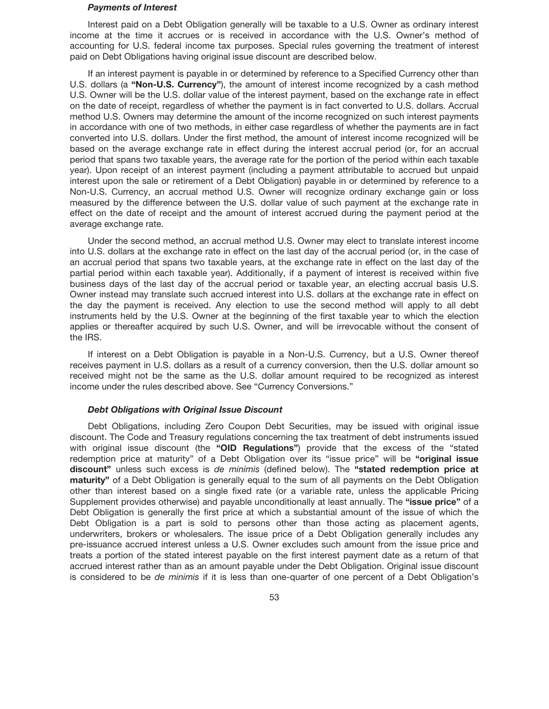#### *Payments of Interest*

Interest paid on a Debt Obligation generally will be taxable to a U.S. Owner as ordinary interest income at the time it accrues or is received in accordance with the U.S. Owner's method of accounting for U.S. federal income tax purposes. Special rules governing the treatment of interest paid on Debt Obligations having original issue discount are described below.

If an interest payment is payable in or determined by reference to a Specified Currency other than U.S. dollars (a **"Non-U.S. Currency"**), the amount of interest income recognized by a cash method U.S. Owner will be the U.S. dollar value of the interest payment, based on the exchange rate in effect on the date of receipt, regardless of whether the payment is in fact converted to U.S. dollars. Accrual method U.S. Owners may determine the amount of the income recognized on such interest payments in accordance with one of two methods, in either case regardless of whether the payments are in fact converted into U.S. dollars. Under the first method, the amount of interest income recognized will be based on the average exchange rate in effect during the interest accrual period (or, for an accrual period that spans two taxable years, the average rate for the portion of the period within each taxable year). Upon receipt of an interest payment (including a payment attributable to accrued but unpaid interest upon the sale or retirement of a Debt Obligation) payable in or determined by reference to a Non-U.S. Currency, an accrual method U.S. Owner will recognize ordinary exchange gain or loss measured by the difference between the U.S. dollar value of such payment at the exchange rate in effect on the date of receipt and the amount of interest accrued during the payment period at the average exchange rate.

Under the second method, an accrual method U.S. Owner may elect to translate interest income into U.S. dollars at the exchange rate in effect on the last day of the accrual period (or, in the case of an accrual period that spans two taxable years, at the exchange rate in effect on the last day of the partial period within each taxable year). Additionally, if a payment of interest is received within five business days of the last day of the accrual period or taxable year, an electing accrual basis U.S. Owner instead may translate such accrued interest into U.S. dollars at the exchange rate in effect on the day the payment is received. Any election to use the second method will apply to all debt instruments held by the U.S. Owner at the beginning of the first taxable year to which the election applies or thereafter acquired by such U.S. Owner, and will be irrevocable without the consent of the IRS.

If interest on a Debt Obligation is payable in a Non-U.S. Currency, but a U.S. Owner thereof receives payment in U.S. dollars as a result of a currency conversion, then the U.S. dollar amount so received might not be the same as the U.S. dollar amount required to be recognized as interest income under the rules described above. See "Currency Conversions."

### *Debt Obligations with Original Issue Discount*

Debt Obligations, including Zero Coupon Debt Securities, may be issued with original issue discount. The Code and Treasury regulations concerning the tax treatment of debt instruments issued with original issue discount (the **"OID Regulations"**) provide that the excess of the "stated redemption price at maturity" of a Debt Obligation over its "issue price" will be **"original issue discount"** unless such excess is *de minimis* (defined below). The **"stated redemption price at maturity"** of a Debt Obligation is generally equal to the sum of all payments on the Debt Obligation other than interest based on a single fixed rate (or a variable rate, unless the applicable Pricing Supplement provides otherwise) and payable unconditionally at least annually. The **"issue price"** of a Debt Obligation is generally the first price at which a substantial amount of the issue of which the Debt Obligation is a part is sold to persons other than those acting as placement agents, underwriters, brokers or wholesalers. The issue price of a Debt Obligation generally includes any pre-issuance accrued interest unless a U.S. Owner excludes such amount from the issue price and treats a portion of the stated interest payable on the first interest payment date as a return of that accrued interest rather than as an amount payable under the Debt Obligation. Original issue discount is considered to be *de minimis* if it is less than one-quarter of one percent of a Debt Obligation's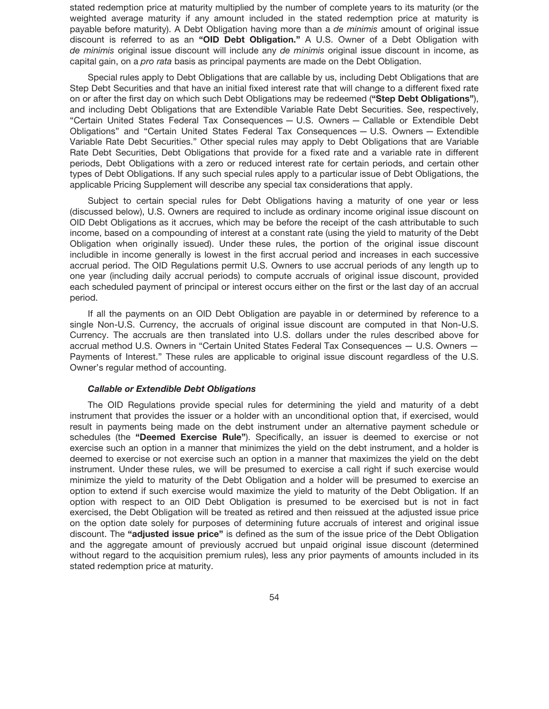stated redemption price at maturity multiplied by the number of complete years to its maturity (or the weighted average maturity if any amount included in the stated redemption price at maturity is payable before maturity). A Debt Obligation having more than a *de minimis* amount of original issue discount is referred to as an **"OID Debt Obligation."** A U.S. Owner of a Debt Obligation with *de minimis* original issue discount will include any *de minimis* original issue discount in income, as capital gain, on a *pro rata* basis as principal payments are made on the Debt Obligation.

Special rules apply to Debt Obligations that are callable by us, including Debt Obligations that are Step Debt Securities and that have an initial fixed interest rate that will change to a different fixed rate on or after the first day on which such Debt Obligations may be redeemed (**"Step Debt Obligations"**), and including Debt Obligations that are Extendible Variable Rate Debt Securities. See, respectively, "Certain United States Federal Tax Consequences — U.S. Owners — Callable or Extendible Debt Obligations" and "Certain United States Federal Tax Consequences — U.S. Owners — Extendible Variable Rate Debt Securities." Other special rules may apply to Debt Obligations that are Variable Rate Debt Securities, Debt Obligations that provide for a fixed rate and a variable rate in different periods, Debt Obligations with a zero or reduced interest rate for certain periods, and certain other types of Debt Obligations. If any such special rules apply to a particular issue of Debt Obligations, the applicable Pricing Supplement will describe any special tax considerations that apply.

Subject to certain special rules for Debt Obligations having a maturity of one year or less (discussed below), U.S. Owners are required to include as ordinary income original issue discount on OID Debt Obligations as it accrues, which may be before the receipt of the cash attributable to such income, based on a compounding of interest at a constant rate (using the yield to maturity of the Debt Obligation when originally issued). Under these rules, the portion of the original issue discount includible in income generally is lowest in the first accrual period and increases in each successive accrual period. The OID Regulations permit U.S. Owners to use accrual periods of any length up to one year (including daily accrual periods) to compute accruals of original issue discount, provided each scheduled payment of principal or interest occurs either on the first or the last day of an accrual period.

If all the payments on an OID Debt Obligation are payable in or determined by reference to a single Non-U.S. Currency, the accruals of original issue discount are computed in that Non-U.S. Currency. The accruals are then translated into U.S. dollars under the rules described above for accrual method U.S. Owners in "Certain United States Federal Tax Consequences — U.S. Owners — Payments of Interest." These rules are applicable to original issue discount regardless of the U.S. Owner's regular method of accounting.

### *Callable or Extendible Debt Obligations*

The OID Regulations provide special rules for determining the yield and maturity of a debt instrument that provides the issuer or a holder with an unconditional option that, if exercised, would result in payments being made on the debt instrument under an alternative payment schedule or schedules (the **"Deemed Exercise Rule"**). Specifically, an issuer is deemed to exercise or not exercise such an option in a manner that minimizes the yield on the debt instrument, and a holder is deemed to exercise or not exercise such an option in a manner that maximizes the yield on the debt instrument. Under these rules, we will be presumed to exercise a call right if such exercise would minimize the yield to maturity of the Debt Obligation and a holder will be presumed to exercise an option to extend if such exercise would maximize the yield to maturity of the Debt Obligation. If an option with respect to an OID Debt Obligation is presumed to be exercised but is not in fact exercised, the Debt Obligation will be treated as retired and then reissued at the adjusted issue price on the option date solely for purposes of determining future accruals of interest and original issue discount. The **"adjusted issue price"** is defined as the sum of the issue price of the Debt Obligation and the aggregate amount of previously accrued but unpaid original issue discount (determined without regard to the acquisition premium rules), less any prior payments of amounts included in its stated redemption price at maturity.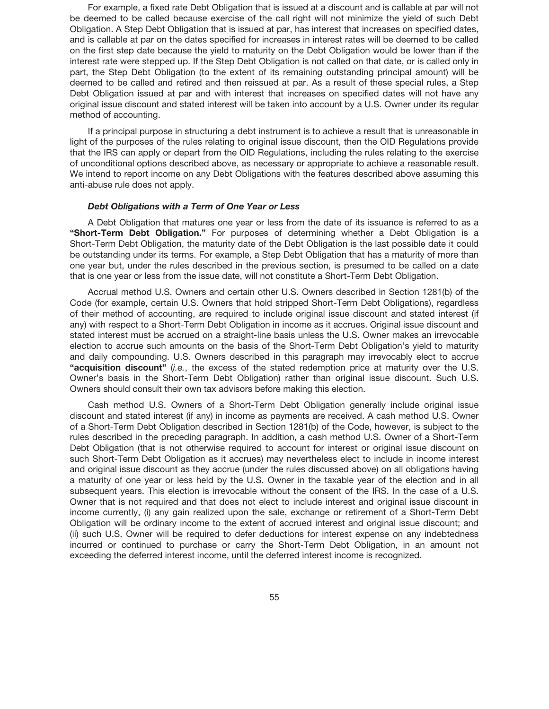For example, a fixed rate Debt Obligation that is issued at a discount and is callable at par will not be deemed to be called because exercise of the call right will not minimize the yield of such Debt Obligation. A Step Debt Obligation that is issued at par, has interest that increases on specified dates, and is callable at par on the dates specified for increases in interest rates will be deemed to be called on the first step date because the yield to maturity on the Debt Obligation would be lower than if the interest rate were stepped up. If the Step Debt Obligation is not called on that date, or is called only in part, the Step Debt Obligation (to the extent of its remaining outstanding principal amount) will be deemed to be called and retired and then reissued at par. As a result of these special rules, a Step Debt Obligation issued at par and with interest that increases on specified dates will not have any original issue discount and stated interest will be taken into account by a U.S. Owner under its regular method of accounting.

If a principal purpose in structuring a debt instrument is to achieve a result that is unreasonable in light of the purposes of the rules relating to original issue discount, then the OID Regulations provide that the IRS can apply or depart from the OID Regulations, including the rules relating to the exercise of unconditional options described above, as necessary or appropriate to achieve a reasonable result. We intend to report income on any Debt Obligations with the features described above assuming this anti-abuse rule does not apply.

### *Debt Obligations with a Term of One Year or Less*

A Debt Obligation that matures one year or less from the date of its issuance is referred to as a **"Short-Term Debt Obligation."** For purposes of determining whether a Debt Obligation is a Short-Term Debt Obligation, the maturity date of the Debt Obligation is the last possible date it could be outstanding under its terms. For example, a Step Debt Obligation that has a maturity of more than one year but, under the rules described in the previous section, is presumed to be called on a date that is one year or less from the issue date, will not constitute a Short-Term Debt Obligation.

Accrual method U.S. Owners and certain other U.S. Owners described in Section 1281(b) of the Code (for example, certain U.S. Owners that hold stripped Short-Term Debt Obligations), regardless of their method of accounting, are required to include original issue discount and stated interest (if any) with respect to a Short-Term Debt Obligation in income as it accrues. Original issue discount and stated interest must be accrued on a straight-line basis unless the U.S. Owner makes an irrevocable election to accrue such amounts on the basis of the Short-Term Debt Obligation's yield to maturity and daily compounding. U.S. Owners described in this paragraph may irrevocably elect to accrue **"acquisition discount"** (*i.e.*, the excess of the stated redemption price at maturity over the U.S. Owner's basis in the Short-Term Debt Obligation) rather than original issue discount. Such U.S. Owners should consult their own tax advisors before making this election.

Cash method U.S. Owners of a Short-Term Debt Obligation generally include original issue discount and stated interest (if any) in income as payments are received. A cash method U.S. Owner of a Short-Term Debt Obligation described in Section 1281(b) of the Code, however, is subject to the rules described in the preceding paragraph. In addition, a cash method U.S. Owner of a Short-Term Debt Obligation (that is not otherwise required to account for interest or original issue discount on such Short-Term Debt Obligation as it accrues) may nevertheless elect to include in income interest and original issue discount as they accrue (under the rules discussed above) on all obligations having a maturity of one year or less held by the U.S. Owner in the taxable year of the election and in all subsequent years. This election is irrevocable without the consent of the IRS. In the case of a U.S. Owner that is not required and that does not elect to include interest and original issue discount in income currently, (i) any gain realized upon the sale, exchange or retirement of a Short-Term Debt Obligation will be ordinary income to the extent of accrued interest and original issue discount; and (ii) such U.S. Owner will be required to defer deductions for interest expense on any indebtedness incurred or continued to purchase or carry the Short-Term Debt Obligation, in an amount not exceeding the deferred interest income, until the deferred interest income is recognized.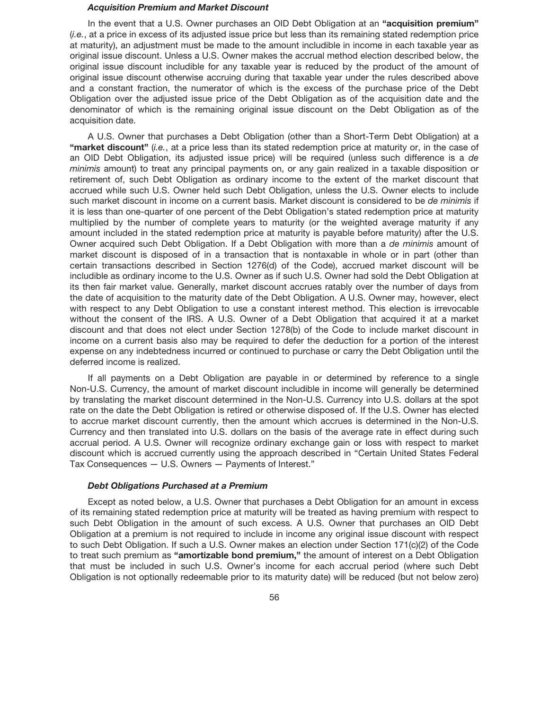#### *Acquisition Premium and Market Discount*

In the event that a U.S. Owner purchases an OID Debt Obligation at an **"acquisition premium"** (*i.e.*, at a price in excess of its adjusted issue price but less than its remaining stated redemption price at maturity), an adjustment must be made to the amount includible in income in each taxable year as original issue discount. Unless a U.S. Owner makes the accrual method election described below, the original issue discount includible for any taxable year is reduced by the product of the amount of original issue discount otherwise accruing during that taxable year under the rules described above and a constant fraction, the numerator of which is the excess of the purchase price of the Debt Obligation over the adjusted issue price of the Debt Obligation as of the acquisition date and the denominator of which is the remaining original issue discount on the Debt Obligation as of the acquisition date.

A U.S. Owner that purchases a Debt Obligation (other than a Short-Term Debt Obligation) at a **"market discount"** (*i.e.*, at a price less than its stated redemption price at maturity or, in the case of an OID Debt Obligation, its adjusted issue price) will be required (unless such difference is a *de minimis* amount) to treat any principal payments on, or any gain realized in a taxable disposition or retirement of, such Debt Obligation as ordinary income to the extent of the market discount that accrued while such U.S. Owner held such Debt Obligation, unless the U.S. Owner elects to include such market discount in income on a current basis. Market discount is considered to be *de minimis* if it is less than one-quarter of one percent of the Debt Obligation's stated redemption price at maturity multiplied by the number of complete years to maturity (or the weighted average maturity if any amount included in the stated redemption price at maturity is payable before maturity) after the U.S. Owner acquired such Debt Obligation. If a Debt Obligation with more than a *de minimis* amount of market discount is disposed of in a transaction that is nontaxable in whole or in part (other than certain transactions described in Section 1276(d) of the Code), accrued market discount will be includible as ordinary income to the U.S. Owner as if such U.S. Owner had sold the Debt Obligation at its then fair market value. Generally, market discount accrues ratably over the number of days from the date of acquisition to the maturity date of the Debt Obligation. A U.S. Owner may, however, elect with respect to any Debt Obligation to use a constant interest method. This election is irrevocable without the consent of the IRS. A U.S. Owner of a Debt Obligation that acquired it at a market discount and that does not elect under Section 1278(b) of the Code to include market discount in income on a current basis also may be required to defer the deduction for a portion of the interest expense on any indebtedness incurred or continued to purchase or carry the Debt Obligation until the deferred income is realized.

If all payments on a Debt Obligation are payable in or determined by reference to a single Non-U.S. Currency, the amount of market discount includible in income will generally be determined by translating the market discount determined in the Non-U.S. Currency into U.S. dollars at the spot rate on the date the Debt Obligation is retired or otherwise disposed of. If the U.S. Owner has elected to accrue market discount currently, then the amount which accrues is determined in the Non-U.S. Currency and then translated into U.S. dollars on the basis of the average rate in effect during such accrual period. A U.S. Owner will recognize ordinary exchange gain or loss with respect to market discount which is accrued currently using the approach described in "Certain United States Federal Tax Consequences — U.S. Owners — Payments of Interest."

## *Debt Obligations Purchased at a Premium*

Except as noted below, a U.S. Owner that purchases a Debt Obligation for an amount in excess of its remaining stated redemption price at maturity will be treated as having premium with respect to such Debt Obligation in the amount of such excess. A U.S. Owner that purchases an OID Debt Obligation at a premium is not required to include in income any original issue discount with respect to such Debt Obligation. If such a U.S. Owner makes an election under Section 171(c)(2) of the Code to treat such premium as **"amortizable bond premium,"** the amount of interest on a Debt Obligation that must be included in such U.S. Owner's income for each accrual period (where such Debt Obligation is not optionally redeemable prior to its maturity date) will be reduced (but not below zero)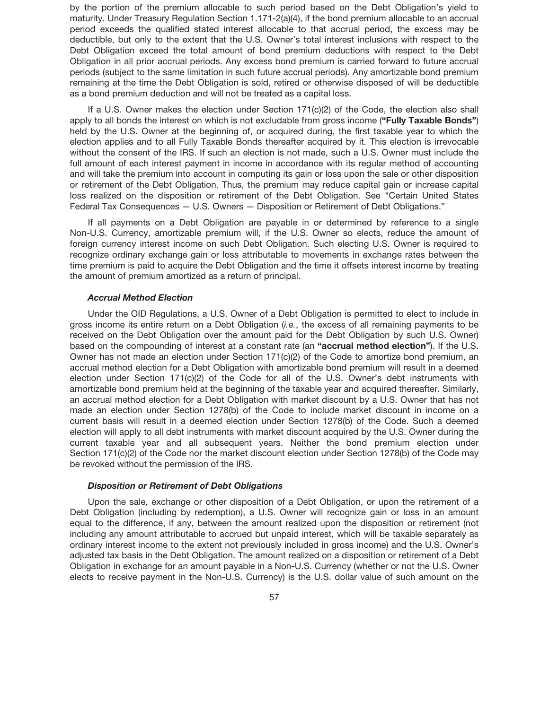by the portion of the premium allocable to such period based on the Debt Obligation's yield to maturity. Under Treasury Regulation Section 1.171-2(a)(4), if the bond premium allocable to an accrual period exceeds the qualified stated interest allocable to that accrual period, the excess may be deductible, but only to the extent that the U.S. Owner's total interest inclusions with respect to the Debt Obligation exceed the total amount of bond premium deductions with respect to the Debt Obligation in all prior accrual periods. Any excess bond premium is carried forward to future accrual periods (subject to the same limitation in such future accrual periods). Any amortizable bond premium remaining at the time the Debt Obligation is sold, retired or otherwise disposed of will be deductible as a bond premium deduction and will not be treated as a capital loss.

If a U.S. Owner makes the election under Section  $171(c)(2)$  of the Code, the election also shall apply to all bonds the interest on which is not excludable from gross income (**"Fully Taxable Bonds"**) held by the U.S. Owner at the beginning of, or acquired during, the first taxable year to which the election applies and to all Fully Taxable Bonds thereafter acquired by it. This election is irrevocable without the consent of the IRS. If such an election is not made, such a U.S. Owner must include the full amount of each interest payment in income in accordance with its regular method of accounting and will take the premium into account in computing its gain or loss upon the sale or other disposition or retirement of the Debt Obligation. Thus, the premium may reduce capital gain or increase capital loss realized on the disposition or retirement of the Debt Obligation. See "Certain United States Federal Tax Consequences — U.S. Owners — Disposition or Retirement of Debt Obligations."

If all payments on a Debt Obligation are payable in or determined by reference to a single Non-U.S. Currency, amortizable premium will, if the U.S. Owner so elects, reduce the amount of foreign currency interest income on such Debt Obligation. Such electing U.S. Owner is required to recognize ordinary exchange gain or loss attributable to movements in exchange rates between the time premium is paid to acquire the Debt Obligation and the time it offsets interest income by treating the amount of premium amortized as a return of principal.

## *Accrual Method Election*

Under the OID Regulations, a U.S. Owner of a Debt Obligation is permitted to elect to include in gross income its entire return on a Debt Obligation (*i.e.*, the excess of all remaining payments to be received on the Debt Obligation over the amount paid for the Debt Obligation by such U.S. Owner) based on the compounding of interest at a constant rate (an **"accrual method election"**). If the U.S. Owner has not made an election under Section 171(c)(2) of the Code to amortize bond premium, an accrual method election for a Debt Obligation with amortizable bond premium will result in a deemed election under Section 171(c)(2) of the Code for all of the U.S. Owner's debt instruments with amortizable bond premium held at the beginning of the taxable year and acquired thereafter. Similarly, an accrual method election for a Debt Obligation with market discount by a U.S. Owner that has not made an election under Section 1278(b) of the Code to include market discount in income on a current basis will result in a deemed election under Section 1278(b) of the Code. Such a deemed election will apply to all debt instruments with market discount acquired by the U.S. Owner during the current taxable year and all subsequent years. Neither the bond premium election under Section 171(c)(2) of the Code nor the market discount election under Section 1278(b) of the Code may be revoked without the permission of the IRS.

#### *Disposition or Retirement of Debt Obligations*

Upon the sale, exchange or other disposition of a Debt Obligation, or upon the retirement of a Debt Obligation (including by redemption), a U.S. Owner will recognize gain or loss in an amount equal to the difference, if any, between the amount realized upon the disposition or retirement (not including any amount attributable to accrued but unpaid interest, which will be taxable separately as ordinary interest income to the extent not previously included in gross income) and the U.S. Owner's adjusted tax basis in the Debt Obligation. The amount realized on a disposition or retirement of a Debt Obligation in exchange for an amount payable in a Non-U.S. Currency (whether or not the U.S. Owner elects to receive payment in the Non-U.S. Currency) is the U.S. dollar value of such amount on the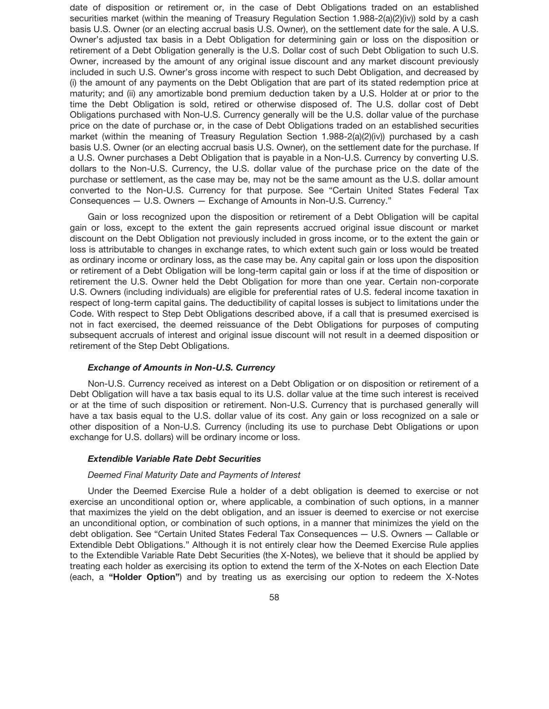date of disposition or retirement or, in the case of Debt Obligations traded on an established securities market (within the meaning of Treasury Regulation Section 1.988-2(a)(2)(iv)) sold by a cash basis U.S. Owner (or an electing accrual basis U.S. Owner), on the settlement date for the sale. A U.S. Owner's adjusted tax basis in a Debt Obligation for determining gain or loss on the disposition or retirement of a Debt Obligation generally is the U.S. Dollar cost of such Debt Obligation to such U.S. Owner, increased by the amount of any original issue discount and any market discount previously included in such U.S. Owner's gross income with respect to such Debt Obligation, and decreased by (i) the amount of any payments on the Debt Obligation that are part of its stated redemption price at maturity; and (ii) any amortizable bond premium deduction taken by a U.S. Holder at or prior to the time the Debt Obligation is sold, retired or otherwise disposed of. The U.S. dollar cost of Debt Obligations purchased with Non-U.S. Currency generally will be the U.S. dollar value of the purchase price on the date of purchase or, in the case of Debt Obligations traded on an established securities market (within the meaning of Treasury Regulation Section 1.988-2(a)(2)(iv)) purchased by a cash basis U.S. Owner (or an electing accrual basis U.S. Owner), on the settlement date for the purchase. If a U.S. Owner purchases a Debt Obligation that is payable in a Non-U.S. Currency by converting U.S. dollars to the Non-U.S. Currency, the U.S. dollar value of the purchase price on the date of the purchase or settlement, as the case may be, may not be the same amount as the U.S. dollar amount converted to the Non-U.S. Currency for that purpose. See "Certain United States Federal Tax Consequences — U.S. Owners — Exchange of Amounts in Non-U.S. Currency."

Gain or loss recognized upon the disposition or retirement of a Debt Obligation will be capital gain or loss, except to the extent the gain represents accrued original issue discount or market discount on the Debt Obligation not previously included in gross income, or to the extent the gain or loss is attributable to changes in exchange rates, to which extent such gain or loss would be treated as ordinary income or ordinary loss, as the case may be. Any capital gain or loss upon the disposition or retirement of a Debt Obligation will be long-term capital gain or loss if at the time of disposition or retirement the U.S. Owner held the Debt Obligation for more than one year. Certain non-corporate U.S. Owners (including individuals) are eligible for preferential rates of U.S. federal income taxation in respect of long-term capital gains. The deductibility of capital losses is subject to limitations under the Code. With respect to Step Debt Obligations described above, if a call that is presumed exercised is not in fact exercised, the deemed reissuance of the Debt Obligations for purposes of computing subsequent accruals of interest and original issue discount will not result in a deemed disposition or retirement of the Step Debt Obligations.

### *Exchange of Amounts in Non-U.S. Currency*

Non-U.S. Currency received as interest on a Debt Obligation or on disposition or retirement of a Debt Obligation will have a tax basis equal to its U.S. dollar value at the time such interest is received or at the time of such disposition or retirement. Non-U.S. Currency that is purchased generally will have a tax basis equal to the U.S. dollar value of its cost. Any gain or loss recognized on a sale or other disposition of a Non-U.S. Currency (including its use to purchase Debt Obligations or upon exchange for U.S. dollars) will be ordinary income or loss.

## *Extendible Variable Rate Debt Securities*

#### *Deemed Final Maturity Date and Payments of Interest*

Under the Deemed Exercise Rule a holder of a debt obligation is deemed to exercise or not exercise an unconditional option or, where applicable, a combination of such options, in a manner that maximizes the yield on the debt obligation, and an issuer is deemed to exercise or not exercise an unconditional option, or combination of such options, in a manner that minimizes the yield on the debt obligation. See "Certain United States Federal Tax Consequences — U.S. Owners — Callable or Extendible Debt Obligations." Although it is not entirely clear how the Deemed Exercise Rule applies to the Extendible Variable Rate Debt Securities (the X-Notes), we believe that it should be applied by treating each holder as exercising its option to extend the term of the X-Notes on each Election Date (each, a **"Holder Option"**) and by treating us as exercising our option to redeem the X-Notes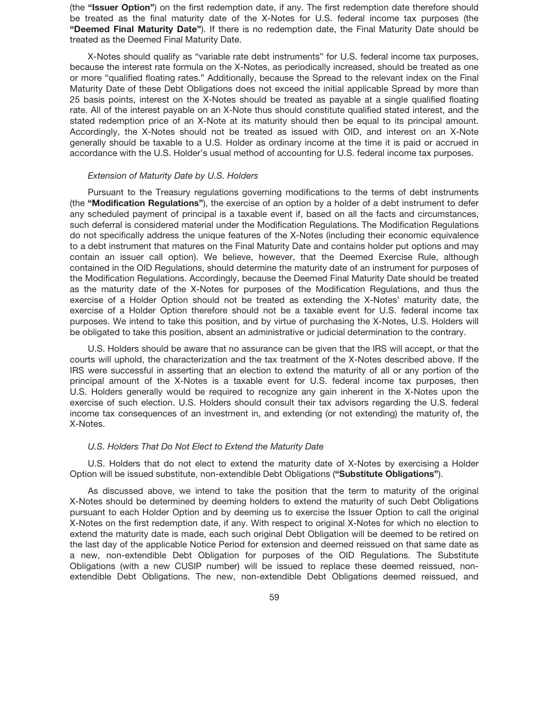(the **"Issuer Option"**) on the first redemption date, if any. The first redemption date therefore should be treated as the final maturity date of the X-Notes for U.S. federal income tax purposes (the **"Deemed Final Maturity Date"**). If there is no redemption date, the Final Maturity Date should be treated as the Deemed Final Maturity Date.

X-Notes should qualify as "variable rate debt instruments" for U.S. federal income tax purposes, because the interest rate formula on the X-Notes, as periodically increased, should be treated as one or more "qualified floating rates." Additionally, because the Spread to the relevant index on the Final Maturity Date of these Debt Obligations does not exceed the initial applicable Spread by more than 25 basis points, interest on the X-Notes should be treated as payable at a single qualified floating rate. All of the interest payable on an X-Note thus should constitute qualified stated interest, and the stated redemption price of an X-Note at its maturity should then be equal to its principal amount. Accordingly, the X-Notes should not be treated as issued with OID, and interest on an X-Note generally should be taxable to a U.S. Holder as ordinary income at the time it is paid or accrued in accordance with the U.S. Holder's usual method of accounting for U.S. federal income tax purposes.

## *Extension of Maturity Date by U.S. Holders*

Pursuant to the Treasury regulations governing modifications to the terms of debt instruments (the **"Modification Regulations"**), the exercise of an option by a holder of a debt instrument to defer any scheduled payment of principal is a taxable event if, based on all the facts and circumstances, such deferral is considered material under the Modification Regulations. The Modification Regulations do not specifically address the unique features of the X-Notes (including their economic equivalence to a debt instrument that matures on the Final Maturity Date and contains holder put options and may contain an issuer call option). We believe, however, that the Deemed Exercise Rule, although contained in the OID Regulations, should determine the maturity date of an instrument for purposes of the Modification Regulations. Accordingly, because the Deemed Final Maturity Date should be treated as the maturity date of the X-Notes for purposes of the Modification Regulations, and thus the exercise of a Holder Option should not be treated as extending the X-Notes' maturity date, the exercise of a Holder Option therefore should not be a taxable event for U.S. federal income tax purposes. We intend to take this position, and by virtue of purchasing the X-Notes, U.S. Holders will be obligated to take this position, absent an administrative or judicial determination to the contrary.

U.S. Holders should be aware that no assurance can be given that the IRS will accept, or that the courts will uphold, the characterization and the tax treatment of the X-Notes described above. If the IRS were successful in asserting that an election to extend the maturity of all or any portion of the principal amount of the X-Notes is a taxable event for U.S. federal income tax purposes, then U.S. Holders generally would be required to recognize any gain inherent in the X-Notes upon the exercise of such election. U.S. Holders should consult their tax advisors regarding the U.S. federal income tax consequences of an investment in, and extending (or not extending) the maturity of, the X-Notes.

### *U.S. Holders That Do Not Elect to Extend the Maturity Date*

U.S. Holders that do not elect to extend the maturity date of X-Notes by exercising a Holder Option will be issued substitute, non-extendible Debt Obligations (**"Substitute Obligations"**).

As discussed above, we intend to take the position that the term to maturity of the original X-Notes should be determined by deeming holders to extend the maturity of such Debt Obligations pursuant to each Holder Option and by deeming us to exercise the Issuer Option to call the original X-Notes on the first redemption date, if any. With respect to original X-Notes for which no election to extend the maturity date is made, each such original Debt Obligation will be deemed to be retired on the last day of the applicable Notice Period for extension and deemed reissued on that same date as a new, non-extendible Debt Obligation for purposes of the OID Regulations. The Substitute Obligations (with a new CUSIP number) will be issued to replace these deemed reissued, nonextendible Debt Obligations. The new, non-extendible Debt Obligations deemed reissued, and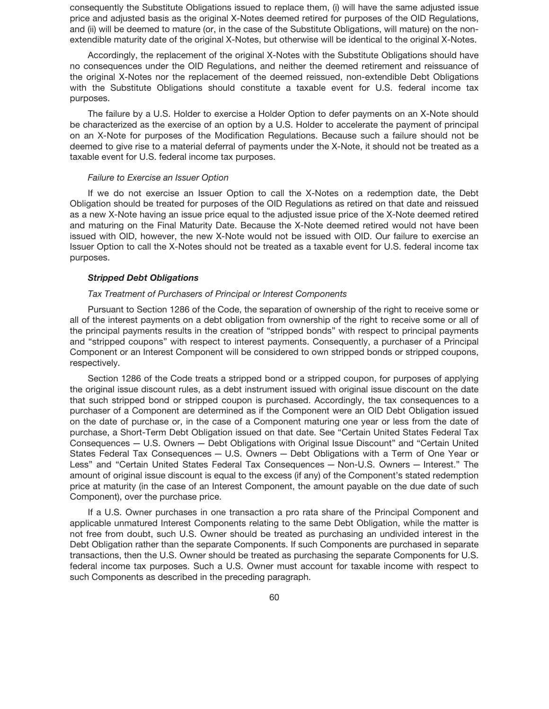consequently the Substitute Obligations issued to replace them, (i) will have the same adjusted issue price and adjusted basis as the original X-Notes deemed retired for purposes of the OID Regulations, and (ii) will be deemed to mature (or, in the case of the Substitute Obligations, will mature) on the nonextendible maturity date of the original X-Notes, but otherwise will be identical to the original X-Notes.

Accordingly, the replacement of the original X-Notes with the Substitute Obligations should have no consequences under the OID Regulations, and neither the deemed retirement and reissuance of the original X-Notes nor the replacement of the deemed reissued, non-extendible Debt Obligations with the Substitute Obligations should constitute a taxable event for U.S. federal income tax purposes.

The failure by a U.S. Holder to exercise a Holder Option to defer payments on an X-Note should be characterized as the exercise of an option by a U.S. Holder to accelerate the payment of principal on an X-Note for purposes of the Modification Regulations. Because such a failure should not be deemed to give rise to a material deferral of payments under the X-Note, it should not be treated as a taxable event for U.S. federal income tax purposes.

### *Failure to Exercise an Issuer Option*

If we do not exercise an Issuer Option to call the X-Notes on a redemption date, the Debt Obligation should be treated for purposes of the OID Regulations as retired on that date and reissued as a new X-Note having an issue price equal to the adjusted issue price of the X-Note deemed retired and maturing on the Final Maturity Date. Because the X-Note deemed retired would not have been issued with OID, however, the new X-Note would not be issued with OID. Our failure to exercise an Issuer Option to call the X-Notes should not be treated as a taxable event for U.S. federal income tax purposes.

## *Stripped Debt Obligations*

## *Tax Treatment of Purchasers of Principal or Interest Components*

Pursuant to Section 1286 of the Code, the separation of ownership of the right to receive some or all of the interest payments on a debt obligation from ownership of the right to receive some or all of the principal payments results in the creation of "stripped bonds" with respect to principal payments and "stripped coupons" with respect to interest payments. Consequently, a purchaser of a Principal Component or an Interest Component will be considered to own stripped bonds or stripped coupons, respectively.

Section 1286 of the Code treats a stripped bond or a stripped coupon, for purposes of applying the original issue discount rules, as a debt instrument issued with original issue discount on the date that such stripped bond or stripped coupon is purchased. Accordingly, the tax consequences to a purchaser of a Component are determined as if the Component were an OID Debt Obligation issued on the date of purchase or, in the case of a Component maturing one year or less from the date of purchase, a Short-Term Debt Obligation issued on that date. See "Certain United States Federal Tax Consequences — U.S. Owners — Debt Obligations with Original Issue Discount" and "Certain United States Federal Tax Consequences — U.S. Owners — Debt Obligations with a Term of One Year or Less" and "Certain United States Federal Tax Consequences — Non-U.S. Owners — Interest." The amount of original issue discount is equal to the excess (if any) of the Component's stated redemption price at maturity (in the case of an Interest Component, the amount payable on the due date of such Component), over the purchase price.

If a U.S. Owner purchases in one transaction a pro rata share of the Principal Component and applicable unmatured Interest Components relating to the same Debt Obligation, while the matter is not free from doubt, such U.S. Owner should be treated as purchasing an undivided interest in the Debt Obligation rather than the separate Components. If such Components are purchased in separate transactions, then the U.S. Owner should be treated as purchasing the separate Components for U.S. federal income tax purposes. Such a U.S. Owner must account for taxable income with respect to such Components as described in the preceding paragraph.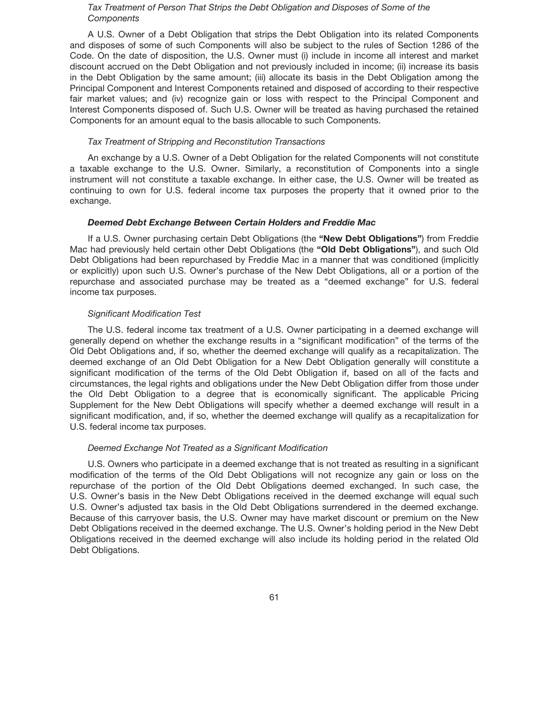## *Tax Treatment of Person That Strips the Debt Obligation and Disposes of Some of the Components*

A U.S. Owner of a Debt Obligation that strips the Debt Obligation into its related Components and disposes of some of such Components will also be subject to the rules of Section 1286 of the Code. On the date of disposition, the U.S. Owner must (i) include in income all interest and market discount accrued on the Debt Obligation and not previously included in income; (ii) increase its basis in the Debt Obligation by the same amount; (iii) allocate its basis in the Debt Obligation among the Principal Component and Interest Components retained and disposed of according to their respective fair market values; and (iv) recognize gain or loss with respect to the Principal Component and Interest Components disposed of. Such U.S. Owner will be treated as having purchased the retained Components for an amount equal to the basis allocable to such Components.

## *Tax Treatment of Stripping and Reconstitution Transactions*

An exchange by a U.S. Owner of a Debt Obligation for the related Components will not constitute a taxable exchange to the U.S. Owner. Similarly, a reconstitution of Components into a single instrument will not constitute a taxable exchange. In either case, the U.S. Owner will be treated as continuing to own for U.S. federal income tax purposes the property that it owned prior to the exchange.

## *Deemed Debt Exchange Between Certain Holders and Freddie Mac*

If a U.S. Owner purchasing certain Debt Obligations (the **"New Debt Obligations"**) from Freddie Mac had previously held certain other Debt Obligations (the **"Old Debt Obligations"**), and such Old Debt Obligations had been repurchased by Freddie Mac in a manner that was conditioned (implicitly or explicitly) upon such U.S. Owner's purchase of the New Debt Obligations, all or a portion of the repurchase and associated purchase may be treated as a "deemed exchange" for U.S. federal income tax purposes.

#### *Significant Modification Test*

The U.S. federal income tax treatment of a U.S. Owner participating in a deemed exchange will generally depend on whether the exchange results in a "significant modification" of the terms of the Old Debt Obligations and, if so, whether the deemed exchange will qualify as a recapitalization. The deemed exchange of an Old Debt Obligation for a New Debt Obligation generally will constitute a significant modification of the terms of the Old Debt Obligation if, based on all of the facts and circumstances, the legal rights and obligations under the New Debt Obligation differ from those under the Old Debt Obligation to a degree that is economically significant. The applicable Pricing Supplement for the New Debt Obligations will specify whether a deemed exchange will result in a significant modification, and, if so, whether the deemed exchange will qualify as a recapitalization for U.S. federal income tax purposes.

## *Deemed Exchange Not Treated as a Significant Modification*

U.S. Owners who participate in a deemed exchange that is not treated as resulting in a significant modification of the terms of the Old Debt Obligations will not recognize any gain or loss on the repurchase of the portion of the Old Debt Obligations deemed exchanged. In such case, the U.S. Owner's basis in the New Debt Obligations received in the deemed exchange will equal such U.S. Owner's adjusted tax basis in the Old Debt Obligations surrendered in the deemed exchange. Because of this carryover basis, the U.S. Owner may have market discount or premium on the New Debt Obligations received in the deemed exchange. The U.S. Owner's holding period in the New Debt Obligations received in the deemed exchange will also include its holding period in the related Old Debt Obligations.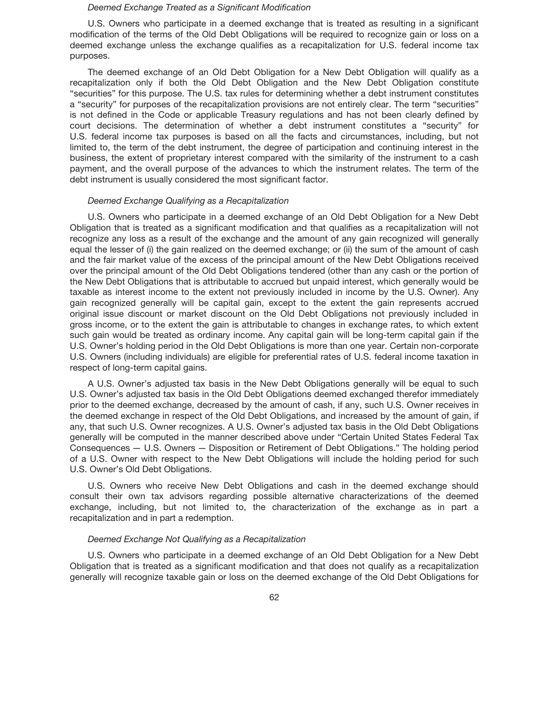#### *Deemed Exchange Treated as a Significant Modification*

U.S. Owners who participate in a deemed exchange that is treated as resulting in a significant modification of the terms of the Old Debt Obligations will be required to recognize gain or loss on a deemed exchange unless the exchange qualifies as a recapitalization for U.S. federal income tax purposes.

The deemed exchange of an Old Debt Obligation for a New Debt Obligation will qualify as a recapitalization only if both the Old Debt Obligation and the New Debt Obligation constitute "securities" for this purpose. The U.S. tax rules for determining whether a debt instrument constitutes a "security" for purposes of the recapitalization provisions are not entirely clear. The term "securities" is not defined in the Code or applicable Treasury regulations and has not been clearly defined by court decisions. The determination of whether a debt instrument constitutes a "security" for U.S. federal income tax purposes is based on all the facts and circumstances, including, but not limited to, the term of the debt instrument, the degree of participation and continuing interest in the business, the extent of proprietary interest compared with the similarity of the instrument to a cash payment, and the overall purpose of the advances to which the instrument relates. The term of the debt instrument is usually considered the most significant factor.

## *Deemed Exchange Qualifying as a Recapitalization*

U.S. Owners who participate in a deemed exchange of an Old Debt Obligation for a New Debt Obligation that is treated as a significant modification and that qualifies as a recapitalization will not recognize any loss as a result of the exchange and the amount of any gain recognized will generally equal the lesser of (i) the gain realized on the deemed exchange; or (ii) the sum of the amount of cash and the fair market value of the excess of the principal amount of the New Debt Obligations received over the principal amount of the Old Debt Obligations tendered (other than any cash or the portion of the New Debt Obligations that is attributable to accrued but unpaid interest, which generally would be taxable as interest income to the extent not previously included in income by the U.S. Owner). Any gain recognized generally will be capital gain, except to the extent the gain represents accrued original issue discount or market discount on the Old Debt Obligations not previously included in gross income, or to the extent the gain is attributable to changes in exchange rates, to which extent such gain would be treated as ordinary income. Any capital gain will be long-term capital gain if the U.S. Owner's holding period in the Old Debt Obligations is more than one year. Certain non-corporate U.S. Owners (including individuals) are eligible for preferential rates of U.S. federal income taxation in respect of long-term capital gains.

A U.S. Owner's adjusted tax basis in the New Debt Obligations generally will be equal to such U.S. Owner's adjusted tax basis in the Old Debt Obligations deemed exchanged therefor immediately prior to the deemed exchange, decreased by the amount of cash, if any, such U.S. Owner receives in the deemed exchange in respect of the Old Debt Obligations, and increased by the amount of gain, if any, that such U.S. Owner recognizes. A U.S. Owner's adjusted tax basis in the Old Debt Obligations generally will be computed in the manner described above under "Certain United States Federal Tax Consequences — U.S. Owners — Disposition or Retirement of Debt Obligations." The holding period of a U.S. Owner with respect to the New Debt Obligations will include the holding period for such U.S. Owner's Old Debt Obligations.

U.S. Owners who receive New Debt Obligations and cash in the deemed exchange should consult their own tax advisors regarding possible alternative characterizations of the deemed exchange, including, but not limited to, the characterization of the exchange as in part a recapitalization and in part a redemption.

#### *Deemed Exchange Not Qualifying as a Recapitalization*

U.S. Owners who participate in a deemed exchange of an Old Debt Obligation for a New Debt Obligation that is treated as a significant modification and that does not qualify as a recapitalization generally will recognize taxable gain or loss on the deemed exchange of the Old Debt Obligations for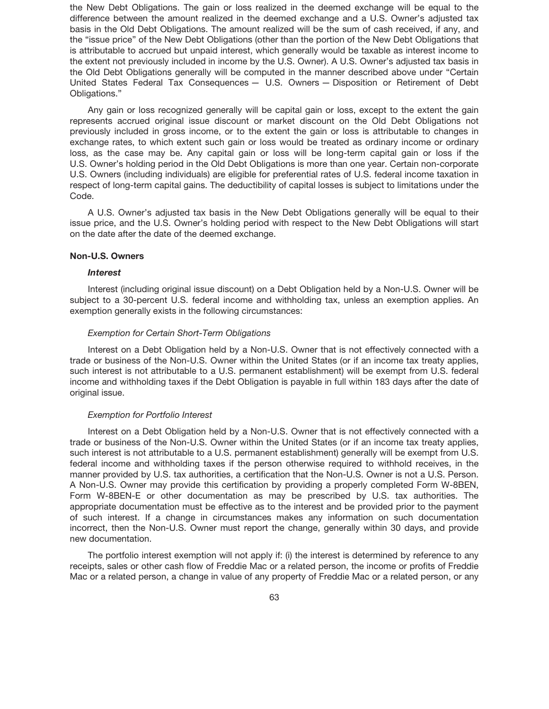the New Debt Obligations. The gain or loss realized in the deemed exchange will be equal to the difference between the amount realized in the deemed exchange and a U.S. Owner's adjusted tax basis in the Old Debt Obligations. The amount realized will be the sum of cash received, if any, and the "issue price" of the New Debt Obligations (other than the portion of the New Debt Obligations that is attributable to accrued but unpaid interest, which generally would be taxable as interest income to the extent not previously included in income by the U.S. Owner). A U.S. Owner's adjusted tax basis in the Old Debt Obligations generally will be computed in the manner described above under "Certain United States Federal Tax Consequences — U.S. Owners — Disposition or Retirement of Debt Obligations."

Any gain or loss recognized generally will be capital gain or loss, except to the extent the gain represents accrued original issue discount or market discount on the Old Debt Obligations not previously included in gross income, or to the extent the gain or loss is attributable to changes in exchange rates, to which extent such gain or loss would be treated as ordinary income or ordinary loss, as the case may be. Any capital gain or loss will be long-term capital gain or loss if the U.S. Owner's holding period in the Old Debt Obligations is more than one year. Certain non-corporate U.S. Owners (including individuals) are eligible for preferential rates of U.S. federal income taxation in respect of long-term capital gains. The deductibility of capital losses is subject to limitations under the Code.

A U.S. Owner's adjusted tax basis in the New Debt Obligations generally will be equal to their issue price, and the U.S. Owner's holding period with respect to the New Debt Obligations will start on the date after the date of the deemed exchange.

## **Non-U.S. Owners**

## *Interest*

Interest (including original issue discount) on a Debt Obligation held by a Non-U.S. Owner will be subject to a 30-percent U.S. federal income and withholding tax, unless an exemption applies. An exemption generally exists in the following circumstances:

### *Exemption for Certain Short-Term Obligations*

Interest on a Debt Obligation held by a Non-U.S. Owner that is not effectively connected with a trade or business of the Non-U.S. Owner within the United States (or if an income tax treaty applies, such interest is not attributable to a U.S. permanent establishment) will be exempt from U.S. federal income and withholding taxes if the Debt Obligation is payable in full within 183 days after the date of original issue.

#### *Exemption for Portfolio Interest*

Interest on a Debt Obligation held by a Non-U.S. Owner that is not effectively connected with a trade or business of the Non-U.S. Owner within the United States (or if an income tax treaty applies, such interest is not attributable to a U.S. permanent establishment) generally will be exempt from U.S. federal income and withholding taxes if the person otherwise required to withhold receives, in the manner provided by U.S. tax authorities, a certification that the Non-U.S. Owner is not a U.S. Person. A Non-U.S. Owner may provide this certification by providing a properly completed Form W-8BEN, Form W-8BEN-E or other documentation as may be prescribed by U.S. tax authorities. The appropriate documentation must be effective as to the interest and be provided prior to the payment of such interest. If a change in circumstances makes any information on such documentation incorrect, then the Non-U.S. Owner must report the change, generally within 30 days, and provide new documentation.

The portfolio interest exemption will not apply if: (i) the interest is determined by reference to any receipts, sales or other cash flow of Freddie Mac or a related person, the income or profits of Freddie Mac or a related person, a change in value of any property of Freddie Mac or a related person, or any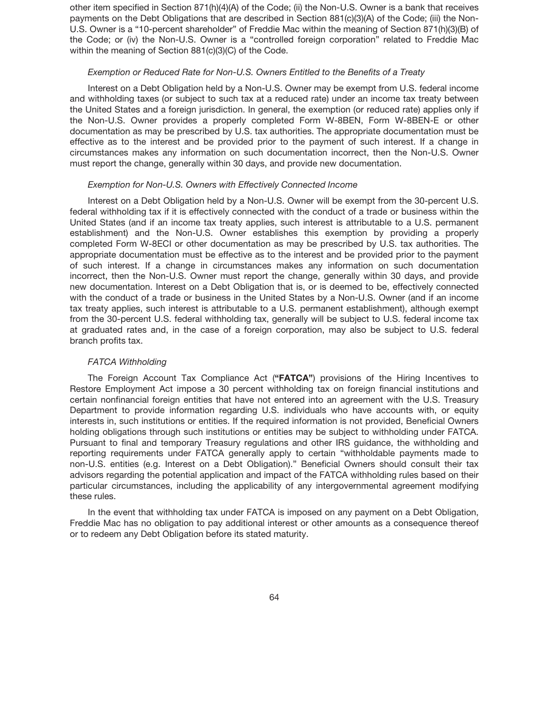other item specified in Section 871(h)(4)(A) of the Code; (ii) the Non-U.S. Owner is a bank that receives payments on the Debt Obligations that are described in Section 881(c)(3)(A) of the Code; (iii) the Non-U.S. Owner is a "10-percent shareholder" of Freddie Mac within the meaning of Section 871(h)(3)(B) of the Code; or (iv) the Non-U.S. Owner is a "controlled foreign corporation" related to Freddie Mac within the meaning of Section 881(c)(3)(C) of the Code.

### *Exemption or Reduced Rate for Non-U.S. Owners Entitled to the Benefits of a Treaty*

Interest on a Debt Obligation held by a Non-U.S. Owner may be exempt from U.S. federal income and withholding taxes (or subject to such tax at a reduced rate) under an income tax treaty between the United States and a foreign jurisdiction. In general, the exemption (or reduced rate) applies only if the Non-U.S. Owner provides a properly completed Form W-8BEN, Form W-8BEN-E or other documentation as may be prescribed by U.S. tax authorities. The appropriate documentation must be effective as to the interest and be provided prior to the payment of such interest. If a change in circumstances makes any information on such documentation incorrect, then the Non-U.S. Owner must report the change, generally within 30 days, and provide new documentation.

### *Exemption for Non-U.S. Owners with Effectively Connected Income*

Interest on a Debt Obligation held by a Non-U.S. Owner will be exempt from the 30-percent U.S. federal withholding tax if it is effectively connected with the conduct of a trade or business within the United States (and if an income tax treaty applies, such interest is attributable to a U.S. permanent establishment) and the Non-U.S. Owner establishes this exemption by providing a properly completed Form W-8ECI or other documentation as may be prescribed by U.S. tax authorities. The appropriate documentation must be effective as to the interest and be provided prior to the payment of such interest. If a change in circumstances makes any information on such documentation incorrect, then the Non-U.S. Owner must report the change, generally within 30 days, and provide new documentation. Interest on a Debt Obligation that is, or is deemed to be, effectively connected with the conduct of a trade or business in the United States by a Non-U.S. Owner (and if an income tax treaty applies, such interest is attributable to a U.S. permanent establishment), although exempt from the 30-percent U.S. federal withholding tax, generally will be subject to U.S. federal income tax at graduated rates and, in the case of a foreign corporation, may also be subject to U.S. federal branch profits tax.

## *FATCA Withholding*

The Foreign Account Tax Compliance Act (**"FATCA"**) provisions of the Hiring Incentives to Restore Employment Act impose a 30 percent withholding tax on foreign financial institutions and certain nonfinancial foreign entities that have not entered into an agreement with the U.S. Treasury Department to provide information regarding U.S. individuals who have accounts with, or equity interests in, such institutions or entities. If the required information is not provided, Beneficial Owners holding obligations through such institutions or entities may be subject to withholding under FATCA. Pursuant to final and temporary Treasury regulations and other IRS guidance, the withholding and reporting requirements under FATCA generally apply to certain "withholdable payments made to non-U.S. entities (e.g. Interest on a Debt Obligation)." Beneficial Owners should consult their tax advisors regarding the potential application and impact of the FATCA withholding rules based on their particular circumstances, including the applicability of any intergovernmental agreement modifying these rules.

In the event that withholding tax under FATCA is imposed on any payment on a Debt Obligation, Freddie Mac has no obligation to pay additional interest or other amounts as a consequence thereof or to redeem any Debt Obligation before its stated maturity.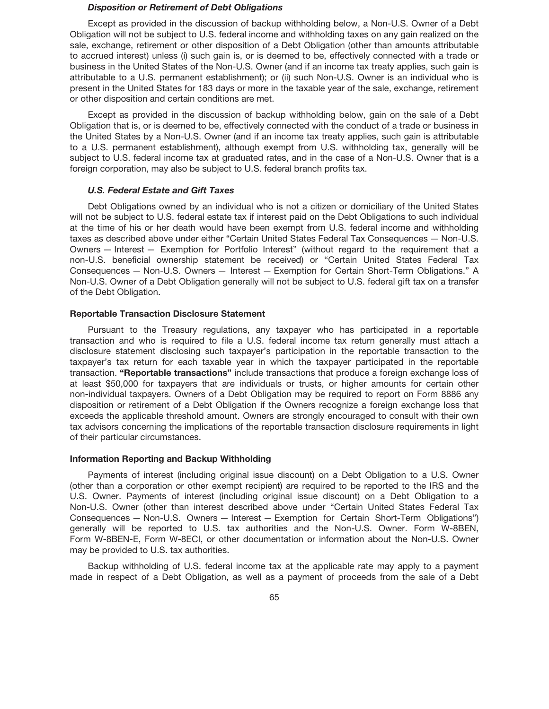### *Disposition or Retirement of Debt Obligations*

Except as provided in the discussion of backup withholding below, a Non-U.S. Owner of a Debt Obligation will not be subject to U.S. federal income and withholding taxes on any gain realized on the sale, exchange, retirement or other disposition of a Debt Obligation (other than amounts attributable to accrued interest) unless (i) such gain is, or is deemed to be, effectively connected with a trade or business in the United States of the Non-U.S. Owner (and if an income tax treaty applies, such gain is attributable to a U.S. permanent establishment); or (ii) such Non-U.S. Owner is an individual who is present in the United States for 183 days or more in the taxable year of the sale, exchange, retirement or other disposition and certain conditions are met.

Except as provided in the discussion of backup withholding below, gain on the sale of a Debt Obligation that is, or is deemed to be, effectively connected with the conduct of a trade or business in the United States by a Non-U.S. Owner (and if an income tax treaty applies, such gain is attributable to a U.S. permanent establishment), although exempt from U.S. withholding tax, generally will be subject to U.S. federal income tax at graduated rates, and in the case of a Non-U.S. Owner that is a foreign corporation, may also be subject to U.S. federal branch profits tax.

## *U.S. Federal Estate and Gift Taxes*

Debt Obligations owned by an individual who is not a citizen or domiciliary of the United States will not be subject to U.S. federal estate tax if interest paid on the Debt Obligations to such individual at the time of his or her death would have been exempt from U.S. federal income and withholding taxes as described above under either "Certain United States Federal Tax Consequences — Non-U.S. Owners — Interest — Exemption for Portfolio Interest" (without regard to the requirement that a non-U.S. beneficial ownership statement be received) or "Certain United States Federal Tax Consequences — Non-U.S. Owners — Interest — Exemption for Certain Short-Term Obligations." A Non-U.S. Owner of a Debt Obligation generally will not be subject to U.S. federal gift tax on a transfer of the Debt Obligation.

## **Reportable Transaction Disclosure Statement**

Pursuant to the Treasury regulations, any taxpayer who has participated in a reportable transaction and who is required to file a U.S. federal income tax return generally must attach a disclosure statement disclosing such taxpayer's participation in the reportable transaction to the taxpayer's tax return for each taxable year in which the taxpayer participated in the reportable transaction. **"Reportable transactions"** include transactions that produce a foreign exchange loss of at least \$50,000 for taxpayers that are individuals or trusts, or higher amounts for certain other non-individual taxpayers. Owners of a Debt Obligation may be required to report on Form 8886 any disposition or retirement of a Debt Obligation if the Owners recognize a foreign exchange loss that exceeds the applicable threshold amount. Owners are strongly encouraged to consult with their own tax advisors concerning the implications of the reportable transaction disclosure requirements in light of their particular circumstances.

## **Information Reporting and Backup Withholding**

Payments of interest (including original issue discount) on a Debt Obligation to a U.S. Owner (other than a corporation or other exempt recipient) are required to be reported to the IRS and the U.S. Owner. Payments of interest (including original issue discount) on a Debt Obligation to a Non-U.S. Owner (other than interest described above under "Certain United States Federal Tax Consequences — Non-U.S. Owners — Interest — Exemption for Certain Short-Term Obligations") generally will be reported to U.S. tax authorities and the Non-U.S. Owner. Form W-8BEN, Form W-8BEN-E, Form W-8ECI, or other documentation or information about the Non-U.S. Owner may be provided to U.S. tax authorities.

Backup withholding of U.S. federal income tax at the applicable rate may apply to a payment made in respect of a Debt Obligation, as well as a payment of proceeds from the sale of a Debt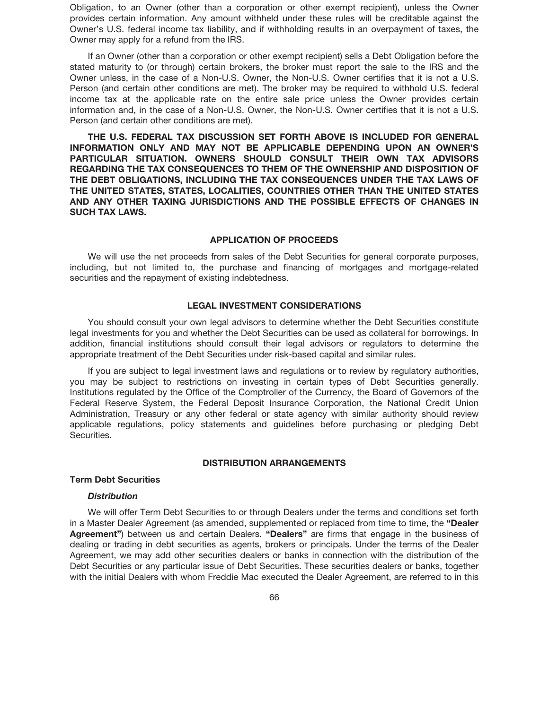Obligation, to an Owner (other than a corporation or other exempt recipient), unless the Owner provides certain information. Any amount withheld under these rules will be creditable against the Owner's U.S. federal income tax liability, and if withholding results in an overpayment of taxes, the Owner may apply for a refund from the IRS.

If an Owner (other than a corporation or other exempt recipient) sells a Debt Obligation before the stated maturity to (or through) certain brokers, the broker must report the sale to the IRS and the Owner unless, in the case of a Non-U.S. Owner, the Non-U.S. Owner certifies that it is not a U.S. Person (and certain other conditions are met). The broker may be required to withhold U.S. federal income tax at the applicable rate on the entire sale price unless the Owner provides certain information and, in the case of a Non-U.S. Owner, the Non-U.S. Owner certifies that it is not a U.S. Person (and certain other conditions are met).

**THE U.S. FEDERAL TAX DISCUSSION SET FORTH ABOVE IS INCLUDED FOR GENERAL INFORMATION ONLY AND MAY NOT BE APPLICABLE DEPENDING UPON AN OWNER'S PARTICULAR SITUATION. OWNERS SHOULD CONSULT THEIR OWN TAX ADVISORS REGARDING THE TAX CONSEQUENCES TO THEM OF THE OWNERSHIP AND DISPOSITION OF THE DEBT OBLIGATIONS, INCLUDING THE TAX CONSEQUENCES UNDER THE TAX LAWS OF THE UNITED STATES, STATES, LOCALITIES, COUNTRIES OTHER THAN THE UNITED STATES AND ANY OTHER TAXING JURISDICTIONS AND THE POSSIBLE EFFECTS OF CHANGES IN SUCH TAX LAWS.**

## **APPLICATION OF PROCEEDS**

We will use the net proceeds from sales of the Debt Securities for general corporate purposes, including, but not limited to, the purchase and financing of mortgages and mortgage-related securities and the repayment of existing indebtedness.

## **LEGAL INVESTMENT CONSIDERATIONS**

You should consult your own legal advisors to determine whether the Debt Securities constitute legal investments for you and whether the Debt Securities can be used as collateral for borrowings. In addition, financial institutions should consult their legal advisors or regulators to determine the appropriate treatment of the Debt Securities under risk-based capital and similar rules.

If you are subject to legal investment laws and regulations or to review by regulatory authorities, you may be subject to restrictions on investing in certain types of Debt Securities generally. Institutions regulated by the Office of the Comptroller of the Currency, the Board of Governors of the Federal Reserve System, the Federal Deposit Insurance Corporation, the National Credit Union Administration, Treasury or any other federal or state agency with similar authority should review applicable regulations, policy statements and guidelines before purchasing or pledging Debt Securities.

## **DISTRIBUTION ARRANGEMENTS**

### **Term Debt Securities**

## *Distribution*

We will offer Term Debt Securities to or through Dealers under the terms and conditions set forth in a Master Dealer Agreement (as amended, supplemented or replaced from time to time, the **"Dealer Agreement"**) between us and certain Dealers. **"Dealers"** are firms that engage in the business of dealing or trading in debt securities as agents, brokers or principals. Under the terms of the Dealer Agreement, we may add other securities dealers or banks in connection with the distribution of the Debt Securities or any particular issue of Debt Securities. These securities dealers or banks, together with the initial Dealers with whom Freddie Mac executed the Dealer Agreement, are referred to in this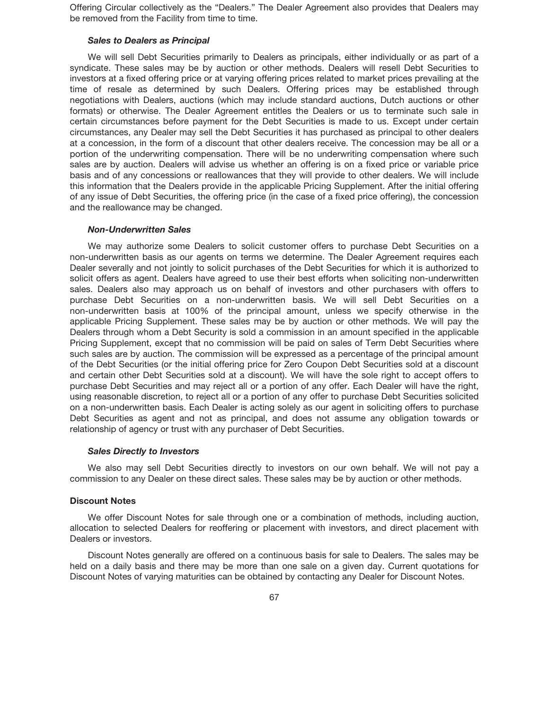Offering Circular collectively as the "Dealers." The Dealer Agreement also provides that Dealers may be removed from the Facility from time to time.

#### *Sales to Dealers as Principal*

We will sell Debt Securities primarily to Dealers as principals, either individually or as part of a syndicate. These sales may be by auction or other methods. Dealers will resell Debt Securities to investors at a fixed offering price or at varying offering prices related to market prices prevailing at the time of resale as determined by such Dealers. Offering prices may be established through negotiations with Dealers, auctions (which may include standard auctions, Dutch auctions or other formats) or otherwise. The Dealer Agreement entitles the Dealers or us to terminate such sale in certain circumstances before payment for the Debt Securities is made to us. Except under certain circumstances, any Dealer may sell the Debt Securities it has purchased as principal to other dealers at a concession, in the form of a discount that other dealers receive. The concession may be all or a portion of the underwriting compensation. There will be no underwriting compensation where such sales are by auction. Dealers will advise us whether an offering is on a fixed price or variable price basis and of any concessions or reallowances that they will provide to other dealers. We will include this information that the Dealers provide in the applicable Pricing Supplement. After the initial offering of any issue of Debt Securities, the offering price (in the case of a fixed price offering), the concession and the reallowance may be changed.

#### *Non-Underwritten Sales*

We may authorize some Dealers to solicit customer offers to purchase Debt Securities on a non-underwritten basis as our agents on terms we determine. The Dealer Agreement requires each Dealer severally and not jointly to solicit purchases of the Debt Securities for which it is authorized to solicit offers as agent. Dealers have agreed to use their best efforts when soliciting non-underwritten sales. Dealers also may approach us on behalf of investors and other purchasers with offers to purchase Debt Securities on a non-underwritten basis. We will sell Debt Securities on a non-underwritten basis at 100% of the principal amount, unless we specify otherwise in the applicable Pricing Supplement. These sales may be by auction or other methods. We will pay the Dealers through whom a Debt Security is sold a commission in an amount specified in the applicable Pricing Supplement, except that no commission will be paid on sales of Term Debt Securities where such sales are by auction. The commission will be expressed as a percentage of the principal amount of the Debt Securities (or the initial offering price for Zero Coupon Debt Securities sold at a discount and certain other Debt Securities sold at a discount). We will have the sole right to accept offers to purchase Debt Securities and may reject all or a portion of any offer. Each Dealer will have the right, using reasonable discretion, to reject all or a portion of any offer to purchase Debt Securities solicited on a non-underwritten basis. Each Dealer is acting solely as our agent in soliciting offers to purchase Debt Securities as agent and not as principal, and does not assume any obligation towards or relationship of agency or trust with any purchaser of Debt Securities.

#### *Sales Directly to Investors*

We also may sell Debt Securities directly to investors on our own behalf. We will not pay a commission to any Dealer on these direct sales. These sales may be by auction or other methods.

## **Discount Notes**

We offer Discount Notes for sale through one or a combination of methods, including auction, allocation to selected Dealers for reoffering or placement with investors, and direct placement with Dealers or investors.

Discount Notes generally are offered on a continuous basis for sale to Dealers. The sales may be held on a daily basis and there may be more than one sale on a given day. Current quotations for Discount Notes of varying maturities can be obtained by contacting any Dealer for Discount Notes.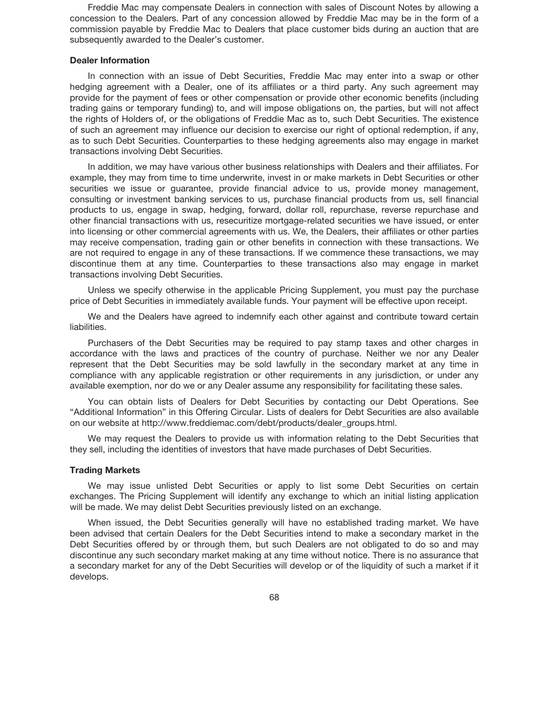Freddie Mac may compensate Dealers in connection with sales of Discount Notes by allowing a concession to the Dealers. Part of any concession allowed by Freddie Mac may be in the form of a commission payable by Freddie Mac to Dealers that place customer bids during an auction that are subsequently awarded to the Dealer's customer.

#### **Dealer Information**

In connection with an issue of Debt Securities, Freddie Mac may enter into a swap or other hedging agreement with a Dealer, one of its affiliates or a third party. Any such agreement may provide for the payment of fees or other compensation or provide other economic benefits (including trading gains or temporary funding) to, and will impose obligations on, the parties, but will not affect the rights of Holders of, or the obligations of Freddie Mac as to, such Debt Securities. The existence of such an agreement may influence our decision to exercise our right of optional redemption, if any, as to such Debt Securities. Counterparties to these hedging agreements also may engage in market transactions involving Debt Securities.

In addition, we may have various other business relationships with Dealers and their affiliates. For example, they may from time to time underwrite, invest in or make markets in Debt Securities or other securities we issue or guarantee, provide financial advice to us, provide money management, consulting or investment banking services to us, purchase financial products from us, sell financial products to us, engage in swap, hedging, forward, dollar roll, repurchase, reverse repurchase and other financial transactions with us, resecuritize mortgage-related securities we have issued, or enter into licensing or other commercial agreements with us. We, the Dealers, their affiliates or other parties may receive compensation, trading gain or other benefits in connection with these transactions. We are not required to engage in any of these transactions. If we commence these transactions, we may discontinue them at any time. Counterparties to these transactions also may engage in market transactions involving Debt Securities.

Unless we specify otherwise in the applicable Pricing Supplement, you must pay the purchase price of Debt Securities in immediately available funds. Your payment will be effective upon receipt.

We and the Dealers have agreed to indemnify each other against and contribute toward certain liabilities.

Purchasers of the Debt Securities may be required to pay stamp taxes and other charges in accordance with the laws and practices of the country of purchase. Neither we nor any Dealer represent that the Debt Securities may be sold lawfully in the secondary market at any time in compliance with any applicable registration or other requirements in any jurisdiction, or under any available exemption, nor do we or any Dealer assume any responsibility for facilitating these sales.

You can obtain lists of Dealers for Debt Securities by contacting our Debt Operations. See "Additional Information" in this Offering Circular. Lists of dealers for Debt Securities are also available on our website at http://www.freddiemac.com/debt/products/dealer\_groups.html.

We may request the Dealers to provide us with information relating to the Debt Securities that they sell, including the identities of investors that have made purchases of Debt Securities.

## **Trading Markets**

We may issue unlisted Debt Securities or apply to list some Debt Securities on certain exchanges. The Pricing Supplement will identify any exchange to which an initial listing application will be made. We may delist Debt Securities previously listed on an exchange.

When issued, the Debt Securities generally will have no established trading market. We have been advised that certain Dealers for the Debt Securities intend to make a secondary market in the Debt Securities offered by or through them, but such Dealers are not obligated to do so and may discontinue any such secondary market making at any time without notice. There is no assurance that a secondary market for any of the Debt Securities will develop or of the liquidity of such a market if it develops.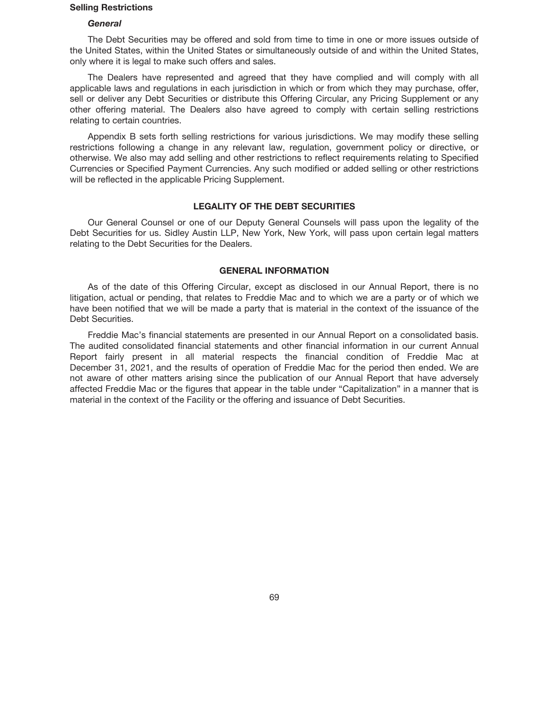### **Selling Restrictions**

## *General*

The Debt Securities may be offered and sold from time to time in one or more issues outside of the United States, within the United States or simultaneously outside of and within the United States, only where it is legal to make such offers and sales.

The Dealers have represented and agreed that they have complied and will comply with all applicable laws and regulations in each jurisdiction in which or from which they may purchase, offer, sell or deliver any Debt Securities or distribute this Offering Circular, any Pricing Supplement or any other offering material. The Dealers also have agreed to comply with certain selling restrictions relating to certain countries.

Appendix B sets forth selling restrictions for various jurisdictions. We may modify these selling restrictions following a change in any relevant law, regulation, government policy or directive, or otherwise. We also may add selling and other restrictions to reflect requirements relating to Specified Currencies or Specified Payment Currencies. Any such modified or added selling or other restrictions will be reflected in the applicable Pricing Supplement.

# **LEGALITY OF THE DEBT SECURITIES**

Our General Counsel or one of our Deputy General Counsels will pass upon the legality of the Debt Securities for us. Sidley Austin LLP, New York, New York, will pass upon certain legal matters relating to the Debt Securities for the Dealers.

## **GENERAL INFORMATION**

As of the date of this Offering Circular, except as disclosed in our Annual Report, there is no litigation, actual or pending, that relates to Freddie Mac and to which we are a party or of which we have been notified that we will be made a party that is material in the context of the issuance of the Debt Securities.

Freddie Mac's financial statements are presented in our Annual Report on a consolidated basis. The audited consolidated financial statements and other financial information in our current Annual Report fairly present in all material respects the financial condition of Freddie Mac at December 31, 2021, and the results of operation of Freddie Mac for the period then ended. We are not aware of other matters arising since the publication of our Annual Report that have adversely affected Freddie Mac or the figures that appear in the table under "Capitalization" in a manner that is material in the context of the Facility or the offering and issuance of Debt Securities.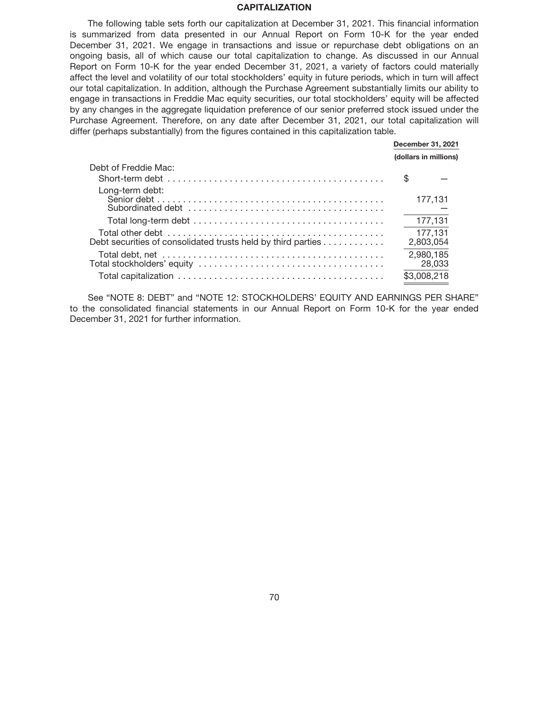### **CAPITALIZATION**

The following table sets forth our capitalization at December 31, 2021. This financial information is summarized from data presented in our Annual Report on Form 10-K for the year ended December 31, 2021. We engage in transactions and issue or repurchase debt obligations on an ongoing basis, all of which cause our total capitalization to change. As discussed in our Annual Report on Form 10-K for the year ended December 31, 2021, a variety of factors could materially affect the level and volatility of our total stockholders' equity in future periods, which in turn will affect our total capitalization. In addition, although the Purchase Agreement substantially limits our ability to engage in transactions in Freddie Mac equity securities, our total stockholders' equity will be affected by any changes in the aggregate liquidation preference of our senior preferred stock issued under the Purchase Agreement. Therefore, on any date after December 31, 2021, our total capitalization will differ (perhaps substantially) from the figures contained in this capitalization table.

|                                                              | December 31, 2021<br>(dollars in millions) |  |
|--------------------------------------------------------------|--------------------------------------------|--|
| Debt of Freddie Mac:                                         |                                            |  |
|                                                              | S                                          |  |
| Long-term debt:                                              | 177,131                                    |  |
|                                                              | 177,131                                    |  |
| Debt securities of consolidated trusts held by third parties | 177,131<br>2,803,054                       |  |
|                                                              | 2,980,185<br>28,033                        |  |
|                                                              | \$3.008.218                                |  |

See "NOTE 8: DEBT" and "NOTE 12: STOCKHOLDERS' EQUITY AND EARNINGS PER SHARE" to the consolidated financial statements in our Annual Report on Form 10-K for the year ended December 31, 2021 for further information.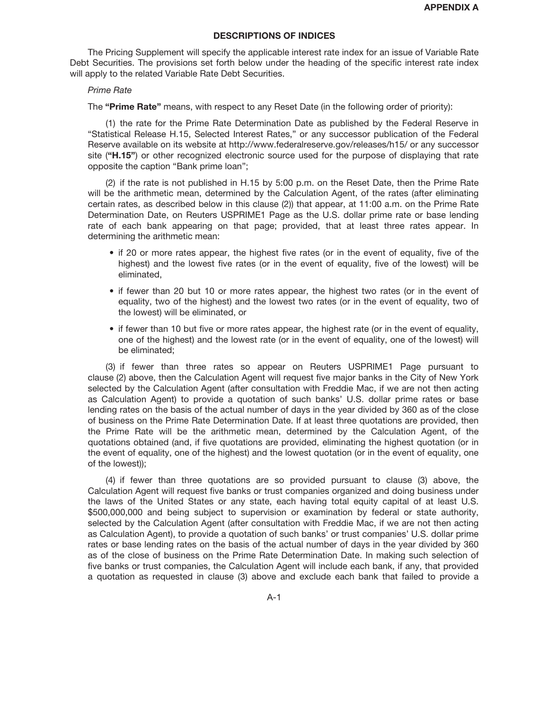## **DESCRIPTIONS OF INDICES**

The Pricing Supplement will specify the applicable interest rate index for an issue of Variable Rate Debt Securities. The provisions set forth below under the heading of the specific interest rate index will apply to the related Variable Rate Debt Securities.

## *Prime Rate*

The **"Prime Rate"** means, with respect to any Reset Date (in the following order of priority):

(1) the rate for the Prime Rate Determination Date as published by the Federal Reserve in "Statistical Release H.15, Selected Interest Rates," or any successor publication of the Federal Reserve available on its website at http://www.federalreserve.gov/releases/h15/ or any successor site (**"H.15"**) or other recognized electronic source used for the purpose of displaying that rate opposite the caption "Bank prime loan";

(2) if the rate is not published in H.15 by 5:00 p.m. on the Reset Date, then the Prime Rate will be the arithmetic mean, determined by the Calculation Agent, of the rates (after eliminating certain rates, as described below in this clause (2)) that appear, at 11:00 a.m. on the Prime Rate Determination Date, on Reuters USPRIME1 Page as the U.S. dollar prime rate or base lending rate of each bank appearing on that page; provided, that at least three rates appear. In determining the arithmetic mean:

- if 20 or more rates appear, the highest five rates (or in the event of equality, five of the highest) and the lowest five rates (or in the event of equality, five of the lowest) will be eliminated,
- if fewer than 20 but 10 or more rates appear, the highest two rates (or in the event of equality, two of the highest) and the lowest two rates (or in the event of equality, two of the lowest) will be eliminated, or
- if fewer than 10 but five or more rates appear, the highest rate (or in the event of equality, one of the highest) and the lowest rate (or in the event of equality, one of the lowest) will be eliminated;

(3) if fewer than three rates so appear on Reuters USPRIME1 Page pursuant to clause (2) above, then the Calculation Agent will request five major banks in the City of New York selected by the Calculation Agent (after consultation with Freddie Mac, if we are not then acting as Calculation Agent) to provide a quotation of such banks' U.S. dollar prime rates or base lending rates on the basis of the actual number of days in the year divided by 360 as of the close of business on the Prime Rate Determination Date. If at least three quotations are provided, then the Prime Rate will be the arithmetic mean, determined by the Calculation Agent, of the quotations obtained (and, if five quotations are provided, eliminating the highest quotation (or in the event of equality, one of the highest) and the lowest quotation (or in the event of equality, one of the lowest));

(4) if fewer than three quotations are so provided pursuant to clause (3) above, the Calculation Agent will request five banks or trust companies organized and doing business under the laws of the United States or any state, each having total equity capital of at least U.S. \$500,000,000 and being subject to supervision or examination by federal or state authority, selected by the Calculation Agent (after consultation with Freddie Mac, if we are not then acting as Calculation Agent), to provide a quotation of such banks' or trust companies' U.S. dollar prime rates or base lending rates on the basis of the actual number of days in the year divided by 360 as of the close of business on the Prime Rate Determination Date. In making such selection of five banks or trust companies, the Calculation Agent will include each bank, if any, that provided a quotation as requested in clause (3) above and exclude each bank that failed to provide a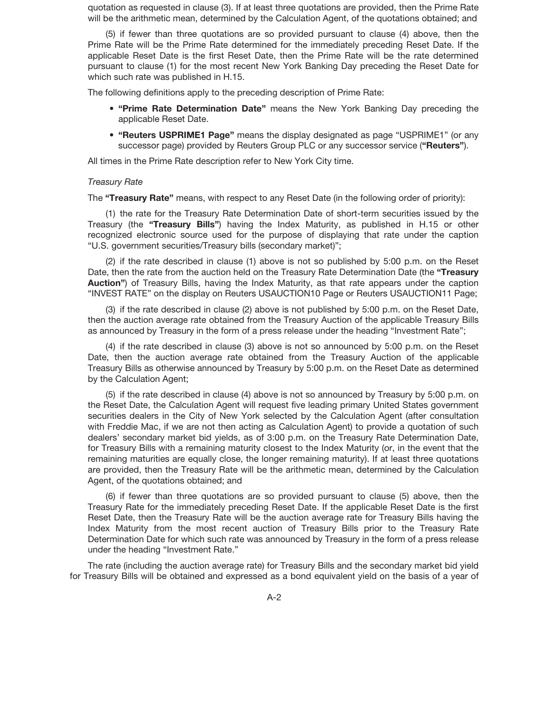quotation as requested in clause (3). If at least three quotations are provided, then the Prime Rate will be the arithmetic mean, determined by the Calculation Agent, of the quotations obtained; and

(5) if fewer than three quotations are so provided pursuant to clause (4) above, then the Prime Rate will be the Prime Rate determined for the immediately preceding Reset Date. If the applicable Reset Date is the first Reset Date, then the Prime Rate will be the rate determined pursuant to clause (1) for the most recent New York Banking Day preceding the Reset Date for which such rate was published in H.15.

The following definitions apply to the preceding description of Prime Rate:

- **"Prime Rate Determination Date"** means the New York Banking Day preceding the applicable Reset Date.
- **"Reuters USPRIME1 Page"** means the display designated as page "USPRIME1" (or any successor page) provided by Reuters Group PLC or any successor service (**"Reuters"**).

All times in the Prime Rate description refer to New York City time.

## *Treasury Rate*

The **"Treasury Rate"** means, with respect to any Reset Date (in the following order of priority):

(1) the rate for the Treasury Rate Determination Date of short-term securities issued by the Treasury (the **"Treasury Bills"**) having the Index Maturity, as published in H.15 or other recognized electronic source used for the purpose of displaying that rate under the caption "U.S. government securities/Treasury bills (secondary market)";

(2) if the rate described in clause (1) above is not so published by 5:00 p.m. on the Reset Date, then the rate from the auction held on the Treasury Rate Determination Date (the **"Treasury Auction"**) of Treasury Bills, having the Index Maturity, as that rate appears under the caption "INVEST RATE" on the display on Reuters USAUCTION10 Page or Reuters USAUCTION11 Page;

(3) if the rate described in clause (2) above is not published by 5:00 p.m. on the Reset Date, then the auction average rate obtained from the Treasury Auction of the applicable Treasury Bills as announced by Treasury in the form of a press release under the heading "Investment Rate";

(4) if the rate described in clause (3) above is not so announced by 5:00 p.m. on the Reset Date, then the auction average rate obtained from the Treasury Auction of the applicable Treasury Bills as otherwise announced by Treasury by 5:00 p.m. on the Reset Date as determined by the Calculation Agent;

(5) if the rate described in clause (4) above is not so announced by Treasury by 5:00 p.m. on the Reset Date, the Calculation Agent will request five leading primary United States government securities dealers in the City of New York selected by the Calculation Agent (after consultation with Freddie Mac, if we are not then acting as Calculation Agent) to provide a quotation of such dealers' secondary market bid yields, as of 3:00 p.m. on the Treasury Rate Determination Date, for Treasury Bills with a remaining maturity closest to the Index Maturity (or, in the event that the remaining maturities are equally close, the longer remaining maturity). If at least three quotations are provided, then the Treasury Rate will be the arithmetic mean, determined by the Calculation Agent, of the quotations obtained; and

(6) if fewer than three quotations are so provided pursuant to clause (5) above, then the Treasury Rate for the immediately preceding Reset Date. If the applicable Reset Date is the first Reset Date, then the Treasury Rate will be the auction average rate for Treasury Bills having the Index Maturity from the most recent auction of Treasury Bills prior to the Treasury Rate Determination Date for which such rate was announced by Treasury in the form of a press release under the heading "Investment Rate."

The rate (including the auction average rate) for Treasury Bills and the secondary market bid yield for Treasury Bills will be obtained and expressed as a bond equivalent yield on the basis of a year of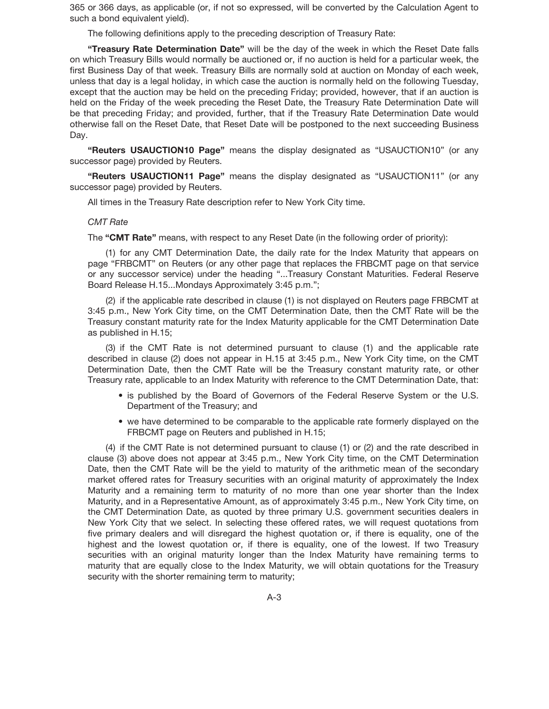365 or 366 days, as applicable (or, if not so expressed, will be converted by the Calculation Agent to such a bond equivalent yield).

The following definitions apply to the preceding description of Treasury Rate:

**"Treasury Rate Determination Date"** will be the day of the week in which the Reset Date falls on which Treasury Bills would normally be auctioned or, if no auction is held for a particular week, the first Business Day of that week. Treasury Bills are normally sold at auction on Monday of each week, unless that day is a legal holiday, in which case the auction is normally held on the following Tuesday, except that the auction may be held on the preceding Friday; provided, however, that if an auction is held on the Friday of the week preceding the Reset Date, the Treasury Rate Determination Date will be that preceding Friday; and provided, further, that if the Treasury Rate Determination Date would otherwise fall on the Reset Date, that Reset Date will be postponed to the next succeeding Business Day.

**"Reuters USAUCTION10 Page"** means the display designated as "USAUCTION10" (or any successor page) provided by Reuters.

**"Reuters USAUCTION11 Page"** means the display designated as "USAUCTION11" (or any successor page) provided by Reuters.

All times in the Treasury Rate description refer to New York City time.

#### *CMT Rate*

The **"CMT Rate"** means, with respect to any Reset Date (in the following order of priority):

(1) for any CMT Determination Date, the daily rate for the Index Maturity that appears on page "FRBCMT" on Reuters (or any other page that replaces the FRBCMT page on that service or any successor service) under the heading "...Treasury Constant Maturities. Federal Reserve Board Release H.15...Mondays Approximately 3:45 p.m.";

(2) if the applicable rate described in clause (1) is not displayed on Reuters page FRBCMT at 3:45 p.m., New York City time, on the CMT Determination Date, then the CMT Rate will be the Treasury constant maturity rate for the Index Maturity applicable for the CMT Determination Date as published in H.15;

(3) if the CMT Rate is not determined pursuant to clause (1) and the applicable rate described in clause (2) does not appear in H.15 at 3:45 p.m., New York City time, on the CMT Determination Date, then the CMT Rate will be the Treasury constant maturity rate, or other Treasury rate, applicable to an Index Maturity with reference to the CMT Determination Date, that:

- is published by the Board of Governors of the Federal Reserve System or the U.S. Department of the Treasury; and
- we have determined to be comparable to the applicable rate formerly displayed on the FRBCMT page on Reuters and published in H.15;

(4) if the CMT Rate is not determined pursuant to clause (1) or (2) and the rate described in clause (3) above does not appear at 3:45 p.m., New York City time, on the CMT Determination Date, then the CMT Rate will be the yield to maturity of the arithmetic mean of the secondary market offered rates for Treasury securities with an original maturity of approximately the Index Maturity and a remaining term to maturity of no more than one year shorter than the Index Maturity, and in a Representative Amount, as of approximately 3:45 p.m., New York City time, on the CMT Determination Date, as quoted by three primary U.S. government securities dealers in New York City that we select. In selecting these offered rates, we will request quotations from five primary dealers and will disregard the highest quotation or, if there is equality, one of the highest and the lowest quotation or, if there is equality, one of the lowest. If two Treasury securities with an original maturity longer than the Index Maturity have remaining terms to maturity that are equally close to the Index Maturity, we will obtain quotations for the Treasury security with the shorter remaining term to maturity;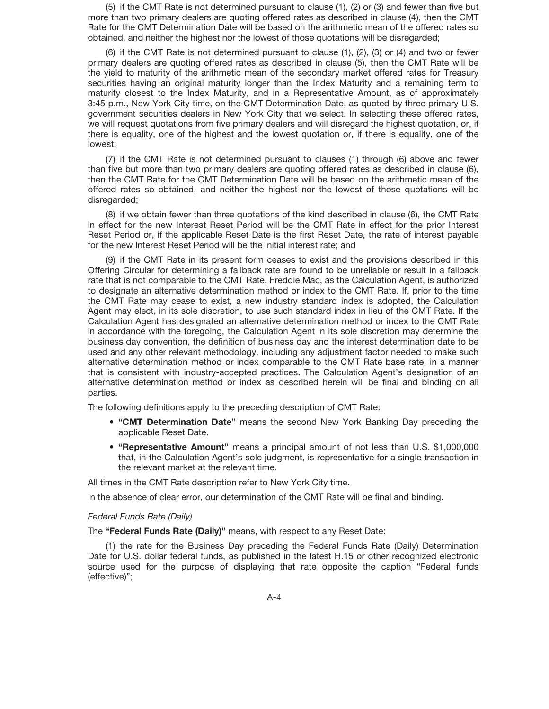(5) if the CMT Rate is not determined pursuant to clause (1), (2) or (3) and fewer than five but more than two primary dealers are quoting offered rates as described in clause (4), then the CMT Rate for the CMT Determination Date will be based on the arithmetic mean of the offered rates so obtained, and neither the highest nor the lowest of those quotations will be disregarded;

(6) if the CMT Rate is not determined pursuant to clause (1), (2), (3) or (4) and two or fewer primary dealers are quoting offered rates as described in clause (5), then the CMT Rate will be the yield to maturity of the arithmetic mean of the secondary market offered rates for Treasury securities having an original maturity longer than the Index Maturity and a remaining term to maturity closest to the Index Maturity, and in a Representative Amount, as of approximately 3:45 p.m., New York City time, on the CMT Determination Date, as quoted by three primary U.S. government securities dealers in New York City that we select. In selecting these offered rates, we will request quotations from five primary dealers and will disregard the highest quotation, or, if there is equality, one of the highest and the lowest quotation or, if there is equality, one of the lowest;

(7) if the CMT Rate is not determined pursuant to clauses (1) through (6) above and fewer than five but more than two primary dealers are quoting offered rates as described in clause (6), then the CMT Rate for the CMT Determination Date will be based on the arithmetic mean of the offered rates so obtained, and neither the highest nor the lowest of those quotations will be disregarded;

(8) if we obtain fewer than three quotations of the kind described in clause (6), the CMT Rate in effect for the new Interest Reset Period will be the CMT Rate in effect for the prior Interest Reset Period or, if the applicable Reset Date is the first Reset Date, the rate of interest payable for the new Interest Reset Period will be the initial interest rate; and

(9) if the CMT Rate in its present form ceases to exist and the provisions described in this Offering Circular for determining a fallback rate are found to be unreliable or result in a fallback rate that is not comparable to the CMT Rate, Freddie Mac, as the Calculation Agent, is authorized to designate an alternative determination method or index to the CMT Rate. If, prior to the time the CMT Rate may cease to exist, a new industry standard index is adopted, the Calculation Agent may elect, in its sole discretion, to use such standard index in lieu of the CMT Rate. If the Calculation Agent has designated an alternative determination method or index to the CMT Rate in accordance with the foregoing, the Calculation Agent in its sole discretion may determine the business day convention, the definition of business day and the interest determination date to be used and any other relevant methodology, including any adjustment factor needed to make such alternative determination method or index comparable to the CMT Rate base rate, in a manner that is consistent with industry-accepted practices. The Calculation Agent's designation of an alternative determination method or index as described herein will be final and binding on all parties.

The following definitions apply to the preceding description of CMT Rate:

- **"CMT Determination Date"** means the second New York Banking Day preceding the applicable Reset Date.
- **"Representative Amount"** means a principal amount of not less than U.S. \$1,000,000 that, in the Calculation Agent's sole judgment, is representative for a single transaction in the relevant market at the relevant time.

All times in the CMT Rate description refer to New York City time.

In the absence of clear error, our determination of the CMT Rate will be final and binding.

#### *Federal Funds Rate (Daily)*

The **"Federal Funds Rate (Daily)"** means, with respect to any Reset Date:

(1) the rate for the Business Day preceding the Federal Funds Rate (Daily) Determination Date for U.S. dollar federal funds, as published in the latest H.15 or other recognized electronic source used for the purpose of displaying that rate opposite the caption "Federal funds (effective)";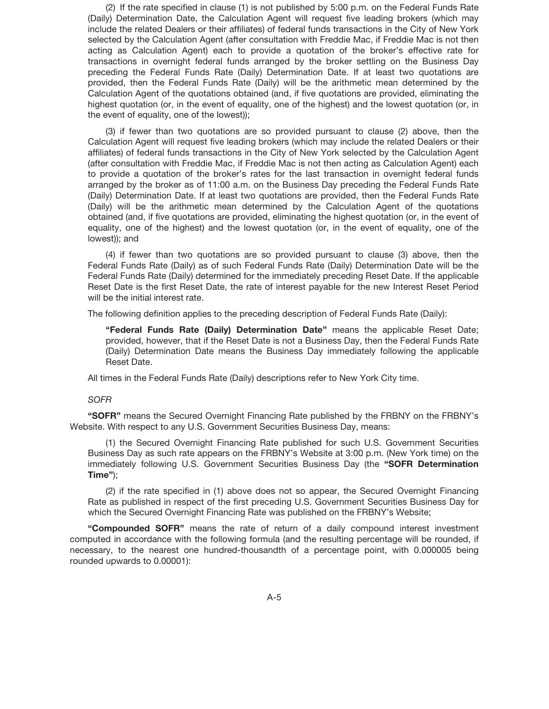(2) If the rate specified in clause (1) is not published by 5:00 p.m. on the Federal Funds Rate (Daily) Determination Date, the Calculation Agent will request five leading brokers (which may include the related Dealers or their affiliates) of federal funds transactions in the City of New York selected by the Calculation Agent (after consultation with Freddie Mac, if Freddie Mac is not then acting as Calculation Agent) each to provide a quotation of the broker's effective rate for transactions in overnight federal funds arranged by the broker settling on the Business Day preceding the Federal Funds Rate (Daily) Determination Date. If at least two quotations are provided, then the Federal Funds Rate (Daily) will be the arithmetic mean determined by the Calculation Agent of the quotations obtained (and, if five quotations are provided, eliminating the highest quotation (or, in the event of equality, one of the highest) and the lowest quotation (or, in the event of equality, one of the lowest));

(3) if fewer than two quotations are so provided pursuant to clause (2) above, then the Calculation Agent will request five leading brokers (which may include the related Dealers or their affiliates) of federal funds transactions in the City of New York selected by the Calculation Agent (after consultation with Freddie Mac, if Freddie Mac is not then acting as Calculation Agent) each to provide a quotation of the broker's rates for the last transaction in overnight federal funds arranged by the broker as of 11:00 a.m. on the Business Day preceding the Federal Funds Rate (Daily) Determination Date. If at least two quotations are provided, then the Federal Funds Rate (Daily) will be the arithmetic mean determined by the Calculation Agent of the quotations obtained (and, if five quotations are provided, eliminating the highest quotation (or, in the event of equality, one of the highest) and the lowest quotation (or, in the event of equality, one of the lowest)); and

(4) if fewer than two quotations are so provided pursuant to clause (3) above, then the Federal Funds Rate (Daily) as of such Federal Funds Rate (Daily) Determination Date will be the Federal Funds Rate (Daily) determined for the immediately preceding Reset Date. If the applicable Reset Date is the first Reset Date, the rate of interest payable for the new Interest Reset Period will be the initial interest rate.

The following definition applies to the preceding description of Federal Funds Rate (Daily):

**"Federal Funds Rate (Daily) Determination Date"** means the applicable Reset Date; provided, however, that if the Reset Date is not a Business Day, then the Federal Funds Rate (Daily) Determination Date means the Business Day immediately following the applicable Reset Date.

All times in the Federal Funds Rate (Daily) descriptions refer to New York City time.

#### *SOFR*

**"SOFR"** means the Secured Overnight Financing Rate published by the FRBNY on the FRBNY's Website. With respect to any U.S. Government Securities Business Day, means:

(1) the Secured Overnight Financing Rate published for such U.S. Government Securities Business Day as such rate appears on the FRBNY's Website at 3:00 p.m. (New York time) on the immediately following U.S. Government Securities Business Day (the **"SOFR Determination Time"**);

(2) if the rate specified in (1) above does not so appear, the Secured Overnight Financing Rate as published in respect of the first preceding U.S. Government Securities Business Day for which the Secured Overnight Financing Rate was published on the FRBNY's Website;

**"Compounded SOFR"** means the rate of return of a daily compound interest investment computed in accordance with the following formula (and the resulting percentage will be rounded, if necessary, to the nearest one hundred-thousandth of a percentage point, with 0.000005 being rounded upwards to 0.00001):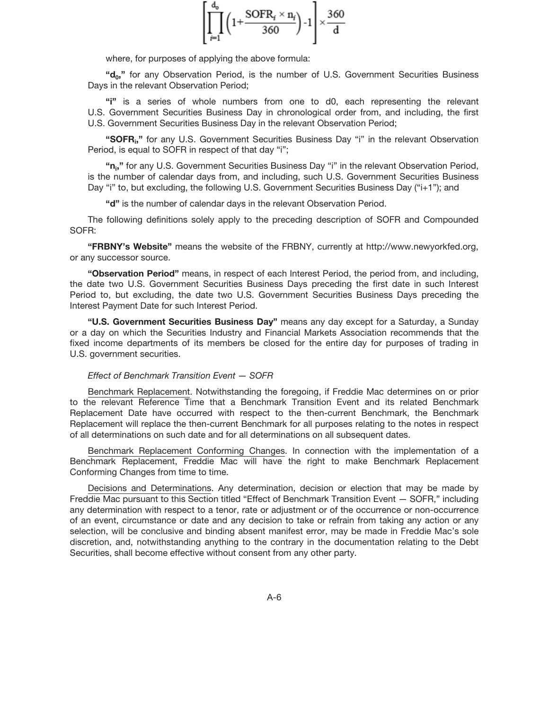$$
\left[\prod_{i=1}^{d_o} \left(1 + \frac{\text{SOFR}_i \times n_i}{360}\right) - 1\right] \times \frac{360}{d}
$$

where, for purposes of applying the above formula:

**"d0,"** for any Observation Period, is the number of U.S. Government Securities Business Days in the relevant Observation Period;

**"i"** is a series of whole numbers from one to d0, each representing the relevant U.S. Government Securities Business Day in chronological order from, and including, the first U.S. Government Securities Business Day in the relevant Observation Period;

"SOFR<sub>i</sub>," for any U.S. Government Securities Business Day "i" in the relevant Observation Period, is equal to SOFR in respect of that day "i";

**"ni ,"** for any U.S. Government Securities Business Day "i" in the relevant Observation Period, is the number of calendar days from, and including, such U.S. Government Securities Business Day "i" to, but excluding, the following U.S. Government Securities Business Day ("i+1"); and

**"d"** is the number of calendar days in the relevant Observation Period.

The following definitions solely apply to the preceding description of SOFR and Compounded SOFR:

**"FRBNY's Website"** means the website of the FRBNY, currently at http://www.newyorkfed.org, or any successor source.

**"Observation Period"** means, in respect of each Interest Period, the period from, and including, the date two U.S. Government Securities Business Days preceding the first date in such Interest Period to, but excluding, the date two U.S. Government Securities Business Days preceding the Interest Payment Date for such Interest Period.

**"U.S. Government Securities Business Day"** means any day except for a Saturday, a Sunday or a day on which the Securities Industry and Financial Markets Association recommends that the fixed income departments of its members be closed for the entire day for purposes of trading in U.S. government securities.

#### *Effect of Benchmark Transition Event — SOFR*

Benchmark Replacement. Notwithstanding the foregoing, if Freddie Mac determines on or prior to the relevant Reference Time that a Benchmark Transition Event and its related Benchmark Replacement Date have occurred with respect to the then-current Benchmark, the Benchmark Replacement will replace the then-current Benchmark for all purposes relating to the notes in respect of all determinations on such date and for all determinations on all subsequent dates.

Benchmark Replacement Conforming Changes. In connection with the implementation of a Benchmark Replacement, Freddie Mac will have the right to make Benchmark Replacement Conforming Changes from time to time.

Decisions and Determinations. Any determination, decision or election that may be made by Freddie Mac pursuant to this Section titled "Effect of Benchmark Transition Event - SOFR," including any determination with respect to a tenor, rate or adjustment or of the occurrence or non-occurrence of an event, circumstance or date and any decision to take or refrain from taking any action or any selection, will be conclusive and binding absent manifest error, may be made in Freddie Mac's sole discretion, and, notwithstanding anything to the contrary in the documentation relating to the Debt Securities, shall become effective without consent from any other party.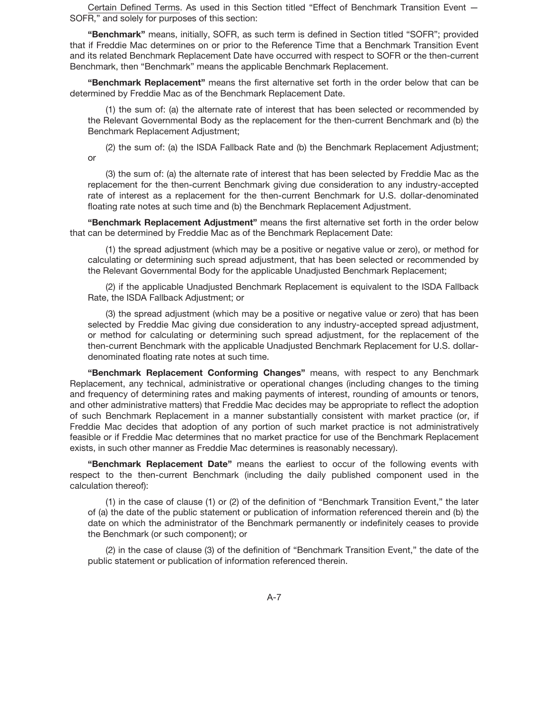Certain Defined Terms. As used in this Section titled "Effect of Benchmark Transition Event — SOFR," and solely for purposes of this section:

**"Benchmark"** means, initially, SOFR, as such term is defined in Section titled "SOFR"; provided that if Freddie Mac determines on or prior to the Reference Time that a Benchmark Transition Event and its related Benchmark Replacement Date have occurred with respect to SOFR or the then-current Benchmark, then "Benchmark" means the applicable Benchmark Replacement.

**"Benchmark Replacement"** means the first alternative set forth in the order below that can be determined by Freddie Mac as of the Benchmark Replacement Date.

(1) the sum of: (a) the alternate rate of interest that has been selected or recommended by the Relevant Governmental Body as the replacement for the then-current Benchmark and (b) the Benchmark Replacement Adjustment;

(2) the sum of: (a) the ISDA Fallback Rate and (b) the Benchmark Replacement Adjustment; or

(3) the sum of: (a) the alternate rate of interest that has been selected by Freddie Mac as the replacement for the then-current Benchmark giving due consideration to any industry-accepted rate of interest as a replacement for the then-current Benchmark for U.S. dollar-denominated floating rate notes at such time and (b) the Benchmark Replacement Adjustment.

**"Benchmark Replacement Adjustment"** means the first alternative set forth in the order below that can be determined by Freddie Mac as of the Benchmark Replacement Date:

(1) the spread adjustment (which may be a positive or negative value or zero), or method for calculating or determining such spread adjustment, that has been selected or recommended by the Relevant Governmental Body for the applicable Unadjusted Benchmark Replacement;

(2) if the applicable Unadjusted Benchmark Replacement is equivalent to the ISDA Fallback Rate, the ISDA Fallback Adjustment; or

(3) the spread adjustment (which may be a positive or negative value or zero) that has been selected by Freddie Mac giving due consideration to any industry-accepted spread adjustment, or method for calculating or determining such spread adjustment, for the replacement of the then-current Benchmark with the applicable Unadjusted Benchmark Replacement for U.S. dollardenominated floating rate notes at such time.

**"Benchmark Replacement Conforming Changes"** means, with respect to any Benchmark Replacement, any technical, administrative or operational changes (including changes to the timing and frequency of determining rates and making payments of interest, rounding of amounts or tenors, and other administrative matters) that Freddie Mac decides may be appropriate to reflect the adoption of such Benchmark Replacement in a manner substantially consistent with market practice (or, if Freddie Mac decides that adoption of any portion of such market practice is not administratively feasible or if Freddie Mac determines that no market practice for use of the Benchmark Replacement exists, in such other manner as Freddie Mac determines is reasonably necessary).

**"Benchmark Replacement Date"** means the earliest to occur of the following events with respect to the then-current Benchmark (including the daily published component used in the calculation thereof):

(1) in the case of clause (1) or (2) of the definition of "Benchmark Transition Event," the later of (a) the date of the public statement or publication of information referenced therein and (b) the date on which the administrator of the Benchmark permanently or indefinitely ceases to provide the Benchmark (or such component); or

(2) in the case of clause (3) of the definition of "Benchmark Transition Event," the date of the public statement or publication of information referenced therein.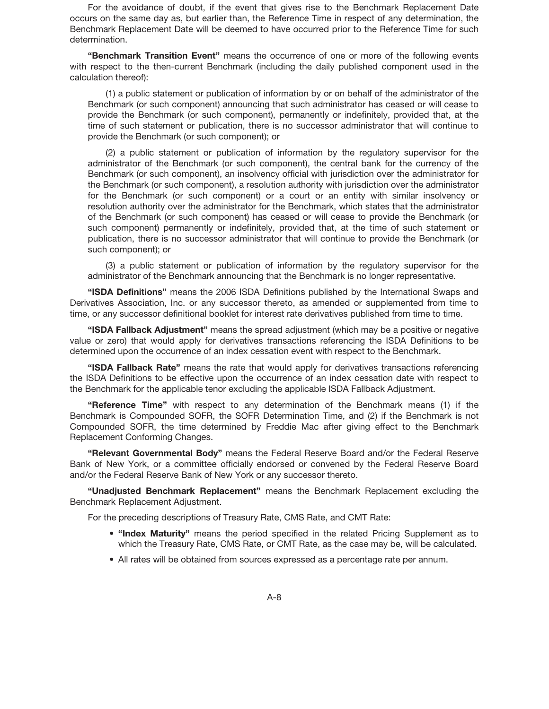For the avoidance of doubt, if the event that gives rise to the Benchmark Replacement Date occurs on the same day as, but earlier than, the Reference Time in respect of any determination, the Benchmark Replacement Date will be deemed to have occurred prior to the Reference Time for such determination.

**"Benchmark Transition Event"** means the occurrence of one or more of the following events with respect to the then-current Benchmark (including the daily published component used in the calculation thereof):

(1) a public statement or publication of information by or on behalf of the administrator of the Benchmark (or such component) announcing that such administrator has ceased or will cease to provide the Benchmark (or such component), permanently or indefinitely, provided that, at the time of such statement or publication, there is no successor administrator that will continue to provide the Benchmark (or such component); or

(2) a public statement or publication of information by the regulatory supervisor for the administrator of the Benchmark (or such component), the central bank for the currency of the Benchmark (or such component), an insolvency official with jurisdiction over the administrator for the Benchmark (or such component), a resolution authority with jurisdiction over the administrator for the Benchmark (or such component) or a court or an entity with similar insolvency or resolution authority over the administrator for the Benchmark, which states that the administrator of the Benchmark (or such component) has ceased or will cease to provide the Benchmark (or such component) permanently or indefinitely, provided that, at the time of such statement or publication, there is no successor administrator that will continue to provide the Benchmark (or such component); or

(3) a public statement or publication of information by the regulatory supervisor for the administrator of the Benchmark announcing that the Benchmark is no longer representative.

**"ISDA Definitions"** means the 2006 ISDA Definitions published by the International Swaps and Derivatives Association, Inc. or any successor thereto, as amended or supplemented from time to time, or any successor definitional booklet for interest rate derivatives published from time to time.

**"ISDA Fallback Adjustment"** means the spread adjustment (which may be a positive or negative value or zero) that would apply for derivatives transactions referencing the ISDA Definitions to be determined upon the occurrence of an index cessation event with respect to the Benchmark.

**"ISDA Fallback Rate"** means the rate that would apply for derivatives transactions referencing the ISDA Definitions to be effective upon the occurrence of an index cessation date with respect to the Benchmark for the applicable tenor excluding the applicable ISDA Fallback Adjustment.

**"Reference Time"** with respect to any determination of the Benchmark means (1) if the Benchmark is Compounded SOFR, the SOFR Determination Time, and (2) if the Benchmark is not Compounded SOFR, the time determined by Freddie Mac after giving effect to the Benchmark Replacement Conforming Changes.

**"Relevant Governmental Body"** means the Federal Reserve Board and/or the Federal Reserve Bank of New York, or a committee officially endorsed or convened by the Federal Reserve Board and/or the Federal Reserve Bank of New York or any successor thereto.

**"Unadjusted Benchmark Replacement"** means the Benchmark Replacement excluding the Benchmark Replacement Adjustment.

For the preceding descriptions of Treasury Rate, CMS Rate, and CMT Rate:

- **"Index Maturity"** means the period specified in the related Pricing Supplement as to which the Treasury Rate, CMS Rate, or CMT Rate, as the case may be, will be calculated.
- All rates will be obtained from sources expressed as a percentage rate per annum.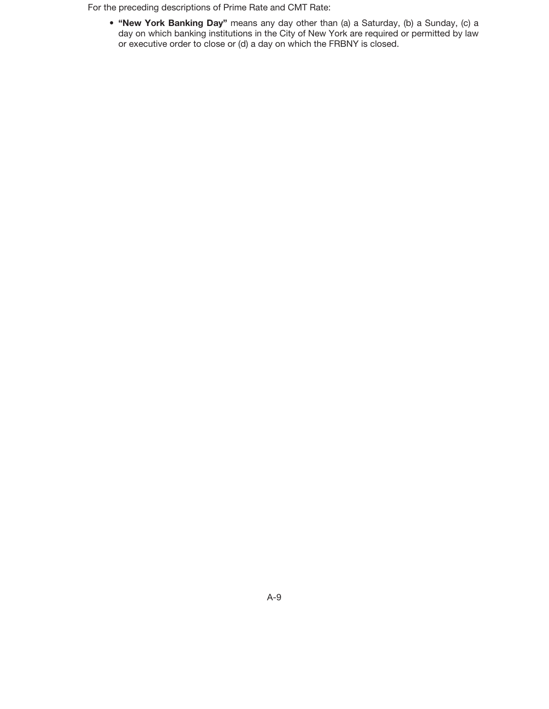For the preceding descriptions of Prime Rate and CMT Rate:

• **"New York Banking Day"** means any day other than (a) a Saturday, (b) a Sunday, (c) a day on which banking institutions in the City of New York are required or permitted by law or executive order to close or (d) a day on which the FRBNY is closed.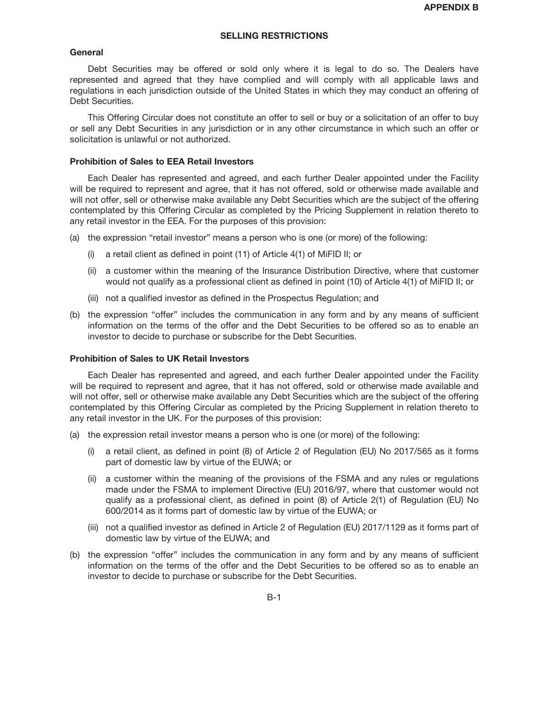## **SELLING RESTRICTIONS**

#### **General**

Debt Securities may be offered or sold only where it is legal to do so. The Dealers have represented and agreed that they have complied and will comply with all applicable laws and regulations in each jurisdiction outside of the United States in which they may conduct an offering of Debt Securities.

This Offering Circular does not constitute an offer to sell or buy or a solicitation of an offer to buy or sell any Debt Securities in any jurisdiction or in any other circumstance in which such an offer or solicitation is unlawful or not authorized.

## **Prohibition of Sales to EEA Retail Investors**

Each Dealer has represented and agreed, and each further Dealer appointed under the Facility will be required to represent and agree, that it has not offered, sold or otherwise made available and will not offer, sell or otherwise make available any Debt Securities which are the subject of the offering contemplated by this Offering Circular as completed by the Pricing Supplement in relation thereto to any retail investor in the EEA. For the purposes of this provision:

- (a) the expression "retail investor" means a person who is one (or more) of the following:
	- (i) a retail client as defined in point (11) of Article 4(1) of MiFID II; or
	- (ii) a customer within the meaning of the Insurance Distribution Directive, where that customer would not qualify as a professional client as defined in point (10) of Article 4(1) of MiFID II; or
	- (iii) not a qualified investor as defined in the Prospectus Regulation; and
- (b) the expression "offer" includes the communication in any form and by any means of sufficient information on the terms of the offer and the Debt Securities to be offered so as to enable an investor to decide to purchase or subscribe for the Debt Securities.

## **Prohibition of Sales to UK Retail Investors**

Each Dealer has represented and agreed, and each further Dealer appointed under the Facility will be required to represent and agree, that it has not offered, sold or otherwise made available and will not offer, sell or otherwise make available any Debt Securities which are the subject of the offering contemplated by this Offering Circular as completed by the Pricing Supplement in relation thereto to any retail investor in the UK. For the purposes of this provision:

- (a) the expression retail investor means a person who is one (or more) of the following:
	- (i) a retail client, as defined in point (8) of Article 2 of Regulation (EU) No 2017/565 as it forms part of domestic law by virtue of the EUWA; or
	- (ii) a customer within the meaning of the provisions of the FSMA and any rules or regulations made under the FSMA to implement Directive (EU) 2016/97, where that customer would not qualify as a professional client, as defined in point (8) of Article 2(1) of Regulation (EU) No 600/2014 as it forms part of domestic law by virtue of the EUWA; or
	- (iii) not a qualified investor as defined in Article 2 of Regulation (EU) 2017/1129 as it forms part of domestic law by virtue of the EUWA; and
- (b) the expression "offer" includes the communication in any form and by any means of sufficient information on the terms of the offer and the Debt Securities to be offered so as to enable an investor to decide to purchase or subscribe for the Debt Securities.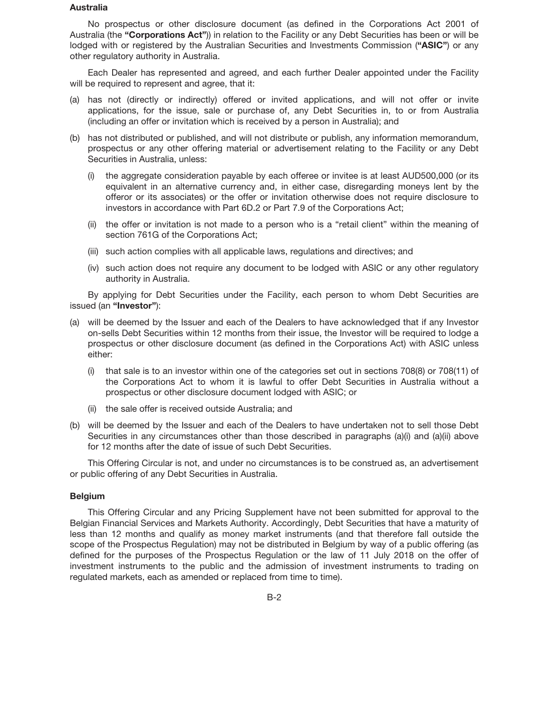#### **Australia**

No prospectus or other disclosure document (as defined in the Corporations Act 2001 of Australia (the **"Corporations Act"**)) in relation to the Facility or any Debt Securities has been or will be lodged with or registered by the Australian Securities and Investments Commission (**"ASIC"**) or any other regulatory authority in Australia.

Each Dealer has represented and agreed, and each further Dealer appointed under the Facility will be required to represent and agree, that it:

- (a) has not (directly or indirectly) offered or invited applications, and will not offer or invite applications, for the issue, sale or purchase of, any Debt Securities in, to or from Australia (including an offer or invitation which is received by a person in Australia); and
- (b) has not distributed or published, and will not distribute or publish, any information memorandum, prospectus or any other offering material or advertisement relating to the Facility or any Debt Securities in Australia, unless:
	- (i) the aggregate consideration payable by each offeree or invitee is at least AUD500,000 (or its equivalent in an alternative currency and, in either case, disregarding moneys lent by the offeror or its associates) or the offer or invitation otherwise does not require disclosure to investors in accordance with Part 6D.2 or Part 7.9 of the Corporations Act;
	- (ii) the offer or invitation is not made to a person who is a "retail client" within the meaning of section 761G of the Corporations Act;
	- (iii) such action complies with all applicable laws, regulations and directives; and
	- (iv) such action does not require any document to be lodged with ASIC or any other regulatory authority in Australia.

By applying for Debt Securities under the Facility, each person to whom Debt Securities are issued (an **"Investor"**):

- (a) will be deemed by the Issuer and each of the Dealers to have acknowledged that if any Investor on-sells Debt Securities within 12 months from their issue, the Investor will be required to lodge a prospectus or other disclosure document (as defined in the Corporations Act) with ASIC unless either:
	- (i) that sale is to an investor within one of the categories set out in sections 708(8) or 708(11) of the Corporations Act to whom it is lawful to offer Debt Securities in Australia without a prospectus or other disclosure document lodged with ASIC; or
	- (ii) the sale offer is received outside Australia; and
- (b) will be deemed by the Issuer and each of the Dealers to have undertaken not to sell those Debt Securities in any circumstances other than those described in paragraphs (a)(i) and (a)(ii) above for 12 months after the date of issue of such Debt Securities.

This Offering Circular is not, and under no circumstances is to be construed as, an advertisement or public offering of any Debt Securities in Australia.

## **Belgium**

This Offering Circular and any Pricing Supplement have not been submitted for approval to the Belgian Financial Services and Markets Authority. Accordingly, Debt Securities that have a maturity of less than 12 months and qualify as money market instruments (and that therefore fall outside the scope of the Prospectus Regulation) may not be distributed in Belgium by way of a public offering (as defined for the purposes of the Prospectus Regulation or the law of 11 July 2018 on the offer of investment instruments to the public and the admission of investment instruments to trading on regulated markets, each as amended or replaced from time to time).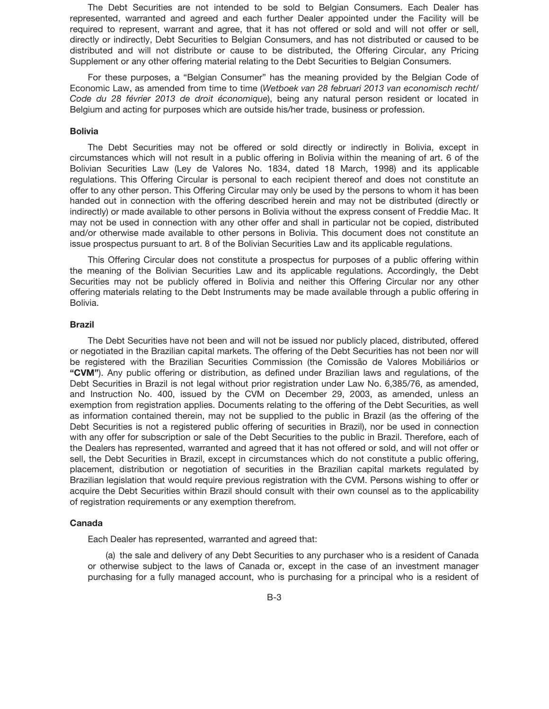The Debt Securities are not intended to be sold to Belgian Consumers. Each Dealer has represented, warranted and agreed and each further Dealer appointed under the Facility will be required to represent, warrant and agree, that it has not offered or sold and will not offer or sell, directly or indirectly, Debt Securities to Belgian Consumers, and has not distributed or caused to be distributed and will not distribute or cause to be distributed, the Offering Circular, any Pricing Supplement or any other offering material relating to the Debt Securities to Belgian Consumers.

For these purposes, a "Belgian Consumer" has the meaning provided by the Belgian Code of Economic Law, as amended from time to time (*Wetboek van 28 februari 2013 van economisch recht/ Code du 28 février 2013 de droit économique*), being any natural person resident or located in Belgium and acting for purposes which are outside his/her trade, business or profession.

#### **Bolivia**

The Debt Securities may not be offered or sold directly or indirectly in Bolivia, except in circumstances which will not result in a public offering in Bolivia within the meaning of art. 6 of the Bolivian Securities Law (Ley de Valores No. 1834, dated 18 March, 1998) and its applicable regulations. This Offering Circular is personal to each recipient thereof and does not constitute an offer to any other person. This Offering Circular may only be used by the persons to whom it has been handed out in connection with the offering described herein and may not be distributed (directly or indirectly) or made available to other persons in Bolivia without the express consent of Freddie Mac. It may not be used in connection with any other offer and shall in particular not be copied, distributed and/or otherwise made available to other persons in Bolivia. This document does not constitute an issue prospectus pursuant to art. 8 of the Bolivian Securities Law and its applicable regulations.

This Offering Circular does not constitute a prospectus for purposes of a public offering within the meaning of the Bolivian Securities Law and its applicable regulations. Accordingly, the Debt Securities may not be publicly offered in Bolivia and neither this Offering Circular nor any other offering materials relating to the Debt Instruments may be made available through a public offering in Bolivia.

## **Brazil**

The Debt Securities have not been and will not be issued nor publicly placed, distributed, offered or negotiated in the Brazilian capital markets. The offering of the Debt Securities has not been nor will be registered with the Brazilian Securities Commission (the Comissão de Valores Mobiliários or **"CVM"**). Any public offering or distribution, as defined under Brazilian laws and regulations, of the Debt Securities in Brazil is not legal without prior registration under Law No. 6,385/76, as amended, and Instruction No. 400, issued by the CVM on December 29, 2003, as amended, unless an exemption from registration applies. Documents relating to the offering of the Debt Securities, as well as information contained therein, may not be supplied to the public in Brazil (as the offering of the Debt Securities is not a registered public offering of securities in Brazil), nor be used in connection with any offer for subscription or sale of the Debt Securities to the public in Brazil. Therefore, each of the Dealers has represented, warranted and agreed that it has not offered or sold, and will not offer or sell, the Debt Securities in Brazil, except in circumstances which do not constitute a public offering, placement, distribution or negotiation of securities in the Brazilian capital markets regulated by Brazilian legislation that would require previous registration with the CVM. Persons wishing to offer or acquire the Debt Securities within Brazil should consult with their own counsel as to the applicability of registration requirements or any exemption therefrom.

#### **Canada**

Each Dealer has represented, warranted and agreed that:

(a) the sale and delivery of any Debt Securities to any purchaser who is a resident of Canada or otherwise subject to the laws of Canada or, except in the case of an investment manager purchasing for a fully managed account, who is purchasing for a principal who is a resident of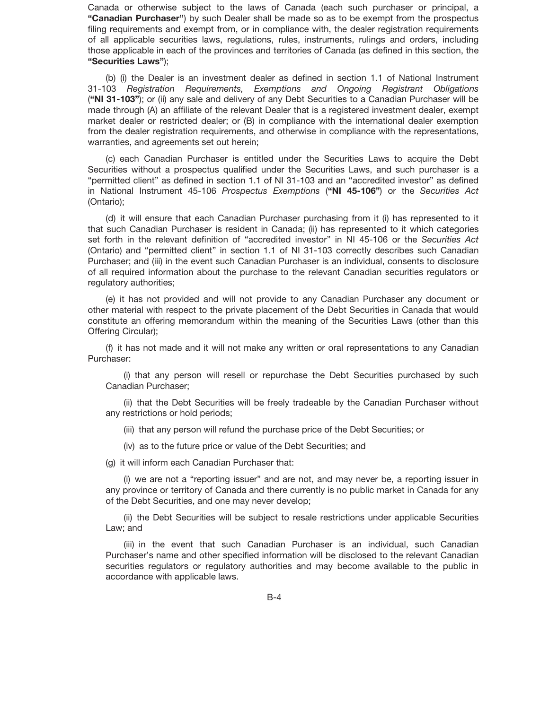Canada or otherwise subject to the laws of Canada (each such purchaser or principal, a **"Canadian Purchaser"**) by such Dealer shall be made so as to be exempt from the prospectus filing requirements and exempt from, or in compliance with, the dealer registration requirements of all applicable securities laws, regulations, rules, instruments, rulings and orders, including those applicable in each of the provinces and territories of Canada (as defined in this section, the **"Securities Laws"**);

(b) (i) the Dealer is an investment dealer as defined in section 1.1 of National Instrument 31-103 *Registration Requirements, Exemptions and Ongoing Registrant Obligations* (**"NI 31-103"**); or (ii) any sale and delivery of any Debt Securities to a Canadian Purchaser will be made through (A) an affiliate of the relevant Dealer that is a registered investment dealer, exempt market dealer or restricted dealer; or (B) in compliance with the international dealer exemption from the dealer registration requirements, and otherwise in compliance with the representations, warranties, and agreements set out herein;

(c) each Canadian Purchaser is entitled under the Securities Laws to acquire the Debt Securities without a prospectus qualified under the Securities Laws, and such purchaser is a "permitted client" as defined in section 1.1 of NI 31-103 and an "accredited investor" as defined in National Instrument 45-106 *Prospectus Exemptions* (**"NI 45-106"**) or the *Securities Act* (Ontario);

(d) it will ensure that each Canadian Purchaser purchasing from it (i) has represented to it that such Canadian Purchaser is resident in Canada; (ii) has represented to it which categories set forth in the relevant definition of "accredited investor" in NI 45-106 or the *Securities Act* (Ontario) and "permitted client" in section 1.1 of NI 31-103 correctly describes such Canadian Purchaser; and (iii) in the event such Canadian Purchaser is an individual, consents to disclosure of all required information about the purchase to the relevant Canadian securities regulators or regulatory authorities;

(e) it has not provided and will not provide to any Canadian Purchaser any document or other material with respect to the private placement of the Debt Securities in Canada that would constitute an offering memorandum within the meaning of the Securities Laws (other than this Offering Circular);

(f) it has not made and it will not make any written or oral representations to any Canadian Purchaser:

(i) that any person will resell or repurchase the Debt Securities purchased by such Canadian Purchaser;

(ii) that the Debt Securities will be freely tradeable by the Canadian Purchaser without any restrictions or hold periods;

(iii) that any person will refund the purchase price of the Debt Securities; or

(iv) as to the future price or value of the Debt Securities; and

(g) it will inform each Canadian Purchaser that:

(i) we are not a "reporting issuer" and are not, and may never be, a reporting issuer in any province or territory of Canada and there currently is no public market in Canada for any of the Debt Securities, and one may never develop;

(ii) the Debt Securities will be subject to resale restrictions under applicable Securities Law; and

(iii) in the event that such Canadian Purchaser is an individual, such Canadian Purchaser's name and other specified information will be disclosed to the relevant Canadian securities regulators or regulatory authorities and may become available to the public in accordance with applicable laws.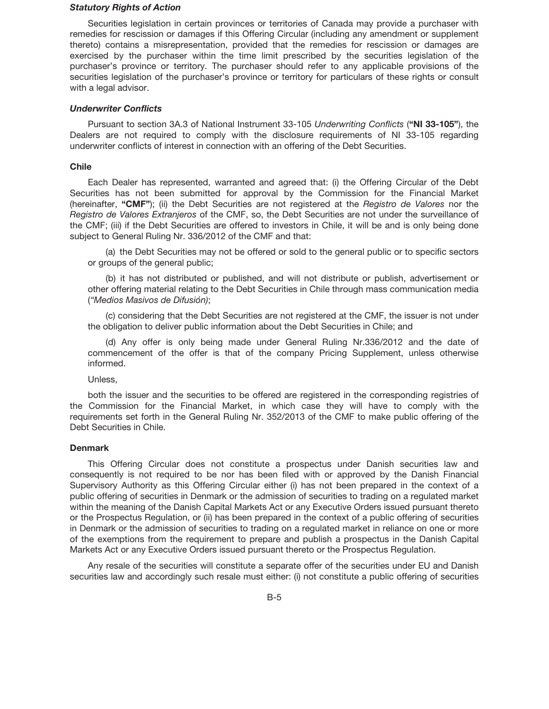#### *Statutory Rights of Action*

Securities legislation in certain provinces or territories of Canada may provide a purchaser with remedies for rescission or damages if this Offering Circular (including any amendment or supplement thereto) contains a misrepresentation, provided that the remedies for rescission or damages are exercised by the purchaser within the time limit prescribed by the securities legislation of the purchaser's province or territory. The purchaser should refer to any applicable provisions of the securities legislation of the purchaser's province or territory for particulars of these rights or consult with a legal advisor.

## *Underwriter Conflicts*

Pursuant to section 3A.3 of National Instrument 33-105 *Underwriting Conflicts* (**"NI 33-105"**), the Dealers are not required to comply with the disclosure requirements of NI 33-105 regarding underwriter conflicts of interest in connection with an offering of the Debt Securities.

## **Chile**

Each Dealer has represented, warranted and agreed that: (i) the Offering Circular of the Debt Securities has not been submitted for approval by the Commission for the Financial Market (hereinafter, **"CMF"**); (ii) the Debt Securities are not registered at the *Registro de Valores* nor the *Registro de Valores Extranjeros* of the CMF, so, the Debt Securities are not under the surveillance of the CMF; (iii) if the Debt Securities are offered to investors in Chile, it will be and is only being done subject to General Ruling Nr. 336/2012 of the CMF and that:

(a) the Debt Securities may not be offered or sold to the general public or to specific sectors or groups of the general public;

(b) it has not distributed or published, and will not distribute or publish, advertisement or other offering material relating to the Debt Securities in Chile through mass communication media *("Medios Masivos de Difusión)*;

(c) considering that the Debt Securities are not registered at the CMF, the issuer is not under the obligation to deliver public information about the Debt Securities in Chile; and

(d) Any offer is only being made under General Ruling Nr.336/2012 and the date of commencement of the offer is that of the company Pricing Supplement, unless otherwise informed.

Unless,

both the issuer and the securities to be offered are registered in the corresponding registries of the Commission for the Financial Market, in which case they will have to comply with the requirements set forth in the General Ruling Nr. 352/2013 of the CMF to make public offering of the Debt Securities in Chile.

#### **Denmark**

This Offering Circular does not constitute a prospectus under Danish securities law and consequently is not required to be nor has been filed with or approved by the Danish Financial Supervisory Authority as this Offering Circular either (i) has not been prepared in the context of a public offering of securities in Denmark or the admission of securities to trading on a regulated market within the meaning of the Danish Capital Markets Act or any Executive Orders issued pursuant thereto or the Prospectus Regulation, or (ii) has been prepared in the context of a public offering of securities in Denmark or the admission of securities to trading on a regulated market in reliance on one or more of the exemptions from the requirement to prepare and publish a prospectus in the Danish Capital Markets Act or any Executive Orders issued pursuant thereto or the Prospectus Regulation.

Any resale of the securities will constitute a separate offer of the securities under EU and Danish securities law and accordingly such resale must either: (i) not constitute a public offering of securities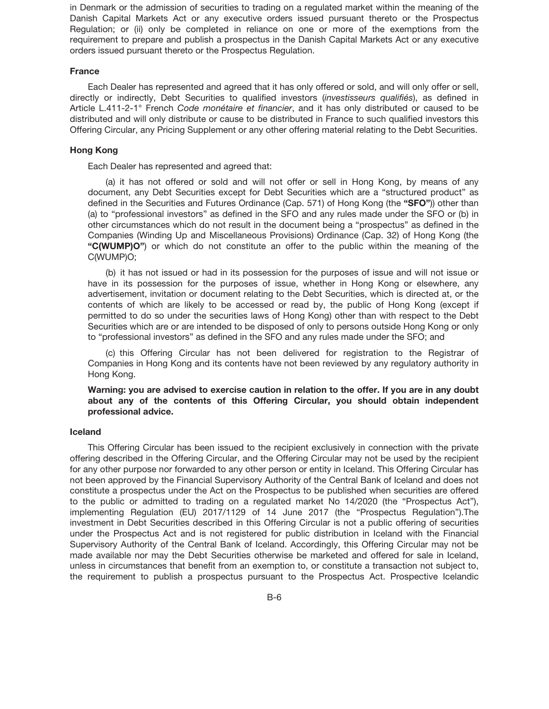in Denmark or the admission of securities to trading on a regulated market within the meaning of the Danish Capital Markets Act or any executive orders issued pursuant thereto or the Prospectus Regulation; or (ii) only be completed in reliance on one or more of the exemptions from the requirement to prepare and publish a prospectus in the Danish Capital Markets Act or any executive orders issued pursuant thereto or the Prospectus Regulation.

## **France**

Each Dealer has represented and agreed that it has only offered or sold, and will only offer or sell, directly or indirectly, Debt Securities to qualified investors (*investisseurs qualifiés*), as defined in Article L.411-2-1° French *Code monétaire et financier*, and it has only distributed or caused to be distributed and will only distribute or cause to be distributed in France to such qualified investors this Offering Circular, any Pricing Supplement or any other offering material relating to the Debt Securities.

#### **Hong Kong**

Each Dealer has represented and agreed that:

(a) it has not offered or sold and will not offer or sell in Hong Kong, by means of any document, any Debt Securities except for Debt Securities which are a "structured product" as defined in the Securities and Futures Ordinance (Cap. 571) of Hong Kong (the **"SFO"**)) other than (a) to "professional investors" as defined in the SFO and any rules made under the SFO or (b) in other circumstances which do not result in the document being a "prospectus" as defined in the Companies (Winding Up and Miscellaneous Provisions) Ordinance (Cap. 32) of Hong Kong (the **"C(WUMP)O"**) or which do not constitute an offer to the public within the meaning of the C(WUMP)O;

(b) it has not issued or had in its possession for the purposes of issue and will not issue or have in its possession for the purposes of issue, whether in Hong Kong or elsewhere, any advertisement, invitation or document relating to the Debt Securities, which is directed at, or the contents of which are likely to be accessed or read by, the public of Hong Kong (except if permitted to do so under the securities laws of Hong Kong) other than with respect to the Debt Securities which are or are intended to be disposed of only to persons outside Hong Kong or only to "professional investors" as defined in the SFO and any rules made under the SFO; and

(c) this Offering Circular has not been delivered for registration to the Registrar of Companies in Hong Kong and its contents have not been reviewed by any regulatory authority in Hong Kong.

**Warning: you are advised to exercise caution in relation to the offer. If you are in any doubt about any of the contents of this Offering Circular, you should obtain independent professional advice.**

#### **Iceland**

This Offering Circular has been issued to the recipient exclusively in connection with the private offering described in the Offering Circular, and the Offering Circular may not be used by the recipient for any other purpose nor forwarded to any other person or entity in Iceland. This Offering Circular has not been approved by the Financial Supervisory Authority of the Central Bank of Iceland and does not constitute a prospectus under the Act on the Prospectus to be published when securities are offered to the public or admitted to trading on a regulated market No 14/2020 (the "Prospectus Act"), implementing Regulation (EU) 2017/1129 of 14 June 2017 (the "Prospectus Regulation").The investment in Debt Securities described in this Offering Circular is not a public offering of securities under the Prospectus Act and is not registered for public distribution in Iceland with the Financial Supervisory Authority of the Central Bank of Iceland. Accordingly, this Offering Circular may not be made available nor may the Debt Securities otherwise be marketed and offered for sale in Iceland, unless in circumstances that benefit from an exemption to, or constitute a transaction not subject to, the requirement to publish a prospectus pursuant to the Prospectus Act. Prospective Icelandic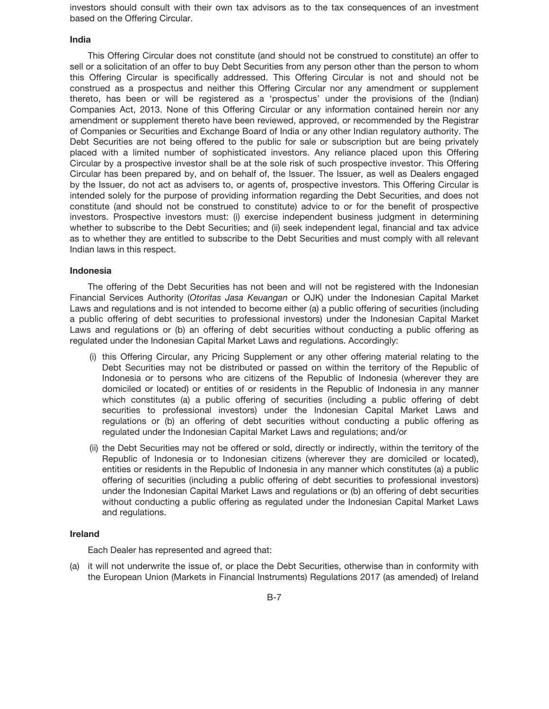investors should consult with their own tax advisors as to the tax consequences of an investment based on the Offering Circular.

#### **India**

This Offering Circular does not constitute (and should not be construed to constitute) an offer to sell or a solicitation of an offer to buy Debt Securities from any person other than the person to whom this Offering Circular is specifically addressed. This Offering Circular is not and should not be construed as a prospectus and neither this Offering Circular nor any amendment or supplement thereto, has been or will be registered as a 'prospectus' under the provisions of the (Indian) Companies Act, 2013. None of this Offering Circular or any information contained herein nor any amendment or supplement thereto have been reviewed, approved, or recommended by the Registrar of Companies or Securities and Exchange Board of India or any other Indian regulatory authority. The Debt Securities are not being offered to the public for sale or subscription but are being privately placed with a limited number of sophisticated investors. Any reliance placed upon this Offering Circular by a prospective investor shall be at the sole risk of such prospective investor. This Offering Circular has been prepared by, and on behalf of, the Issuer. The Issuer, as well as Dealers engaged by the Issuer, do not act as advisers to, or agents of, prospective investors. This Offering Circular is intended solely for the purpose of providing information regarding the Debt Securities, and does not constitute (and should not be construed to constitute) advice to or for the benefit of prospective investors. Prospective investors must: (i) exercise independent business judgment in determining whether to subscribe to the Debt Securities; and (ii) seek independent legal, financial and tax advice as to whether they are entitled to subscribe to the Debt Securities and must comply with all relevant Indian laws in this respect.

#### **Indonesia**

The offering of the Debt Securities has not been and will not be registered with the Indonesian Financial Services Authority (*Otoritas Jasa Keuangan* or OJK) under the Indonesian Capital Market Laws and regulations and is not intended to become either (a) a public offering of securities (including a public offering of debt securities to professional investors) under the Indonesian Capital Market Laws and regulations or (b) an offering of debt securities without conducting a public offering as regulated under the Indonesian Capital Market Laws and regulations. Accordingly:

- (i) this Offering Circular, any Pricing Supplement or any other offering material relating to the Debt Securities may not be distributed or passed on within the territory of the Republic of Indonesia or to persons who are citizens of the Republic of Indonesia (wherever they are domiciled or located) or entities of or residents in the Republic of Indonesia in any manner which constitutes (a) a public offering of securities (including a public offering of debt securities to professional investors) under the Indonesian Capital Market Laws and regulations or (b) an offering of debt securities without conducting a public offering as regulated under the Indonesian Capital Market Laws and regulations; and/or
- (ii) the Debt Securities may not be offered or sold, directly or indirectly, within the territory of the Republic of Indonesia or to Indonesian citizens (wherever they are domiciled or located), entities or residents in the Republic of Indonesia in any manner which constitutes (a) a public offering of securities (including a public offering of debt securities to professional investors) under the Indonesian Capital Market Laws and regulations or (b) an offering of debt securities without conducting a public offering as regulated under the Indonesian Capital Market Laws and regulations.

#### **Ireland**

Each Dealer has represented and agreed that:

(a) it will not underwrite the issue of, or place the Debt Securities, otherwise than in conformity with the European Union (Markets in Financial Instruments) Regulations 2017 (as amended) of Ireland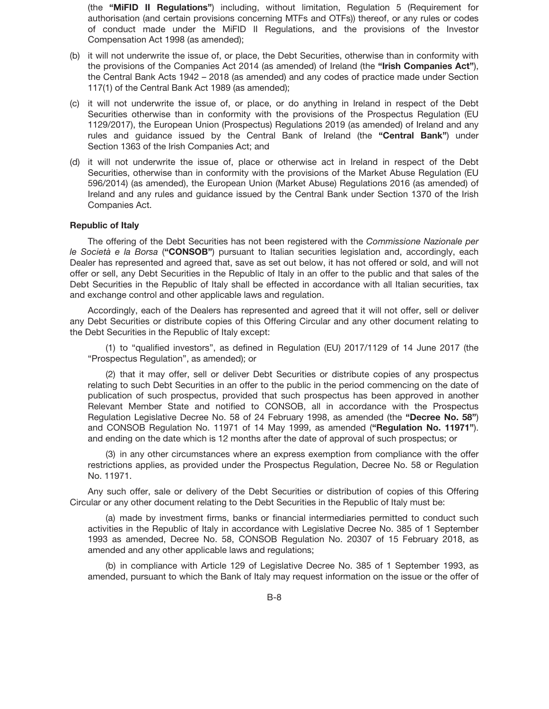(the **"MiFID II Regulations"**) including, without limitation, Regulation 5 (Requirement for authorisation (and certain provisions concerning MTFs and OTFs)) thereof, or any rules or codes of conduct made under the MiFID II Regulations, and the provisions of the Investor Compensation Act 1998 (as amended);

- (b) it will not underwrite the issue of, or place, the Debt Securities, otherwise than in conformity with the provisions of the Companies Act 2014 (as amended) of Ireland (the **"Irish Companies Act"**), the Central Bank Acts 1942 – 2018 (as amended) and any codes of practice made under Section 117(1) of the Central Bank Act 1989 (as amended);
- (c) it will not underwrite the issue of, or place, or do anything in Ireland in respect of the Debt Securities otherwise than in conformity with the provisions of the Prospectus Regulation (EU 1129/2017), the European Union (Prospectus) Regulations 2019 (as amended) of Ireland and any rules and guidance issued by the Central Bank of Ireland (the **"Central Bank"**) under Section 1363 of the Irish Companies Act; and
- (d) it will not underwrite the issue of, place or otherwise act in Ireland in respect of the Debt Securities, otherwise than in conformity with the provisions of the Market Abuse Regulation (EU 596/2014) (as amended), the European Union (Market Abuse) Regulations 2016 (as amended) of Ireland and any rules and guidance issued by the Central Bank under Section 1370 of the Irish Companies Act.

## **Republic of Italy**

The offering of the Debt Securities has not been registered with the *Commissione Nazionale per le Società e la Borsa* (**"CONSOB"**) pursuant to Italian securities legislation and, accordingly, each Dealer has represented and agreed that, save as set out below, it has not offered or sold, and will not offer or sell, any Debt Securities in the Republic of Italy in an offer to the public and that sales of the Debt Securities in the Republic of Italy shall be effected in accordance with all Italian securities, tax and exchange control and other applicable laws and regulation.

Accordingly, each of the Dealers has represented and agreed that it will not offer, sell or deliver any Debt Securities or distribute copies of this Offering Circular and any other document relating to the Debt Securities in the Republic of Italy except:

(1) to "qualified investors", as defined in Regulation (EU) 2017/1129 of 14 June 2017 (the "Prospectus Regulation", as amended); or

(2) that it may offer, sell or deliver Debt Securities or distribute copies of any prospectus relating to such Debt Securities in an offer to the public in the period commencing on the date of publication of such prospectus, provided that such prospectus has been approved in another Relevant Member State and notified to CONSOB, all in accordance with the Prospectus Regulation Legislative Decree No. 58 of 24 February 1998, as amended (the **"Decree No. 58"**) and CONSOB Regulation No. 11971 of 14 May 1999, as amended (**"Regulation No. 11971"**). and ending on the date which is 12 months after the date of approval of such prospectus; or

(3) in any other circumstances where an express exemption from compliance with the offer restrictions applies, as provided under the Prospectus Regulation, Decree No. 58 or Regulation No. 11971.

Any such offer, sale or delivery of the Debt Securities or distribution of copies of this Offering Circular or any other document relating to the Debt Securities in the Republic of Italy must be:

(a) made by investment firms, banks or financial intermediaries permitted to conduct such activities in the Republic of Italy in accordance with Legislative Decree No. 385 of 1 September 1993 as amended, Decree No. 58, CONSOB Regulation No. 20307 of 15 February 2018, as amended and any other applicable laws and regulations;

(b) in compliance with Article 129 of Legislative Decree No. 385 of 1 September 1993, as amended, pursuant to which the Bank of Italy may request information on the issue or the offer of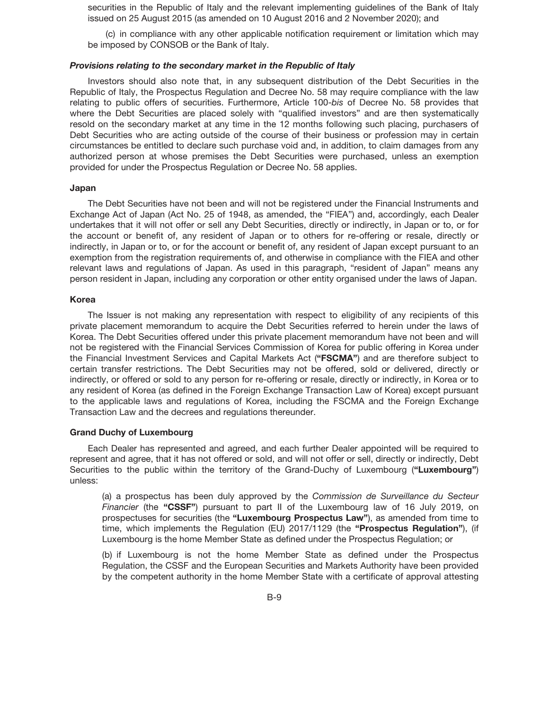securities in the Republic of Italy and the relevant implementing guidelines of the Bank of Italy issued on 25 August 2015 (as amended on 10 August 2016 and 2 November 2020); and

(c) in compliance with any other applicable notification requirement or limitation which may be imposed by CONSOB or the Bank of Italy.

#### *Provisions relating to the secondary market in the Republic of Italy*

Investors should also note that, in any subsequent distribution of the Debt Securities in the Republic of Italy, the Prospectus Regulation and Decree No. 58 may require compliance with the law relating to public offers of securities. Furthermore, Article 100-*bis* of Decree No. 58 provides that where the Debt Securities are placed solely with "qualified investors" and are then systematically resold on the secondary market at any time in the 12 months following such placing, purchasers of Debt Securities who are acting outside of the course of their business or profession may in certain circumstances be entitled to declare such purchase void and, in addition, to claim damages from any authorized person at whose premises the Debt Securities were purchased, unless an exemption provided for under the Prospectus Regulation or Decree No. 58 applies.

#### **Japan**

The Debt Securities have not been and will not be registered under the Financial Instruments and Exchange Act of Japan (Act No. 25 of 1948, as amended, the "FIEA") and, accordingly, each Dealer undertakes that it will not offer or sell any Debt Securities, directly or indirectly, in Japan or to, or for the account or benefit of, any resident of Japan or to others for re-offering or resale, directly or indirectly, in Japan or to, or for the account or benefit of, any resident of Japan except pursuant to an exemption from the registration requirements of, and otherwise in compliance with the FIEA and other relevant laws and regulations of Japan. As used in this paragraph, "resident of Japan" means any person resident in Japan, including any corporation or other entity organised under the laws of Japan.

#### **Korea**

The Issuer is not making any representation with respect to eligibility of any recipients of this private placement memorandum to acquire the Debt Securities referred to herein under the laws of Korea. The Debt Securities offered under this private placement memorandum have not been and will not be registered with the Financial Services Commission of Korea for public offering in Korea under the Financial Investment Services and Capital Markets Act (**"FSCMA"**) and are therefore subject to certain transfer restrictions. The Debt Securities may not be offered, sold or delivered, directly or indirectly, or offered or sold to any person for re-offering or resale, directly or indirectly, in Korea or to any resident of Korea (as defined in the Foreign Exchange Transaction Law of Korea) except pursuant to the applicable laws and regulations of Korea, including the FSCMA and the Foreign Exchange Transaction Law and the decrees and regulations thereunder.

#### **Grand Duchy of Luxembourg**

Each Dealer has represented and agreed, and each further Dealer appointed will be required to represent and agree, that it has not offered or sold, and will not offer or sell, directly or indirectly, Debt Securities to the public within the territory of the Grand-Duchy of Luxembourg (**"Luxembourg"**) unless:

(a) a prospectus has been duly approved by the *Commission de Surveillance du Secteur Financier* (the **"CSSF"**) pursuant to part II of the Luxembourg law of 16 July 2019, on prospectuses for securities (the **"Luxembourg Prospectus Law"**), as amended from time to time, which implements the Regulation (EU) 2017/1129 (the **"Prospectus Regulation"**), (if Luxembourg is the home Member State as defined under the Prospectus Regulation; or

(b) if Luxembourg is not the home Member State as defined under the Prospectus Regulation, the CSSF and the European Securities and Markets Authority have been provided by the competent authority in the home Member State with a certificate of approval attesting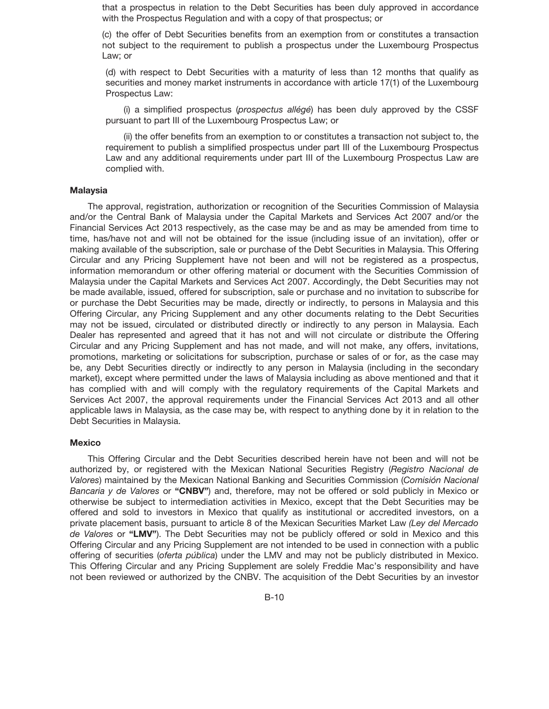that a prospectus in relation to the Debt Securities has been duly approved in accordance with the Prospectus Regulation and with a copy of that prospectus; or

(c) the offer of Debt Securities benefits from an exemption from or constitutes a transaction not subject to the requirement to publish a prospectus under the Luxembourg Prospectus Law; or

(d) with respect to Debt Securities with a maturity of less than 12 months that qualify as securities and money market instruments in accordance with article 17(1) of the Luxembourg Prospectus Law:

(i) a simplified prospectus (*prospectus allégé*) has been duly approved by the CSSF pursuant to part III of the Luxembourg Prospectus Law; or

(ii) the offer benefits from an exemption to or constitutes a transaction not subject to, the requirement to publish a simplified prospectus under part III of the Luxembourg Prospectus Law and any additional requirements under part III of the Luxembourg Prospectus Law are complied with.

#### **Malaysia**

The approval, registration, authorization or recognition of the Securities Commission of Malaysia and/or the Central Bank of Malaysia under the Capital Markets and Services Act 2007 and/or the Financial Services Act 2013 respectively, as the case may be and as may be amended from time to time, has/have not and will not be obtained for the issue (including issue of an invitation), offer or making available of the subscription, sale or purchase of the Debt Securities in Malaysia. This Offering Circular and any Pricing Supplement have not been and will not be registered as a prospectus, information memorandum or other offering material or document with the Securities Commission of Malaysia under the Capital Markets and Services Act 2007. Accordingly, the Debt Securities may not be made available, issued, offered for subscription, sale or purchase and no invitation to subscribe for or purchase the Debt Securities may be made, directly or indirectly, to persons in Malaysia and this Offering Circular, any Pricing Supplement and any other documents relating to the Debt Securities may not be issued, circulated or distributed directly or indirectly to any person in Malaysia. Each Dealer has represented and agreed that it has not and will not circulate or distribute the Offering Circular and any Pricing Supplement and has not made, and will not make, any offers, invitations, promotions, marketing or solicitations for subscription, purchase or sales of or for, as the case may be, any Debt Securities directly or indirectly to any person in Malaysia (including in the secondary market), except where permitted under the laws of Malaysia including as above mentioned and that it has complied with and will comply with the regulatory requirements of the Capital Markets and Services Act 2007, the approval requirements under the Financial Services Act 2013 and all other applicable laws in Malaysia, as the case may be, with respect to anything done by it in relation to the Debt Securities in Malaysia.

## **Mexico**

This Offering Circular and the Debt Securities described herein have not been and will not be authorized by, or registered with the Mexican National Securities Registry (*Registro Nacional de Valores*) maintained by the Mexican National Banking and Securities Commission (*Comisio´ n Nacional Bancaria y de Valores* or **"CNBV"**) and, therefore, may not be offered or sold publicly in Mexico or otherwise be subject to intermediation activities in Mexico, except that the Debt Securities may be offered and sold to investors in Mexico that qualify as institutional or accredited investors, on a private placement basis, pursuant to article 8 of the Mexican Securities Market Law *(Ley del Mercado de Valores* or **"LMV"**). The Debt Securities may not be publicly offered or sold in Mexico and this Offering Circular and any Pricing Supplement are not intended to be used in connection with a public offering of securities (*oferta pública*) under the LMV and may not be publicly distributed in Mexico. This Offering Circular and any Pricing Supplement are solely Freddie Mac's responsibility and have not been reviewed or authorized by the CNBV. The acquisition of the Debt Securities by an investor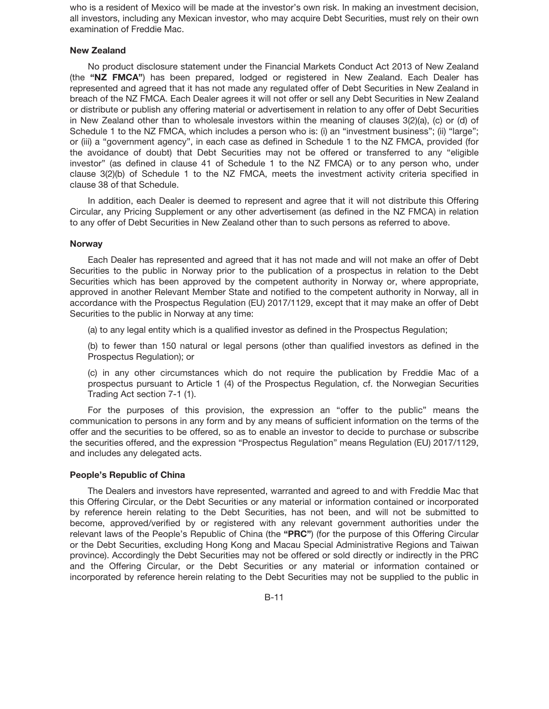who is a resident of Mexico will be made at the investor's own risk. In making an investment decision, all investors, including any Mexican investor, who may acquire Debt Securities, must rely on their own examination of Freddie Mac.

## **New Zealand**

No product disclosure statement under the Financial Markets Conduct Act 2013 of New Zealand (the **"NZ FMCA"**) has been prepared, lodged or registered in New Zealand. Each Dealer has represented and agreed that it has not made any regulated offer of Debt Securities in New Zealand in breach of the NZ FMCA. Each Dealer agrees it will not offer or sell any Debt Securities in New Zealand or distribute or publish any offering material or advertisement in relation to any offer of Debt Securities in New Zealand other than to wholesale investors within the meaning of clauses 3(2)(a), (c) or (d) of Schedule 1 to the NZ FMCA, which includes a person who is: (i) an "investment business"; (ii) "large"; or (iii) a "government agency", in each case as defined in Schedule 1 to the NZ FMCA, provided (for the avoidance of doubt) that Debt Securities may not be offered or transferred to any "eligible investor" (as defined in clause 41 of Schedule 1 to the NZ FMCA) or to any person who, under clause 3(2)(b) of Schedule 1 to the NZ FMCA, meets the investment activity criteria specified in clause 38 of that Schedule.

In addition, each Dealer is deemed to represent and agree that it will not distribute this Offering Circular, any Pricing Supplement or any other advertisement (as defined in the NZ FMCA) in relation to any offer of Debt Securities in New Zealand other than to such persons as referred to above.

#### **Norway**

Each Dealer has represented and agreed that it has not made and will not make an offer of Debt Securities to the public in Norway prior to the publication of a prospectus in relation to the Debt Securities which has been approved by the competent authority in Norway or, where appropriate, approved in another Relevant Member State and notified to the competent authority in Norway, all in accordance with the Prospectus Regulation (EU) 2017/1129, except that it may make an offer of Debt Securities to the public in Norway at any time:

(a) to any legal entity which is a qualified investor as defined in the Prospectus Regulation;

(b) to fewer than 150 natural or legal persons (other than qualified investors as defined in the Prospectus Regulation); or

(c) in any other circumstances which do not require the publication by Freddie Mac of a prospectus pursuant to Article 1 (4) of the Prospectus Regulation, cf. the Norwegian Securities Trading Act section 7-1 (1).

For the purposes of this provision, the expression an "offer to the public" means the communication to persons in any form and by any means of sufficient information on the terms of the offer and the securities to be offered, so as to enable an investor to decide to purchase or subscribe the securities offered, and the expression "Prospectus Regulation" means Regulation (EU) 2017/1129, and includes any delegated acts.

## **People's Republic of China**

The Dealers and investors have represented, warranted and agreed to and with Freddie Mac that this Offering Circular, or the Debt Securities or any material or information contained or incorporated by reference herein relating to the Debt Securities, has not been, and will not be submitted to become, approved/verified by or registered with any relevant government authorities under the relevant laws of the People's Republic of China (the **"PRC"**) (for the purpose of this Offering Circular or the Debt Securities, excluding Hong Kong and Macau Special Administrative Regions and Taiwan province). Accordingly the Debt Securities may not be offered or sold directly or indirectly in the PRC and the Offering Circular, or the Debt Securities or any material or information contained or incorporated by reference herein relating to the Debt Securities may not be supplied to the public in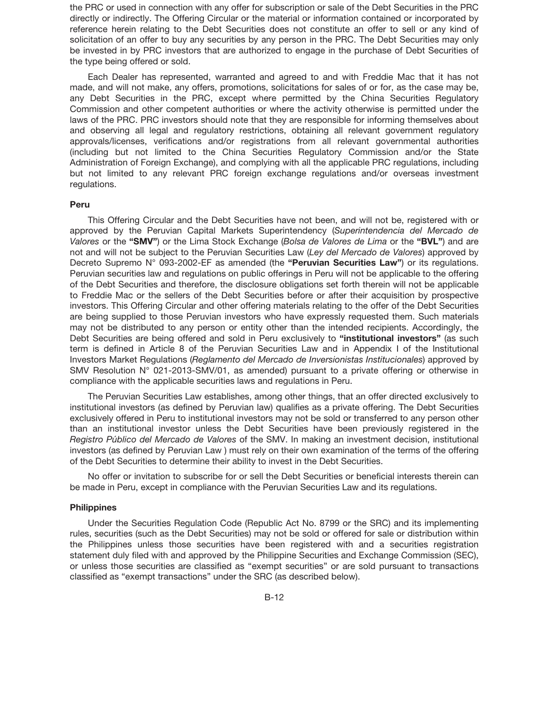the PRC or used in connection with any offer for subscription or sale of the Debt Securities in the PRC directly or indirectly. The Offering Circular or the material or information contained or incorporated by reference herein relating to the Debt Securities does not constitute an offer to sell or any kind of solicitation of an offer to buy any securities by any person in the PRC. The Debt Securities may only be invested in by PRC investors that are authorized to engage in the purchase of Debt Securities of the type being offered or sold.

Each Dealer has represented, warranted and agreed to and with Freddie Mac that it has not made, and will not make, any offers, promotions, solicitations for sales of or for, as the case may be, any Debt Securities in the PRC, except where permitted by the China Securities Regulatory Commission and other competent authorities or where the activity otherwise is permitted under the laws of the PRC. PRC investors should note that they are responsible for informing themselves about and observing all legal and regulatory restrictions, obtaining all relevant government regulatory approvals/licenses, verifications and/or registrations from all relevant governmental authorities (including but not limited to the China Securities Regulatory Commission and/or the State Administration of Foreign Exchange), and complying with all the applicable PRC regulations, including but not limited to any relevant PRC foreign exchange regulations and/or overseas investment regulations.

#### **Peru**

This Offering Circular and the Debt Securities have not been, and will not be, registered with or approved by the Peruvian Capital Markets Superintendency (*Superintendencia del Mercado de Valores* or the **"SMV"**) or the Lima Stock Exchange (*Bolsa de Valores de Lima* or the **"BVL"**) and are not and will not be subject to the Peruvian Securities Law (*Ley del Mercado de Valores*) approved by Decreto Supremo N° 093-2002-EF as amended (the **"Peruvian Securities Law"**) or its regulations. Peruvian securities law and regulations on public offerings in Peru will not be applicable to the offering of the Debt Securities and therefore, the disclosure obligations set forth therein will not be applicable to Freddie Mac or the sellers of the Debt Securities before or after their acquisition by prospective investors. This Offering Circular and other offering materials relating to the offer of the Debt Securities are being supplied to those Peruvian investors who have expressly requested them. Such materials may not be distributed to any person or entity other than the intended recipients. Accordingly, the Debt Securities are being offered and sold in Peru exclusively to **"institutional investors"** (as such term is defined in Article 8 of the Peruvian Securities Law and in Appendix I of the Institutional Investors Market Regulations (*Reglamento del Mercado de Inversionistas Institucionales*) approved by SMV Resolution N° 021-2013-SMV/01, as amended) pursuant to a private offering or otherwise in compliance with the applicable securities laws and regulations in Peru.

The Peruvian Securities Law establishes, among other things, that an offer directed exclusively to institutional investors (as defined by Peruvian law) qualifies as a private offering. The Debt Securities exclusively offered in Peru to institutional investors may not be sold or transferred to any person other than an institutional investor unless the Debt Securities have been previously registered in the *Registro Público del Mercado de Valores* of the SMV. In making an investment decision, institutional investors (as defined by Peruvian Law ) must rely on their own examination of the terms of the offering of the Debt Securities to determine their ability to invest in the Debt Securities.

No offer or invitation to subscribe for or sell the Debt Securities or beneficial interests therein can be made in Peru, except in compliance with the Peruvian Securities Law and its regulations.

#### **Philippines**

Under the Securities Regulation Code (Republic Act No. 8799 or the SRC) and its implementing rules, securities (such as the Debt Securities) may not be sold or offered for sale or distribution within the Philippines unless those securities have been registered with and a securities registration statement duly filed with and approved by the Philippine Securities and Exchange Commission (SEC), or unless those securities are classified as "exempt securities" or are sold pursuant to transactions classified as "exempt transactions" under the SRC (as described below).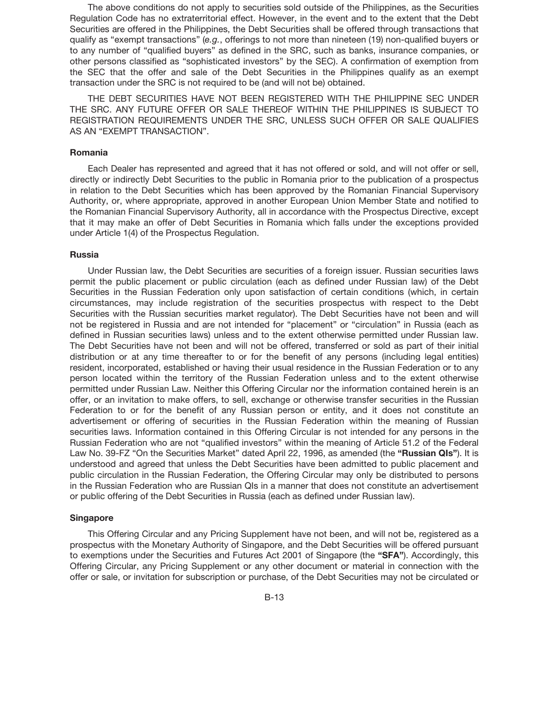The above conditions do not apply to securities sold outside of the Philippines, as the Securities Regulation Code has no extraterritorial effect. However, in the event and to the extent that the Debt Securities are offered in the Philippines, the Debt Securities shall be offered through transactions that qualify as "exempt transactions" (*e.g.*, offerings to not more than nineteen (19) non-qualified buyers or to any number of "qualified buyers" as defined in the SRC, such as banks, insurance companies, or other persons classified as "sophisticated investors" by the SEC). A confirmation of exemption from the SEC that the offer and sale of the Debt Securities in the Philippines qualify as an exempt transaction under the SRC is not required to be (and will not be) obtained.

THE DEBT SECURITIES HAVE NOT BEEN REGISTERED WITH THE PHILIPPINE SEC UNDER THE SRC. ANY FUTURE OFFER OR SALE THEREOF WITHIN THE PHILIPPINES IS SUBJECT TO REGISTRATION REQUIREMENTS UNDER THE SRC, UNLESS SUCH OFFER OR SALE QUALIFIES AS AN "EXEMPT TRANSACTION".

### **Romania**

Each Dealer has represented and agreed that it has not offered or sold, and will not offer or sell, directly or indirectly Debt Securities to the public in Romania prior to the publication of a prospectus in relation to the Debt Securities which has been approved by the Romanian Financial Supervisory Authority, or, where appropriate, approved in another European Union Member State and notified to the Romanian Financial Supervisory Authority, all in accordance with the Prospectus Directive, except that it may make an offer of Debt Securities in Romania which falls under the exceptions provided under Article 1(4) of the Prospectus Regulation.

#### **Russia**

Under Russian law, the Debt Securities are securities of a foreign issuer. Russian securities laws permit the public placement or public circulation (each as defined under Russian law) of the Debt Securities in the Russian Federation only upon satisfaction of certain conditions (which, in certain circumstances, may include registration of the securities prospectus with respect to the Debt Securities with the Russian securities market regulator). The Debt Securities have not been and will not be registered in Russia and are not intended for "placement" or "circulation" in Russia (each as defined in Russian securities laws) unless and to the extent otherwise permitted under Russian law. The Debt Securities have not been and will not be offered, transferred or sold as part of their initial distribution or at any time thereafter to or for the benefit of any persons (including legal entities) resident, incorporated, established or having their usual residence in the Russian Federation or to any person located within the territory of the Russian Federation unless and to the extent otherwise permitted under Russian Law. Neither this Offering Circular nor the information contained herein is an offer, or an invitation to make offers, to sell, exchange or otherwise transfer securities in the Russian Federation to or for the benefit of any Russian person or entity, and it does not constitute an advertisement or offering of securities in the Russian Federation within the meaning of Russian securities laws. Information contained in this Offering Circular is not intended for any persons in the Russian Federation who are not "qualified investors" within the meaning of Article 51.2 of the Federal Law No. 39-FZ "On the Securities Market" dated April 22, 1996, as amended (the **"Russian QIs"**). It is understood and agreed that unless the Debt Securities have been admitted to public placement and public circulation in the Russian Federation, the Offering Circular may only be distributed to persons in the Russian Federation who are Russian QIs in a manner that does not constitute an advertisement or public offering of the Debt Securities in Russia (each as defined under Russian law).

## **Singapore**

This Offering Circular and any Pricing Supplement have not been, and will not be, registered as a prospectus with the Monetary Authority of Singapore, and the Debt Securities will be offered pursuant to exemptions under the Securities and Futures Act 2001 of Singapore (the **"SFA"**). Accordingly, this Offering Circular, any Pricing Supplement or any other document or material in connection with the offer or sale, or invitation for subscription or purchase, of the Debt Securities may not be circulated or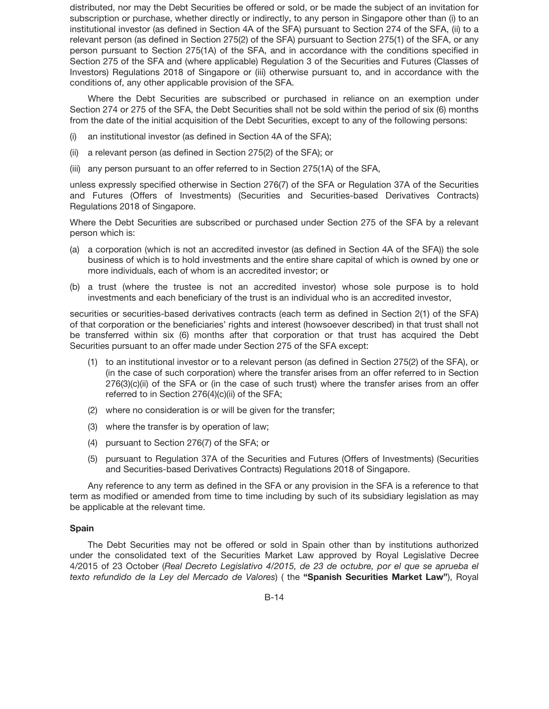distributed, nor may the Debt Securities be offered or sold, or be made the subject of an invitation for subscription or purchase, whether directly or indirectly, to any person in Singapore other than (i) to an institutional investor (as defined in Section 4A of the SFA) pursuant to Section 274 of the SFA, (ii) to a relevant person (as defined in Section 275(2) of the SFA) pursuant to Section 275(1) of the SFA, or any person pursuant to Section 275(1A) of the SFA, and in accordance with the conditions specified in Section 275 of the SFA and (where applicable) Regulation 3 of the Securities and Futures (Classes of Investors) Regulations 2018 of Singapore or (iii) otherwise pursuant to, and in accordance with the conditions of, any other applicable provision of the SFA.

Where the Debt Securities are subscribed or purchased in reliance on an exemption under Section 274 or 275 of the SFA, the Debt Securities shall not be sold within the period of six (6) months from the date of the initial acquisition of the Debt Securities, except to any of the following persons:

- (i) an institutional investor (as defined in Section 4A of the SFA);
- (ii) a relevant person (as defined in Section 275(2) of the SFA); or
- (iii) any person pursuant to an offer referred to in Section 275(1A) of the SFA,

unless expressly specified otherwise in Section 276(7) of the SFA or Regulation 37A of the Securities and Futures (Offers of Investments) (Securities and Securities-based Derivatives Contracts) Regulations 2018 of Singapore.

Where the Debt Securities are subscribed or purchased under Section 275 of the SFA by a relevant person which is:

- (a) a corporation (which is not an accredited investor (as defined in Section 4A of the SFA)) the sole business of which is to hold investments and the entire share capital of which is owned by one or more individuals, each of whom is an accredited investor; or
- (b) a trust (where the trustee is not an accredited investor) whose sole purpose is to hold investments and each beneficiary of the trust is an individual who is an accredited investor,

securities or securities-based derivatives contracts (each term as defined in Section 2(1) of the SFA) of that corporation or the beneficiaries' rights and interest (howsoever described) in that trust shall not be transferred within six (6) months after that corporation or that trust has acquired the Debt Securities pursuant to an offer made under Section 275 of the SFA except:

- (1) to an institutional investor or to a relevant person (as defined in Section 275(2) of the SFA), or (in the case of such corporation) where the transfer arises from an offer referred to in Section 276(3)(c)(ii) of the SFA or (in the case of such trust) where the transfer arises from an offer referred to in Section 276(4)(c)(ii) of the SFA;
- (2) where no consideration is or will be given for the transfer;
- (3) where the transfer is by operation of law;
- (4) pursuant to Section 276(7) of the SFA; or
- (5) pursuant to Regulation 37A of the Securities and Futures (Offers of Investments) (Securities and Securities-based Derivatives Contracts) Regulations 2018 of Singapore.

Any reference to any term as defined in the SFA or any provision in the SFA is a reference to that term as modified or amended from time to time including by such of its subsidiary legislation as may be applicable at the relevant time.

#### **Spain**

The Debt Securities may not be offered or sold in Spain other than by institutions authorized under the consolidated text of the Securities Market Law approved by Royal Legislative Decree 4/2015 of 23 October (*Real Decreto Legislativo 4/2015, de 23 de octubre, por el que se aprueba el texto refundido de la Ley del Mercado de Valores*) ( the **"Spanish Securities Market Law"**), Royal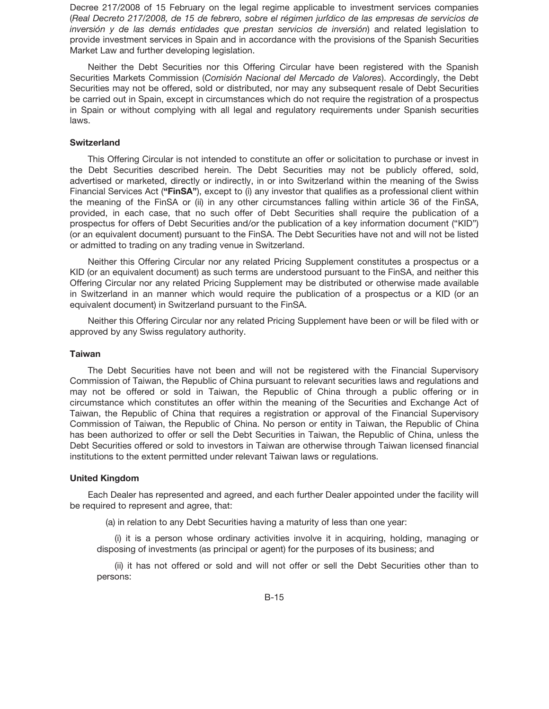Decree 217/2008 of 15 February on the legal regime applicable to investment services companies (Real Decreto 217/2008, de 15 de febrero, sobre el régimen jurídico de las empresas de servicios de *inversión y de las demás entidades que prestan servicios de inversión*) and related legislation to provide investment services in Spain and in accordance with the provisions of the Spanish Securities Market Law and further developing legislation.

Neither the Debt Securities nor this Offering Circular have been registered with the Spanish Securities Markets Commission (Comisión Nacional del Mercado de Valores). Accordingly, the Debt Securities may not be offered, sold or distributed, nor may any subsequent resale of Debt Securities be carried out in Spain, except in circumstances which do not require the registration of a prospectus in Spain or without complying with all legal and regulatory requirements under Spanish securities laws.

## **Switzerland**

This Offering Circular is not intended to constitute an offer or solicitation to purchase or invest in the Debt Securities described herein. The Debt Securities may not be publicly offered, sold, advertised or marketed, directly or indirectly, in or into Switzerland within the meaning of the Swiss Financial Services Act (**"FinSA"**), except to (i) any investor that qualifies as a professional client within the meaning of the FinSA or (ii) in any other circumstances falling within article 36 of the FinSA, provided, in each case, that no such offer of Debt Securities shall require the publication of a prospectus for offers of Debt Securities and/or the publication of a key information document ("KID") (or an equivalent document) pursuant to the FinSA. The Debt Securities have not and will not be listed or admitted to trading on any trading venue in Switzerland.

Neither this Offering Circular nor any related Pricing Supplement constitutes a prospectus or a KID (or an equivalent document) as such terms are understood pursuant to the FinSA, and neither this Offering Circular nor any related Pricing Supplement may be distributed or otherwise made available in Switzerland in an manner which would require the publication of a prospectus or a KID (or an equivalent document) in Switzerland pursuant to the FinSA.

Neither this Offering Circular nor any related Pricing Supplement have been or will be filed with or approved by any Swiss regulatory authority.

#### **Taiwan**

The Debt Securities have not been and will not be registered with the Financial Supervisory Commission of Taiwan, the Republic of China pursuant to relevant securities laws and regulations and may not be offered or sold in Taiwan, the Republic of China through a public offering or in circumstance which constitutes an offer within the meaning of the Securities and Exchange Act of Taiwan, the Republic of China that requires a registration or approval of the Financial Supervisory Commission of Taiwan, the Republic of China. No person or entity in Taiwan, the Republic of China has been authorized to offer or sell the Debt Securities in Taiwan, the Republic of China, unless the Debt Securities offered or sold to investors in Taiwan are otherwise through Taiwan licensed financial institutions to the extent permitted under relevant Taiwan laws or regulations.

#### **United Kingdom**

Each Dealer has represented and agreed, and each further Dealer appointed under the facility will be required to represent and agree, that:

(a) in relation to any Debt Securities having a maturity of less than one year:

(i) it is a person whose ordinary activities involve it in acquiring, holding, managing or disposing of investments (as principal or agent) for the purposes of its business; and

(ii) it has not offered or sold and will not offer or sell the Debt Securities other than to persons: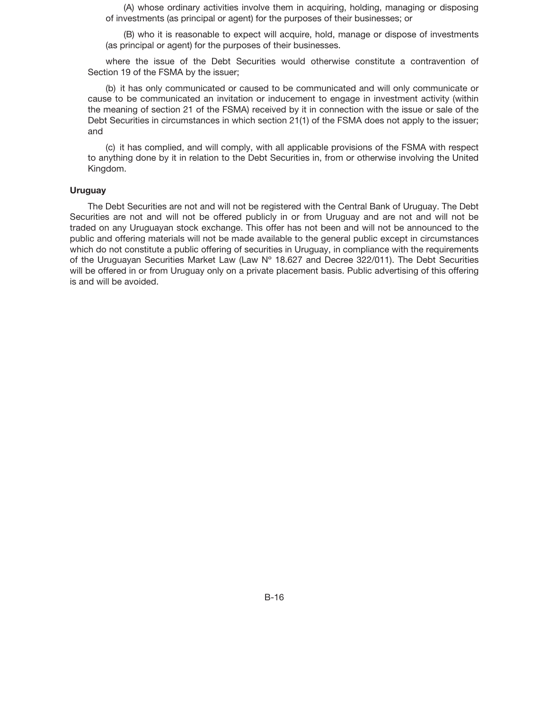(A) whose ordinary activities involve them in acquiring, holding, managing or disposing of investments (as principal or agent) for the purposes of their businesses; or

(B) who it is reasonable to expect will acquire, hold, manage or dispose of investments (as principal or agent) for the purposes of their businesses.

where the issue of the Debt Securities would otherwise constitute a contravention of Section 19 of the FSMA by the issuer;

(b) it has only communicated or caused to be communicated and will only communicate or cause to be communicated an invitation or inducement to engage in investment activity (within the meaning of section 21 of the FSMA) received by it in connection with the issue or sale of the Debt Securities in circumstances in which section 21(1) of the FSMA does not apply to the issuer; and

(c) it has complied, and will comply, with all applicable provisions of the FSMA with respect to anything done by it in relation to the Debt Securities in, from or otherwise involving the United Kingdom.

#### **Uruguay**

The Debt Securities are not and will not be registered with the Central Bank of Uruguay. The Debt Securities are not and will not be offered publicly in or from Uruguay and are not and will not be traded on any Uruguayan stock exchange. This offer has not been and will not be announced to the public and offering materials will not be made available to the general public except in circumstances which do not constitute a public offering of securities in Uruguay, in compliance with the requirements of the Uruguayan Securities Market Law (Law Nº 18.627 and Decree 322/011). The Debt Securities will be offered in or from Uruguay only on a private placement basis. Public advertising of this offering is and will be avoided.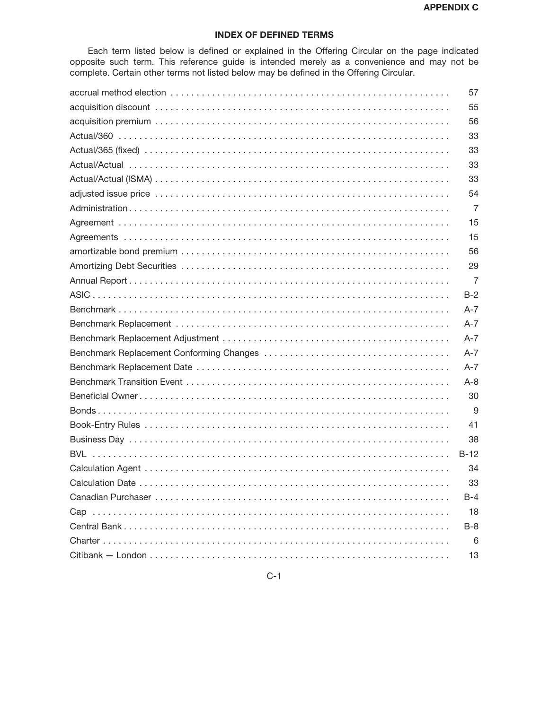# **INDEX OF DEFINED TERMS**

Each term listed below is defined or explained in the Offering Circular on the page indicated opposite such term. This reference guide is intended merely as a convenience and may not be complete. Certain other terms not listed below may be defined in the Offering Circular.

| 57             |
|----------------|
| 55             |
| 56             |
| 33             |
| 33             |
| 33             |
| 33             |
| 54             |
| $\overline{7}$ |
| 15             |
| 15             |
| 56             |
| 29             |
| $\overline{7}$ |
| $B-2$          |
| $A-7$          |
| $A-7$          |
| $A - 7$        |
| $A-7$          |
| $A - 7$        |
| $A - 8$        |
| 30             |
| 9              |
| 41             |
| 38             |
| $B-12$         |
| 34             |
| 33             |
| B-4            |
| 18             |
| $B-8$          |
| 6              |
| 13             |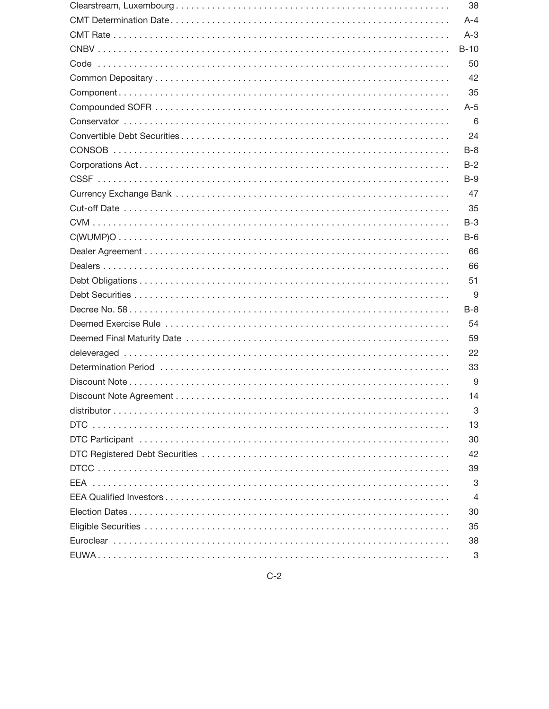| 38      |
|---------|
| $A - 4$ |
| $A-3$   |
| $B-10$  |
| 50      |
| 42      |
| 35      |
| $A-5$   |
| 6       |
| 24      |
| $B-8$   |
| $B-2$   |
| $B-9$   |
| 47      |
| 35      |
| $B-3$   |
| $B-6$   |
| 66      |
| 66      |
| 51      |
| 9       |
| $B-8$   |
| 54      |
| 59      |
| 22      |
| 33      |
| 9       |
| 14      |
| 3       |
| 13      |
| 30      |
| 42      |
| 39      |
| 3       |
| 4       |
| 30      |
| 35      |
| 38      |
| 3       |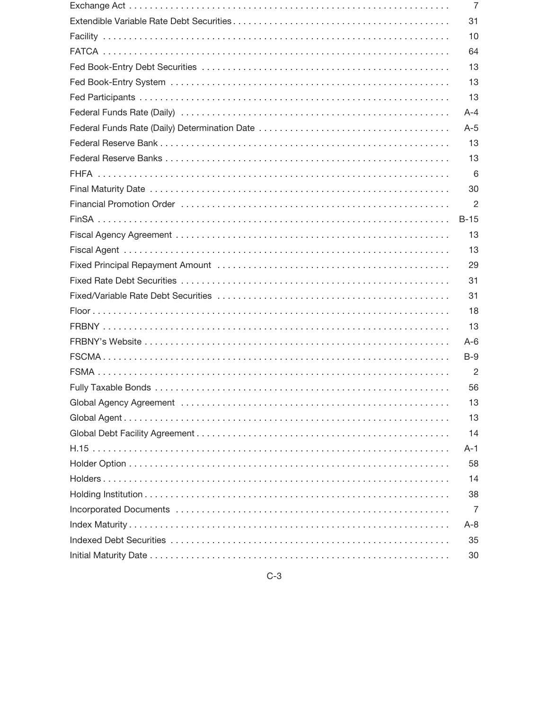| 7       |
|---------|
| 31      |
| 10      |
| 64      |
| 13      |
| 13      |
| 13      |
| $A - 4$ |
| $A-5$   |
| 13      |
| 13      |
| 6       |
| 30      |
| 2       |
| $B-15$  |
| 13      |
| 13      |
| 29      |
| 31      |
| 31      |
| 18      |
| 13      |
| $A-6$   |
| $B-9$   |
| 2       |
| 56      |
| 13      |
| 13      |
| 14      |
| $A-1$   |
| 58      |
| 14      |
| 38      |
| 7       |
| $A - 8$ |
| 35      |
| 30      |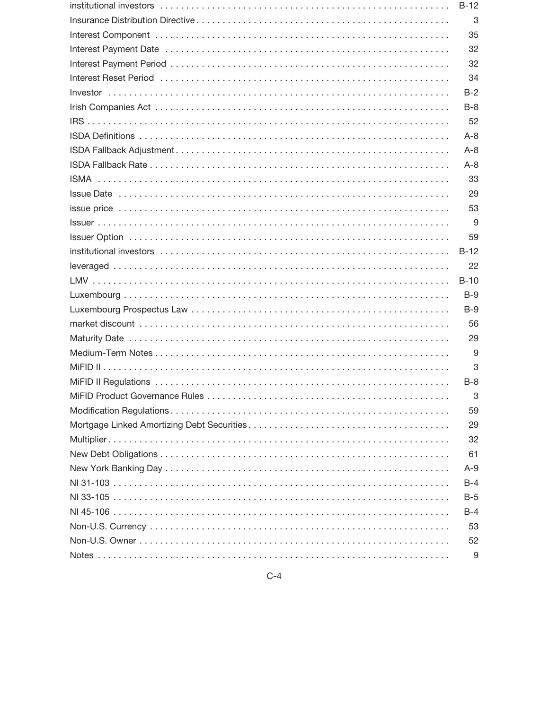| $B-12$  |
|---------|
| 3       |
| 35      |
| 32      |
| 32      |
| 34      |
| $B-2$   |
| $B-8$   |
| 52      |
| $A - 8$ |
| $A - 8$ |
| $A - 8$ |
| 33      |
| 29      |
| 53      |
| 9       |
| 59      |
| $B-12$  |
| 22      |
| $B-10$  |
| $B-9$   |
| $B-9$   |
| 56      |
| 29      |
| 9       |
| 3       |
| $B-8$   |
| 3       |
| 59      |
| 29      |
| 32      |
| 61      |
| $A-9$   |
| $B-4$   |
| $B-5$   |
| $B-4$   |
| 53      |
| 52      |
| 9       |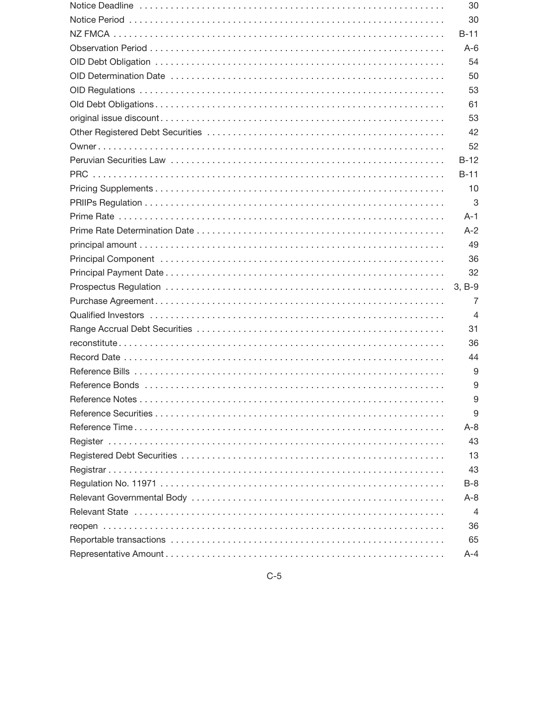| 30             |
|----------------|
| 30             |
| B-11           |
| $A-6$          |
| 54             |
| 50             |
| 53             |
| 61             |
| 53             |
| 42             |
| 52             |
| $B-12$         |
| B-11           |
| 10             |
| 3              |
| A-1            |
| $A-2$          |
| 49             |
| 36             |
| 32             |
| $3, B-9$       |
| 7              |
| $\overline{4}$ |
| 31             |
| 36             |
| 44             |
| 9              |
| 9              |
| 9              |
| 9              |
| $A - 8$        |
| 43             |
| 13             |
| 43             |
| $B-8$          |
| A-8            |
| 4              |
| 36             |
| 65             |
| $A - 4$        |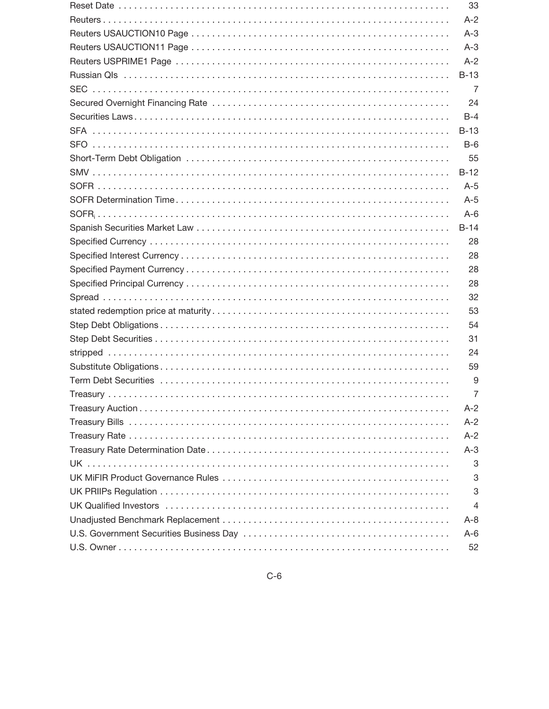| 33      |
|---------|
| $A-2$   |
| $A-3$   |
| $A-3$   |
| $A-2$   |
| $B-13$  |
| 7       |
| 24      |
| $B-4$   |
| $B-13$  |
| $B-6$   |
| 55      |
| $B-12$  |
| $A-5$   |
| $A-5$   |
| $A-6$   |
| $B-14$  |
| 28      |
| 28      |
| 28      |
| 28      |
| 32      |
| 53      |
| 54      |
| 31      |
| 24      |
| 59      |
| 9       |
| 7       |
| $A-2$   |
| $A-2$   |
| $A-2$   |
| $A-3$   |
| 3       |
| 3       |
| 3       |
| 4       |
| $A - 8$ |
| $A-6$   |
| 52      |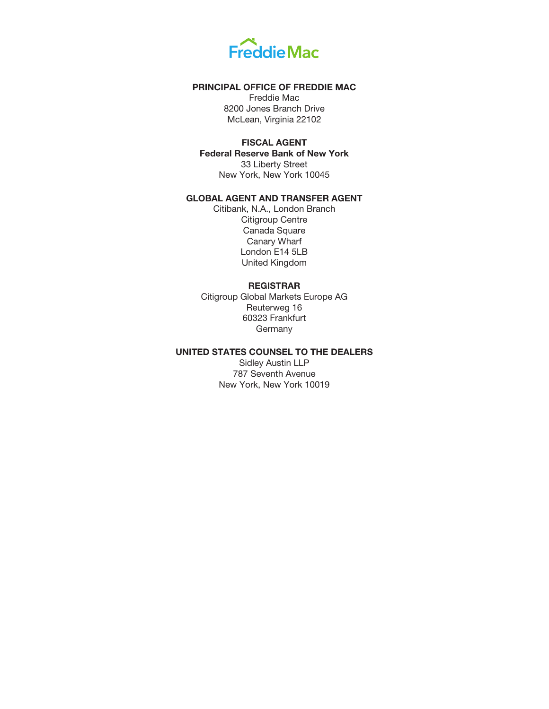

## **PRINCIPAL OFFICE OF FREDDIE MAC**

Freddie Mac 8200 Jones Branch Drive McLean, Virginia 22102

## **FISCAL AGENT**

**Federal Reserve Bank of New York** 33 Liberty Street New York, New York 10045

# **GLOBAL AGENT AND TRANSFER AGENT**

Citibank, N.A., London Branch Citigroup Centre Canada Square Canary Wharf London E14 5LB United Kingdom

## **REGISTRAR**

Citigroup Global Markets Europe AG Reuterweg 16 60323 Frankfurt **Germany** 

# **UNITED STATES COUNSEL TO THE DEALERS**

Sidley Austin LLP 787 Seventh Avenue New York, New York 10019